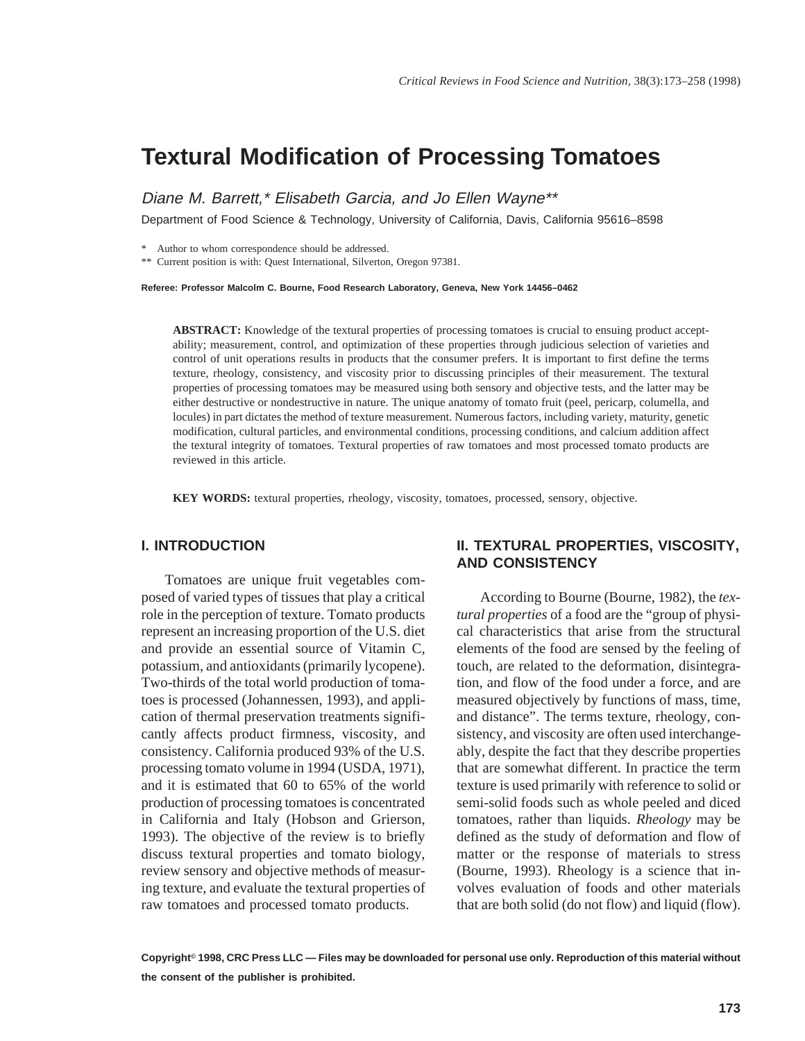# **Textural Modification of Processing Tomatoes**

Diane M. Barrett,\* Elisabeth Garcia, and Jo Ellen Wayne\*\*

Department of Food Science & Technology, University of California, Davis, California 95616–8598

\* Author to whom correspondence should be addressed.

\*\* Current position is with: Quest International, Silverton, Oregon 97381.

**Referee: Professor Malcolm C. Bourne, Food Research Laboratory, Geneva, New York 14456–0462**

**ABSTRACT:** Knowledge of the textural properties of processing tomatoes is crucial to ensuing product acceptability; measurement, control, and optimization of these properties through judicious selection of varieties and control of unit operations results in products that the consumer prefers. It is important to first define the terms texture, rheology, consistency, and viscosity prior to discussing principles of their measurement. The textural properties of processing tomatoes may be measured using both sensory and objective tests, and the latter may be either destructive or nondestructive in nature. The unique anatomy of tomato fruit (peel, pericarp, columella, and locules) in part dictates the method of texture measurement. Numerous factors, including variety, maturity, genetic modification, cultural particles, and environmental conditions, processing conditions, and calcium addition affect the textural integrity of tomatoes. Textural properties of raw tomatoes and most processed tomato products are reviewed in this article.

**KEY WORDS:** textural properties, rheology, viscosity, tomatoes, processed, sensory, objective.

## **I. INTRODUCTION**

Tomatoes are unique fruit vegetables composed of varied types of tissues that play a critical role in the perception of texture. Tomato products represent an increasing proportion of the U.S. diet and provide an essential source of Vitamin C, potassium, and antioxidants (primarily lycopene). Two-thirds of the total world production of tomatoes is processed (Johannessen, 1993), and application of thermal preservation treatments significantly affects product firmness, viscosity, and consistency. California produced 93% of the U.S. processing tomato volume in 1994 (USDA, 1971), and it is estimated that 60 to 65% of the world production of processing tomatoes is concentrated in California and Italy (Hobson and Grierson, 1993). The objective of the review is to briefly discuss textural properties and tomato biology, review sensory and objective methods of measuring texture, and evaluate the textural properties of raw tomatoes and processed tomato products.

# **II. TEXTURAL PROPERTIES, VISCOSITY, AND CONSISTENCY**

According to Bourne (Bourne, 1982), the *textural properties* of a food are the "group of physical characteristics that arise from the structural elements of the food are sensed by the feeling of touch, are related to the deformation, disintegration, and flow of the food under a force, and are measured objectively by functions of mass, time, and distance". The terms texture, rheology, consistency, and viscosity are often used interchangeably, despite the fact that they describe properties that are somewhat different. In practice the term texture is used primarily with reference to solid or semi-solid foods such as whole peeled and diced tomatoes, rather than liquids. *Rheology* may be defined as the study of deformation and flow of matter or the response of materials to stress (Bourne, 1993). Rheology is a science that involves evaluation of foods and other materials that are both solid (do not flow) and liquid (flow).

**Copyright© 1998, CRC Press LLC — Files may be downloaded for personal use only. Reproduction of this material without the consent of the publisher is prohibited.**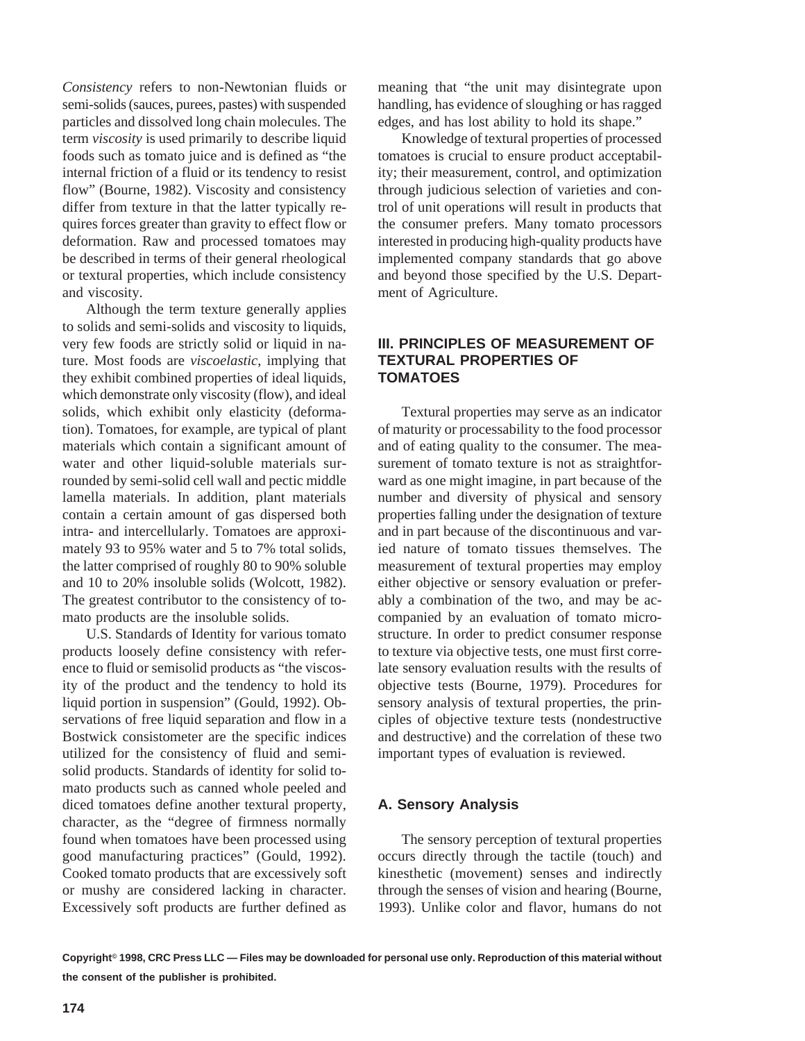*Consistency* refers to non-Newtonian fluids or semi-solids (sauces, purees, pastes) with suspended particles and dissolved long chain molecules. The term *viscosity* is used primarily to describe liquid foods such as tomato juice and is defined as "the internal friction of a fluid or its tendency to resist flow" (Bourne, 1982). Viscosity and consistency differ from texture in that the latter typically requires forces greater than gravity to effect flow or deformation. Raw and processed tomatoes may be described in terms of their general rheological or textural properties, which include consistency and viscosity.

Although the term texture generally applies to solids and semi-solids and viscosity to liquids, very few foods are strictly solid or liquid in nature. Most foods are *viscoelastic*, implying that they exhibit combined properties of ideal liquids, which demonstrate only viscosity (flow), and ideal solids, which exhibit only elasticity (deformation). Tomatoes, for example, are typical of plant materials which contain a significant amount of water and other liquid-soluble materials surrounded by semi-solid cell wall and pectic middle lamella materials. In addition, plant materials contain a certain amount of gas dispersed both intra- and intercellularly. Tomatoes are approximately 93 to 95% water and 5 to 7% total solids, the latter comprised of roughly 80 to 90% soluble and 10 to 20% insoluble solids (Wolcott, 1982). The greatest contributor to the consistency of tomato products are the insoluble solids.

U.S. Standards of Identity for various tomato products loosely define consistency with reference to fluid or semisolid products as "the viscosity of the product and the tendency to hold its liquid portion in suspension" (Gould, 1992). Observations of free liquid separation and flow in a Bostwick consistometer are the specific indices utilized for the consistency of fluid and semisolid products. Standards of identity for solid tomato products such as canned whole peeled and diced tomatoes define another textural property, character, as the "degree of firmness normally found when tomatoes have been processed using good manufacturing practices" (Gould, 1992). Cooked tomato products that are excessively soft or mushy are considered lacking in character. Excessively soft products are further defined as

meaning that "the unit may disintegrate upon handling, has evidence of sloughing or has ragged edges, and has lost ability to hold its shape."

Knowledge of textural properties of processed tomatoes is crucial to ensure product acceptability; their measurement, control, and optimization through judicious selection of varieties and control of unit operations will result in products that the consumer prefers. Many tomato processors interested in producing high-quality products have implemented company standards that go above and beyond those specified by the U.S. Department of Agriculture.

# **III. PRINCIPLES OF MEASUREMENT OF TEXTURAL PROPERTIES OF TOMATOES**

Textural properties may serve as an indicator of maturity or processability to the food processor and of eating quality to the consumer. The measurement of tomato texture is not as straightforward as one might imagine, in part because of the number and diversity of physical and sensory properties falling under the designation of texture and in part because of the discontinuous and varied nature of tomato tissues themselves. The measurement of textural properties may employ either objective or sensory evaluation or preferably a combination of the two, and may be accompanied by an evaluation of tomato microstructure. In order to predict consumer response to texture via objective tests, one must first correlate sensory evaluation results with the results of objective tests (Bourne, 1979). Procedures for sensory analysis of textural properties, the principles of objective texture tests (nondestructive and destructive) and the correlation of these two important types of evaluation is reviewed.

## **A. Sensory Analysis**

The sensory perception of textural properties occurs directly through the tactile (touch) and kinesthetic (movement) senses and indirectly through the senses of vision and hearing (Bourne, 1993). Unlike color and flavor, humans do not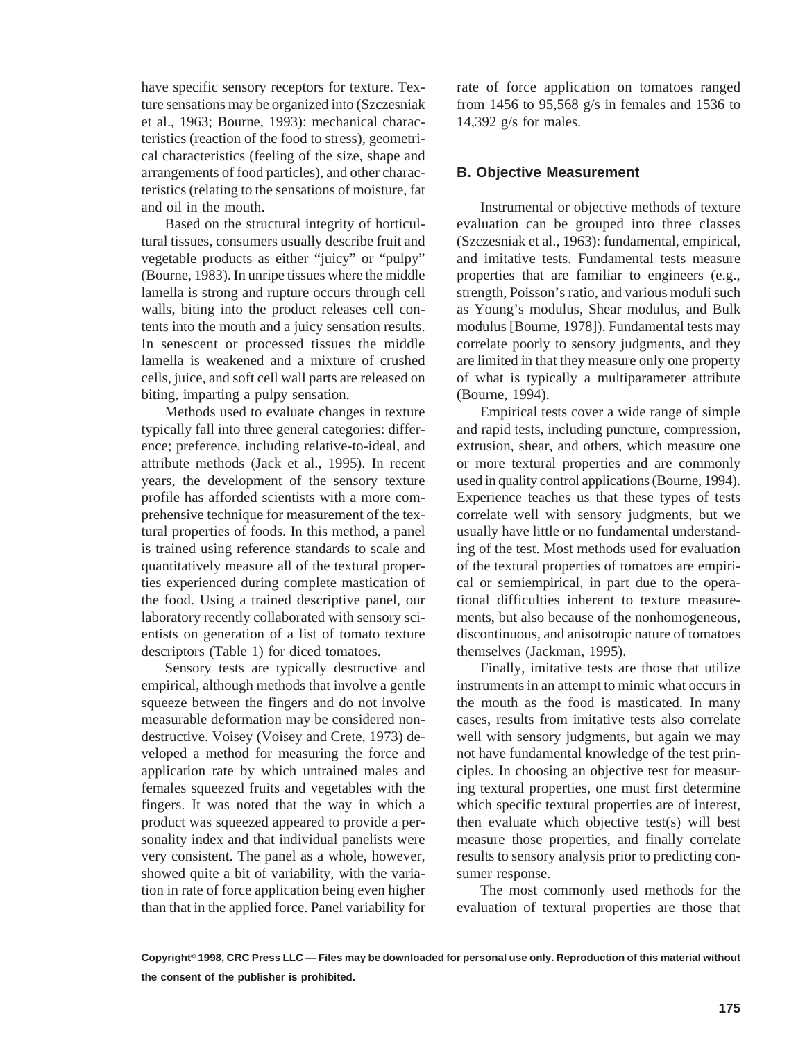have specific sensory receptors for texture. Texture sensations may be organized into (Szczesniak et al., 1963; Bourne, 1993): mechanical characteristics (reaction of the food to stress), geometrical characteristics (feeling of the size, shape and arrangements of food particles), and other characteristics (relating to the sensations of moisture, fat and oil in the mouth.

Based on the structural integrity of horticultural tissues, consumers usually describe fruit and vegetable products as either "juicy" or "pulpy" (Bourne, 1983). In unripe tissues where the middle lamella is strong and rupture occurs through cell walls, biting into the product releases cell contents into the mouth and a juicy sensation results. In senescent or processed tissues the middle lamella is weakened and a mixture of crushed cells, juice, and soft cell wall parts are released on biting, imparting a pulpy sensation.

Methods used to evaluate changes in texture typically fall into three general categories: difference; preference, including relative-to-ideal, and attribute methods (Jack et al., 1995). In recent years, the development of the sensory texture profile has afforded scientists with a more comprehensive technique for measurement of the textural properties of foods. In this method, a panel is trained using reference standards to scale and quantitatively measure all of the textural properties experienced during complete mastication of the food. Using a trained descriptive panel, our laboratory recently collaborated with sensory scientists on generation of a list of tomato texture descriptors (Table 1) for diced tomatoes.

Sensory tests are typically destructive and empirical, although methods that involve a gentle squeeze between the fingers and do not involve measurable deformation may be considered nondestructive. Voisey (Voisey and Crete, 1973) developed a method for measuring the force and application rate by which untrained males and females squeezed fruits and vegetables with the fingers. It was noted that the way in which a product was squeezed appeared to provide a personality index and that individual panelists were very consistent. The panel as a whole, however, showed quite a bit of variability, with the variation in rate of force application being even higher than that in the applied force. Panel variability for

rate of force application on tomatoes ranged from 1456 to 95,568 g/s in females and 1536 to 14,392 g/s for males.

## **B. Objective Measurement**

Instrumental or objective methods of texture evaluation can be grouped into three classes (Szczesniak et al., 1963): fundamental, empirical, and imitative tests. Fundamental tests measure properties that are familiar to engineers (e.g., strength, Poisson's ratio, and various moduli such as Young's modulus, Shear modulus, and Bulk modulus [Bourne, 1978]). Fundamental tests may correlate poorly to sensory judgments, and they are limited in that they measure only one property of what is typically a multiparameter attribute (Bourne, 1994).

Empirical tests cover a wide range of simple and rapid tests, including puncture, compression, extrusion, shear, and others, which measure one or more textural properties and are commonly used in quality control applications (Bourne, 1994). Experience teaches us that these types of tests correlate well with sensory judgments, but we usually have little or no fundamental understanding of the test. Most methods used for evaluation of the textural properties of tomatoes are empirical or semiempirical, in part due to the operational difficulties inherent to texture measurements, but also because of the nonhomogeneous, discontinuous, and anisotropic nature of tomatoes themselves (Jackman, 1995).

Finally, imitative tests are those that utilize instruments in an attempt to mimic what occurs in the mouth as the food is masticated. In many cases, results from imitative tests also correlate well with sensory judgments, but again we may not have fundamental knowledge of the test principles. In choosing an objective test for measuring textural properties, one must first determine which specific textural properties are of interest, then evaluate which objective test(s) will best measure those properties, and finally correlate results to sensory analysis prior to predicting consumer response.

The most commonly used methods for the evaluation of textural properties are those that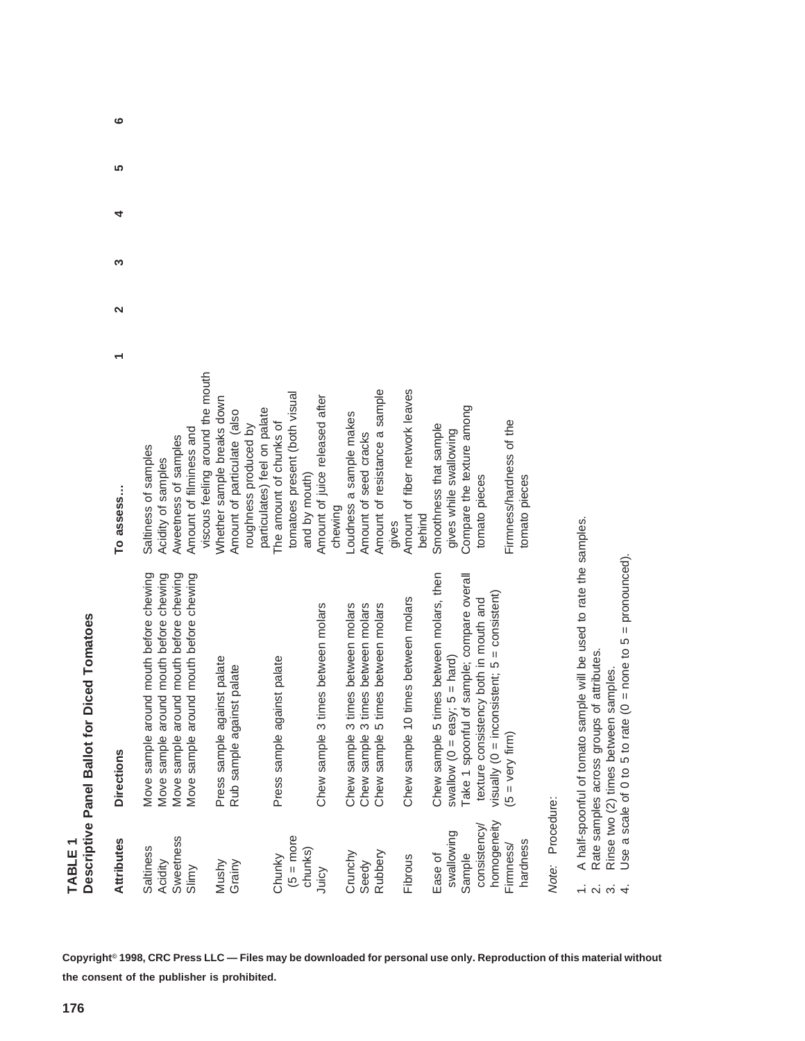|                        | hollo q            |
|------------------------|--------------------|
|                        |                    |
| ۰<br>T<br><b>TABLE</b> |                    |
|                        | Copyrig<br>the con |
| 176                    |                    |

 $\circ$ 

| Attributes                                                     | <b>Directions</b>                                                                                                                                                                                                       | To assess                                                                                                                                              | $\mathbf{\Omega}$ | ო | 4 | ဖ<br>LO |
|----------------------------------------------------------------|-------------------------------------------------------------------------------------------------------------------------------------------------------------------------------------------------------------------------|--------------------------------------------------------------------------------------------------------------------------------------------------------|-------------------|---|---|---------|
| Sweetness<br>Saltiness<br>Acidity<br>Slimy                     | Move sample around mouth before chewing<br>Move sample around mouth before chewing<br>Move sample around mouth before chewing<br>Move sample around mouth before chewing                                                | Amount of filminess and<br>Aweetness of samples<br>Saltiness of samples<br>Acidity of samples                                                          |                   |   |   |         |
| Mushy<br>Grainy                                                | Press sample against palate<br>Rub sample against palate                                                                                                                                                                | viscous feeling around the mouth<br>Whether sample breaks down<br>particulates) feel on palate<br>Amount of particulate (also<br>roughness produced by |                   |   |   |         |
| $(5 = morechnnks)$<br>Chunky                                   | inst palate<br>Press sample agai                                                                                                                                                                                        | tomatoes present (both visual<br>The amount of chunks of<br>and by mouth)                                                                              |                   |   |   |         |
| Juicy                                                          | Chew sample 3 times between molars                                                                                                                                                                                      | Amount of juice released after<br>chewing                                                                                                              |                   |   |   |         |
| Rubbery<br>Crunchy<br>Seedy                                    | Chew sample 3 times between molars<br>Chew sample 5 times between molars<br>Chew sample 3 times between molars                                                                                                          | Amount of resistance a sample<br>Loudness a sample makes<br>Amount of seed cracks                                                                      |                   |   |   |         |
| Fibrous                                                        | Chew sample 10 times between molars                                                                                                                                                                                     | Amount of fiber network leaves<br>behind<br>gives                                                                                                      |                   |   |   |         |
| homogeneity<br>consistency/<br>swallowing<br>Ease of<br>Sample | Chew sample 5 times between molars, then<br>sample; compare overall<br>visually $(0 = inconsistent; 5 = consistent)$<br>texture consistency both in mouth and<br>$5 = hard$<br>swallow $(O = eas$<br>Take 1 spoonful of | Compare the texture among<br>Smoothness that sample<br>gives while swallowing<br>tomato pieces                                                         |                   |   |   |         |
| hardness<br>Firmness/                                          | $(5 = \vee \text{eV} \text{ firm})$                                                                                                                                                                                     | Firmness/hardness of the<br>tomato pieces                                                                                                              |                   |   |   |         |
| Note: Procedure:                                               |                                                                                                                                                                                                                         |                                                                                                                                                        |                   |   |   |         |

A half-spoonful of tomato sample will be used to rate the samples. 1. A half-spoonful of tomato sample will be used to rate the samples.

2. Rate samples across groups of attributes.

3. Rinse two (2) times between samples.  $\frac{1}{2}$   $\alpha$   $\alpha$   $\alpha$ 

Rate samples across groups of attributes.<br>Rinse two (2) times between samples.<br>Use a scale of 0 to 5 to rate (0 = none to 5 = pronounced). 4. Use a scale of 0 to 5 to rate ( $0 =$  none to  $5 =$  pronounced).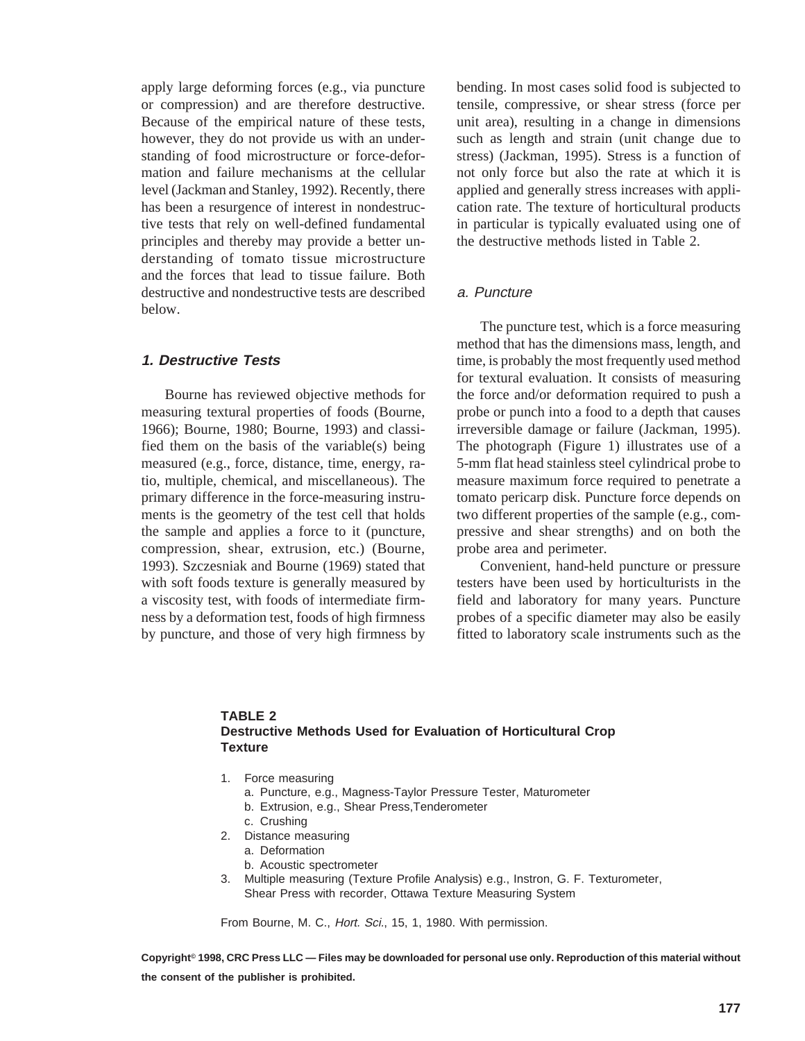apply large deforming forces (e.g., via puncture or compression) and are therefore destructive. Because of the empirical nature of these tests, however, they do not provide us with an understanding of food microstructure or force-deformation and failure mechanisms at the cellular level (Jackman and Stanley, 1992). Recently, there has been a resurgence of interest in nondestructive tests that rely on well-defined fundamental principles and thereby may provide a better understanding of tomato tissue microstructure and the forces that lead to tissue failure. Both destructive and nondestructive tests are described below.

## **1. Destructive Tests**

Bourne has reviewed objective methods for measuring textural properties of foods (Bourne, 1966); Bourne, 1980; Bourne, 1993) and classified them on the basis of the variable(s) being measured (e.g., force, distance, time, energy, ratio, multiple, chemical, and miscellaneous). The primary difference in the force-measuring instruments is the geometry of the test cell that holds the sample and applies a force to it (puncture, compression, shear, extrusion, etc.) (Bourne, 1993). Szczesniak and Bourne (1969) stated that with soft foods texture is generally measured by a viscosity test, with foods of intermediate firmness by a deformation test, foods of high firmness by puncture, and those of very high firmness by

bending. In most cases solid food is subjected to tensile, compressive, or shear stress (force per unit area), resulting in a change in dimensions such as length and strain (unit change due to stress) (Jackman, 1995). Stress is a function of not only force but also the rate at which it is applied and generally stress increases with application rate. The texture of horticultural products in particular is typically evaluated using one of the destructive methods listed in Table 2.

#### a. Puncture

The puncture test, which is a force measuring method that has the dimensions mass, length, and time, is probably the most frequently used method for textural evaluation. It consists of measuring the force and/or deformation required to push a probe or punch into a food to a depth that causes irreversible damage or failure (Jackman, 1995). The photograph (Figure 1) illustrates use of a 5-mm flat head stainless steel cylindrical probe to measure maximum force required to penetrate a tomato pericarp disk. Puncture force depends on two different properties of the sample (e.g., compressive and shear strengths) and on both the probe area and perimeter.

Convenient, hand-held puncture or pressure testers have been used by horticulturists in the field and laboratory for many years. Puncture probes of a specific diameter may also be easily fitted to laboratory scale instruments such as the

### **TABLE 2 Destructive Methods Used for Evaluation of Horticultural Crop Texture**

- 1. Force measuring
	- a. Puncture, e.g., Magness-Taylor Pressure Tester, Maturometer
	- b. Extrusion, e.g., Shear Press,Tenderometer
	- c. Crushing
- 2. Distance measuring
	- a. Deformation
	- b. Acoustic spectrometer
- 3. Multiple measuring (Texture Profile Analysis) e.g., Instron, G. F. Texturometer, Shear Press with recorder, Ottawa Texture Measuring System

From Bourne, M. C., Hort. Sci., 15, 1, 1980. With permission.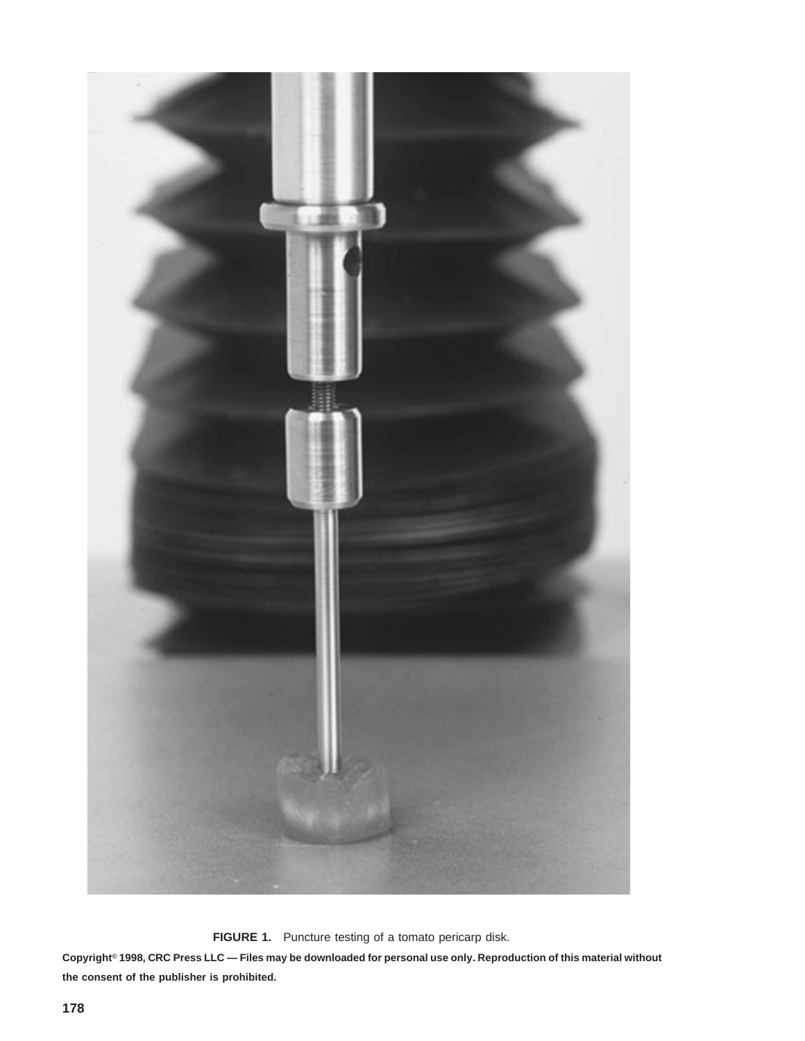

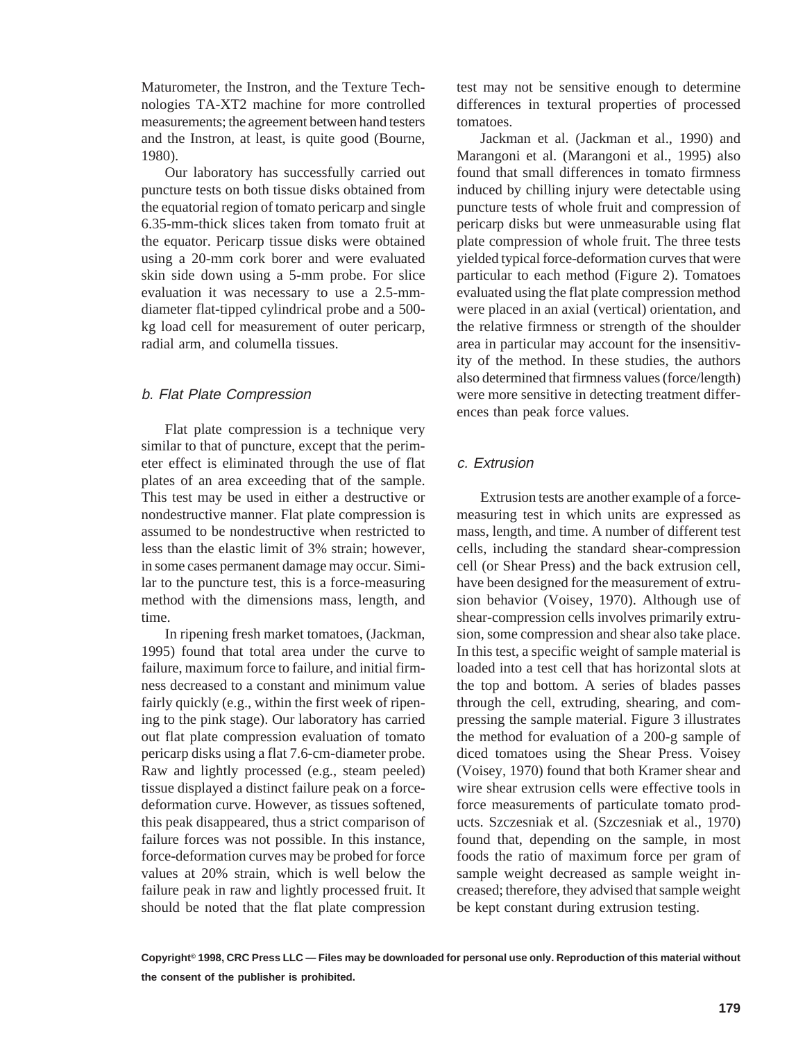Maturometer, the Instron, and the Texture Technologies TA-XT2 machine for more controlled measurements; the agreement between hand testers and the Instron, at least, is quite good (Bourne, 1980).

Our laboratory has successfully carried out puncture tests on both tissue disks obtained from the equatorial region of tomato pericarp and single 6.35-mm-thick slices taken from tomato fruit at the equator. Pericarp tissue disks were obtained using a 20-mm cork borer and were evaluated skin side down using a 5-mm probe. For slice evaluation it was necessary to use a 2.5-mmdiameter flat-tipped cylindrical probe and a 500 kg load cell for measurement of outer pericarp, radial arm, and columella tissues.

## b. Flat Plate Compression

Flat plate compression is a technique very similar to that of puncture, except that the perimeter effect is eliminated through the use of flat plates of an area exceeding that of the sample. This test may be used in either a destructive or nondestructive manner. Flat plate compression is assumed to be nondestructive when restricted to less than the elastic limit of 3% strain; however, in some cases permanent damage may occur. Similar to the puncture test, this is a force-measuring method with the dimensions mass, length, and time.

In ripening fresh market tomatoes, (Jackman, 1995) found that total area under the curve to failure, maximum force to failure, and initial firmness decreased to a constant and minimum value fairly quickly (e.g., within the first week of ripening to the pink stage). Our laboratory has carried out flat plate compression evaluation of tomato pericarp disks using a flat 7.6-cm-diameter probe. Raw and lightly processed (e.g., steam peeled) tissue displayed a distinct failure peak on a forcedeformation curve. However, as tissues softened, this peak disappeared, thus a strict comparison of failure forces was not possible. In this instance, force-deformation curves may be probed for force values at 20% strain, which is well below the failure peak in raw and lightly processed fruit. It should be noted that the flat plate compression test may not be sensitive enough to determine differences in textural properties of processed tomatoes.

Jackman et al. (Jackman et al., 1990) and Marangoni et al. (Marangoni et al., 1995) also found that small differences in tomato firmness induced by chilling injury were detectable using puncture tests of whole fruit and compression of pericarp disks but were unmeasurable using flat plate compression of whole fruit. The three tests yielded typical force-deformation curves that were particular to each method (Figure 2). Tomatoes evaluated using the flat plate compression method were placed in an axial (vertical) orientation, and the relative firmness or strength of the shoulder area in particular may account for the insensitivity of the method. In these studies, the authors also determined that firmness values (force/length) were more sensitive in detecting treatment differences than peak force values.

## c. Extrusion

Extrusion tests are another example of a forcemeasuring test in which units are expressed as mass, length, and time. A number of different test cells, including the standard shear-compression cell (or Shear Press) and the back extrusion cell, have been designed for the measurement of extrusion behavior (Voisey, 1970). Although use of shear-compression cells involves primarily extrusion, some compression and shear also take place. In this test, a specific weight of sample material is loaded into a test cell that has horizontal slots at the top and bottom. A series of blades passes through the cell, extruding, shearing, and compressing the sample material. Figure 3 illustrates the method for evaluation of a 200-g sample of diced tomatoes using the Shear Press. Voisey (Voisey, 1970) found that both Kramer shear and wire shear extrusion cells were effective tools in force measurements of particulate tomato products. Szczesniak et al. (Szczesniak et al., 1970) found that, depending on the sample, in most foods the ratio of maximum force per gram of sample weight decreased as sample weight increased; therefore, they advised that sample weight be kept constant during extrusion testing.

**Copyright© 1998, CRC Press LLC — Files may be downloaded for personal use only. Reproduction of this material without the consent of the publisher is prohibited.**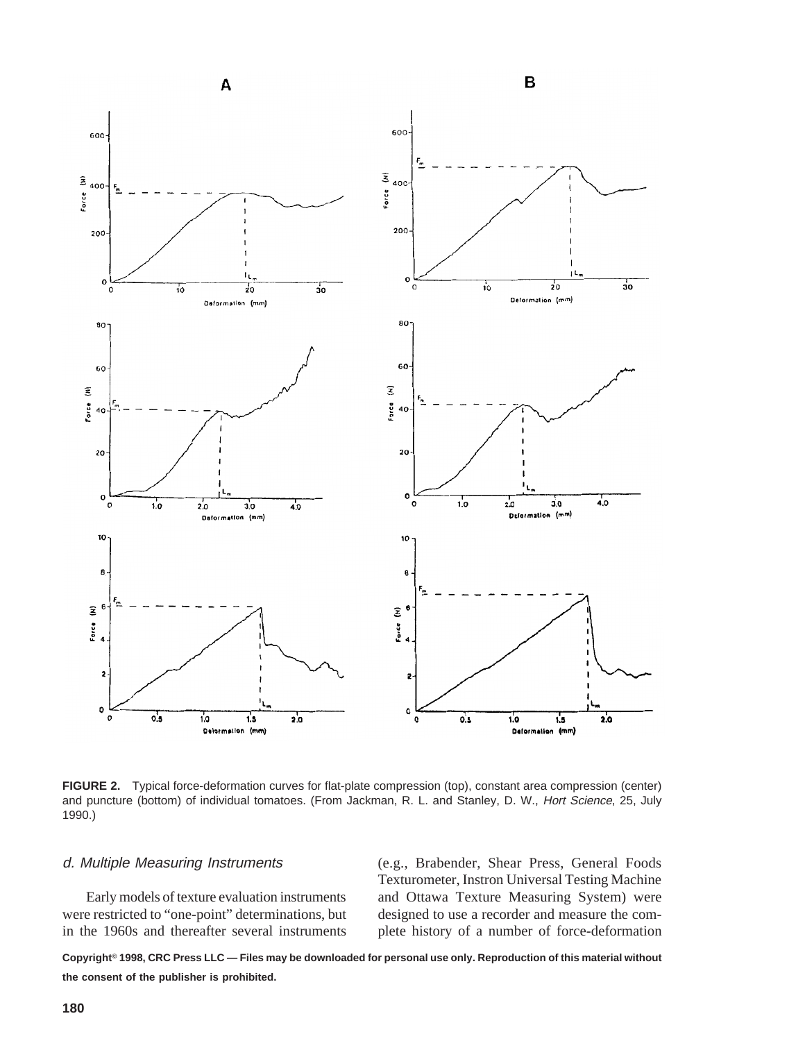

**FIGURE 2.** Typical force-deformation curves for flat-plate compression (top), constant area compression (center) and puncture (bottom) of individual tomatoes. (From Jackman, R. L. and Stanley, D. W., Hort Science, 25, July 1990.)

#### d. Multiple Measuring Instruments

Early models of texture evaluation instruments were restricted to "one-point" determinations, but in the 1960s and thereafter several instruments

(e.g., Brabender, Shear Press, General Foods Texturometer, Instron Universal Testing Machine and Ottawa Texture Measuring System) were designed to use a recorder and measure the complete history of a number of force-deformation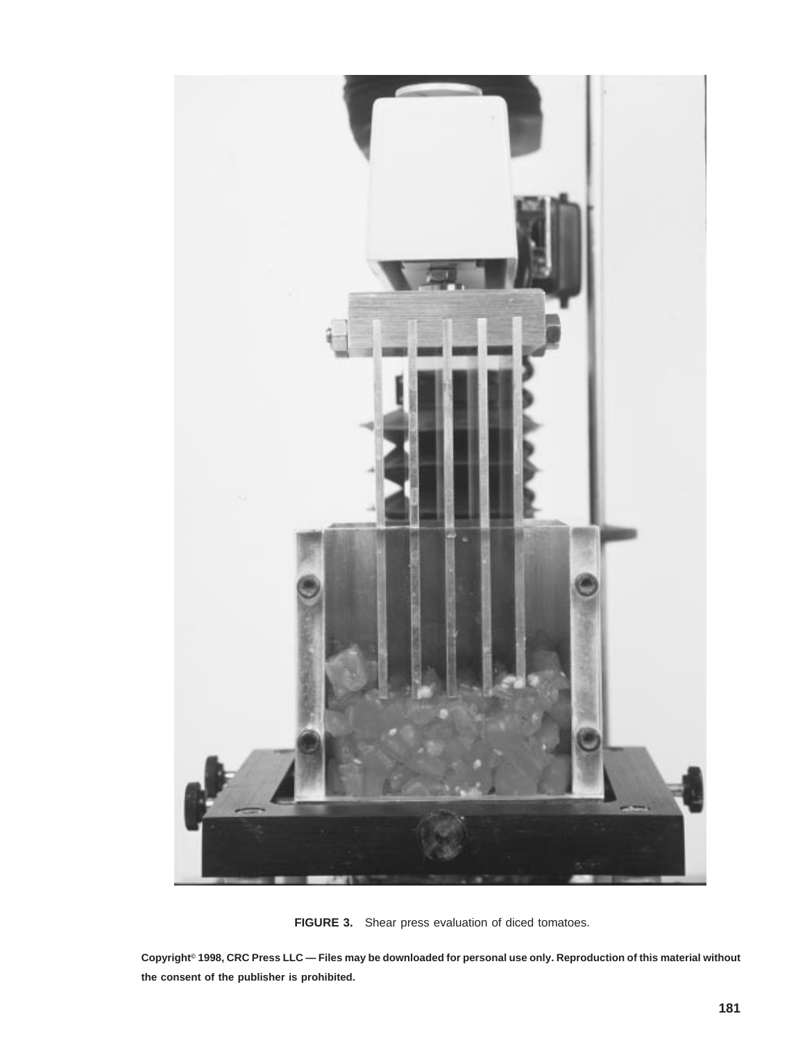

**FIGURE 3.** Shear press evaluation of diced tomatoes.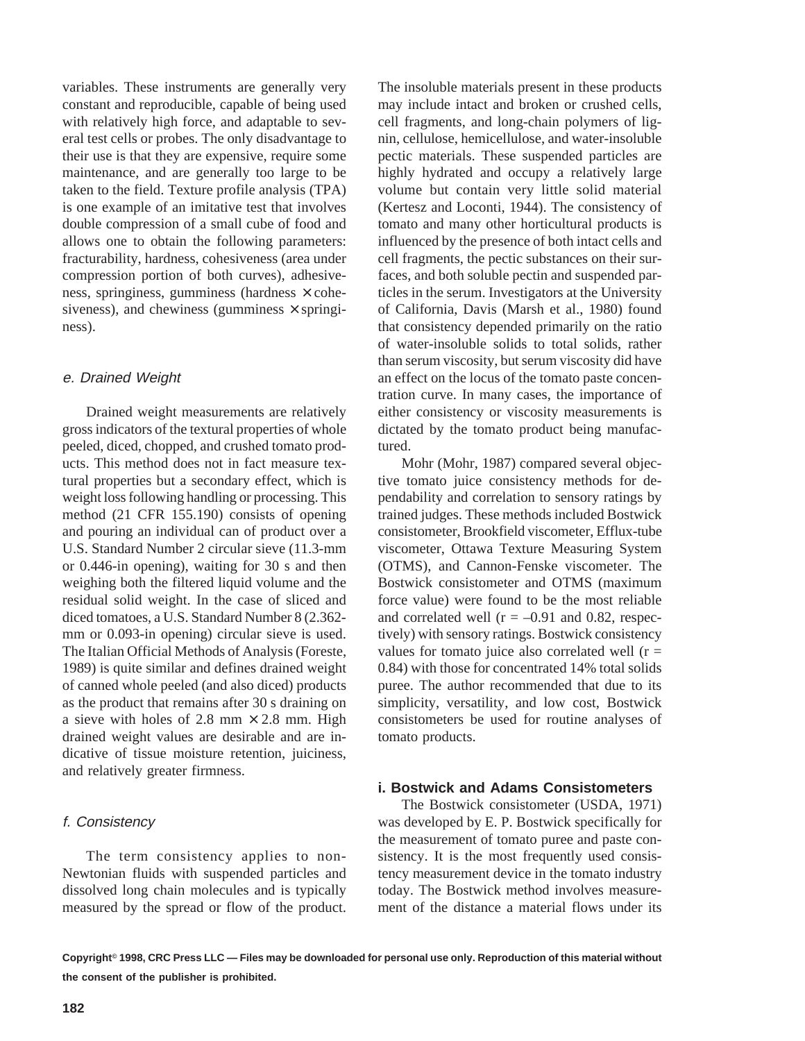variables. These instruments are generally very constant and reproducible, capable of being used with relatively high force, and adaptable to several test cells or probes. The only disadvantage to their use is that they are expensive, require some maintenance, and are generally too large to be taken to the field. Texture profile analysis (TPA) is one example of an imitative test that involves double compression of a small cube of food and allows one to obtain the following parameters: fracturability, hardness, cohesiveness (area under compression portion of both curves), adhesiveness, springiness, gumminess (hardness  $\times$  cohesiveness), and chewiness (gumminess  $\times$  springiness).

#### e. Drained Weight

Drained weight measurements are relatively gross indicators of the textural properties of whole peeled, diced, chopped, and crushed tomato products. This method does not in fact measure textural properties but a secondary effect, which is weight loss following handling or processing. This method (21 CFR 155.190) consists of opening and pouring an individual can of product over a U.S. Standard Number 2 circular sieve (11.3-mm or 0.446-in opening), waiting for 30 s and then weighing both the filtered liquid volume and the residual solid weight. In the case of sliced and diced tomatoes, a U.S. Standard Number 8 (2.362 mm or 0.093-in opening) circular sieve is used. The Italian Official Methods of Analysis (Foreste, 1989) is quite similar and defines drained weight of canned whole peeled (and also diced) products as the product that remains after 30 s draining on a sieve with holes of 2.8 mm  $\times$  2.8 mm. High drained weight values are desirable and are indicative of tissue moisture retention, juiciness, and relatively greater firmness.

#### f. Consistency

The term consistency applies to non-Newtonian fluids with suspended particles and dissolved long chain molecules and is typically measured by the spread or flow of the product. The insoluble materials present in these products may include intact and broken or crushed cells, cell fragments, and long-chain polymers of lignin, cellulose, hemicellulose, and water-insoluble pectic materials. These suspended particles are highly hydrated and occupy a relatively large volume but contain very little solid material (Kertesz and Loconti, 1944). The consistency of tomato and many other horticultural products is influenced by the presence of both intact cells and cell fragments, the pectic substances on their surfaces, and both soluble pectin and suspended particles in the serum. Investigators at the University of California, Davis (Marsh et al., 1980) found that consistency depended primarily on the ratio of water-insoluble solids to total solids, rather than serum viscosity, but serum viscosity did have an effect on the locus of the tomato paste concentration curve. In many cases, the importance of either consistency or viscosity measurements is dictated by the tomato product being manufactured.

Mohr (Mohr, 1987) compared several objective tomato juice consistency methods for dependability and correlation to sensory ratings by trained judges. These methods included Bostwick consistometer, Brookfield viscometer, Efflux-tube viscometer, Ottawa Texture Measuring System (OTMS), and Cannon-Fenske viscometer. The Bostwick consistometer and OTMS (maximum force value) were found to be the most reliable and correlated well  $(r = -0.91$  and 0.82, respectively) with sensory ratings. Bostwick consistency values for tomato juice also correlated well  $(r =$ 0.84) with those for concentrated 14% total solids puree. The author recommended that due to its simplicity, versatility, and low cost, Bostwick consistometers be used for routine analyses of tomato products.

## **i. Bostwick and Adams Consistometers**

The Bostwick consistometer (USDA, 1971) was developed by E. P. Bostwick specifically for the measurement of tomato puree and paste consistency. It is the most frequently used consistency measurement device in the tomato industry today. The Bostwick method involves measurement of the distance a material flows under its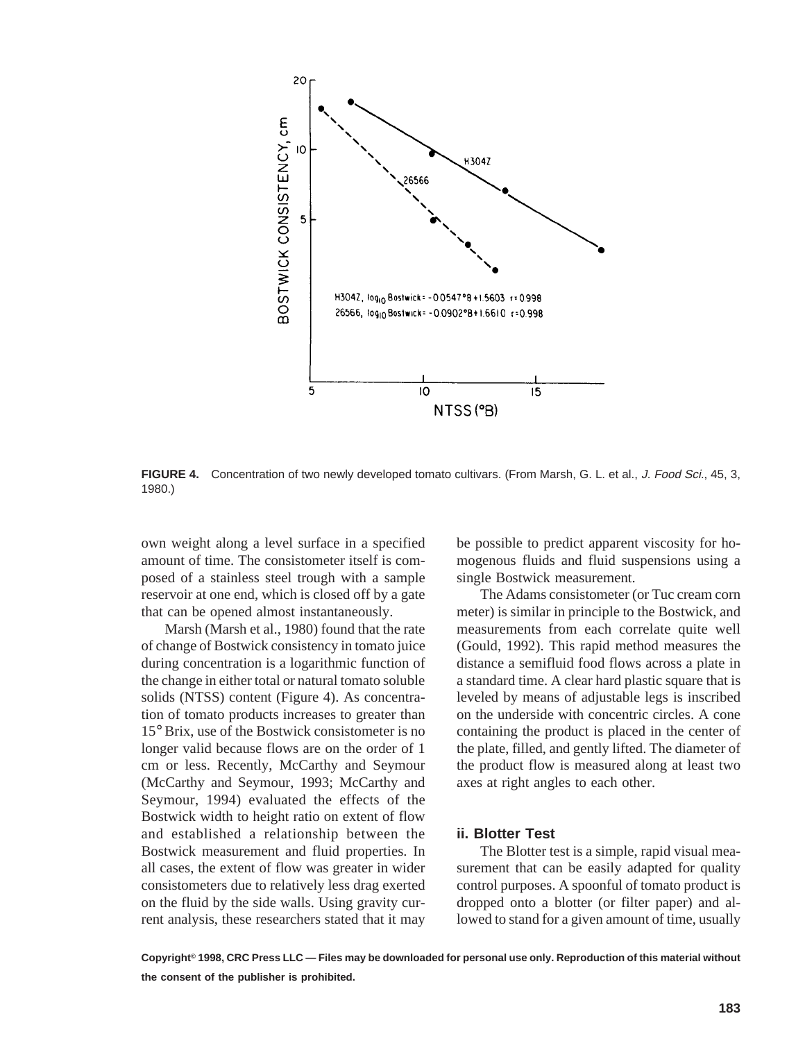

**FIGURE 4.** Concentration of two newly developed tomato cultivars. (From Marsh, G. L. et al., J. Food Sci., 45, 3, 1980.)

own weight along a level surface in a specified amount of time. The consistometer itself is composed of a stainless steel trough with a sample reservoir at one end, which is closed off by a gate that can be opened almost instantaneously.

Marsh (Marsh et al., 1980) found that the rate of change of Bostwick consistency in tomato juice during concentration is a logarithmic function of the change in either total or natural tomato soluble solids (NTSS) content (Figure 4). As concentration of tomato products increases to greater than 15° Brix, use of the Bostwick consistometer is no longer valid because flows are on the order of 1 cm or less. Recently, McCarthy and Seymour (McCarthy and Seymour, 1993; McCarthy and Seymour, 1994) evaluated the effects of the Bostwick width to height ratio on extent of flow and established a relationship between the Bostwick measurement and fluid properties. In all cases, the extent of flow was greater in wider consistometers due to relatively less drag exerted on the fluid by the side walls. Using gravity current analysis, these researchers stated that it may

be possible to predict apparent viscosity for homogenous fluids and fluid suspensions using a single Bostwick measurement.

The Adams consistometer (or Tuc cream corn meter) is similar in principle to the Bostwick, and measurements from each correlate quite well (Gould, 1992). This rapid method measures the distance a semifluid food flows across a plate in a standard time. A clear hard plastic square that is leveled by means of adjustable legs is inscribed on the underside with concentric circles. A cone containing the product is placed in the center of the plate, filled, and gently lifted. The diameter of the product flow is measured along at least two axes at right angles to each other.

#### **ii. Blotter Test**

The Blotter test is a simple, rapid visual measurement that can be easily adapted for quality control purposes. A spoonful of tomato product is dropped onto a blotter (or filter paper) and allowed to stand for a given amount of time, usually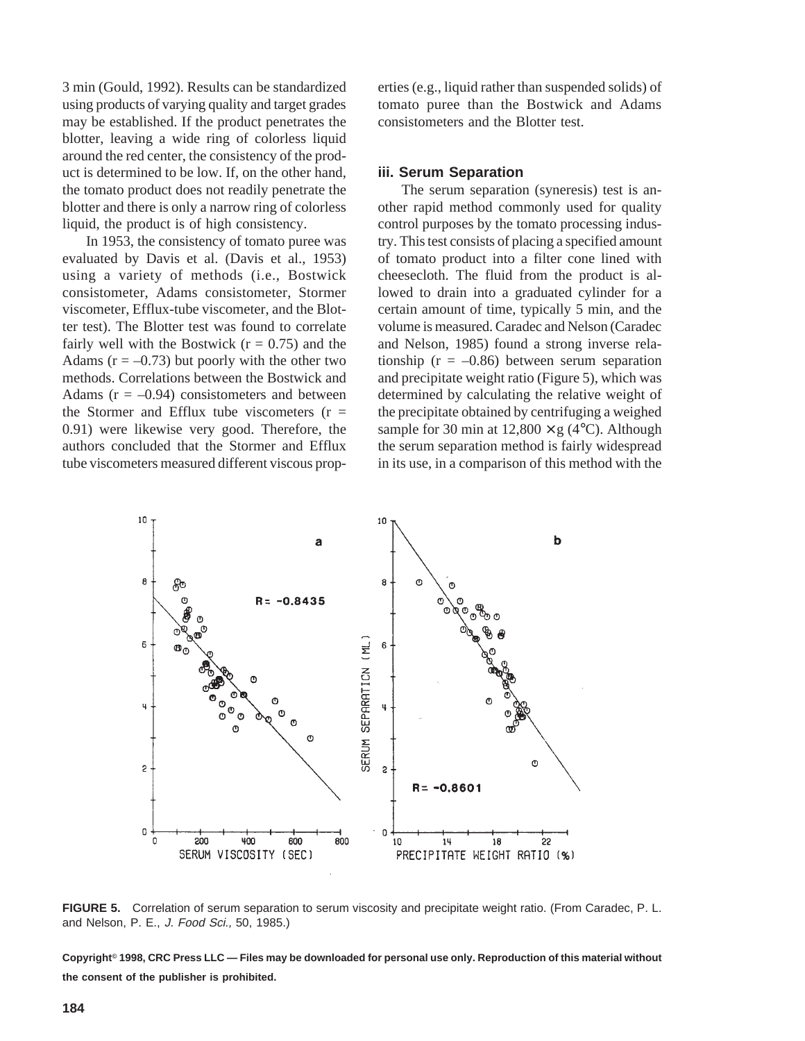3 min (Gould, 1992). Results can be standardized using products of varying quality and target grades may be established. If the product penetrates the blotter, leaving a wide ring of colorless liquid around the red center, the consistency of the product is determined to be low. If, on the other hand, the tomato product does not readily penetrate the blotter and there is only a narrow ring of colorless liquid, the product is of high consistency.

In 1953, the consistency of tomato puree was evaluated by Davis et al. (Davis et al., 1953) using a variety of methods (i.e., Bostwick consistometer, Adams consistometer, Stormer viscometer, Efflux-tube viscometer, and the Blotter test). The Blotter test was found to correlate fairly well with the Bostwick  $(r = 0.75)$  and the Adams ( $r = -0.73$ ) but poorly with the other two methods. Correlations between the Bostwick and Adams ( $r = -0.94$ ) consistometers and between the Stormer and Efflux tube viscometers  $(r =$ 0.91) were likewise very good. Therefore, the authors concluded that the Stormer and Efflux tube viscometers measured different viscous properties (e.g., liquid rather than suspended solids) of tomato puree than the Bostwick and Adams consistometers and the Blotter test.

# **iii. Serum Separation**

The serum separation (syneresis) test is another rapid method commonly used for quality control purposes by the tomato processing industry. This test consists of placing a specified amount of tomato product into a filter cone lined with cheesecloth. The fluid from the product is allowed to drain into a graduated cylinder for a certain amount of time, typically 5 min, and the volume is measured. Caradec and Nelson (Caradec and Nelson, 1985) found a strong inverse relationship ( $r = -0.86$ ) between serum separation and precipitate weight ratio (Figure 5), which was determined by calculating the relative weight of the precipitate obtained by centrifuging a weighed sample for 30 min at  $12,800 \times g$  (4°C). Although the serum separation method is fairly widespread in its use, in a comparison of this method with the



**FIGURE 5.** Correlation of serum separation to serum viscosity and precipitate weight ratio. (From Caradec, P. L. and Nelson, P. E., J. Food Sci., 50, 1985.)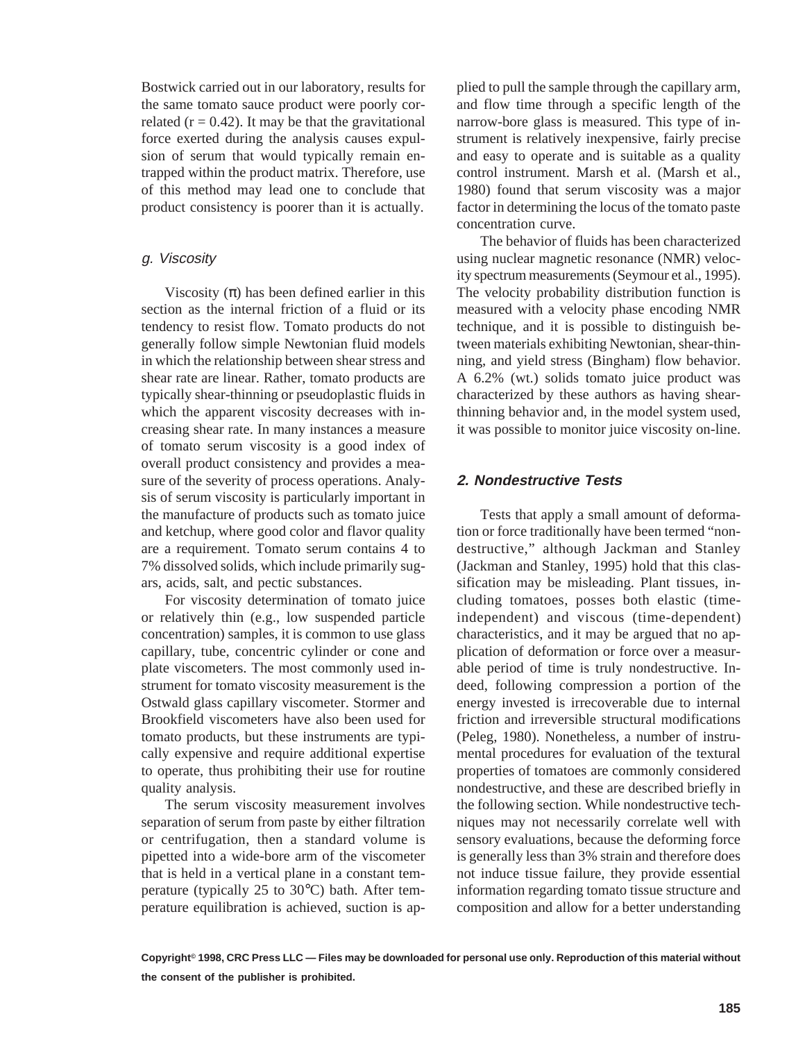Bostwick carried out in our laboratory, results for the same tomato sauce product were poorly correlated ( $r = 0.42$ ). It may be that the gravitational force exerted during the analysis causes expulsion of serum that would typically remain entrapped within the product matrix. Therefore, use of this method may lead one to conclude that product consistency is poorer than it is actually.

## g. Viscosity

Viscosity  $(\pi)$  has been defined earlier in this section as the internal friction of a fluid or its tendency to resist flow. Tomato products do not generally follow simple Newtonian fluid models in which the relationship between shear stress and shear rate are linear. Rather, tomato products are typically shear-thinning or pseudoplastic fluids in which the apparent viscosity decreases with increasing shear rate. In many instances a measure of tomato serum viscosity is a good index of overall product consistency and provides a measure of the severity of process operations. Analysis of serum viscosity is particularly important in the manufacture of products such as tomato juice and ketchup, where good color and flavor quality are a requirement. Tomato serum contains 4 to 7% dissolved solids, which include primarily sugars, acids, salt, and pectic substances.

For viscosity determination of tomato juice or relatively thin (e.g., low suspended particle concentration) samples, it is common to use glass capillary, tube, concentric cylinder or cone and plate viscometers. The most commonly used instrument for tomato viscosity measurement is the Ostwald glass capillary viscometer. Stormer and Brookfield viscometers have also been used for tomato products, but these instruments are typically expensive and require additional expertise to operate, thus prohibiting their use for routine quality analysis.

The serum viscosity measurement involves separation of serum from paste by either filtration or centrifugation, then a standard volume is pipetted into a wide-bore arm of the viscometer that is held in a vertical plane in a constant temperature (typically 25 to 30°C) bath. After temperature equilibration is achieved, suction is ap-

plied to pull the sample through the capillary arm, and flow time through a specific length of the narrow-bore glass is measured. This type of instrument is relatively inexpensive, fairly precise and easy to operate and is suitable as a quality control instrument. Marsh et al. (Marsh et al., 1980) found that serum viscosity was a major factor in determining the locus of the tomato paste concentration curve.

The behavior of fluids has been characterized using nuclear magnetic resonance (NMR) velocity spectrum measurements (Seymour et al., 1995). The velocity probability distribution function is measured with a velocity phase encoding NMR technique, and it is possible to distinguish between materials exhibiting Newtonian, shear-thinning, and yield stress (Bingham) flow behavior. A 6.2% (wt.) solids tomato juice product was characterized by these authors as having shearthinning behavior and, in the model system used, it was possible to monitor juice viscosity on-line.

# **2. Nondestructive Tests**

Tests that apply a small amount of deformation or force traditionally have been termed "nondestructive," although Jackman and Stanley (Jackman and Stanley, 1995) hold that this classification may be misleading. Plant tissues, including tomatoes, posses both elastic (timeindependent) and viscous (time-dependent) characteristics, and it may be argued that no application of deformation or force over a measurable period of time is truly nondestructive. Indeed, following compression a portion of the energy invested is irrecoverable due to internal friction and irreversible structural modifications (Peleg, 1980). Nonetheless, a number of instrumental procedures for evaluation of the textural properties of tomatoes are commonly considered nondestructive, and these are described briefly in the following section. While nondestructive techniques may not necessarily correlate well with sensory evaluations, because the deforming force is generally less than 3% strain and therefore does not induce tissue failure, they provide essential information regarding tomato tissue structure and composition and allow for a better understanding

**Copyright© 1998, CRC Press LLC — Files may be downloaded for personal use only. Reproduction of this material without the consent of the publisher is prohibited.**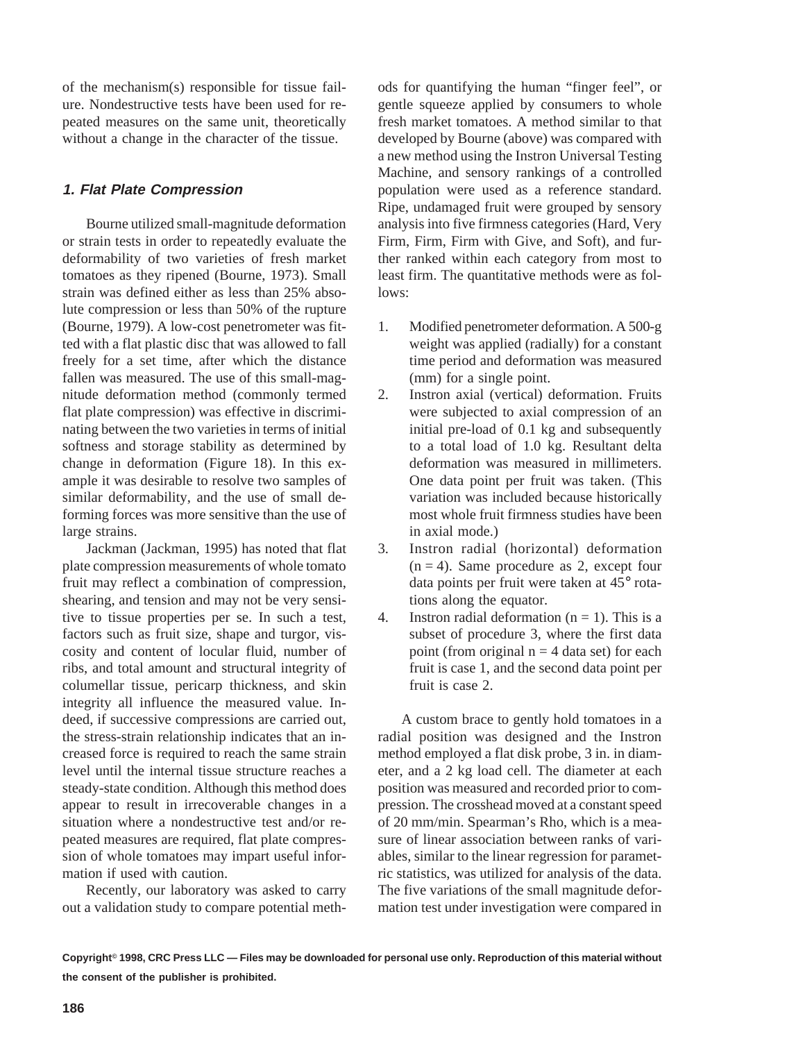of the mechanism(s) responsible for tissue failure. Nondestructive tests have been used for repeated measures on the same unit, theoretically without a change in the character of the tissue.

## **1. Flat Plate Compression**

Bourne utilized small-magnitude deformation or strain tests in order to repeatedly evaluate the deformability of two varieties of fresh market tomatoes as they ripened (Bourne, 1973). Small strain was defined either as less than 25% absolute compression or less than 50% of the rupture (Bourne, 1979). A low-cost penetrometer was fitted with a flat plastic disc that was allowed to fall freely for a set time, after which the distance fallen was measured. The use of this small-magnitude deformation method (commonly termed flat plate compression) was effective in discriminating between the two varieties in terms of initial softness and storage stability as determined by change in deformation (Figure 18). In this example it was desirable to resolve two samples of similar deformability, and the use of small deforming forces was more sensitive than the use of large strains.

Jackman (Jackman, 1995) has noted that flat plate compression measurements of whole tomato fruit may reflect a combination of compression, shearing, and tension and may not be very sensitive to tissue properties per se. In such a test, factors such as fruit size, shape and turgor, viscosity and content of locular fluid, number of ribs, and total amount and structural integrity of columellar tissue, pericarp thickness, and skin integrity all influence the measured value. Indeed, if successive compressions are carried out, the stress-strain relationship indicates that an increased force is required to reach the same strain level until the internal tissue structure reaches a steady-state condition. Although this method does appear to result in irrecoverable changes in a situation where a nondestructive test and/or repeated measures are required, flat plate compression of whole tomatoes may impart useful information if used with caution.

Recently, our laboratory was asked to carry out a validation study to compare potential meth-

ods for quantifying the human "finger feel", or gentle squeeze applied by consumers to whole fresh market tomatoes. A method similar to that developed by Bourne (above) was compared with a new method using the Instron Universal Testing Machine, and sensory rankings of a controlled population were used as a reference standard. Ripe, undamaged fruit were grouped by sensory analysis into five firmness categories (Hard, Very Firm, Firm, Firm with Give, and Soft), and further ranked within each category from most to least firm. The quantitative methods were as follows:

- 1. Modified penetrometer deformation. A 500-g weight was applied (radially) for a constant time period and deformation was measured (mm) for a single point.
- 2. Instron axial (vertical) deformation. Fruits were subjected to axial compression of an initial pre-load of 0.1 kg and subsequently to a total load of 1.0 kg. Resultant delta deformation was measured in millimeters. One data point per fruit was taken. (This variation was included because historically most whole fruit firmness studies have been in axial mode.)
- 3. Instron radial (horizontal) deformation  $(n = 4)$ . Same procedure as 2, except four data points per fruit were taken at 45° rotations along the equator.
- 4. Instron radial deformation  $(n = 1)$ . This is a subset of procedure 3, where the first data point (from original  $n = 4$  data set) for each fruit is case 1, and the second data point per fruit is case 2.

A custom brace to gently hold tomatoes in a radial position was designed and the Instron method employed a flat disk probe, 3 in. in diameter, and a 2 kg load cell. The diameter at each position was measured and recorded prior to compression. The crosshead moved at a constant speed of 20 mm/min. Spearman's Rho, which is a measure of linear association between ranks of variables, similar to the linear regression for parametric statistics, was utilized for analysis of the data. The five variations of the small magnitude deformation test under investigation were compared in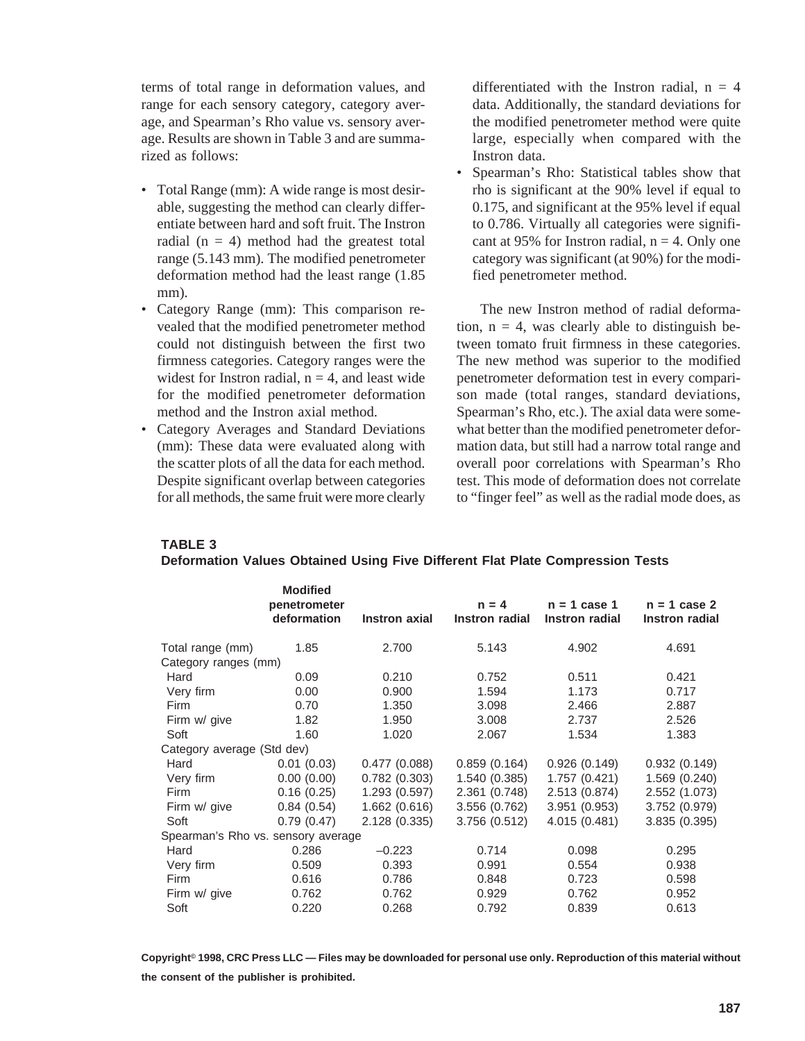terms of total range in deformation values, and range for each sensory category, category average, and Spearman's Rho value vs. sensory average. Results are shown in Table 3 and are summarized as follows:

- Total Range (mm): A wide range is most desirable, suggesting the method can clearly differentiate between hard and soft fruit. The Instron radial ( $n = 4$ ) method had the greatest total range (5.143 mm). The modified penetrometer deformation method had the least range (1.85 mm).
- Category Range (mm): This comparison revealed that the modified penetrometer method could not distinguish between the first two firmness categories. Category ranges were the widest for Instron radial,  $n = 4$ , and least wide for the modified penetrometer deformation method and the Instron axial method.
- Category Averages and Standard Deviations (mm): These data were evaluated along with the scatter plots of all the data for each method. Despite significant overlap between categories for all methods, the same fruit were more clearly

differentiated with the Instron radial,  $n = 4$ data. Additionally, the standard deviations for the modified penetrometer method were quite large, especially when compared with the Instron data.

• Spearman's Rho: Statistical tables show that rho is significant at the 90% level if equal to 0.175, and significant at the 95% level if equal to 0.786. Virtually all categories were significant at 95% for Instron radial,  $n = 4$ . Only one category was significant (at 90%) for the modified penetrometer method.

The new Instron method of radial deformation,  $n = 4$ , was clearly able to distinguish between tomato fruit firmness in these categories. The new method was superior to the modified penetrometer deformation test in every comparison made (total ranges, standard deviations, Spearman's Rho, etc.). The axial data were somewhat better than the modified penetrometer deformation data, but still had a narrow total range and overall poor correlations with Spearman's Rho test. This mode of deformation does not correlate to "finger feel" as well as the radial mode does, as

## **TABLE 3**

| Deformation Values Obtained Using Five Different Flat Plate Compression Tests |  |  |  |  |  |
|-------------------------------------------------------------------------------|--|--|--|--|--|
|                                                                               |  |  |  |  |  |

|                                    | <b>Modified</b><br>penetrometer<br>deformation | <b>Instron axial</b> | $n = 4$<br>Instron radial | $n = 1$ case 1<br>Instron radial | $n = 1$ case 2<br><b>Instron radial</b> |
|------------------------------------|------------------------------------------------|----------------------|---------------------------|----------------------------------|-----------------------------------------|
| Total range (mm)                   | 1.85                                           | 2.700                | 5.143                     | 4.902                            | 4.691                                   |
| Category ranges (mm)               |                                                |                      |                           |                                  |                                         |
| Hard                               | 0.09                                           | 0.210                | 0.752                     | 0.511                            | 0.421                                   |
| Very firm                          | 0.00                                           | 0.900                | 1.594                     | 1.173                            | 0.717                                   |
| Firm                               | 0.70                                           | 1.350                | 3.098                     | 2.466                            | 2.887                                   |
| Firm w/ give                       | 1.82                                           | 1.950                | 3.008                     | 2.737                            | 2.526                                   |
| Soft                               | 1.60                                           | 1.020                | 2.067                     | 1.534                            | 1.383                                   |
| Category average (Std dev)         |                                                |                      |                           |                                  |                                         |
| Hard                               | 0.01(0.03)                                     | 0.477(0.088)         | 0.859(0.164)              | 0.926(0.149)                     | 0.932(0.149)                            |
| Very firm                          | 0.00(0.00)                                     | 0.782(0.303)         | 1.540 (0.385)             | 1.757(0.421)                     | 1.569 (0.240)                           |
| Firm                               | 0.16(0.25)                                     | 1.293 (0.597)        | 2.361 (0.748)             | 2.513 (0.874)                    | 2.552 (1.073)                           |
| Firm w/ give                       | 0.84(0.54)                                     | 1.662(0.616)         | 3.556 (0.762)             | 3.951(0.953)                     | 3.752 (0.979)                           |
| Soft                               | 0.79(0.47)                                     | 2.128 (0.335)        | 3.756(0.512)              | 4.015 (0.481)                    | 3.835(0.395)                            |
| Spearman's Rho vs. sensory average |                                                |                      |                           |                                  |                                         |
| Hard                               | 0.286                                          | $-0.223$             | 0.714                     | 0.098                            | 0.295                                   |
| Very firm                          | 0.509                                          | 0.393                | 0.991                     | 0.554                            | 0.938                                   |
| Firm                               | 0.616                                          | 0.786                | 0.848                     | 0.723                            | 0.598                                   |
| Firm w/ give                       | 0.762                                          | 0.762                | 0.929                     | 0.762                            | 0.952                                   |
| Soft                               | 0.220                                          | 0.268                | 0.792                     | 0.839                            | 0.613                                   |
|                                    |                                                |                      |                           |                                  |                                         |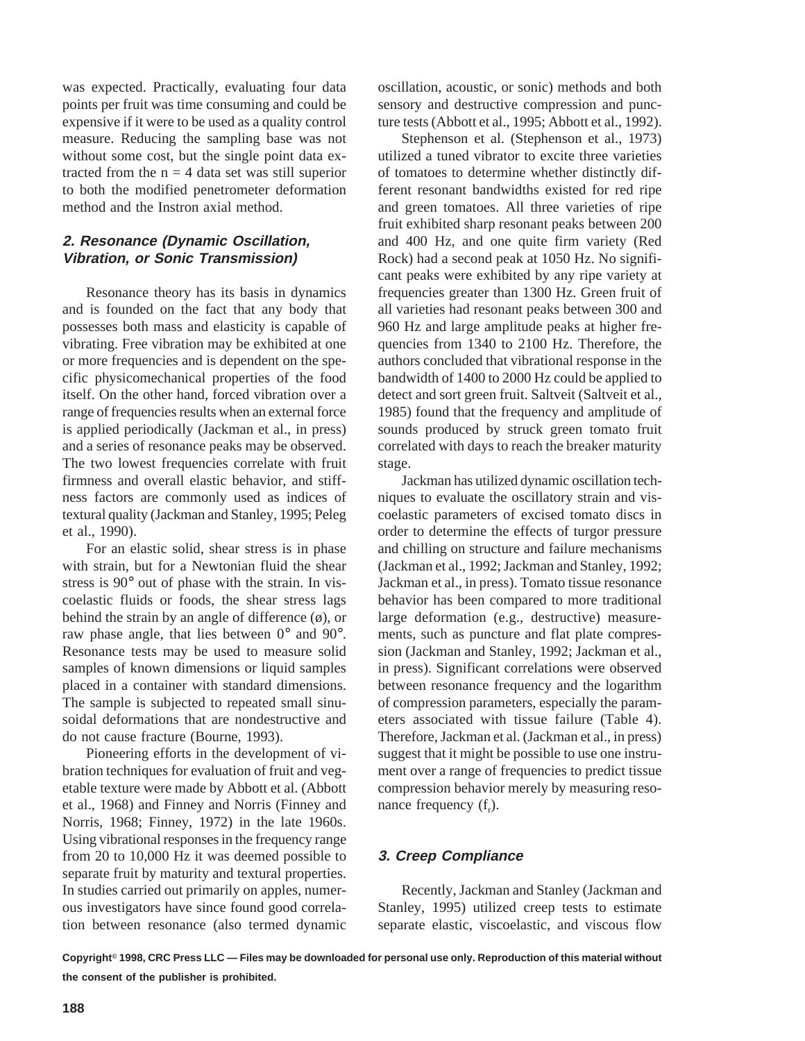was expected. Practically, evaluating four data points per fruit was time consuming and could be expensive if it were to be used as a quality control measure. Reducing the sampling base was not without some cost, but the single point data extracted from the  $n = 4$  data set was still superior to both the modified penetrometer deformation method and the Instron axial method.

# **2. Resonance (Dynamic Oscillation, Vibration, or Sonic Transmission)**

Resonance theory has its basis in dynamics and is founded on the fact that any body that possesses both mass and elasticity is capable of vibrating. Free vibration may be exhibited at one or more frequencies and is dependent on the specific physicomechanical properties of the food itself. On the other hand, forced vibration over a range of frequencies results when an external force is applied periodically (Jackman et al., in press) and a series of resonance peaks may be observed. The two lowest frequencies correlate with fruit firmness and overall elastic behavior, and stiffness factors are commonly used as indices of textural quality (Jackman and Stanley, 1995; Peleg et al., 1990).

For an elastic solid, shear stress is in phase with strain, but for a Newtonian fluid the shear stress is 90° out of phase with the strain. In viscoelastic fluids or foods, the shear stress lags behind the strain by an angle of difference  $(\emptyset)$ , or raw phase angle, that lies between 0° and 90°. Resonance tests may be used to measure solid samples of known dimensions or liquid samples placed in a container with standard dimensions. The sample is subjected to repeated small sinusoidal deformations that are nondestructive and do not cause fracture (Bourne, 1993).

Pioneering efforts in the development of vibration techniques for evaluation of fruit and vegetable texture were made by Abbott et al. (Abbott et al., 1968) and Finney and Norris (Finney and Norris, 1968; Finney, 1972) in the late 1960s. Using vibrational responses in the frequency range from 20 to 10,000 Hz it was deemed possible to separate fruit by maturity and textural properties. In studies carried out primarily on apples, numerous investigators have since found good correlation between resonance (also termed dynamic

oscillation, acoustic, or sonic) methods and both sensory and destructive compression and puncture tests (Abbott et al., 1995; Abbott et al., 1992).

Stephenson et al. (Stephenson et al., 1973) utilized a tuned vibrator to excite three varieties of tomatoes to determine whether distinctly different resonant bandwidths existed for red ripe and green tomatoes. All three varieties of ripe fruit exhibited sharp resonant peaks between 200 and 400 Hz, and one quite firm variety (Red Rock) had a second peak at 1050 Hz. No significant peaks were exhibited by any ripe variety at frequencies greater than 1300 Hz. Green fruit of all varieties had resonant peaks between 300 and 960 Hz and large amplitude peaks at higher frequencies from 1340 to 2100 Hz. Therefore, the authors concluded that vibrational response in the bandwidth of 1400 to 2000 Hz could be applied to detect and sort green fruit. Saltveit (Saltveit et al., 1985) found that the frequency and amplitude of sounds produced by struck green tomato fruit correlated with days to reach the breaker maturity stage.

Jackman has utilized dynamic oscillation techniques to evaluate the oscillatory strain and viscoelastic parameters of excised tomato discs in order to determine the effects of turgor pressure and chilling on structure and failure mechanisms (Jackman et al., 1992; Jackman and Stanley, 1992; Jackman et al., in press). Tomato tissue resonance behavior has been compared to more traditional large deformation (e.g., destructive) measurements, such as puncture and flat plate compression (Jackman and Stanley, 1992; Jackman et al., in press). Significant correlations were observed between resonance frequency and the logarithm of compression parameters, especially the parameters associated with tissue failure (Table 4). Therefore, Jackman et al. (Jackman et al., in press) suggest that it might be possible to use one instrument over a range of frequencies to predict tissue compression behavior merely by measuring resonance frequency  $(f_r)$ .

## **3. Creep Compliance**

Recently, Jackman and Stanley (Jackman and Stanley, 1995) utilized creep tests to estimate separate elastic, viscoelastic, and viscous flow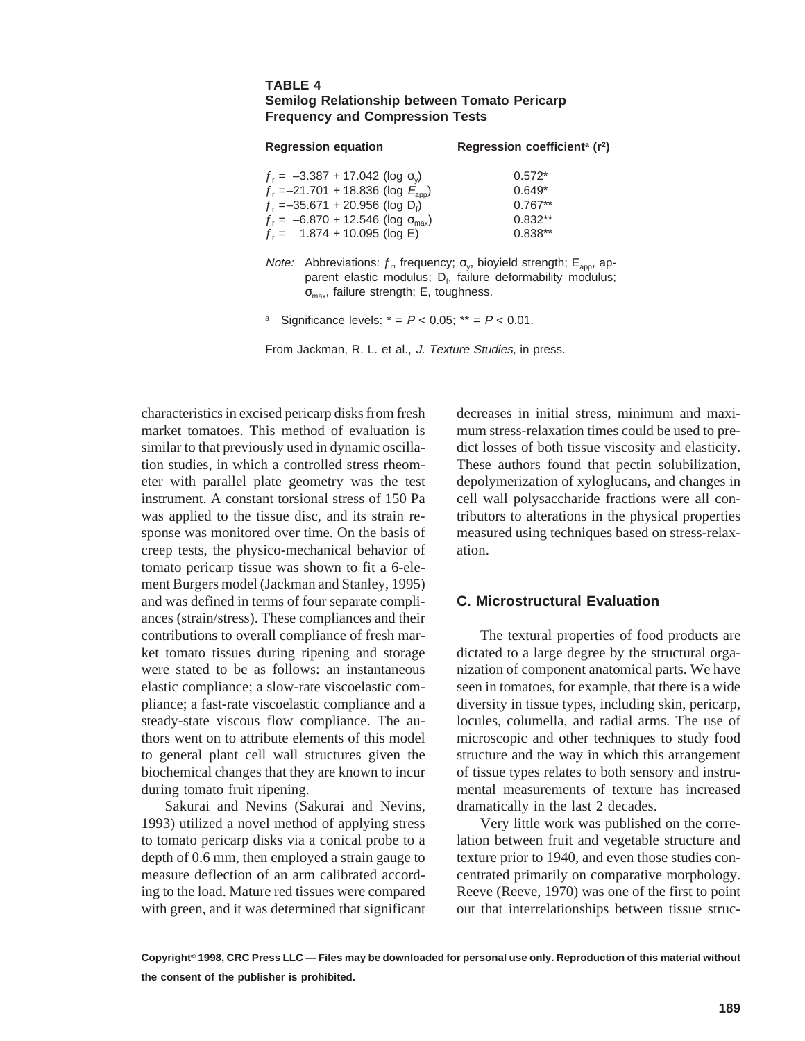## **TABLE 4 Semilog Relationship between Tomato Pericarp Frequency and Compression Tests**

**Regression equation Regression coefficienta (r2)**

| $f_r = -3.387 + 17.042$ (log $\sigma_v$ )            | $0.572*$  |
|------------------------------------------------------|-----------|
| $f_{r}$ = -21.701 + 18.836 (log $E_{\text{apo}}$ )   | $0.649*$  |
| $f_r = -35.671 + 20.956$ (log D <sub>t</sub> )       | $0.767**$ |
| $f_r = -6.870 + 12.546$ (log $\sigma_{\text{max}}$ ) | $0.832**$ |
| $f_r = 1.874 + 10.095$ (log E)                       | $0.838**$ |

- Note: Abbreviations:  $f_r$ , frequency;  $\sigma_{y}$ , bioyield strength;  $E_{\text{app}}$ , apparent elastic modulus; D<sub>f</sub>, failure deformability modulus;  $\sigma_{\text{max}}$ , failure strength; E, toughness.
- <sup>a</sup> Significance levels:  $* = P < 0.05$ ;  $** = P < 0.01$ .

From Jackman, R. L. et al., J. Texture Studies, in press.

characteristics in excised pericarp disks from fresh market tomatoes. This method of evaluation is similar to that previously used in dynamic oscillation studies, in which a controlled stress rheometer with parallel plate geometry was the test instrument. A constant torsional stress of 150 Pa was applied to the tissue disc, and its strain response was monitored over time. On the basis of creep tests, the physico-mechanical behavior of tomato pericarp tissue was shown to fit a 6-element Burgers model (Jackman and Stanley, 1995) and was defined in terms of four separate compliances (strain/stress). These compliances and their contributions to overall compliance of fresh market tomato tissues during ripening and storage were stated to be as follows: an instantaneous elastic compliance; a slow-rate viscoelastic compliance; a fast-rate viscoelastic compliance and a steady-state viscous flow compliance. The authors went on to attribute elements of this model to general plant cell wall structures given the biochemical changes that they are known to incur during tomato fruit ripening.

Sakurai and Nevins (Sakurai and Nevins, 1993) utilized a novel method of applying stress to tomato pericarp disks via a conical probe to a depth of 0.6 mm, then employed a strain gauge to measure deflection of an arm calibrated according to the load. Mature red tissues were compared with green, and it was determined that significant decreases in initial stress, minimum and maximum stress-relaxation times could be used to predict losses of both tissue viscosity and elasticity. These authors found that pectin solubilization, depolymerization of xyloglucans, and changes in cell wall polysaccharide fractions were all contributors to alterations in the physical properties measured using techniques based on stress-relaxation.

## **C. Microstructural Evaluation**

The textural properties of food products are dictated to a large degree by the structural organization of component anatomical parts. We have seen in tomatoes, for example, that there is a wide diversity in tissue types, including skin, pericarp, locules, columella, and radial arms. The use of microscopic and other techniques to study food structure and the way in which this arrangement of tissue types relates to both sensory and instrumental measurements of texture has increased dramatically in the last 2 decades.

Very little work was published on the correlation between fruit and vegetable structure and texture prior to 1940, and even those studies concentrated primarily on comparative morphology. Reeve (Reeve, 1970) was one of the first to point out that interrelationships between tissue struc-

**Copyright© 1998, CRC Press LLC — Files may be downloaded for personal use only. Reproduction of this material without the consent of the publisher is prohibited.**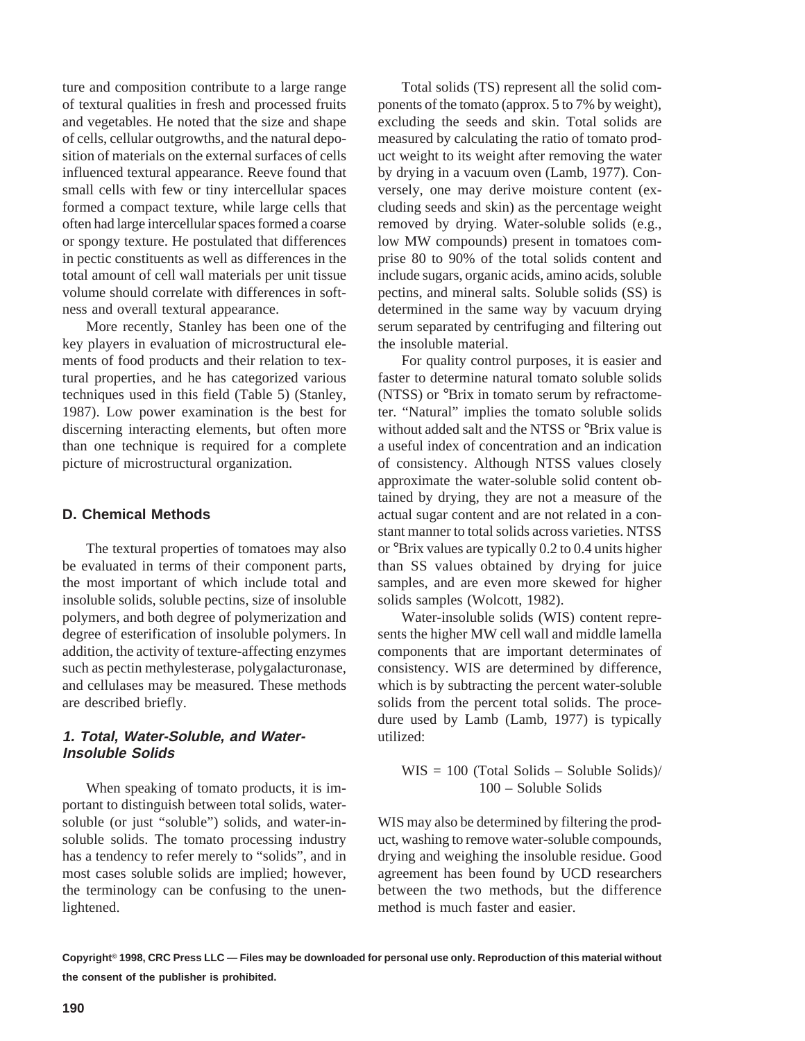ture and composition contribute to a large range of textural qualities in fresh and processed fruits and vegetables. He noted that the size and shape of cells, cellular outgrowths, and the natural deposition of materials on the external surfaces of cells influenced textural appearance. Reeve found that small cells with few or tiny intercellular spaces formed a compact texture, while large cells that often had large intercellular spaces formed a coarse or spongy texture. He postulated that differences in pectic constituents as well as differences in the total amount of cell wall materials per unit tissue volume should correlate with differences in softness and overall textural appearance.

More recently, Stanley has been one of the key players in evaluation of microstructural elements of food products and their relation to textural properties, and he has categorized various techniques used in this field (Table 5) (Stanley, 1987). Low power examination is the best for discerning interacting elements, but often more than one technique is required for a complete picture of microstructural organization.

## **D. Chemical Methods**

The textural properties of tomatoes may also be evaluated in terms of their component parts, the most important of which include total and insoluble solids, soluble pectins, size of insoluble polymers, and both degree of polymerization and degree of esterification of insoluble polymers. In addition, the activity of texture-affecting enzymes such as pectin methylesterase, polygalacturonase, and cellulases may be measured. These methods are described briefly.

## **1. Total, Water-Soluble, and Water-Insoluble Solids**

When speaking of tomato products, it is important to distinguish between total solids, watersoluble (or just "soluble") solids, and water-insoluble solids. The tomato processing industry has a tendency to refer merely to "solids", and in most cases soluble solids are implied; however, the terminology can be confusing to the unenlightened.

Total solids (TS) represent all the solid components of the tomato (approx. 5 to 7% by weight), excluding the seeds and skin. Total solids are measured by calculating the ratio of tomato product weight to its weight after removing the water by drying in a vacuum oven (Lamb, 1977). Conversely, one may derive moisture content (excluding seeds and skin) as the percentage weight removed by drying. Water-soluble solids (e.g., low MW compounds) present in tomatoes comprise 80 to 90% of the total solids content and include sugars, organic acids, amino acids, soluble pectins, and mineral salts. Soluble solids (SS) is determined in the same way by vacuum drying serum separated by centrifuging and filtering out the insoluble material.

For quality control purposes, it is easier and faster to determine natural tomato soluble solids (NTSS) or °Brix in tomato serum by refractometer. "Natural" implies the tomato soluble solids without added salt and the NTSS or °Brix value is a useful index of concentration and an indication of consistency. Although NTSS values closely approximate the water-soluble solid content obtained by drying, they are not a measure of the actual sugar content and are not related in a constant manner to total solids across varieties. NTSS or °Brix values are typically 0.2 to 0.4 units higher than SS values obtained by drying for juice samples, and are even more skewed for higher solids samples (Wolcott, 1982).

Water-insoluble solids (WIS) content represents the higher MW cell wall and middle lamella components that are important determinates of consistency. WIS are determined by difference, which is by subtracting the percent water-soluble solids from the percent total solids. The procedure used by Lamb (Lamb, 1977) is typically utilized:

WIS = 100 (Total Solids – Soluble Solids)/ 100 – Soluble Solids

WIS may also be determined by filtering the product, washing to remove water-soluble compounds, drying and weighing the insoluble residue. Good agreement has been found by UCD researchers between the two methods, but the difference method is much faster and easier.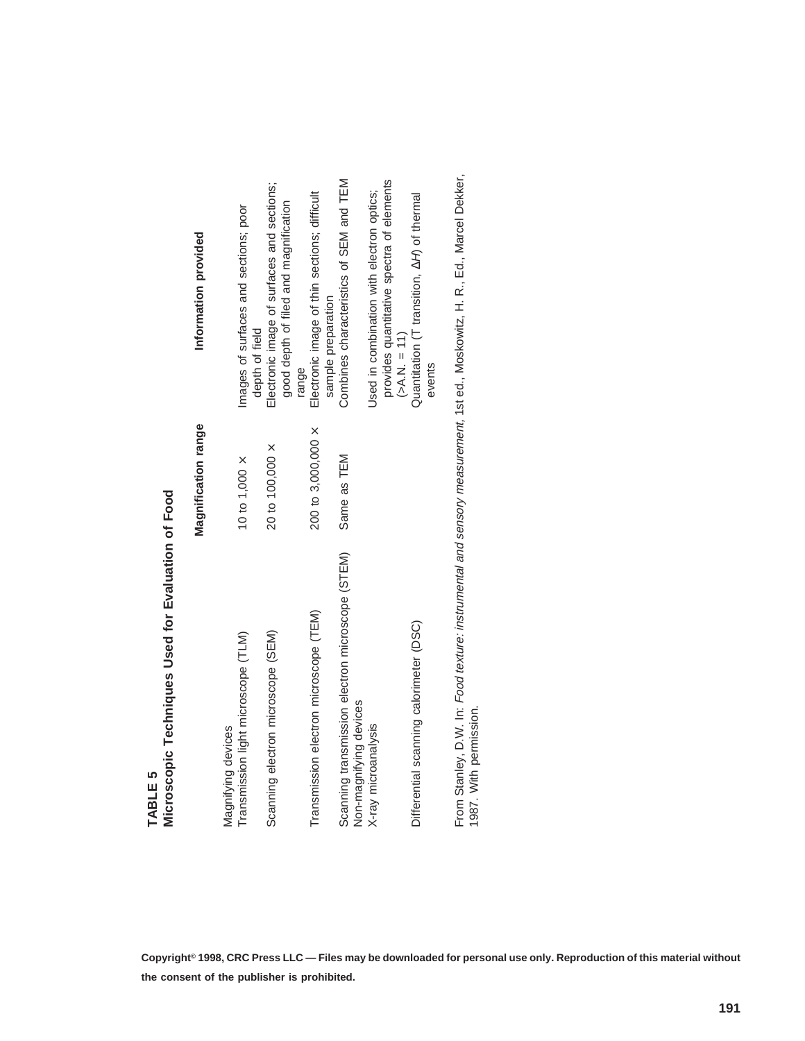|         | Evaluation of Food |
|---------|--------------------|
|         |                    |
|         |                    |
|         |                    |
|         |                    |
|         | s Used for E       |
|         | <u>a</u>           |
|         | $\cdot$ Techn      |
|         |                    |
|         |                    |
| TABLE 5 | uroscon            |
|         |                    |

|                                                                            | Magnification range       | Information provided                                                                                  |
|----------------------------------------------------------------------------|---------------------------|-------------------------------------------------------------------------------------------------------|
| Transmission light microscope (TLM)<br>Magnifying devices                  | 10 to 1,000 $\times$      | Images of surfaces and sections; poor                                                                 |
| Scanning electron microscope (SEM)                                         | 20 to 100,000 $\times$    | Electronic image of surfaces and sections;<br>good depth of filed and magnification<br>depth of field |
| Transmission electron microscope (TEM)                                     | 200 to 3,000,000 $\times$ | Electronic image of thin sections; difficult<br>sample preparation<br>range                           |
| Scanning transmission electron microscope (STEM)<br>Non-magnifying devices | Same as TEM               | Combines characteristics of SEM and TEM                                                               |
| X-ray microanalysis                                                        |                           | provides quantitative spectra of elements<br>Jsed in combination with electron optics;                |
| Differential scanning calorimeter (DSC)                                    |                           | Quantitation (T transition, AH) of thermal<br>$(2A.N. = 11)$<br>events                                |

From Stanley, D.W. In: Food texture: instrumental and sensory measurement, 1st ed., Moskowitz, H. R., Ed., Marcel Dekker,<br>1987. With permission. From Stanley, D.W. In: Food texture: instrumental and sensory measurement, 1st ed., Moskowitz, H. R., Ed., Marcel Dekker, 1987. With permission.

**Copyright© 1998, CRC Press LLC — Files may be downloaded for personal use only. Reproduction of this material without the consent of the publisher is prohibited.**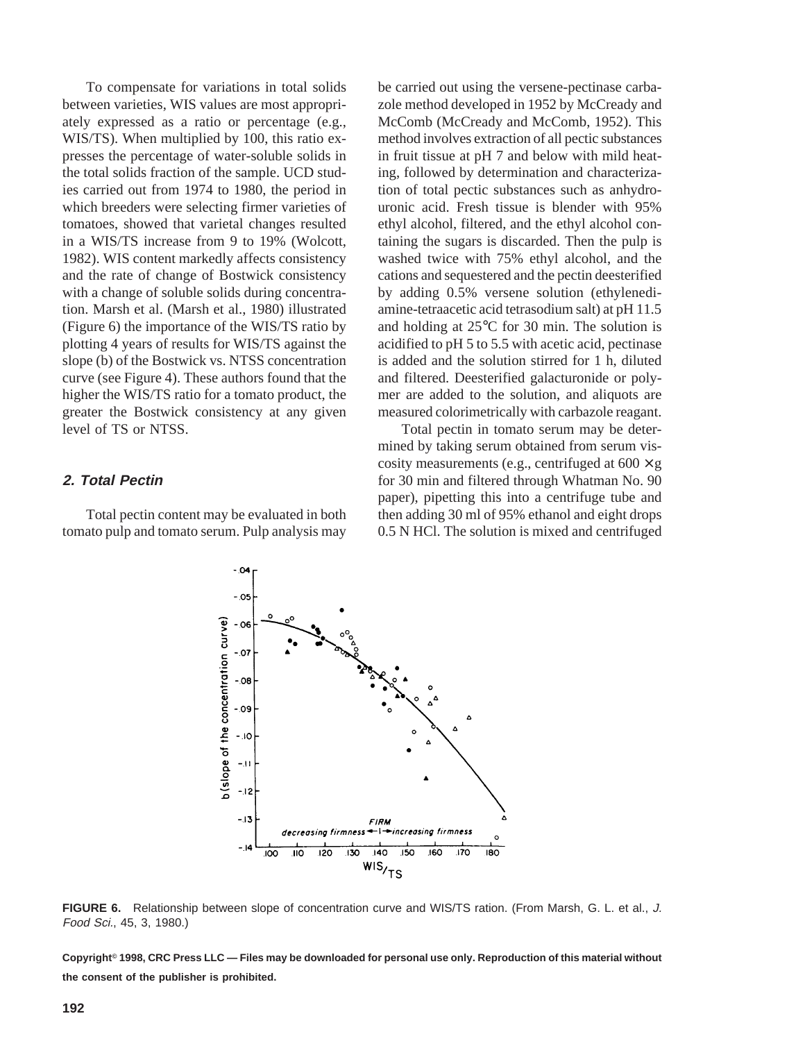To compensate for variations in total solids between varieties, WIS values are most appropriately expressed as a ratio or percentage (e.g., WIS/TS). When multiplied by 100, this ratio expresses the percentage of water-soluble solids in the total solids fraction of the sample. UCD studies carried out from 1974 to 1980, the period in which breeders were selecting firmer varieties of tomatoes, showed that varietal changes resulted in a WIS/TS increase from 9 to 19% (Wolcott, 1982). WIS content markedly affects consistency and the rate of change of Bostwick consistency with a change of soluble solids during concentration. Marsh et al. (Marsh et al., 1980) illustrated (Figure 6) the importance of the WIS/TS ratio by plotting 4 years of results for WIS/TS against the slope (b) of the Bostwick vs. NTSS concentration curve (see Figure 4). These authors found that the higher the WIS/TS ratio for a tomato product, the greater the Bostwick consistency at any given level of TS or NTSS.

## **2. Total Pectin**

Total pectin content may be evaluated in both tomato pulp and tomato serum. Pulp analysis may be carried out using the versene-pectinase carbazole method developed in 1952 by McCready and McComb (McCready and McComb, 1952). This method involves extraction of all pectic substances in fruit tissue at pH 7 and below with mild heating, followed by determination and characterization of total pectic substances such as anhydrouronic acid. Fresh tissue is blender with 95% ethyl alcohol, filtered, and the ethyl alcohol containing the sugars is discarded. Then the pulp is washed twice with 75% ethyl alcohol, and the cations and sequestered and the pectin deesterified by adding 0.5% versene solution (ethylenediamine-tetraacetic acid tetrasodium salt) at pH 11.5 and holding at 25°C for 30 min. The solution is acidified to pH 5 to 5.5 with acetic acid, pectinase is added and the solution stirred for 1 h, diluted and filtered. Deesterified galacturonide or polymer are added to the solution, and aliquots are measured colorimetrically with carbazole reagant.

Total pectin in tomato serum may be determined by taking serum obtained from serum viscosity measurements (e.g., centrifuged at  $600 \times g$ ) for 30 min and filtered through Whatman No. 90 paper), pipetting this into a centrifuge tube and then adding 30 ml of 95% ethanol and eight drops 0.5 N HCl. The solution is mixed and centrifuged



**FIGURE 6.** Relationship between slope of concentration curve and WIS/TS ration. (From Marsh, G. L. et al., J. Food Sci., 45, 3, 1980.)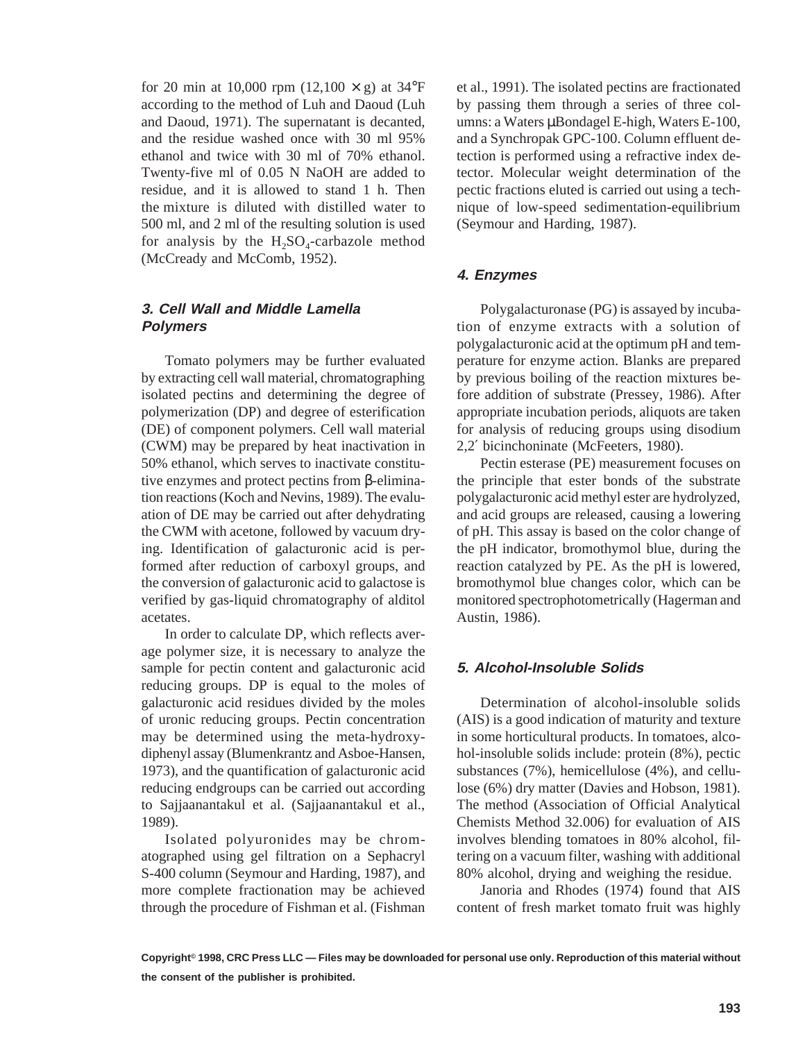for 20 min at 10,000 rpm  $(12,100 \times g)$  at 34°F according to the method of Luh and Daoud (Luh and Daoud, 1971). The supernatant is decanted, and the residue washed once with 30 ml 95% ethanol and twice with 30 ml of 70% ethanol. Twenty-five ml of 0.05 N NaOH are added to residue, and it is allowed to stand 1 h. Then the mixture is diluted with distilled water to 500 ml, and 2 ml of the resulting solution is used for analysis by the  $H_2SO_4$ -carbazole method (McCready and McComb, 1952).

# **3. Cell Wall and Middle Lamella Polymers**

Tomato polymers may be further evaluated by extracting cell wall material, chromatographing isolated pectins and determining the degree of polymerization (DP) and degree of esterification (DE) of component polymers. Cell wall material (CWM) may be prepared by heat inactivation in 50% ethanol, which serves to inactivate constitutive enzymes and protect pectins from β-elimination reactions (Koch and Nevins, 1989). The evaluation of DE may be carried out after dehydrating the CWM with acetone, followed by vacuum drying. Identification of galacturonic acid is performed after reduction of carboxyl groups, and the conversion of galacturonic acid to galactose is verified by gas-liquid chromatography of alditol acetates.

In order to calculate DP, which reflects average polymer size, it is necessary to analyze the sample for pectin content and galacturonic acid reducing groups. DP is equal to the moles of galacturonic acid residues divided by the moles of uronic reducing groups. Pectin concentration may be determined using the meta-hydroxydiphenyl assay (Blumenkrantz and Asboe-Hansen, 1973), and the quantification of galacturonic acid reducing endgroups can be carried out according to Sajjaanantakul et al. (Sajjaanantakul et al., 1989).

Isolated polyuronides may be chromatographed using gel filtration on a Sephacryl S-400 column (Seymour and Harding, 1987), and more complete fractionation may be achieved through the procedure of Fishman et al. (Fishman et al., 1991). The isolated pectins are fractionated by passing them through a series of three columns: a Waters µBondagel E-high, Waters E-100, and a Synchropak GPC-100. Column effluent detection is performed using a refractive index detector. Molecular weight determination of the pectic fractions eluted is carried out using a technique of low-speed sedimentation-equilibrium (Seymour and Harding, 1987).

## **4. Enzymes**

Polygalacturonase (PG) is assayed by incubation of enzyme extracts with a solution of polygalacturonic acid at the optimum pH and temperature for enzyme action. Blanks are prepared by previous boiling of the reaction mixtures before addition of substrate (Pressey, 1986). After appropriate incubation periods, aliquots are taken for analysis of reducing groups using disodium 2,2′ bicinchoninate (McFeeters, 1980).

Pectin esterase (PE) measurement focuses on the principle that ester bonds of the substrate polygalacturonic acid methyl ester are hydrolyzed, and acid groups are released, causing a lowering of pH. This assay is based on the color change of the pH indicator, bromothymol blue, during the reaction catalyzed by PE. As the pH is lowered, bromothymol blue changes color, which can be monitored spectrophotometrically (Hagerman and Austin, 1986).

## **5. Alcohol-Insoluble Solids**

Determination of alcohol-insoluble solids (AIS) is a good indication of maturity and texture in some horticultural products. In tomatoes, alcohol-insoluble solids include: protein (8%), pectic substances (7%), hemicellulose (4%), and cellulose (6%) dry matter (Davies and Hobson, 1981). The method (Association of Official Analytical Chemists Method 32.006) for evaluation of AIS involves blending tomatoes in 80% alcohol, filtering on a vacuum filter, washing with additional 80% alcohol, drying and weighing the residue.

Janoria and Rhodes (1974) found that AIS content of fresh market tomato fruit was highly

**Copyright© 1998, CRC Press LLC — Files may be downloaded for personal use only. Reproduction of this material without the consent of the publisher is prohibited.**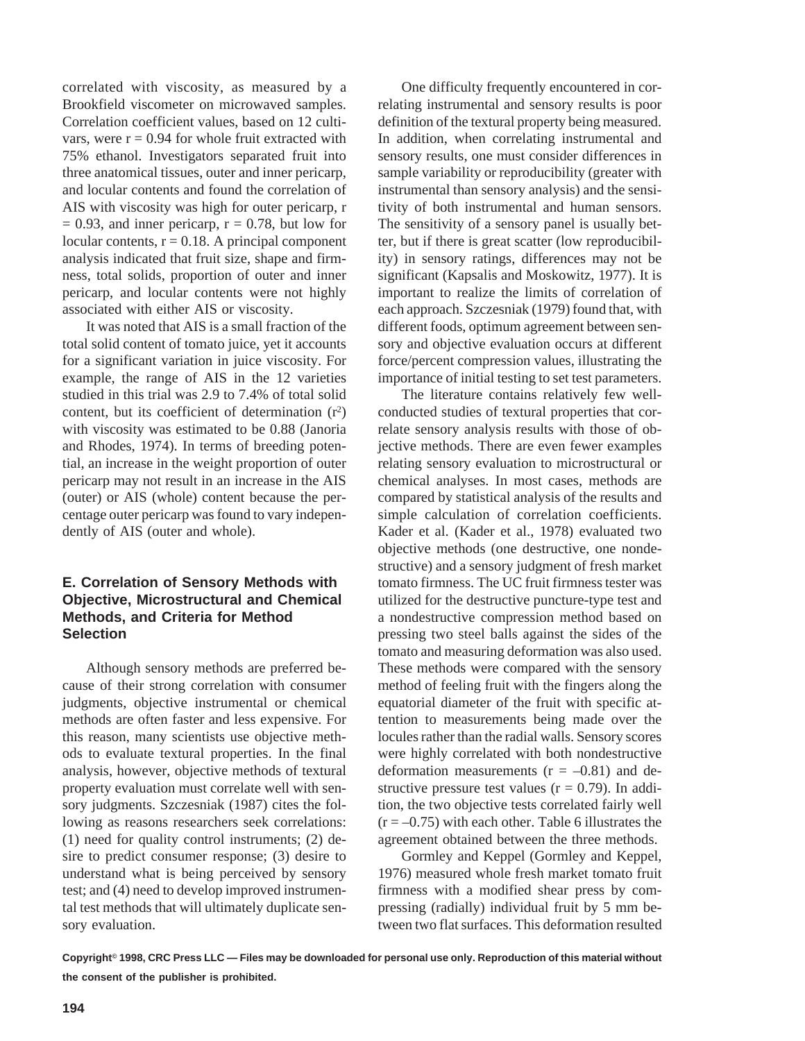correlated with viscosity, as measured by a Brookfield viscometer on microwaved samples. Correlation coefficient values, based on 12 cultivars, were  $r = 0.94$  for whole fruit extracted with 75% ethanol. Investigators separated fruit into three anatomical tissues, outer and inner pericarp, and locular contents and found the correlation of AIS with viscosity was high for outer pericarp, r  $= 0.93$ , and inner pericarp,  $r = 0.78$ , but low for locular contents,  $r = 0.18$ . A principal component analysis indicated that fruit size, shape and firmness, total solids, proportion of outer and inner pericarp, and locular contents were not highly associated with either AIS or viscosity.

It was noted that AIS is a small fraction of the total solid content of tomato juice, yet it accounts for a significant variation in juice viscosity. For example, the range of AIS in the 12 varieties studied in this trial was 2.9 to 7.4% of total solid content, but its coefficient of determination  $(r^2)$ with viscosity was estimated to be 0.88 (Janoria and Rhodes, 1974). In terms of breeding potential, an increase in the weight proportion of outer pericarp may not result in an increase in the AIS (outer) or AIS (whole) content because the percentage outer pericarp was found to vary independently of AIS (outer and whole).

# **E. Correlation of Sensory Methods with Objective, Microstructural and Chemical Methods, and Criteria for Method Selection**

Although sensory methods are preferred because of their strong correlation with consumer judgments, objective instrumental or chemical methods are often faster and less expensive. For this reason, many scientists use objective methods to evaluate textural properties. In the final analysis, however, objective methods of textural property evaluation must correlate well with sensory judgments. Szczesniak (1987) cites the following as reasons researchers seek correlations: (1) need for quality control instruments; (2) desire to predict consumer response; (3) desire to understand what is being perceived by sensory test; and (4) need to develop improved instrumental test methods that will ultimately duplicate sensory evaluation.

One difficulty frequently encountered in correlating instrumental and sensory results is poor definition of the textural property being measured. In addition, when correlating instrumental and sensory results, one must consider differences in sample variability or reproducibility (greater with instrumental than sensory analysis) and the sensitivity of both instrumental and human sensors. The sensitivity of a sensory panel is usually better, but if there is great scatter (low reproducibility) in sensory ratings, differences may not be significant (Kapsalis and Moskowitz, 1977). It is important to realize the limits of correlation of each approach. Szczesniak (1979) found that, with different foods, optimum agreement between sensory and objective evaluation occurs at different force/percent compression values, illustrating the importance of initial testing to set test parameters.

The literature contains relatively few wellconducted studies of textural properties that correlate sensory analysis results with those of objective methods. There are even fewer examples relating sensory evaluation to microstructural or chemical analyses. In most cases, methods are compared by statistical analysis of the results and simple calculation of correlation coefficients. Kader et al. (Kader et al., 1978) evaluated two objective methods (one destructive, one nondestructive) and a sensory judgment of fresh market tomato firmness. The UC fruit firmness tester was utilized for the destructive puncture-type test and a nondestructive compression method based on pressing two steel balls against the sides of the tomato and measuring deformation was also used. These methods were compared with the sensory method of feeling fruit with the fingers along the equatorial diameter of the fruit with specific attention to measurements being made over the locules rather than the radial walls. Sensory scores were highly correlated with both nondestructive deformation measurements  $(r = -0.81)$  and destructive pressure test values ( $r = 0.79$ ). In addition, the two objective tests correlated fairly well  $(r = -0.75)$  with each other. Table 6 illustrates the agreement obtained between the three methods.

Gormley and Keppel (Gormley and Keppel, 1976) measured whole fresh market tomato fruit firmness with a modified shear press by compressing (radially) individual fruit by 5 mm between two flat surfaces. This deformation resulted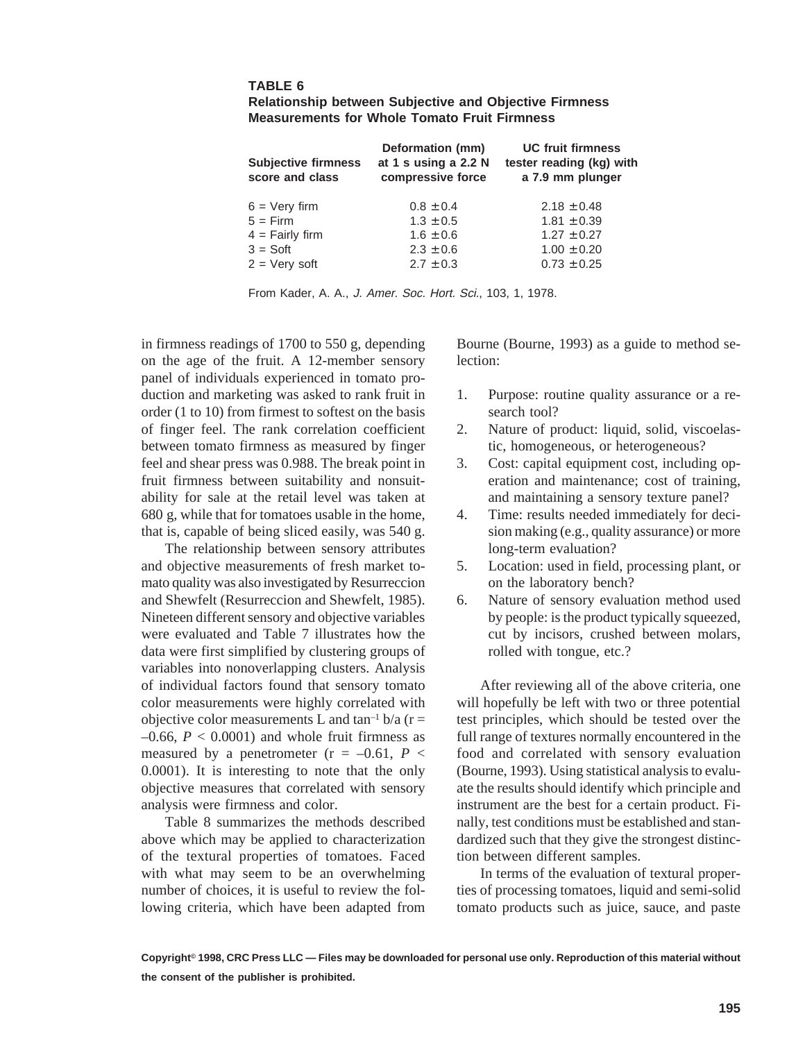**TABLE 6 Relationship between Subjective and Objective Firmness Measurements for Whole Tomato Fruit Firmness**

| <b>Subjective firmness</b><br>score and class | Deformation (mm)<br>at 1 s using a $2.2$ N<br>compressive force | <b>UC fruit firmness</b><br>tester reading (kg) with<br>a 7.9 mm plunger |
|-----------------------------------------------|-----------------------------------------------------------------|--------------------------------------------------------------------------|
| $6 =$ Very firm                               | $0.8 \pm 0.4$                                                   | $2.18 \pm 0.48$                                                          |
| $5 =$ Firm                                    | $1.3 \pm 0.5$                                                   | $1.81 \pm 0.39$                                                          |
| $4 =$ Fairly firm                             | $1.6 \pm 0.6$                                                   | $1.27 \pm 0.27$                                                          |
| $3 = Soft$                                    | $2.3 \pm 0.6$                                                   | $1.00 \pm 0.20$                                                          |
| $2 = \text{Very}$ soft                        | $2.7 \pm 0.3$                                                   | $0.73 \pm 0.25$                                                          |

From Kader, A. A., J. Amer. Soc. Hort. Sci., 103, 1, 1978.

in firmness readings of 1700 to 550 g, depending on the age of the fruit. A 12-member sensory panel of individuals experienced in tomato production and marketing was asked to rank fruit in order (1 to 10) from firmest to softest on the basis of finger feel. The rank correlation coefficient between tomato firmness as measured by finger feel and shear press was 0.988. The break point in fruit firmness between suitability and nonsuitability for sale at the retail level was taken at 680 g, while that for tomatoes usable in the home, that is, capable of being sliced easily, was 540 g.

The relationship between sensory attributes and objective measurements of fresh market tomato quality was also investigated by Resurreccion and Shewfelt (Resurreccion and Shewfelt, 1985). Nineteen different sensory and objective variables were evaluated and Table 7 illustrates how the data were first simplified by clustering groups of variables into nonoverlapping clusters. Analysis of individual factors found that sensory tomato color measurements were highly correlated with objective color measurements L and  $tan^{-1} b/a$  ( $r =$  $-0.66$ ,  $P < 0.0001$ ) and whole fruit firmness as measured by a penetrometer  $(r = -0.61, P <$ 0.0001). It is interesting to note that the only objective measures that correlated with sensory analysis were firmness and color.

Table 8 summarizes the methods described above which may be applied to characterization of the textural properties of tomatoes. Faced with what may seem to be an overwhelming number of choices, it is useful to review the following criteria, which have been adapted from

Bourne (Bourne, 1993) as a guide to method selection:

- 1. Purpose: routine quality assurance or a research tool?
- 2. Nature of product: liquid, solid, viscoelastic, homogeneous, or heterogeneous?
- 3. Cost: capital equipment cost, including operation and maintenance; cost of training, and maintaining a sensory texture panel?
- 4. Time: results needed immediately for decision making (e.g., quality assurance) or more long-term evaluation?
- 5. Location: used in field, processing plant, or on the laboratory bench?
- 6. Nature of sensory evaluation method used by people: is the product typically squeezed, cut by incisors, crushed between molars, rolled with tongue, etc.?

After reviewing all of the above criteria, one will hopefully be left with two or three potential test principles, which should be tested over the full range of textures normally encountered in the food and correlated with sensory evaluation (Bourne, 1993). Using statistical analysis to evaluate the results should identify which principle and instrument are the best for a certain product. Finally, test conditions must be established and standardized such that they give the strongest distinction between different samples.

In terms of the evaluation of textural properties of processing tomatoes, liquid and semi-solid tomato products such as juice, sauce, and paste

**Copyright© 1998, CRC Press LLC — Files may be downloaded for personal use only. Reproduction of this material without the consent of the publisher is prohibited.**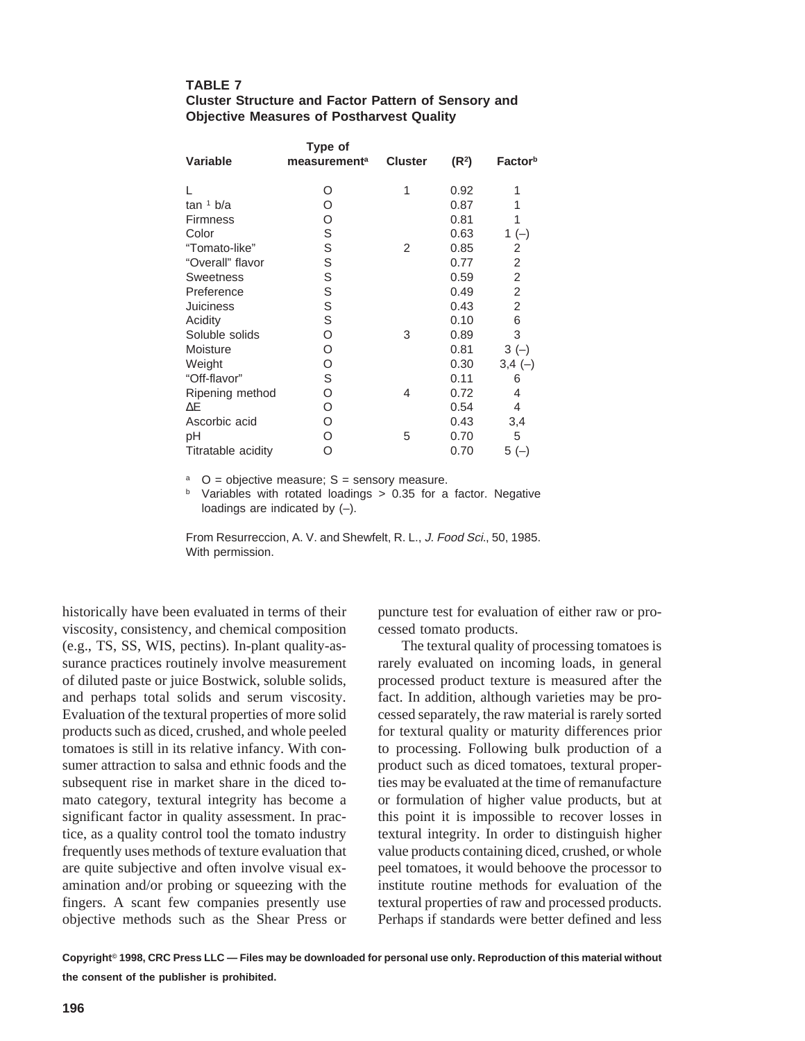#### **TABLE 7**

|  |                                                  | <b>Cluster Structure and Factor Pattern of Sensory and</b> |  |
|--|--------------------------------------------------|------------------------------------------------------------|--|
|  | <b>Objective Measures of Postharvest Quality</b> |                                                            |  |

| Variable           | <b>Type of</b><br>measurement <sup>a</sup> | <b>Cluster</b> | (R <sup>2</sup> ) | Factorb                 |
|--------------------|--------------------------------------------|----------------|-------------------|-------------------------|
| L                  | O                                          | 1              | 0.92              | 1                       |
| tan 1 b/a          | O                                          |                | 0.87              | 1                       |
| Firmness           | O                                          |                | 0.81              | 1                       |
| Color              | $\mathsf S$                                |                | 0.63              | 1 $(-)$                 |
| "Tomato-like"      | S                                          | 2              | 0.85              | 2                       |
| "Overall" flavor   | $\mathbb S$                                |                | 0.77              | $\overline{\mathbf{c}}$ |
| Sweetness          | $\mathbb S$                                |                | 0.59              | $\overline{\mathbf{c}}$ |
| Preference         | $\mathbb S$                                |                | 0.49              | $\overline{c}$          |
| <b>Juiciness</b>   | $\mathbb S$                                |                | 0.43              | $\overline{c}$          |
| Acidity            | S                                          |                | 0.10              | 6                       |
| Soluble solids     | O                                          | 3              | 0.89              | 3                       |
| Moisture           | O                                          |                | 0.81              | $3(-)$                  |
| Weight             | O                                          |                | 0.30              | $3,4(-)$                |
| "Off-flavor"       | $\mathbf S$                                |                | 0.11              | 6                       |
| Ripening method    | O                                          | 4              | 0.72              | 4                       |
| ΔΕ                 | O                                          |                | 0.54              | 4                       |
| Ascorbic acid      | O                                          |                | 0.43              | 3,4                     |
| рH                 | O                                          | 5              | 0.70              | 5                       |
| Titratable acidity | O                                          |                | 0.70              | $5(-)$                  |
|                    |                                            |                |                   |                         |

 $^a$  O = objective measure: S = sensory measure.

 $b$  Variables with rotated loadings  $> 0.35$  for a factor. Negative loadings are indicated by (–).

From Resurreccion, A. V. and Shewfelt, R. L., J. Food Sci., 50, 1985. With permission.

historically have been evaluated in terms of their viscosity, consistency, and chemical composition (e.g., TS, SS, WIS, pectins). In-plant quality-assurance practices routinely involve measurement of diluted paste or juice Bostwick, soluble solids, and perhaps total solids and serum viscosity. Evaluation of the textural properties of more solid products such as diced, crushed, and whole peeled tomatoes is still in its relative infancy. With consumer attraction to salsa and ethnic foods and the subsequent rise in market share in the diced tomato category, textural integrity has become a significant factor in quality assessment. In practice, as a quality control tool the tomato industry frequently uses methods of texture evaluation that are quite subjective and often involve visual examination and/or probing or squeezing with the fingers. A scant few companies presently use objective methods such as the Shear Press or puncture test for evaluation of either raw or processed tomato products.

The textural quality of processing tomatoes is rarely evaluated on incoming loads, in general processed product texture is measured after the fact. In addition, although varieties may be processed separately, the raw material is rarely sorted for textural quality or maturity differences prior to processing. Following bulk production of a product such as diced tomatoes, textural properties may be evaluated at the time of remanufacture or formulation of higher value products, but at this point it is impossible to recover losses in textural integrity. In order to distinguish higher value products containing diced, crushed, or whole peel tomatoes, it would behoove the processor to institute routine methods for evaluation of the textural properties of raw and processed products. Perhaps if standards were better defined and less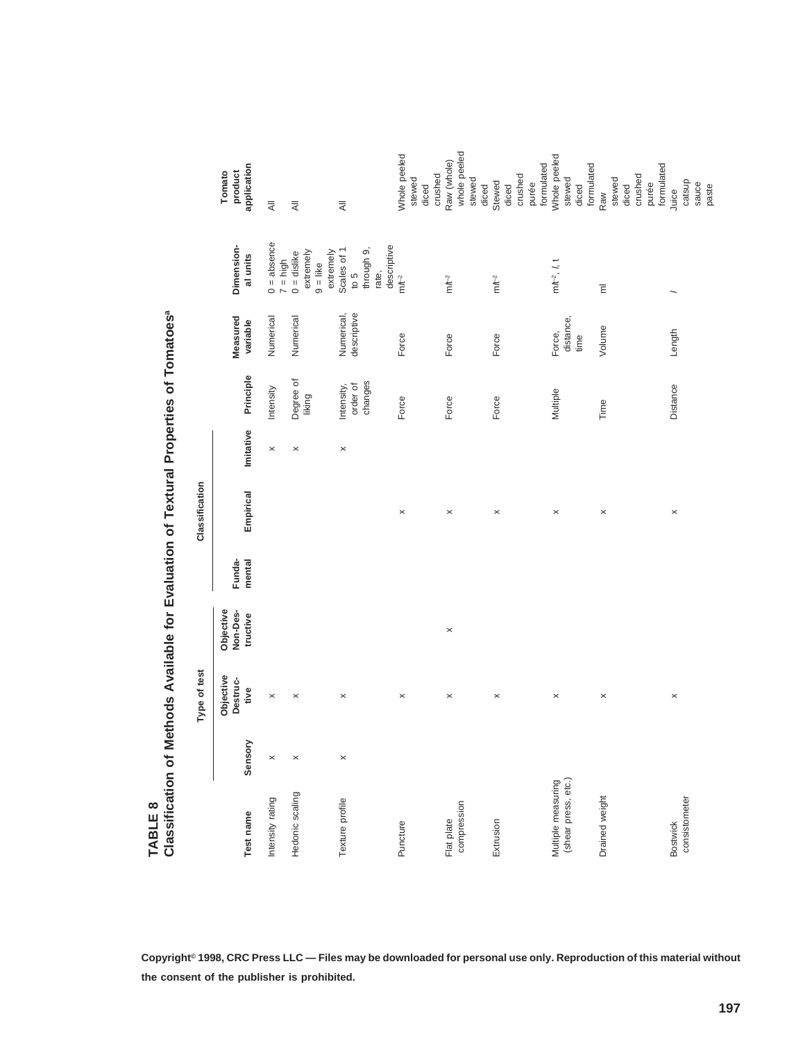| Classification of Methods Available for Evaluation of Textural Properties of Tomatoes <sup>a</sup> |          | Type of test                  |                                   |                  | Classification |           |                                   |                             |                                                                                 |                                                             |
|----------------------------------------------------------------------------------------------------|----------|-------------------------------|-----------------------------------|------------------|----------------|-----------|-----------------------------------|-----------------------------|---------------------------------------------------------------------------------|-------------------------------------------------------------|
| Test name                                                                                          | Sensory  | Objective<br>Destruc-<br>tive | Objective<br>Non-Des-<br>tructive | mental<br>Funda- | Empirical      | Imitative | Principle                         | Measured<br>variable        | Dimension-<br>al units                                                          | application<br>Tomato<br>product                            |
| Intensity rating                                                                                   | $\times$ | $\times$                      |                                   |                  |                | $\times$  | Intensity                         | Numerical                   | $0 = \text{absence}$<br>$7 = \text{high}$                                       | ₹                                                           |
| Hedonic scaling                                                                                    | $\times$ | $\times$                      |                                   |                  |                | $\times$  | Degree of<br>liking               | Numerical                   | extremely<br>$0 =$ dislike<br>$9 =$ like                                        | ₹                                                           |
| Texture profile                                                                                    | $\times$ | $\times$                      |                                   |                  |                | $\times$  | changes<br>Intensity,<br>order of | descriptive<br>Numerical,   | descriptive<br>through 9,<br>Scales of 1<br>extremely<br>rate,<br>$\frac{5}{2}$ | $\overline{\preccurlyeq}$                                   |
| Puncture                                                                                           |          | $\times$                      |                                   |                  | $\times$       |           | Force                             | Force                       | $m\hbar^{-2}$                                                                   | Whole peeled<br>crushed<br>stewed<br>diced                  |
| compression<br>Flat plate                                                                          |          | $\times$                      | $\times$                          |                  | $\times$       |           | Force                             | Force                       | $m\hbar^{-2}$                                                                   | whole peeled<br>Raw (whole)<br>stewed<br>diced              |
| Extrusion                                                                                          |          | $\pmb{\times}$                |                                   |                  | $\times$       |           | Force                             | Force                       | $m\hbar^{-2}$                                                                   | crushed<br>Stewed<br>purée<br>diced                         |
| (shear press, etc.)<br>Multiple measuring                                                          |          | $\times$                      |                                   |                  | $\times$       |           | Multiple                          | distance,<br>Force,<br>time | $m h^{-2}$ , $l$ , t                                                            | Whole peeled<br>formulated<br>formulated<br>stewed<br>diced |
| Drained weight                                                                                     |          | $\boldsymbol{\times}$         |                                   |                  | $\times$       |           | Time                              | Volume                      | $\overline{\epsilon}$                                                           | formulated<br>crushed<br>stewed<br>purée<br>diced<br>Raw    |
| consistometer<br><b>Bostwick</b>                                                                   |          | $\times$                      |                                   |                  | $\times$       |           | Distance                          | Length                      |                                                                                 | catsup<br>sauce<br>paste<br>Juice                           |

TABLE 8 **TABLE 8**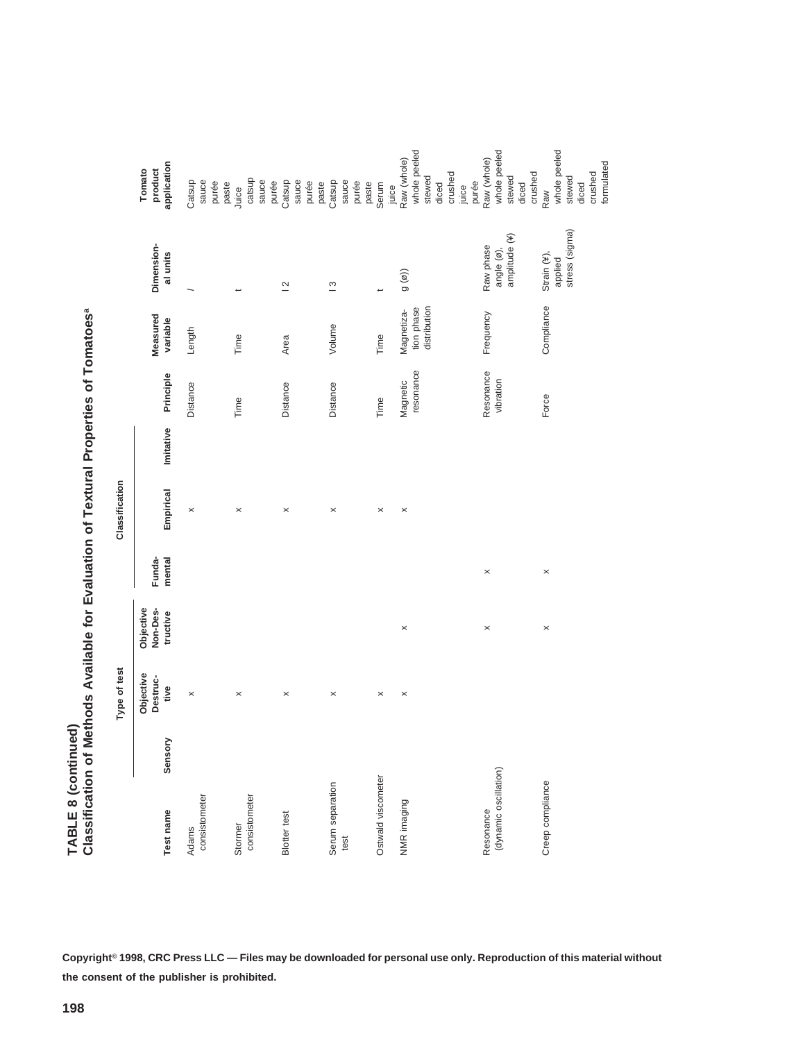|                                    |         | Type of test                  |                                   |                  | Classification |           |                        |                                          |                                          |                                                                             |
|------------------------------------|---------|-------------------------------|-----------------------------------|------------------|----------------|-----------|------------------------|------------------------------------------|------------------------------------------|-----------------------------------------------------------------------------|
| Test name                          | Sensory | Objective<br>Destruc-<br>tive | Objective<br>Non-Des-<br>tructive | Funda-<br>mental | Empirical      | Imitative | Principle              | Measured<br>variable                     | Dimension-<br>al units                   | application<br>product<br>Tomato                                            |
| consistometer<br>Adams             |         | $\boldsymbol{\times}$         |                                   |                  | $\pmb{\times}$ |           | Distance               | Length                                   |                                          | sauce<br>Catsup<br>purée                                                    |
| consistometer<br>Stormer           |         | $\pmb{\times}$                |                                   |                  | $\times$       |           | Time                   | Time                                     |                                          | catsup<br>sauce<br>paste<br>Juice                                           |
| Blotter test                       |         | $\pmb{\times}$                |                                   |                  | $\pmb{\times}$ |           | Distance               | Area                                     | $\overline{2}$                           | Catsup<br>sauce<br>purée<br>purée                                           |
| Serum separation<br>test           |         | $\pmb{\times}$                |                                   |                  | $\times$       |           | Distance               | Volume                                   | $\frac{3}{2}$                            | Catsup<br>sauce<br>purée<br>paste                                           |
| Ostwald viscometer                 |         | $\times$                      |                                   |                  | $\times$       |           | Time                   | Time                                     |                                          | paste<br>Serum<br>juice                                                     |
| NMR imaging                        |         | $\times$                      | $\times$                          |                  | $\times$       |           | resonance<br>Magnetic  | distribution<br>tion phase<br>Magnetiza- | $g(\varnothing)$                         | whole peeled<br>Raw (whole)<br>crushed<br>stewed<br>purée<br>diced<br>juice |
| (dynamic oscillation)<br>Resonance |         |                               | $\times$                          | $\times$         |                |           | Resonance<br>vibration | Frequency                                | (*) epnildure<br>Raw phase<br>angle (ø), | whole peeled<br>Raw (whole)<br>crushed<br>stewed<br>diced                   |
| Creep compliance                   |         |                               | ×                                 | $\times$         |                |           | Force                  | Compliance                               | stress (sigma)<br>Strain (¥),<br>applied | whole peeled<br>formulated<br>crushed<br>stewed<br>diced<br>Raw             |

TABLE 8 (continued)<br>Classification of Methods Available for Evaluation of Textural Properties of Tomatoesª **198TABLE 8 (continued) Classification of Methods Available for Evaluation of Textural Properties of Tomatoesa**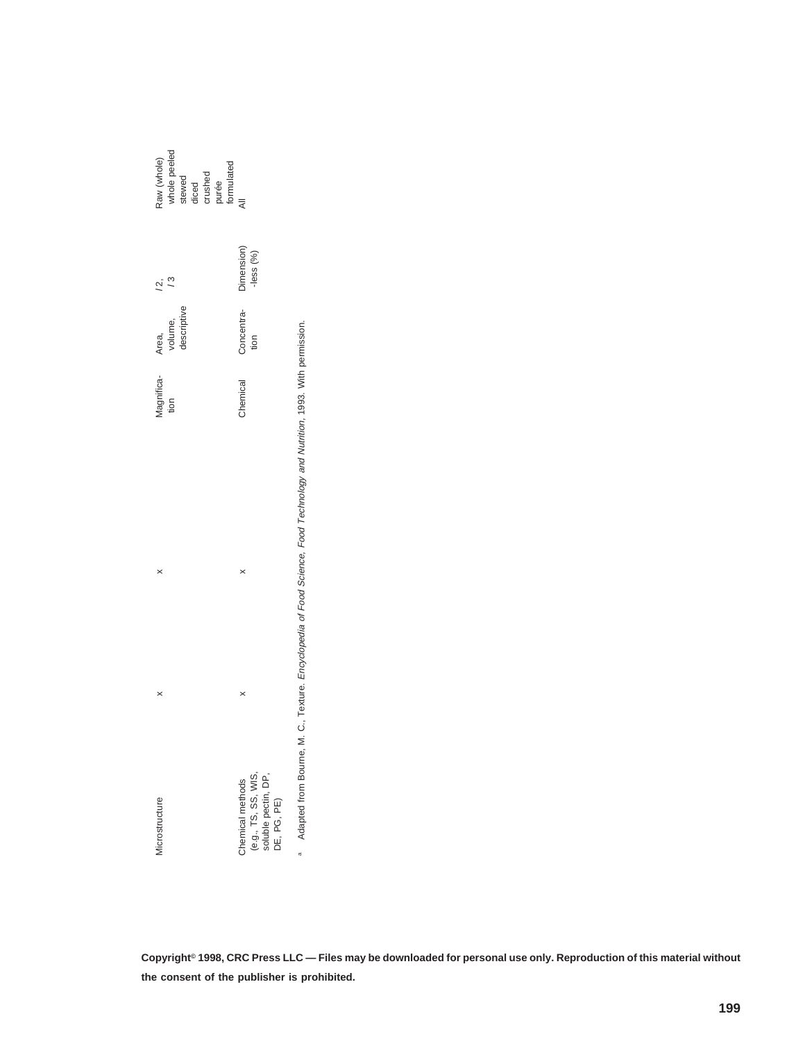| <i><b>Microstructure</b></i>                                                  |   | Magnifica-<br>tion | Area, /2,<br>volume, /3<br>descriptive /3 |                         | Raw (whole)<br>whole peeled<br>stewed<br>diced<br>crushed<br>purée<br>purviete |
|-------------------------------------------------------------------------------|---|--------------------|-------------------------------------------|-------------------------|--------------------------------------------------------------------------------|
| Chemical methods<br>(e.g., TS, SS, WIS,<br>soluble pectin, DP,<br>DE, PG, PE) | × | <b>hemical</b>     | Concentra-<br>tion                        | Dimension)<br>-less (%) |                                                                                |

<sup>a</sup> Adapted from Bourne, M. C., Texture. Encyclopedia of Food Science, Food Technology and Nutrition, 1993. With permission. Adapted from Bourne, M. C., Texture. Encyclopedia of Food Science, Food Technology and Nutrition, 1993. With permission.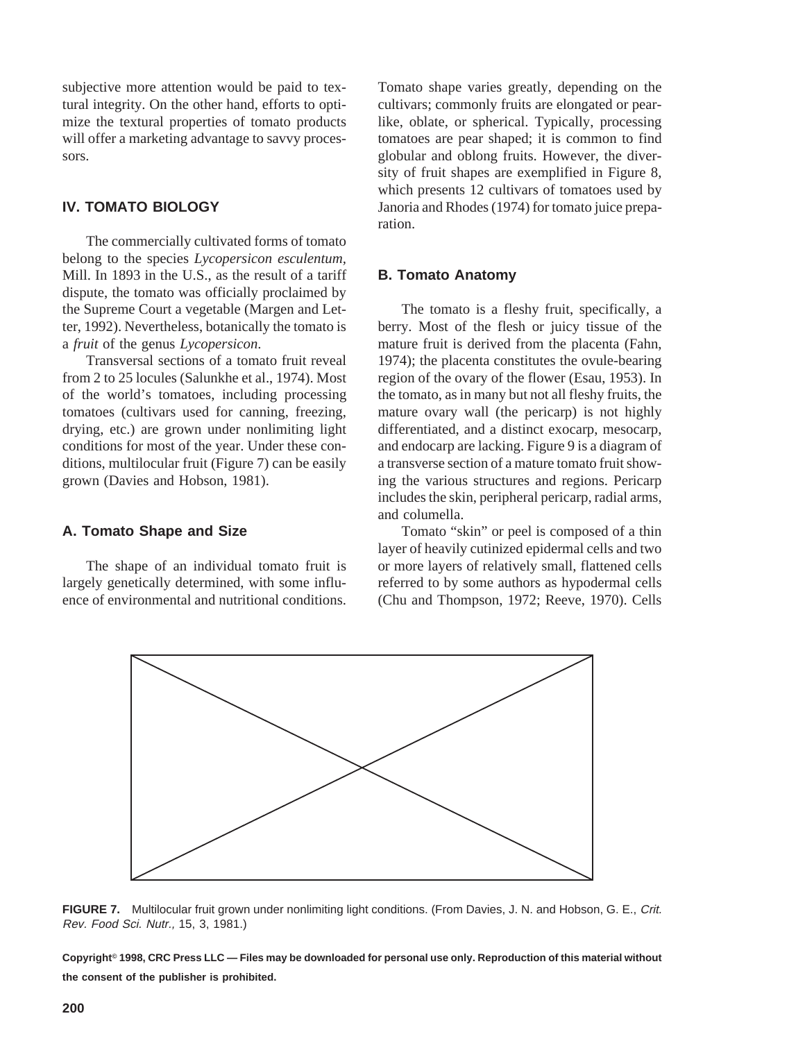subjective more attention would be paid to textural integrity. On the other hand, efforts to optimize the textural properties of tomato products will offer a marketing advantage to savvy processors.

# **IV. TOMATO BIOLOGY**

The commercially cultivated forms of tomato belong to the species *Lycopersicon esculentum,* Mill. In 1893 in the U.S., as the result of a tariff dispute, the tomato was officially proclaimed by the Supreme Court a vegetable (Margen and Letter, 1992). Nevertheless, botanically the tomato is a *fruit* of the genus *Lycopersicon*.

Transversal sections of a tomato fruit reveal from 2 to 25 locules (Salunkhe et al., 1974). Most of the world's tomatoes, including processing tomatoes (cultivars used for canning, freezing, drying, etc.) are grown under nonlimiting light conditions for most of the year. Under these conditions, multilocular fruit (Figure 7) can be easily grown (Davies and Hobson, 1981).

#### **A. Tomato Shape and Size**

The shape of an individual tomato fruit is largely genetically determined, with some influence of environmental and nutritional conditions. Tomato shape varies greatly, depending on the cultivars; commonly fruits are elongated or pearlike, oblate, or spherical. Typically, processing tomatoes are pear shaped; it is common to find globular and oblong fruits. However, the diversity of fruit shapes are exemplified in Figure 8, which presents 12 cultivars of tomatoes used by Janoria and Rhodes (1974) for tomato juice preparation.

#### **B. Tomato Anatomy**

The tomato is a fleshy fruit, specifically, a berry. Most of the flesh or juicy tissue of the mature fruit is derived from the placenta (Fahn, 1974); the placenta constitutes the ovule-bearing region of the ovary of the flower (Esau, 1953). In the tomato, as in many but not all fleshy fruits, the mature ovary wall (the pericarp) is not highly differentiated, and a distinct exocarp, mesocarp, and endocarp are lacking. Figure 9 is a diagram of a transverse section of a mature tomato fruit showing the various structures and regions. Pericarp includes the skin, peripheral pericarp, radial arms, and columella.

Tomato "skin" or peel is composed of a thin layer of heavily cutinized epidermal cells and two or more layers of relatively small, flattened cells referred to by some authors as hypodermal cells (Chu and Thompson, 1972; Reeve, 1970). Cells



**FIGURE 7.** Multilocular fruit grown under nonlimiting light conditions. (From Davies, J. N. and Hobson, G. E., Crit. Rev. Food Sci. Nutr., 15, 3, 1981.)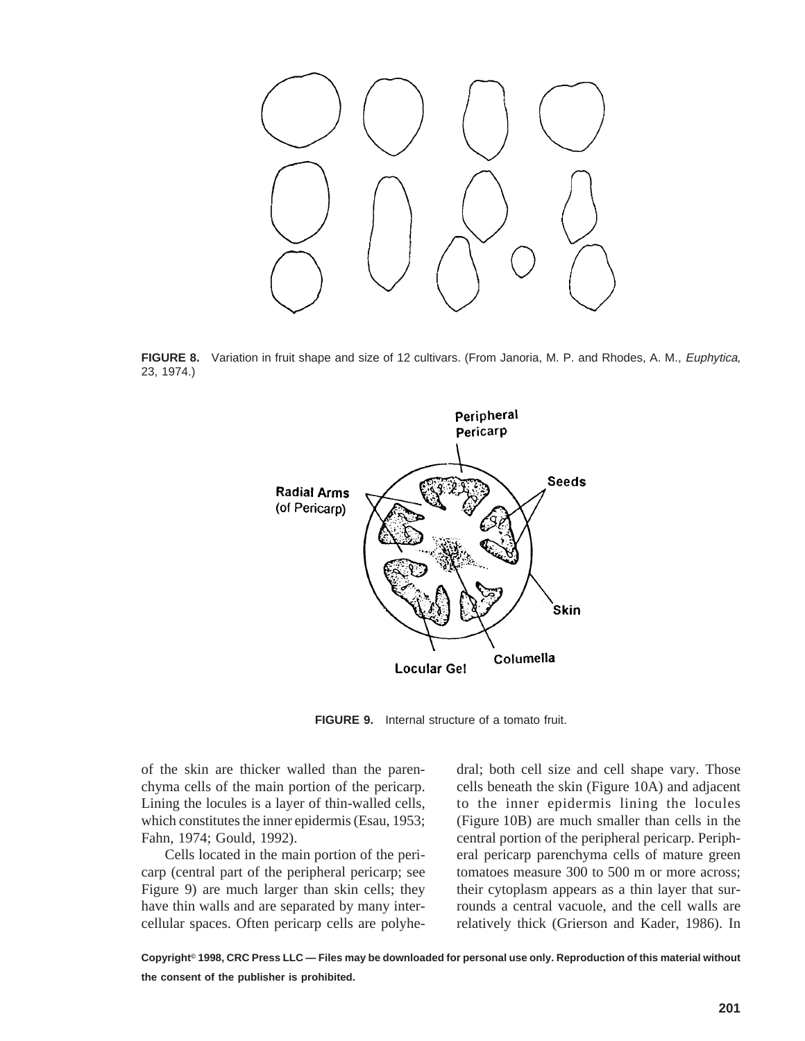

**FIGURE 8.** Variation in fruit shape and size of 12 cultivars. (From Janoria, M. P. and Rhodes, A. M., Euphytica, 23, 1974.)



**FIGURE 9.** Internal structure of a tomato fruit.

of the skin are thicker walled than the parenchyma cells of the main portion of the pericarp. Lining the locules is a layer of thin-walled cells, which constitutes the inner epidermis (Esau, 1953; Fahn, 1974; Gould, 1992).

Cells located in the main portion of the pericarp (central part of the peripheral pericarp; see Figure 9) are much larger than skin cells; they have thin walls and are separated by many intercellular spaces. Often pericarp cells are polyhedral; both cell size and cell shape vary. Those cells beneath the skin (Figure 10A) and adjacent to the inner epidermis lining the locules (Figure 10B) are much smaller than cells in the central portion of the peripheral pericarp. Peripheral pericarp parenchyma cells of mature green tomatoes measure 300 to 500 m or more across; their cytoplasm appears as a thin layer that surrounds a central vacuole, and the cell walls are relatively thick (Grierson and Kader, 1986). In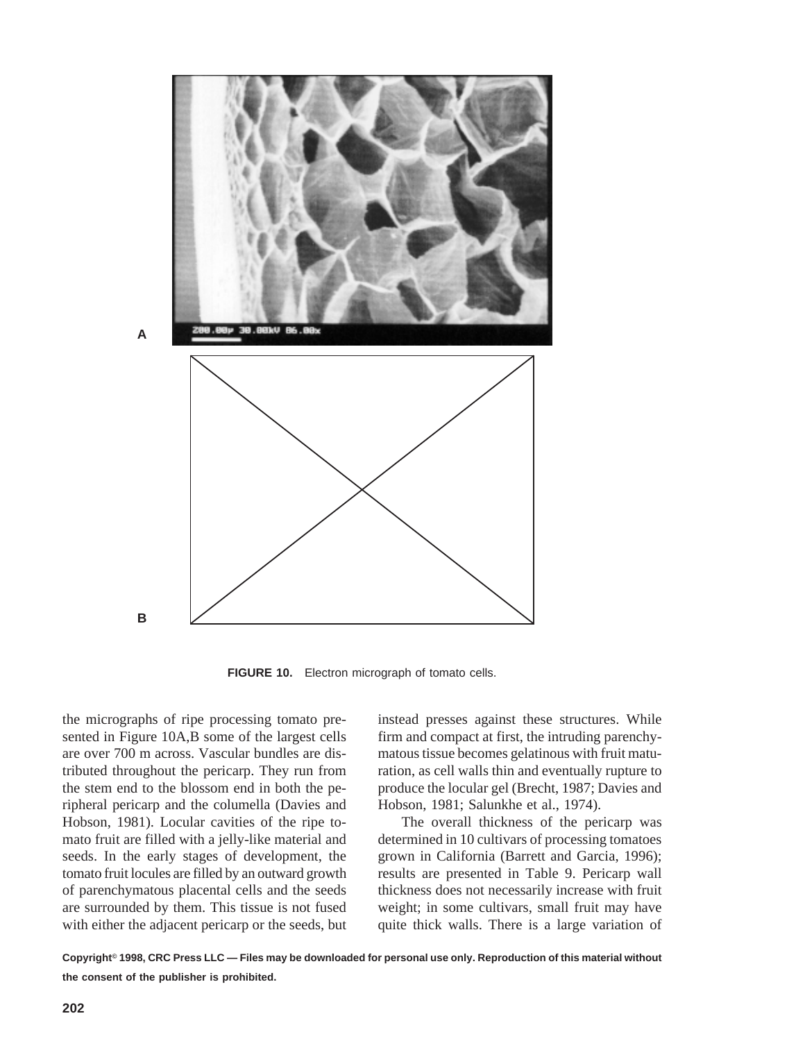

**FIGURE 10.** Electron micrograph of tomato cells.

the micrographs of ripe processing tomato presented in Figure 10A,B some of the largest cells are over 700 m across. Vascular bundles are distributed throughout the pericarp. They run from the stem end to the blossom end in both the peripheral pericarp and the columella (Davies and Hobson, 1981). Locular cavities of the ripe tomato fruit are filled with a jelly-like material and seeds. In the early stages of development, the tomato fruit locules are filled by an outward growth of parenchymatous placental cells and the seeds are surrounded by them. This tissue is not fused with either the adjacent pericarp or the seeds, but instead presses against these structures. While firm and compact at first, the intruding parenchymatous tissue becomes gelatinous with fruit maturation, as cell walls thin and eventually rupture to produce the locular gel (Brecht, 1987; Davies and Hobson, 1981; Salunkhe et al., 1974).

The overall thickness of the pericarp was determined in 10 cultivars of processing tomatoes grown in California (Barrett and Garcia, 1996); results are presented in Table 9. Pericarp wall thickness does not necessarily increase with fruit weight; in some cultivars, small fruit may have quite thick walls. There is a large variation of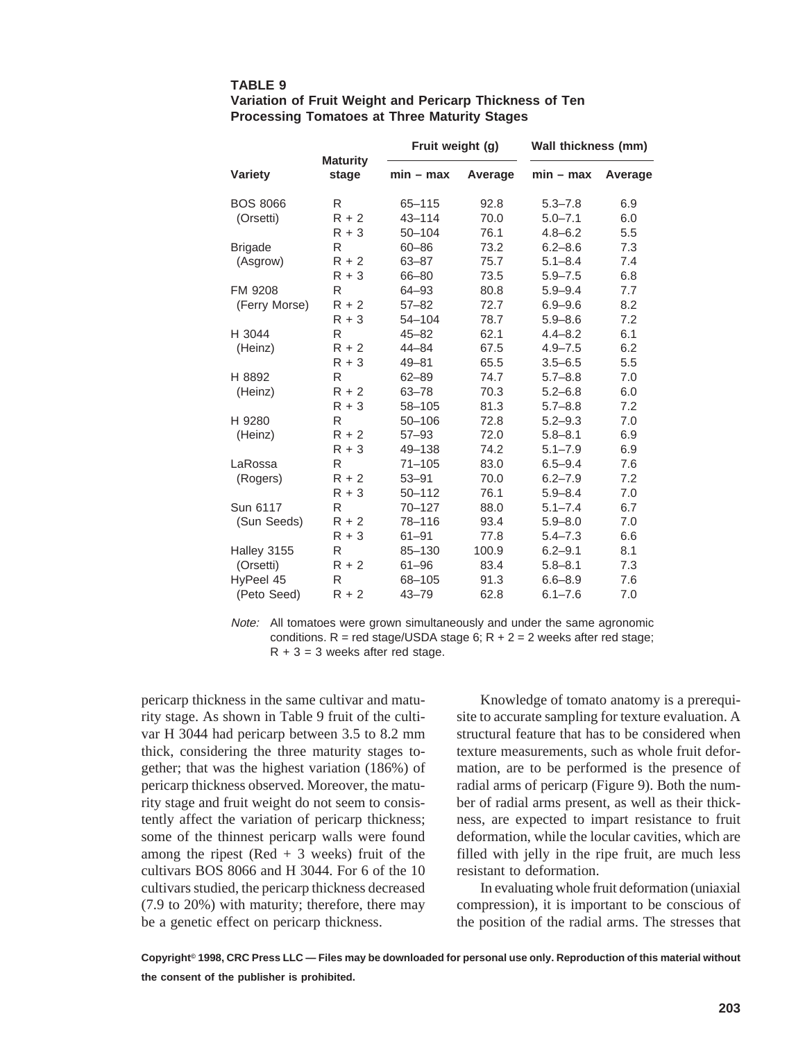## **TABLE 9 Variation of Fruit Weight and Pericarp Thickness of Ten Processing Tomatoes at Three Maturity Stages**

|                 |                          | Fruit weight (g) |         | Wall thickness (mm) |         |
|-----------------|--------------------------|------------------|---------|---------------------|---------|
| <b>Variety</b>  | <b>Maturity</b><br>stage | $min - max$      | Average | $min - max$         | Average |
| <b>BOS 8066</b> | R                        | $65 - 115$       | 92.8    | $5.3 - 7.8$         | 6.9     |
| (Orsetti)       | $R + 2$                  | $43 - 114$       | 70.0    | $5.0 - 7.1$         | 6.0     |
|                 | $R + 3$                  | $50 - 104$       | 76.1    | $4.8 - 6.2$         | 5.5     |
| <b>Brigade</b>  | R                        | $60 - 86$        | 73.2    | $6.2 - 8.6$         | 7.3     |
| (Asgrow)        | $R + 2$                  | $63 - 87$        | 75.7    | $5.1 - 8.4$         | 7.4     |
|                 | $R + 3$                  | 66-80            | 73.5    | $5.9 - 7.5$         | 6.8     |
| FM 9208         | R                        | 64-93            | 80.8    | $5.9 - 9.4$         | 7.7     |
| (Ferry Morse)   | $R + 2$                  | $57 - 82$        | 72.7    | $6.9 - 9.6$         | 8.2     |
|                 | $R + 3$                  | $54 - 104$       | 78.7    | $5.9 - 8.6$         | 7.2     |
| H 3044          | R                        | $45 - 82$        | 62.1    | $4.4 - 8.2$         | 6.1     |
| (Heinz)         | $R + 2$                  | $44 - 84$        | 67.5    | $4.9 - 7.5$         | 6.2     |
|                 | $R + 3$                  | $49 - 81$        | 65.5    | $3.5 - 6.5$         | 5.5     |
| H 8892          | R                        | $62 - 89$        | 74.7    | $5.7 - 8.8$         | 7.0     |
| (Heinz)         | $R + 2$                  | $63 - 78$        | 70.3    | $5.2 - 6.8$         | 6.0     |
|                 | $R + 3$                  | 58-105           | 81.3    | $5.7 - 8.8$         | 7.2     |
| H 9280          | R                        | $50 - 106$       | 72.8    | $5.2 - 9.3$         | 7.0     |
| (Heinz)         | $R + 2$                  | $57 - 93$        | 72.0    | $5.8 - 8.1$         | 6.9     |
|                 | $R + 3$                  | 49-138           | 74.2    | $5.1 - 7.9$         | 6.9     |
| LaRossa         | R                        | $71 - 105$       | 83.0    | $6.5 - 9.4$         | 7.6     |
| (Rogers)        | $R + 2$                  | $53 - 91$        | 70.0    | $6.2 - 7.9$         | 7.2     |
|                 | $R + 3$                  | $50 - 112$       | 76.1    | $5.9 - 8.4$         | 7.0     |
| Sun 6117        | R                        | $70 - 127$       | 88.0    | $5.1 - 7.4$         | 6.7     |
| (Sun Seeds)     | $R + 2$                  | 78-116           | 93.4    | $5.9 - 8.0$         | 7.0     |
|                 | $R + 3$                  | $61 - 91$        | 77.8    | $5.4 - 7.3$         | 6.6     |
| Halley 3155     | R                        | $85 - 130$       | 100.9   | $6.2 - 9.1$         | 8.1     |
| (Orsetti)       | $R + 2$                  | $61 - 96$        | 83.4    | $5.8 - 8.1$         | 7.3     |
| HyPeel 45       | R                        | 68-105           | 91.3    | $6.6 - 8.9$         | 7.6     |
| (Peto Seed)     | $R + 2$                  | $43 - 79$        | 62.8    | $6.1 - 7.6$         | 7.0     |

Note: All tomatoes were grown simultaneously and under the same agronomic conditions.  $R = red stage/USDA stage 6$ ;  $R + 2 = 2$  weeks after red stage;  $R + 3 = 3$  weeks after red stage.

pericarp thickness in the same cultivar and maturity stage. As shown in Table 9 fruit of the cultivar H 3044 had pericarp between 3.5 to 8.2 mm thick, considering the three maturity stages together; that was the highest variation (186%) of pericarp thickness observed. Moreover, the maturity stage and fruit weight do not seem to consistently affect the variation of pericarp thickness; some of the thinnest pericarp walls were found among the ripest  $(Red + 3$  weeks) fruit of the cultivars BOS 8066 and H 3044. For 6 of the 10 cultivars studied, the pericarp thickness decreased (7.9 to 20%) with maturity; therefore, there may be a genetic effect on pericarp thickness.

Knowledge of tomato anatomy is a prerequisite to accurate sampling for texture evaluation. A structural feature that has to be considered when texture measurements, such as whole fruit deformation, are to be performed is the presence of radial arms of pericarp (Figure 9). Both the number of radial arms present, as well as their thickness, are expected to impart resistance to fruit deformation, while the locular cavities, which are filled with jelly in the ripe fruit, are much less resistant to deformation.

In evaluating whole fruit deformation (uniaxial compression), it is important to be conscious of the position of the radial arms. The stresses that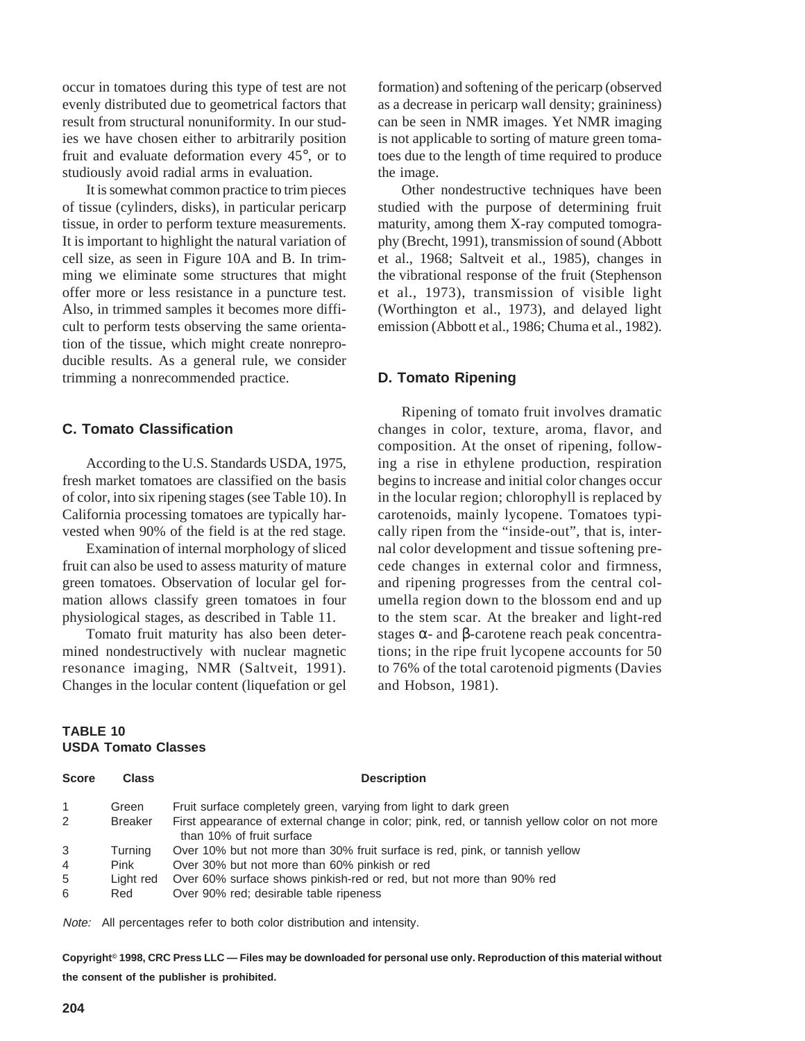occur in tomatoes during this type of test are not evenly distributed due to geometrical factors that result from structural nonuniformity. In our studies we have chosen either to arbitrarily position fruit and evaluate deformation every 45°, or to studiously avoid radial arms in evaluation.

It is somewhat common practice to trim pieces of tissue (cylinders, disks), in particular pericarp tissue, in order to perform texture measurements. It is important to highlight the natural variation of cell size, as seen in Figure 10A and B. In trimming we eliminate some structures that might offer more or less resistance in a puncture test. Also, in trimmed samples it becomes more difficult to perform tests observing the same orientation of the tissue, which might create nonreproducible results. As a general rule, we consider trimming a nonrecommended practice.

## **C. Tomato Classification**

According to the U.S. Standards USDA, 1975, fresh market tomatoes are classified on the basis of color, into six ripening stages (see Table 10). In California processing tomatoes are typically harvested when 90% of the field is at the red stage*.*

Examination of internal morphology of sliced fruit can also be used to assess maturity of mature green tomatoes. Observation of locular gel formation allows classify green tomatoes in four physiological stages, as described in Table 11.

Tomato fruit maturity has also been determined nondestructively with nuclear magnetic resonance imaging, NMR (Saltveit, 1991). Changes in the locular content (liquefation or gel formation) and softening of the pericarp (observed as a decrease in pericarp wall density; graininess) can be seen in NMR images. Yet NMR imaging is not applicable to sorting of mature green tomatoes due to the length of time required to produce the image.

Other nondestructive techniques have been studied with the purpose of determining fruit maturity, among them X-ray computed tomography (Brecht, 1991), transmission of sound (Abbott et al., 1968; Saltveit et al., 1985), changes in the vibrational response of the fruit (Stephenson et al., 1973), transmission of visible light (Worthington et al., 1973), and delayed light emission (Abbott et al., 1986; Chuma et al., 1982).

#### **D. Tomato Ripening**

Ripening of tomato fruit involves dramatic changes in color, texture, aroma, flavor, and composition. At the onset of ripening, following a rise in ethylene production, respiration begins to increase and initial color changes occur in the locular region; chlorophyll is replaced by carotenoids, mainly lycopene. Tomatoes typically ripen from the "inside-out", that is, internal color development and tissue softening precede changes in external color and firmness, and ripening progresses from the central columella region down to the blossom end and up to the stem scar. At the breaker and light-red stages α- and β-carotene reach peak concentrations; in the ripe fruit lycopene accounts for 50 to 76% of the total carotenoid pigments (Davies and Hobson, 1981).

## **TABLE 10 USDA Tomato Classes**

| Score<br><b>Class</b> | <b>Description</b> |
|-----------------------|--------------------|
|-----------------------|--------------------|

| $\mathbf{1}$   | Green          | Fruit surface completely green, varying from light to dark green                                          |
|----------------|----------------|-----------------------------------------------------------------------------------------------------------|
| 2              | <b>Breaker</b> | First appearance of external change in color; pink, red, or tannish yellow color on not more              |
| 3              | Turning        | than 10% of fruit surface<br>Over 10% but not more than 30% fruit surface is red, pink, or tannish yellow |
| $\overline{4}$ | Pink           | Over 30% but not more than 60% pinkish or red                                                             |
| 5              | Light red      | Over 60% surface shows pinkish-red or red, but not more than 90% red                                      |
| -6             | Red            | Over 90% red; desirable table ripeness                                                                    |

Note: All percentages refer to both color distribution and intensity.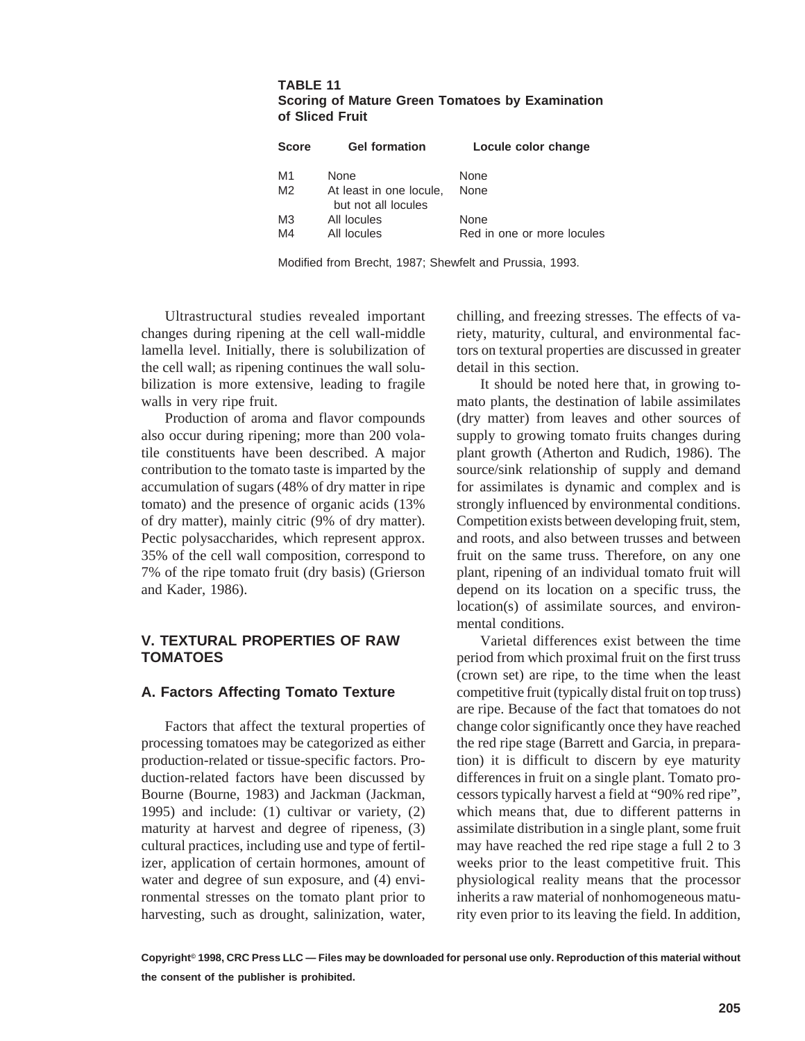## **TABLE 11 Scoring of Mature Green Tomatoes by Examination of Sliced Fruit**

| <b>Score</b>   | <b>Gel formation</b>                           | Locule color change        |
|----------------|------------------------------------------------|----------------------------|
| M1             | None                                           | None                       |
| M <sub>2</sub> | At least in one locule,<br>but not all locules | None                       |
| M <sub>3</sub> | All locules                                    | None                       |
| M4             | All locules                                    | Red in one or more locules |

Modified from Brecht, 1987; Shewfelt and Prussia, 1993.

Ultrastructural studies revealed important changes during ripening at the cell wall-middle lamella level. Initially, there is solubilization of the cell wall; as ripening continues the wall solubilization is more extensive, leading to fragile walls in very ripe fruit.

Production of aroma and flavor compounds also occur during ripening; more than 200 volatile constituents have been described. A major contribution to the tomato taste is imparted by the accumulation of sugars (48% of dry matter in ripe tomato) and the presence of organic acids (13% of dry matter), mainly citric (9% of dry matter). Pectic polysaccharides, which represent approx. 35% of the cell wall composition, correspond to 7% of the ripe tomato fruit (dry basis) (Grierson and Kader, 1986).

## **V. TEXTURAL PROPERTIES OF RAW TOMATOES**

#### **A. Factors Affecting Tomato Texture**

Factors that affect the textural properties of processing tomatoes may be categorized as either production-related or tissue-specific factors. Production-related factors have been discussed by Bourne (Bourne, 1983) and Jackman (Jackman, 1995) and include: (1) cultivar or variety, (2) maturity at harvest and degree of ripeness, (3) cultural practices, including use and type of fertilizer, application of certain hormones, amount of water and degree of sun exposure, and (4) environmental stresses on the tomato plant prior to harvesting, such as drought, salinization, water, chilling, and freezing stresses. The effects of variety, maturity, cultural, and environmental factors on textural properties are discussed in greater detail in this section.

It should be noted here that, in growing tomato plants, the destination of labile assimilates (dry matter) from leaves and other sources of supply to growing tomato fruits changes during plant growth (Atherton and Rudich, 1986). The source/sink relationship of supply and demand for assimilates is dynamic and complex and is strongly influenced by environmental conditions. Competition exists between developing fruit, stem, and roots, and also between trusses and between fruit on the same truss. Therefore, on any one plant, ripening of an individual tomato fruit will depend on its location on a specific truss, the location(s) of assimilate sources, and environmental conditions.

Varietal differences exist between the time period from which proximal fruit on the first truss (crown set) are ripe, to the time when the least competitive fruit (typically distal fruit on top truss) are ripe. Because of the fact that tomatoes do not change color significantly once they have reached the red ripe stage (Barrett and Garcia, in preparation) it is difficult to discern by eye maturity differences in fruit on a single plant. Tomato processors typically harvest a field at "90% red ripe", which means that, due to different patterns in assimilate distribution in a single plant, some fruit may have reached the red ripe stage a full 2 to 3 weeks prior to the least competitive fruit. This physiological reality means that the processor inherits a raw material of nonhomogeneous maturity even prior to its leaving the field. In addition,

**Copyright© 1998, CRC Press LLC — Files may be downloaded for personal use only. Reproduction of this material without the consent of the publisher is prohibited.**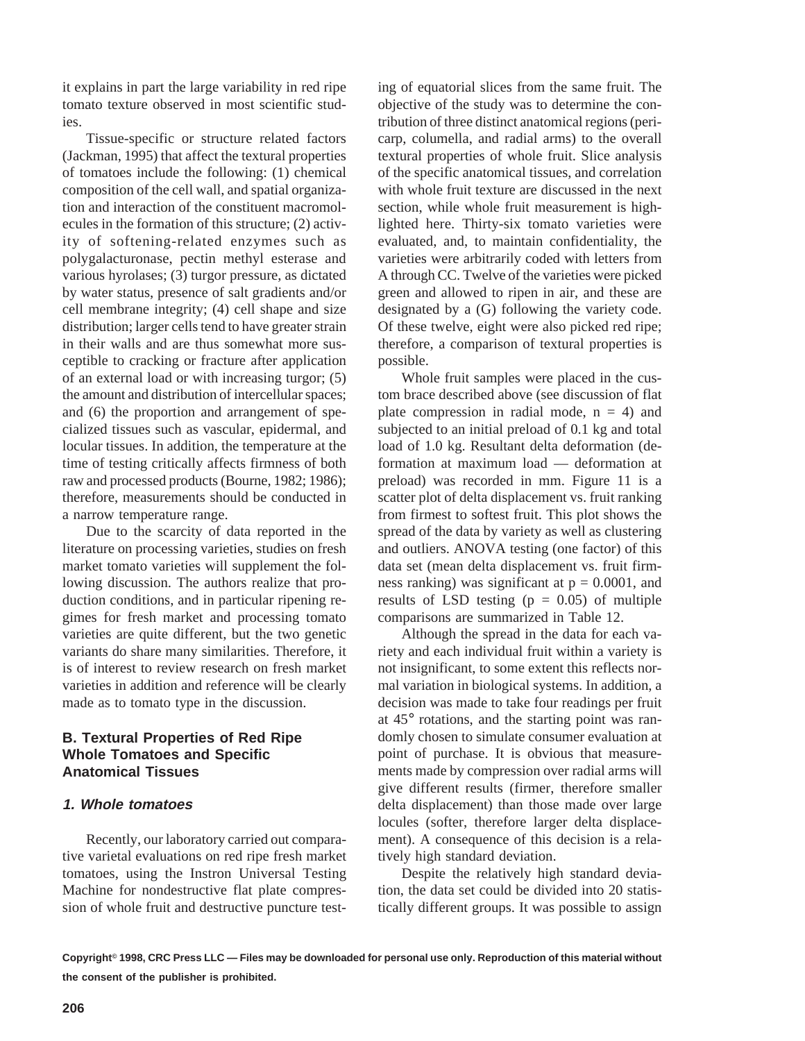it explains in part the large variability in red ripe tomato texture observed in most scientific studies.

Tissue-specific or structure related factors (Jackman, 1995) that affect the textural properties of tomatoes include the following: (1) chemical composition of the cell wall, and spatial organization and interaction of the constituent macromolecules in the formation of this structure; (2) activity of softening-related enzymes such as polygalacturonase, pectin methyl esterase and various hyrolases; (3) turgor pressure, as dictated by water status, presence of salt gradients and/or cell membrane integrity; (4) cell shape and size distribution; larger cells tend to have greater strain in their walls and are thus somewhat more susceptible to cracking or fracture after application of an external load or with increasing turgor; (5) the amount and distribution of intercellular spaces; and (6) the proportion and arrangement of specialized tissues such as vascular, epidermal, and locular tissues. In addition, the temperature at the time of testing critically affects firmness of both raw and processed products (Bourne, 1982; 1986); therefore, measurements should be conducted in a narrow temperature range.

Due to the scarcity of data reported in the literature on processing varieties, studies on fresh market tomato varieties will supplement the following discussion. The authors realize that production conditions, and in particular ripening regimes for fresh market and processing tomato varieties are quite different, but the two genetic variants do share many similarities. Therefore, it is of interest to review research on fresh market varieties in addition and reference will be clearly made as to tomato type in the discussion.

# **B. Textural Properties of Red Ripe Whole Tomatoes and Specific Anatomical Tissues**

#### **1. Whole tomatoes**

Recently, our laboratory carried out comparative varietal evaluations on red ripe fresh market tomatoes, using the Instron Universal Testing Machine for nondestructive flat plate compression of whole fruit and destructive puncture testing of equatorial slices from the same fruit. The objective of the study was to determine the contribution of three distinct anatomical regions (pericarp, columella, and radial arms) to the overall textural properties of whole fruit. Slice analysis of the specific anatomical tissues, and correlation with whole fruit texture are discussed in the next section, while whole fruit measurement is highlighted here. Thirty-six tomato varieties were evaluated, and, to maintain confidentiality, the varieties were arbitrarily coded with letters from A through CC. Twelve of the varieties were picked green and allowed to ripen in air, and these are designated by a (G) following the variety code. Of these twelve, eight were also picked red ripe; therefore, a comparison of textural properties is possible.

Whole fruit samples were placed in the custom brace described above (see discussion of flat plate compression in radial mode,  $n = 4$ ) and subjected to an initial preload of 0.1 kg and total load of 1.0 kg. Resultant delta deformation (deformation at maximum load — deformation at preload) was recorded in mm. Figure 11 is a scatter plot of delta displacement vs. fruit ranking from firmest to softest fruit. This plot shows the spread of the data by variety as well as clustering and outliers. ANOVA testing (one factor) of this data set (mean delta displacement vs. fruit firmness ranking) was significant at  $p = 0.0001$ , and results of LSD testing  $(p = 0.05)$  of multiple comparisons are summarized in Table 12.

Although the spread in the data for each variety and each individual fruit within a variety is not insignificant, to some extent this reflects normal variation in biological systems. In addition, a decision was made to take four readings per fruit at 45° rotations, and the starting point was randomly chosen to simulate consumer evaluation at point of purchase. It is obvious that measurements made by compression over radial arms will give different results (firmer, therefore smaller delta displacement) than those made over large locules (softer, therefore larger delta displacement). A consequence of this decision is a relatively high standard deviation.

Despite the relatively high standard deviation, the data set could be divided into 20 statistically different groups. It was possible to assign

**Copyright© 1998, CRC Press LLC — Files may be downloaded for personal use only. Reproduction of this material without the consent of the publisher is prohibited.**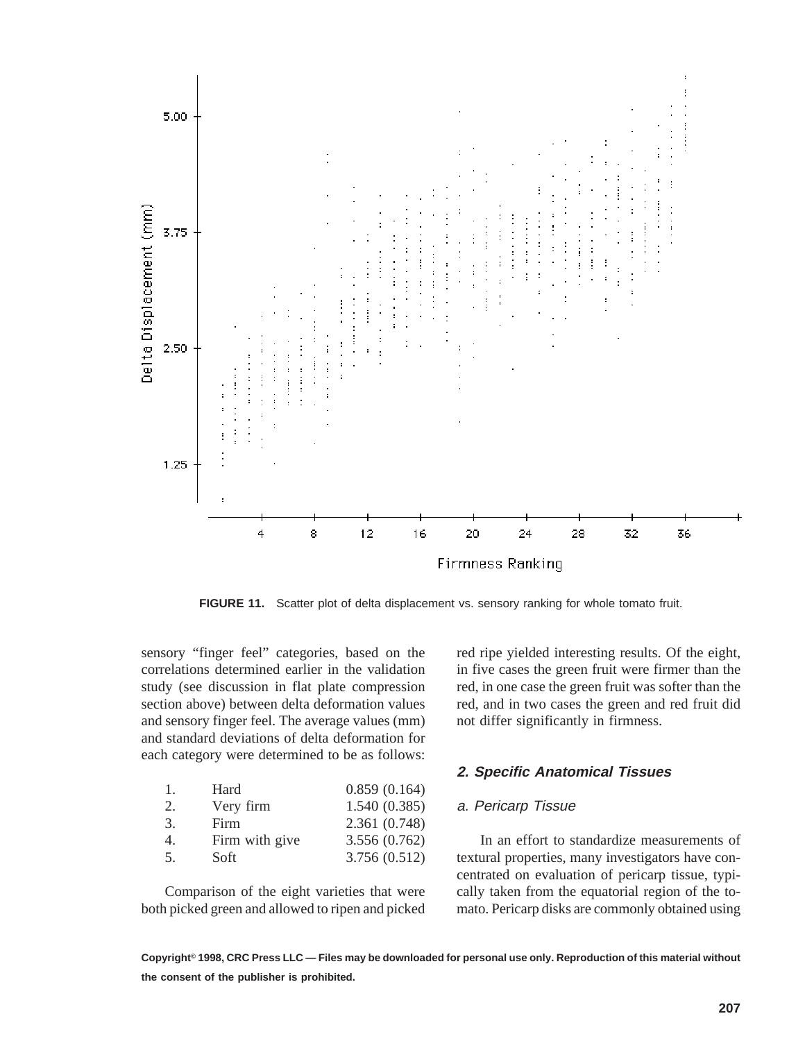

FIGURE 11. Scatter plot of delta displacement vs. sensory ranking for whole tomato fruit.

sensory "finger feel" categories, based on the correlations determined earlier in the validation study (see discussion in flat plate compression section above) between delta deformation values and sensory finger feel. The average values (mm) and standard deviations of delta deformation for each category were determined to be as follows:

| 1.  | Hard           | 0.859(0.164)  |
|-----|----------------|---------------|
| 2.  | Very firm      | 1.540(0.385)  |
| 3.  | Firm           | 2.361 (0.748) |
| 4.  | Firm with give | 3.556 (0.762) |
| .5. | Soft           | 3.756 (0.512) |
|     |                |               |

Comparison of the eight varieties that were both picked green and allowed to ripen and picked red ripe yielded interesting results. Of the eight, in five cases the green fruit were firmer than the red, in one case the green fruit was softer than the red, and in two cases the green and red fruit did not differ significantly in firmness.

#### **2. Specific Anatomical Tissues**

## a. Pericarp Tissue

In an effort to standardize measurements of textural properties, many investigators have concentrated on evaluation of pericarp tissue, typically taken from the equatorial region of the tomato. Pericarp disks are commonly obtained using

**Copyright© 1998, CRC Press LLC — Files may be downloaded for personal use only. Reproduction of this material without the consent of the publisher is prohibited.**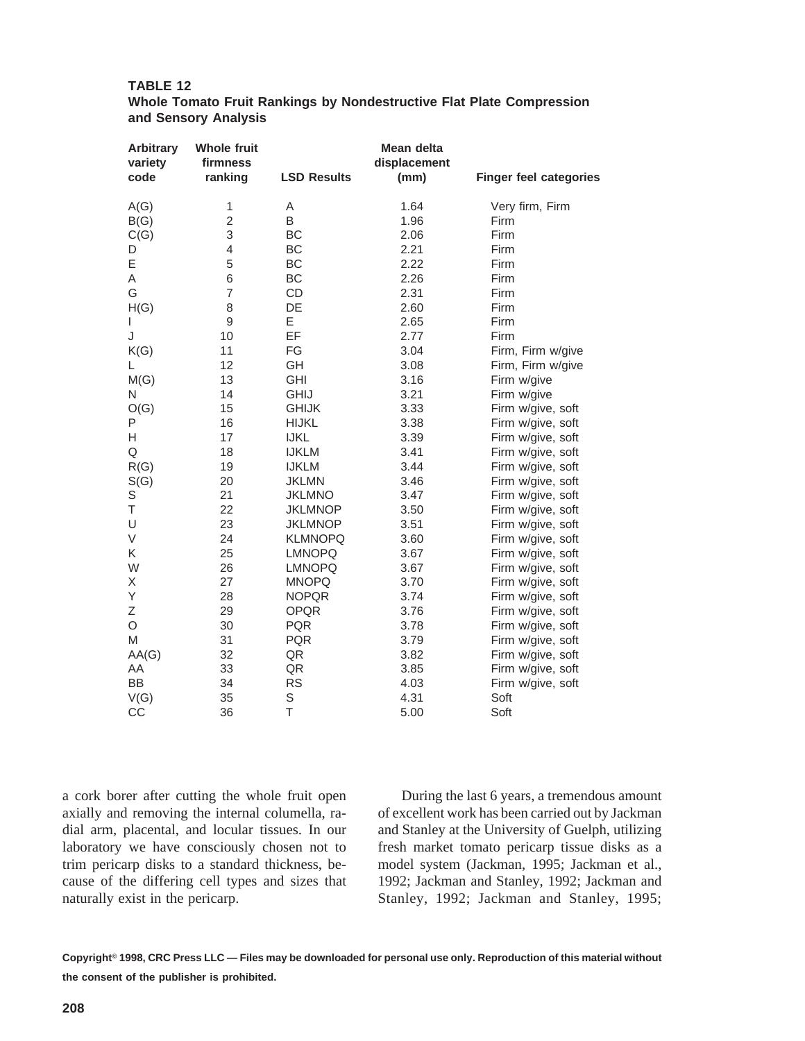## **TABLE 12 Whole Tomato Fruit Rankings by Nondestructive Flat Plate Compression and Sensory Analysis**

| <b>Arbitrary</b><br>variety<br>code | <b>Whole fruit</b><br>firmness<br>ranking | <b>LSD Results</b> | Mean delta<br>displacement<br>(mm) | <b>Finger feel categories</b> |
|-------------------------------------|-------------------------------------------|--------------------|------------------------------------|-------------------------------|
|                                     |                                           |                    |                                    |                               |
| A(G)                                | $\mathbf{1}$                              | Α                  | 1.64                               | Very firm, Firm               |
| B(G)                                | $\overline{c}$                            | B                  | 1.96                               | Firm                          |
| C(G)                                | 3                                         | <b>BC</b>          | 2.06                               | Firm                          |
| D                                   | $\overline{\mathbf{4}}$                   | BC                 | 2.21                               | Firm                          |
| E                                   | 5                                         | BC                 | 2.22                               | Firm                          |
| Α                                   | 6                                         | BC                 | 2.26                               | Firm                          |
| G                                   | $\overline{7}$                            | CD                 | 2.31                               | Firm                          |
| H(G)                                | 8                                         | DE                 | 2.60                               | Firm                          |
| L                                   | 9                                         | E                  | 2.65                               | Firm                          |
| J                                   | 10                                        | EF                 | 2.77                               | Firm                          |
| K(G)                                | 11                                        | FG                 | 3.04                               | Firm, Firm w/give             |
| L.                                  | 12                                        | GH                 | 3.08                               | Firm, Firm w/give             |
| M(G)                                | 13                                        | GHI                | 3.16                               | Firm w/give                   |
| N                                   | 14                                        | <b>GHIJ</b>        | 3.21                               | Firm w/give                   |
| O(G)                                | 15                                        | <b>GHIJK</b>       | 3.33                               | Firm w/give, soft             |
| P                                   | 16                                        | <b>HIJKL</b>       | 3.38                               | Firm w/give, soft             |
| H                                   | 17                                        | <b>IJKL</b>        | 3.39                               | Firm w/give, soft             |
| Q                                   | 18                                        | <b>IJKLM</b>       | 3.41                               | Firm w/give, soft             |
| R(G)                                | 19                                        | <b>IJKLM</b>       | 3.44                               | Firm w/give, soft             |
| S(G)                                | 20                                        | <b>JKLMN</b>       | 3.46                               | Firm w/give, soft             |
| S                                   | 21                                        | <b>JKLMNO</b>      | 3.47                               | Firm w/give, soft             |
| T                                   | 22                                        | <b>JKLMNOP</b>     | 3.50                               | Firm w/give, soft             |
| U                                   | 23                                        | <b>JKLMNOP</b>     | 3.51                               | Firm w/give, soft             |
| V                                   | 24                                        | <b>KLMNOPQ</b>     | 3.60                               | Firm w/give, soft             |
| Κ                                   | 25                                        | <b>LMNOPQ</b>      | 3.67                               | Firm w/give, soft             |
| W                                   | 26                                        | <b>LMNOPQ</b>      | 3.67                               | Firm w/give, soft             |
| Χ                                   | 27                                        | <b>MNOPQ</b>       | 3.70                               | Firm w/give, soft             |
| Υ                                   | 28                                        | <b>NOPQR</b>       | 3.74                               | Firm w/give, soft             |
| Ζ                                   | 29                                        | <b>OPQR</b>        | 3.76                               | Firm w/give, soft             |
| O                                   | 30                                        | <b>PQR</b>         | 3.78                               | Firm w/give, soft             |
| M                                   | 31                                        | <b>PQR</b>         | 3.79                               | Firm w/give, soft             |
| AA(G)                               | 32                                        | QR                 | 3.82                               | Firm w/give, soft             |
| AA                                  | 33                                        | QR                 | 3.85                               | Firm w/give, soft             |
| <b>BB</b>                           | 34                                        | <b>RS</b>          | 4.03                               | Firm w/give, soft             |
| V(G)                                | 35                                        | S                  | 4.31                               | Soft                          |
| CC                                  | 36                                        | T                  | 5.00                               | Soft                          |
|                                     |                                           |                    |                                    |                               |

a cork borer after cutting the whole fruit open axially and removing the internal columella, radial arm, placental, and locular tissues. In our laboratory we have consciously chosen not to trim pericarp disks to a standard thickness, because of the differing cell types and sizes that naturally exist in the pericarp.

During the last 6 years, a tremendous amount of excellent work has been carried out by Jackman and Stanley at the University of Guelph, utilizing fresh market tomato pericarp tissue disks as a model system (Jackman, 1995; Jackman et al., 1992; Jackman and Stanley, 1992; Jackman and Stanley, 1992; Jackman and Stanley, 1995;

**Copyright© 1998, CRC Press LLC — Files may be downloaded for personal use only. Reproduction of this material without the consent of the publisher is prohibited.**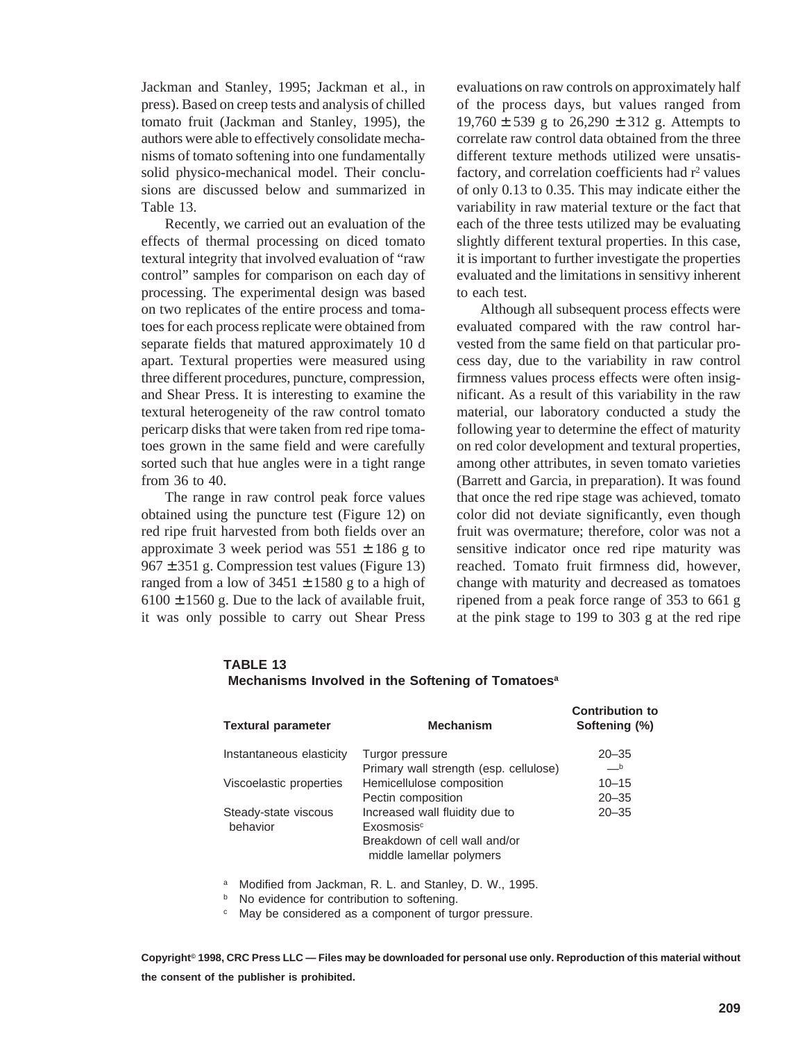Jackman and Stanley, 1995; Jackman et al., in press). Based on creep tests and analysis of chilled tomato fruit (Jackman and Stanley, 1995), the authors were able to effectively consolidate mechanisms of tomato softening into one fundamentally solid physico-mechanical model. Their conclusions are discussed below and summarized in Table 13.

Recently, we carried out an evaluation of the effects of thermal processing on diced tomato textural integrity that involved evaluation of "raw control" samples for comparison on each day of processing. The experimental design was based on two replicates of the entire process and tomatoes for each process replicate were obtained from separate fields that matured approximately 10 d apart. Textural properties were measured using three different procedures, puncture, compression, and Shear Press. It is interesting to examine the textural heterogeneity of the raw control tomato pericarp disks that were taken from red ripe tomatoes grown in the same field and were carefully sorted such that hue angles were in a tight range from 36 to 40.

The range in raw control peak force values obtained using the puncture test (Figure 12) on red ripe fruit harvested from both fields over an approximate 3 week period was  $551 \pm 186$  g to  $967 \pm 351$  g. Compression test values (Figure 13) ranged from a low of  $3451 \pm 1580$  g to a high of  $6100 \pm 1560$  g. Due to the lack of available fruit, it was only possible to carry out Shear Press evaluations on raw controls on approximately half of the process days, but values ranged from  $19,760 \pm 539$  g to  $26,290 \pm 312$  g. Attempts to correlate raw control data obtained from the three different texture methods utilized were unsatisfactory, and correlation coefficients had r<sup>2</sup> values of only 0.13 to 0.35. This may indicate either the variability in raw material texture or the fact that each of the three tests utilized may be evaluating slightly different textural properties. In this case, it is important to further investigate the properties evaluated and the limitations in sensitivy inherent to each test.

Although all subsequent process effects were evaluated compared with the raw control harvested from the same field on that particular process day, due to the variability in raw control firmness values process effects were often insignificant. As a result of this variability in the raw material, our laboratory conducted a study the following year to determine the effect of maturity on red color development and textural properties, among other attributes, in seven tomato varieties (Barrett and Garcia, in preparation). It was found that once the red ripe stage was achieved, tomato color did not deviate significantly, even though fruit was overmature; therefore, color was not a sensitive indicator once red ripe maturity was reached. Tomato fruit firmness did, however, change with maturity and decreased as tomatoes ripened from a peak force range of 353 to 661 g at the pink stage to 199 to 303 g at the red ripe

**Contribution to**

#### **TABLE 13**

| <b>Textural parameter</b> | <b>Mechanism</b>                       | <b>UUIILIIDULIUII LU</b><br>Softening (%) |
|---------------------------|----------------------------------------|-------------------------------------------|
| Instantaneous elasticity  | Turgor pressure                        | $20 - 35$                                 |
|                           | Primary wall strength (esp. cellulose) | $\overline{\phantom{a}}^{\phantom{a}}$    |
| Viscoelastic properties   | Hemicellulose composition              | $10 - 15$                                 |
|                           | Pectin composition                     | $20 - 35$                                 |
| Steady-state viscous      | Increased wall fluidity due to         | $20 - 35$                                 |
| behavior                  | Exosmosis <sup>c</sup>                 |                                           |
|                           | Breakdown of cell wall and/or          |                                           |
|                           | middle lamellar polymers               |                                           |

a Modified from Jackman, R. L. and Stanley, D. W., 1995.

**b** No evidence for contribution to softening.

May be considered as a component of turgor pressure.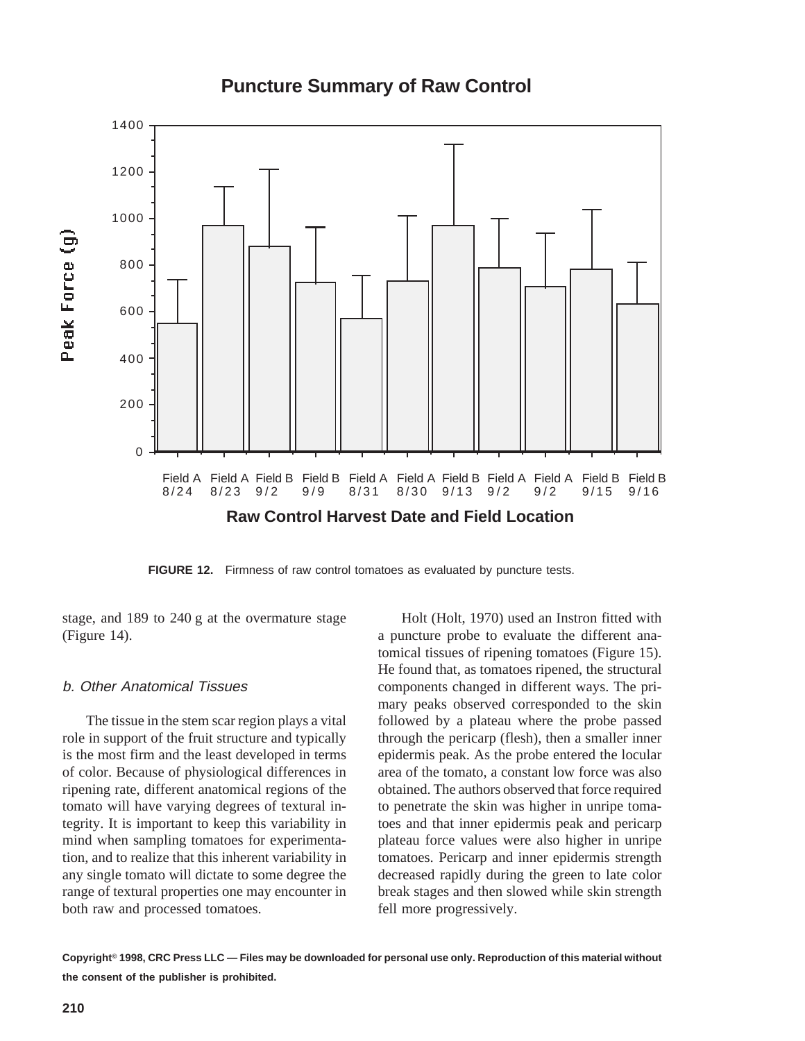# **Puncture Summary of Raw Control**



**FIGURE 12.** Firmness of raw control tomatoes as evaluated by puncture tests.

stage, and 189 to 240 g at the overmature stage (Figure 14).

#### b. Other Anatomical Tissues

The tissue in the stem scar region plays a vital role in support of the fruit structure and typically is the most firm and the least developed in terms of color. Because of physiological differences in ripening rate, different anatomical regions of the tomato will have varying degrees of textural integrity. It is important to keep this variability in mind when sampling tomatoes for experimentation, and to realize that this inherent variability in any single tomato will dictate to some degree the range of textural properties one may encounter in both raw and processed tomatoes.

Holt (Holt, 1970) used an Instron fitted with a puncture probe to evaluate the different anatomical tissues of ripening tomatoes (Figure 15). He found that, as tomatoes ripened, the structural components changed in different ways. The primary peaks observed corresponded to the skin followed by a plateau where the probe passed through the pericarp (flesh), then a smaller inner epidermis peak. As the probe entered the locular area of the tomato, a constant low force was also obtained. The authors observed that force required to penetrate the skin was higher in unripe tomatoes and that inner epidermis peak and pericarp plateau force values were also higher in unripe tomatoes. Pericarp and inner epidermis strength decreased rapidly during the green to late color break stages and then slowed while skin strength fell more progressively.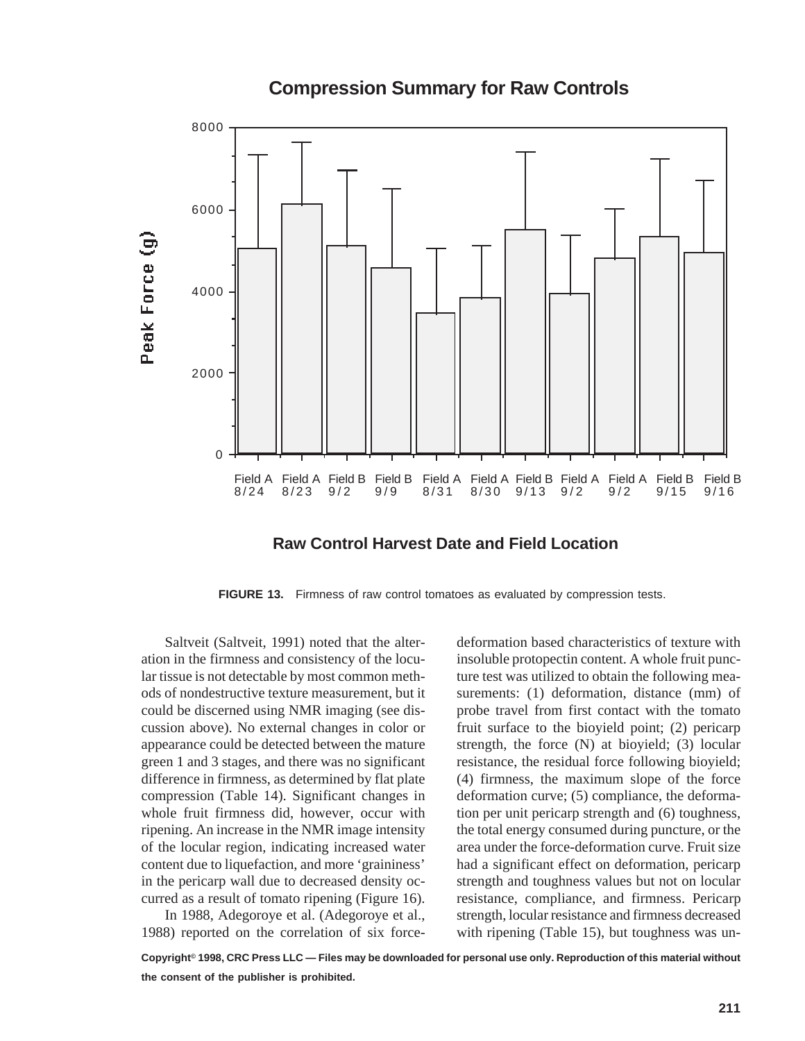# **Compression Summary for Raw Controls**



**Raw Control Harvest Date and Field Location**

**FIGURE 13.** Firmness of raw control tomatoes as evaluated by compression tests.

Saltveit (Saltveit, 1991) noted that the alteration in the firmness and consistency of the locular tissue is not detectable by most common methods of nondestructive texture measurement, but it could be discerned using NMR imaging (see discussion above). No external changes in color or appearance could be detected between the mature green 1 and 3 stages, and there was no significant difference in firmness, as determined by flat plate compression (Table 14). Significant changes in whole fruit firmness did, however, occur with ripening. An increase in the NMR image intensity of the locular region, indicating increased water content due to liquefaction, and more 'graininess' in the pericarp wall due to decreased density occurred as a result of tomato ripening (Figure 16).

In 1988, Adegoroye et al. (Adegoroye et al., 1988) reported on the correlation of six forcedeformation based characteristics of texture with insoluble protopectin content. A whole fruit puncture test was utilized to obtain the following measurements: (1) deformation, distance (mm) of probe travel from first contact with the tomato fruit surface to the bioyield point; (2) pericarp strength, the force (N) at bioyield; (3) locular resistance, the residual force following bioyield; (4) firmness, the maximum slope of the force deformation curve; (5) compliance, the deformation per unit pericarp strength and (6) toughness, the total energy consumed during puncture, or the area under the force-deformation curve. Fruit size had a significant effect on deformation, pericarp strength and toughness values but not on locular resistance, compliance, and firmness. Pericarp strength, locular resistance and firmness decreased with ripening (Table 15), but toughness was un-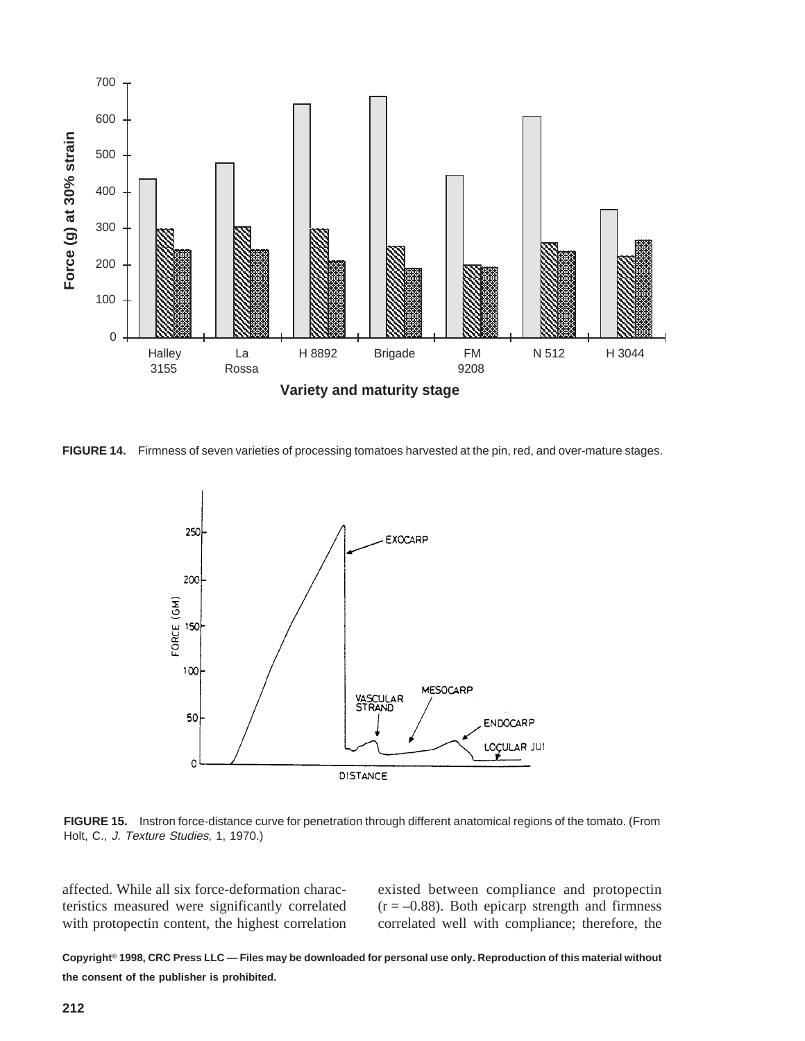

**FIGURE 14.** Firmness of seven varieties of processing tomatoes harvested at the pin, red, and over-mature stages.



**FIGURE 15.** Instron force-distance curve for penetration through different anatomical regions of the tomato. (From Holt, C., J. Texture Studies, 1, 1970.)

affected. While all six force-deformation characteristics measured were significantly correlated with protopectin content, the highest correlation existed between compliance and protopectin  $(r = -0.88)$ . Both epicarp strength and firmness correlated well with compliance; therefore, the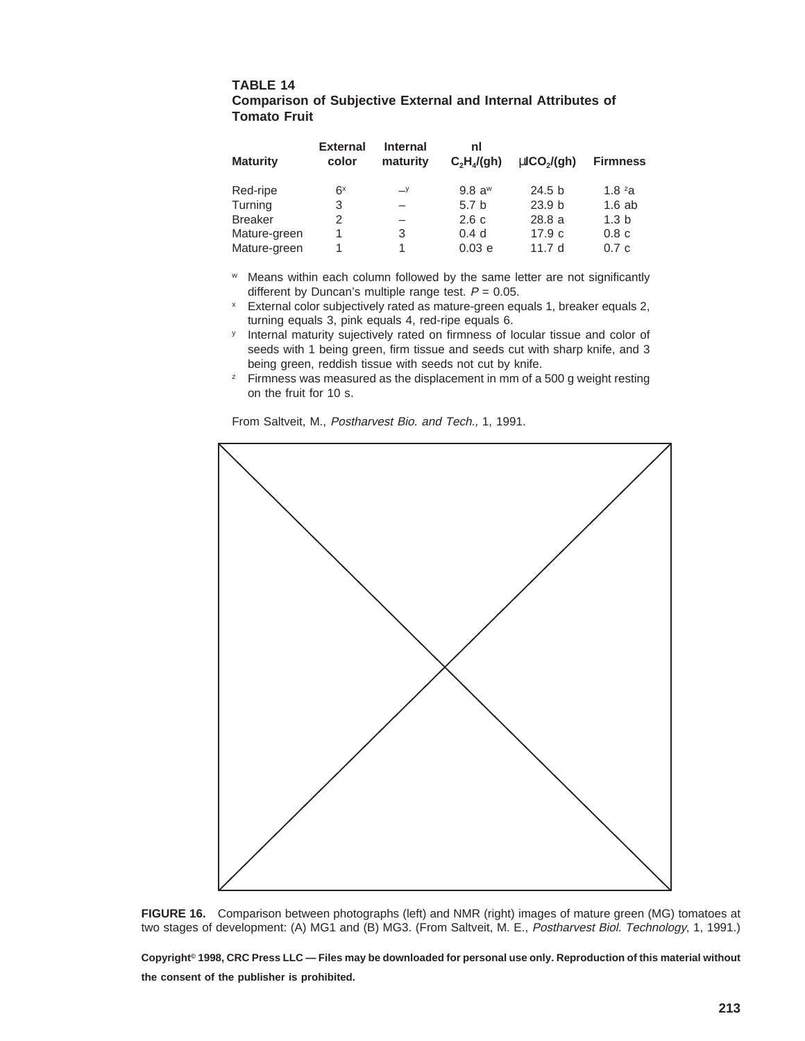#### **TABLE 14 Comparison of Subjective External and Internal Attributes of Tomato Fruit**

| <b>Maturity</b> | <b>External</b><br>color | <b>Internal</b><br>maturity | nl<br>$C_2H_4$ /(gh) | $\mu$ ICO <sub>2</sub> $(gh)$ | <b>Firmness</b>  |
|-----------------|--------------------------|-----------------------------|----------------------|-------------------------------|------------------|
| Red-ripe        | 6×                       | $-y$                        | $9.8a$ <sup>w</sup>  | 24.5 <sub>b</sub>             | 1.8 $z_{\rm A}$  |
| Turning         | 3                        |                             | 5.7 <sub>b</sub>     | 23.9 <sub>b</sub>             | 1.6ab            |
| <b>Breaker</b>  | 2                        |                             | 2.6c                 | 28.8a                         | 1.3 <sub>b</sub> |
| Mature-green    | 1                        | 3                           | 0.4 <sub>d</sub>     | 17.9c                         | 0.8c             |
| Mature-green    | 1                        |                             | 0.03 e               | 11.7 $d$                      | 0.7c             |

- <sup>w</sup> Means within each column followed by the same letter are not significantly different by Duncan's multiple range test.  $P = 0.05$ .
- <sup>x</sup> External color subjectively rated as mature-green equals 1, breaker equals 2, turning equals 3, pink equals 4, red-ripe equals 6.
- <sup>y</sup> Internal maturity sujectively rated on firmness of locular tissue and color of seeds with 1 being green, firm tissue and seeds cut with sharp knife, and 3 being green, reddish tissue with seeds not cut by knife.
- $2^{\circ}$  Firmness was measured as the displacement in mm of a 500 g weight resting on the fruit for 10 s.

From Saltveit, M., Postharvest Bio. and Tech., 1, 1991.



**FIGURE 16.** Comparison between photographs (left) and NMR (right) images of mature green (MG) tomatoes at two stages of development: (A) MG1 and (B) MG3. (From Saltveit, M. E., Postharvest Biol. Technology, 1, 1991.)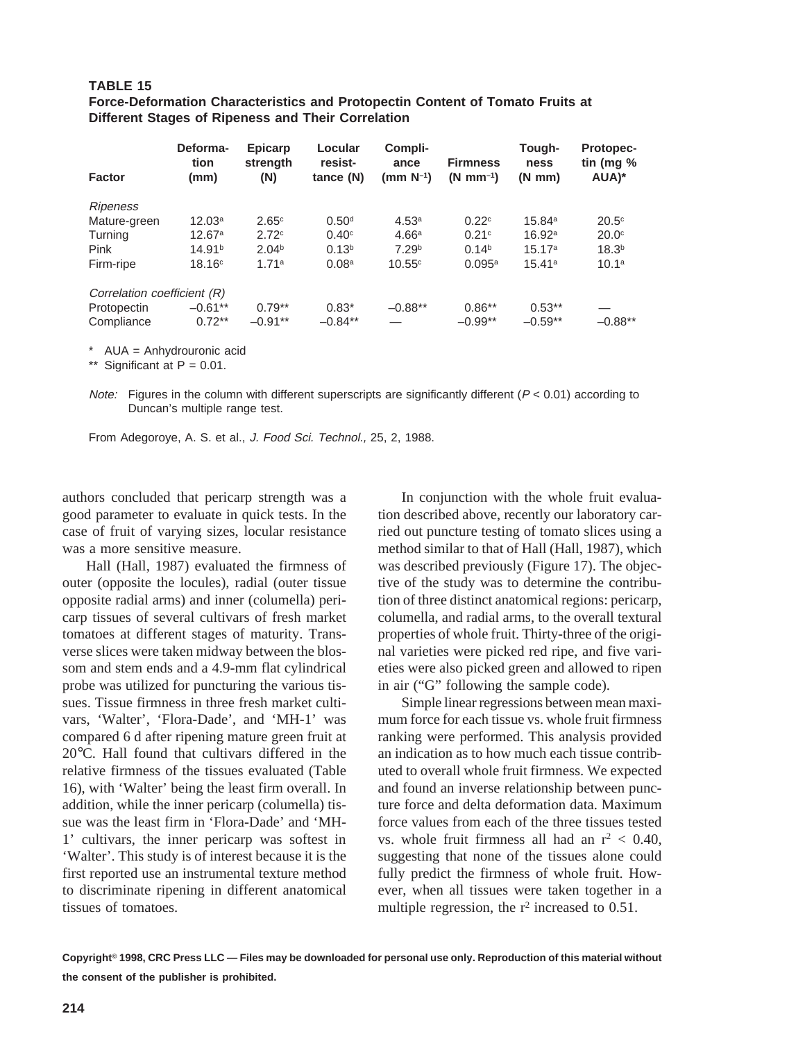#### **TABLE 15 Force-Deformation Characteristics and Protopectin Content of Tomato Fruits at Different Stages of Ripeness and Their Correlation**

| <b>Factor</b>               | Deforma-<br>tion<br>(mm) | Epicarp<br>strength<br>(N) | Locular<br>resist-<br>tance(N) | Compli-<br>ance<br>(mm $N^{-1}$ ) | <b>Firmness</b><br>$(N \, \text{mm}^{-1})$ | Tough-<br>ness<br>$(N \text{ mm})$ | <b>Protopec-</b><br>tin (mg $%$<br>AUA)* |
|-----------------------------|--------------------------|----------------------------|--------------------------------|-----------------------------------|--------------------------------------------|------------------------------------|------------------------------------------|
| <b>Ripeness</b>             |                          |                            |                                |                                   |                                            |                                    |                                          |
| Mature-green                | 12.03 <sup>a</sup>       | 2.65c                      | 0.50 <sup>d</sup>              | 4.53 <sup>a</sup>                 | 0.22c                                      | 15.84a                             | 20.5 <sup>c</sup>                        |
| Turning                     | 12.67 <sup>a</sup>       | 2.72 <sup>c</sup>          | 0.40 <sup>c</sup>              | 4.66 <sup>a</sup>                 | 0.21c                                      | 16.92 <sup>a</sup>                 | 20.0 <sup>c</sup>                        |
| Pink                        | 14.91 <sup>b</sup>       | 2.04 <sup>b</sup>          | 0.13 <sup>b</sup>              | 7.29 <sup>b</sup>                 | 0.14 <sup>b</sup>                          | 15.17a                             | 18.3 <sup>b</sup>                        |
| Firm-ripe                   | 18.16c                   | 1.71a                      | 0.08 <sup>a</sup>              | 10.55c                            | 0.095a                                     | 15.41a                             | 10.1 <sup>a</sup>                        |
| Correlation coefficient (R) |                          |                            |                                |                                   |                                            |                                    |                                          |
| Protopectin                 | $-0.61**$                | $0.79**$                   | $0.83*$                        | $-0.88**$                         | $0.86***$                                  | $0.53**$                           |                                          |
| Compliance                  | $0.72**$                 | $-0.91**$                  | $-0.84**$                      |                                   | $-0.99**$                                  | $-0.59**$                          | $-0.88**$                                |

\* AUA = Anhydrouronic acid

\*\* Significant at  $P = 0.01$ .

Note: Figures in the column with different superscripts are significantly different ( $P < 0.01$ ) according to Duncan's multiple range test.

From Adegoroye, A. S. et al., J. Food Sci. Technol., 25, 2, 1988.

authors concluded that pericarp strength was a good parameter to evaluate in quick tests. In the case of fruit of varying sizes, locular resistance was a more sensitive measure.

Hall (Hall, 1987) evaluated the firmness of outer (opposite the locules), radial (outer tissue opposite radial arms) and inner (columella) pericarp tissues of several cultivars of fresh market tomatoes at different stages of maturity. Transverse slices were taken midway between the blossom and stem ends and a 4.9-mm flat cylindrical probe was utilized for puncturing the various tissues. Tissue firmness in three fresh market cultivars, 'Walter', 'Flora-Dade', and 'MH-1' was compared 6 d after ripening mature green fruit at 20°C. Hall found that cultivars differed in the relative firmness of the tissues evaluated (Table 16), with 'Walter' being the least firm overall. In addition, while the inner pericarp (columella) tissue was the least firm in 'Flora-Dade' and 'MH-1' cultivars, the inner pericarp was softest in 'Walter'. This study is of interest because it is the first reported use an instrumental texture method to discriminate ripening in different anatomical tissues of tomatoes.

In conjunction with the whole fruit evaluation described above, recently our laboratory carried out puncture testing of tomato slices using a method similar to that of Hall (Hall, 1987), which was described previously (Figure 17). The objective of the study was to determine the contribution of three distinct anatomical regions: pericarp, columella, and radial arms, to the overall textural properties of whole fruit. Thirty-three of the original varieties were picked red ripe, and five varieties were also picked green and allowed to ripen in air ("G" following the sample code).

Simple linear regressions between mean maximum force for each tissue vs. whole fruit firmness ranking were performed. This analysis provided an indication as to how much each tissue contributed to overall whole fruit firmness. We expected and found an inverse relationship between puncture force and delta deformation data. Maximum force values from each of the three tissues tested vs. whole fruit firmness all had an  $r^2$  < 0.40, suggesting that none of the tissues alone could fully predict the firmness of whole fruit. However, when all tissues were taken together in a multiple regression, the  $r^2$  increased to 0.51.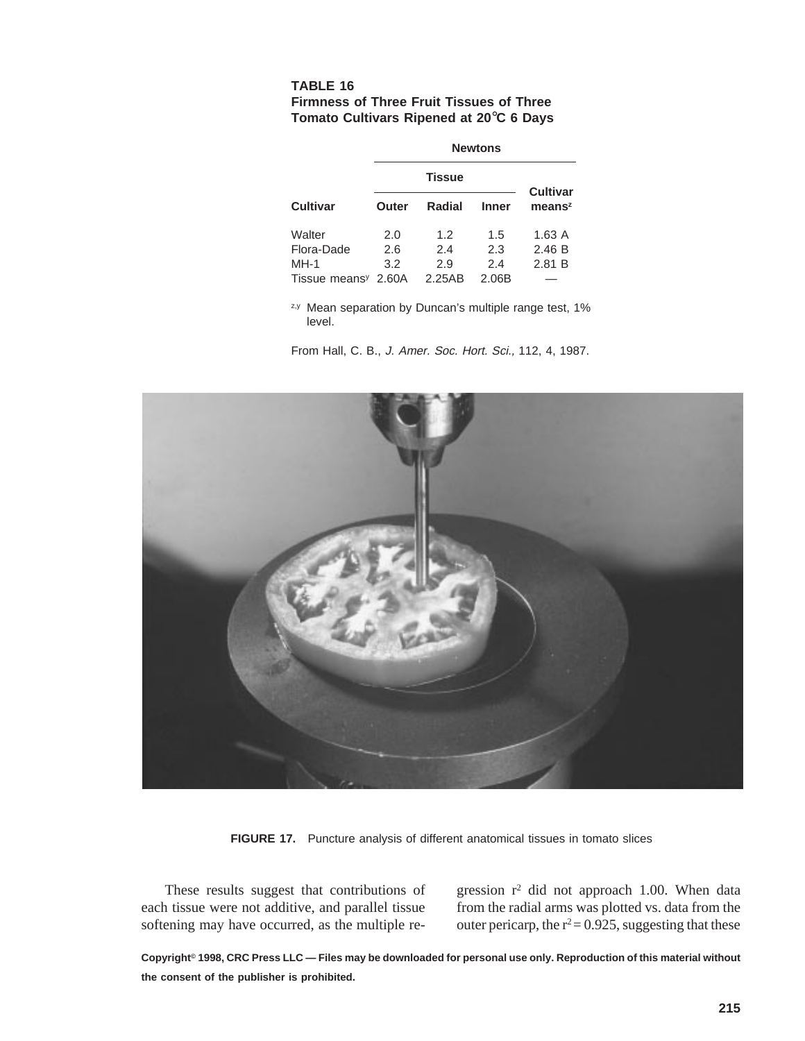#### **TABLE 16 Firmness of Three Fruit Tissues of Three Tomato Cultivars Ripened at 20**°**C 6 Days**

|                                 |       |               | <b>Newtons</b> |                    |
|---------------------------------|-------|---------------|----------------|--------------------|
|                                 |       | <b>Tissue</b> |                |                    |
| <b>Cultivar</b>                 | Outer | Radial        | <b>Inner</b>   | Cultivar<br>meansz |
| Walter                          | 2.0   | 1.2           | 1.5            | 1.63A              |
| Flora-Dade                      | 2.6   | 2.4           | 2.3            | $2.46\ B$          |
| $MH-1$                          | 3.2   | 2.9           | 2.4            | 2.81 B             |
| Tissue means <sup>y</sup> 2.60A |       | 2.25AB        | 2.06B          |                    |

z,y Mean separation by Duncan's multiple range test, 1% level.

From Hall, C. B., J. Amer. Soc. Hort. Sci., 112, 4, 1987.



**FIGURE 17.** Puncture analysis of different anatomical tissues in tomato slices

These results suggest that contributions of each tissue were not additive, and parallel tissue softening may have occurred, as the multiple regression  $r^2$  did not approach 1.00. When data from the radial arms was plotted vs. data from the outer pericarp, the  $r^2 = 0.925$ , suggesting that these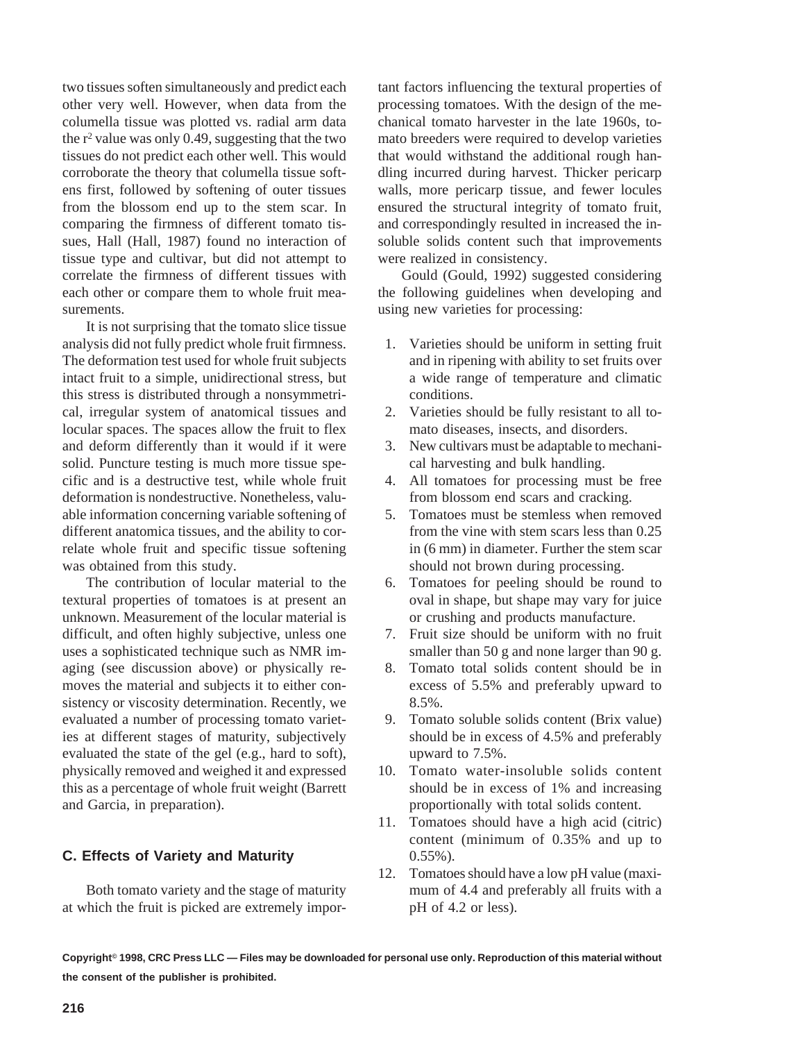two tissues soften simultaneously and predict each other very well. However, when data from the columella tissue was plotted vs. radial arm data the  $r^2$  value was only 0.49, suggesting that the two tissues do not predict each other well. This would corroborate the theory that columella tissue softens first, followed by softening of outer tissues from the blossom end up to the stem scar. In comparing the firmness of different tomato tissues, Hall (Hall, 1987) found no interaction of tissue type and cultivar, but did not attempt to correlate the firmness of different tissues with each other or compare them to whole fruit measurements.

It is not surprising that the tomato slice tissue analysis did not fully predict whole fruit firmness. The deformation test used for whole fruit subjects intact fruit to a simple, unidirectional stress, but this stress is distributed through a nonsymmetrical, irregular system of anatomical tissues and locular spaces. The spaces allow the fruit to flex and deform differently than it would if it were solid. Puncture testing is much more tissue specific and is a destructive test, while whole fruit deformation is nondestructive. Nonetheless, valuable information concerning variable softening of different anatomica tissues, and the ability to correlate whole fruit and specific tissue softening was obtained from this study.

The contribution of locular material to the textural properties of tomatoes is at present an unknown. Measurement of the locular material is difficult, and often highly subjective, unless one uses a sophisticated technique such as NMR imaging (see discussion above) or physically removes the material and subjects it to either consistency or viscosity determination. Recently, we evaluated a number of processing tomato varieties at different stages of maturity, subjectively evaluated the state of the gel (e.g., hard to soft), physically removed and weighed it and expressed this as a percentage of whole fruit weight (Barrett and Garcia, in preparation).

# **C. Effects of Variety and Maturity**

Both tomato variety and the stage of maturity at which the fruit is picked are extremely important factors influencing the textural properties of processing tomatoes. With the design of the mechanical tomato harvester in the late 1960s, tomato breeders were required to develop varieties that would withstand the additional rough handling incurred during harvest. Thicker pericarp walls, more pericarp tissue, and fewer locules ensured the structural integrity of tomato fruit, and correspondingly resulted in increased the insoluble solids content such that improvements were realized in consistency.

Gould (Gould, 1992) suggested considering the following guidelines when developing and using new varieties for processing:

- 1. Varieties should be uniform in setting fruit and in ripening with ability to set fruits over a wide range of temperature and climatic conditions.
- 2. Varieties should be fully resistant to all tomato diseases, insects, and disorders.
- 3. New cultivars must be adaptable to mechanical harvesting and bulk handling.
- 4. All tomatoes for processing must be free from blossom end scars and cracking.
- 5. Tomatoes must be stemless when removed from the vine with stem scars less than 0.25 in (6 mm) in diameter. Further the stem scar should not brown during processing.
- 6. Tomatoes for peeling should be round to oval in shape, but shape may vary for juice or crushing and products manufacture.
- 7. Fruit size should be uniform with no fruit smaller than 50 g and none larger than 90 g.
- 8. Tomato total solids content should be in excess of 5.5% and preferably upward to  $8.5\%$ .
- 9. Tomato soluble solids content (Brix value) should be in excess of 4.5% and preferably upward to 7.5%.
- 10. Tomato water-insoluble solids content should be in excess of 1% and increasing proportionally with total solids content.
- 11. Tomatoes should have a high acid (citric) content (minimum of 0.35% and up to  $0.55\%$ ).
- 12. Tomatoes should have a low pH value (maximum of 4.4 and preferably all fruits with a pH of 4.2 or less).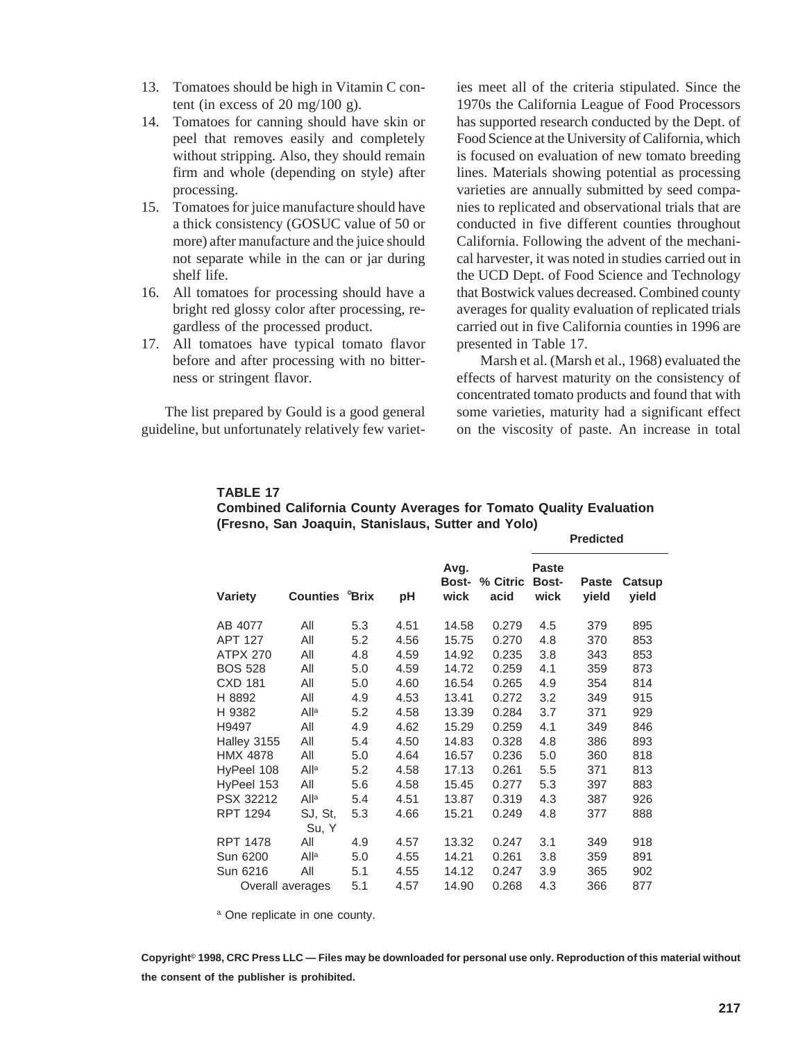- 13. Tomatoes should be high in Vitamin C content (in excess of 20 mg/100 g).
- 14. Tomatoes for canning should have skin or peel that removes easily and completely without stripping. Also, they should remain firm and whole (depending on style) after processing.
- 15. Tomatoes for juice manufacture should have a thick consistency (GOSUC value of 50 or more) after manufacture and the juice should not separate while in the can or jar during shelf life.
- 16. All tomatoes for processing should have a bright red glossy color after processing, regardless of the processed product.
- 17. All tomatoes have typical tomato flavor before and after processing with no bitterness or stringent flavor.

The list prepared by Gould is a good general guideline, but unfortunately relatively few varieties meet all of the criteria stipulated. Since the 1970s the California League of Food Processors has supported research conducted by the Dept. of Food Science at the University of California, which is focused on evaluation of new tomato breeding lines. Materials showing potential as processing varieties are annually submitted by seed companies to replicated and observational trials that are conducted in five different counties throughout California. Following the advent of the mechanical harvester, it was noted in studies carried out in the UCD Dept. of Food Science and Technology that Bostwick values decreased. Combined county averages for quality evaluation of replicated trials carried out in five California counties in 1996 are presented in Table 17.

Marsh et al. (Marsh et al., 1968) evaluated the effects of harvest maturity on the consistency of concentrated tomato products and found that with some varieties, maturity had a significant effect on the viscosity of paste. An increase in total

**Predicted**

| <b>Variety</b>  | <b>Counties <sup>o</sup>Brix</b> |     | рH   | Avg.<br>Bost-<br>wick | % Citric<br>acid | <b>Paste</b><br><b>Bost-</b><br>wick | Paste<br>yield | Catsup<br>yield |
|-----------------|----------------------------------|-----|------|-----------------------|------------------|--------------------------------------|----------------|-----------------|
| AB 4077         | All                              | 5.3 | 4.51 | 14.58                 | 0.279            | 4.5                                  | 379            | 895             |
| <b>APT 127</b>  | All                              | 5.2 | 4.56 | 15.75                 | 0.270            | 4.8                                  | 370            | 853             |
| <b>ATPX 270</b> | All                              | 4.8 | 4.59 | 14.92                 | 0.235            | 3.8                                  | 343            | 853             |
| <b>BOS 528</b>  | All                              | 5.0 | 4.59 | 14.72                 | 0.259            | 4.1                                  | 359            | 873             |
| <b>CXD 181</b>  | All                              | 5.0 | 4.60 | 16.54                 | 0.265            | 4.9                                  | 354            | 814             |
| H 8892          | All                              | 4.9 | 4.53 | 13.41                 | 0.272            | 3.2                                  | 349            | 915             |
| H 9382          | Alla                             | 5.2 | 4.58 | 13.39                 | 0.284            | 3.7                                  | 371            | 929             |
| H9497           | All                              | 4.9 | 4.62 | 15.29                 | 0.259            | 4.1                                  | 349            | 846             |
| Halley 3155     | All                              | 5.4 | 4.50 | 14.83                 | 0.328            | 4.8                                  | 386            | 893             |
| <b>HMX 4878</b> | All                              | 5.0 | 4.64 | 16.57                 | 0.236            | 5.0                                  | 360            | 818             |
| HyPeel 108      | Alla                             | 5.2 | 4.58 | 17.13                 | 0.261            | 5.5                                  | 371            | 813             |
| HyPeel 153      | All                              | 5.6 | 4.58 | 15.45                 | 0.277            | 5.3                                  | 397            | 883             |
| PSX 32212       | Alla                             | 5.4 | 4.51 | 13.87                 | 0.319            | 4.3                                  | 387            | 926             |
| <b>RPT 1294</b> | SJ, St,<br>Su, Y                 | 5.3 | 4.66 | 15.21                 | 0.249            | 4.8                                  | 377            | 888             |
| <b>RPT 1478</b> | All                              | 4.9 | 4.57 | 13.32                 | 0.247            | 3.1                                  | 349            | 918             |
| Sun 6200        | Alla                             | 5.0 | 4.55 | 14.21                 | 0.261            | 3.8                                  | 359            | 891             |
| Sun 6216        | All                              | 5.1 | 4.55 | 14.12                 | 0.247            | 3.9                                  | 365            | 902             |
|                 | Overall averages                 | 5.1 | 4.57 | 14.90                 | 0.268            | 4.3                                  | 366            | 877             |

**TABLE 17 Combined California County Averages for Tomato Quality Evaluation (Fresno, San Joaquin, Stanislaus, Sutter and Yolo)**

a One replicate in one county.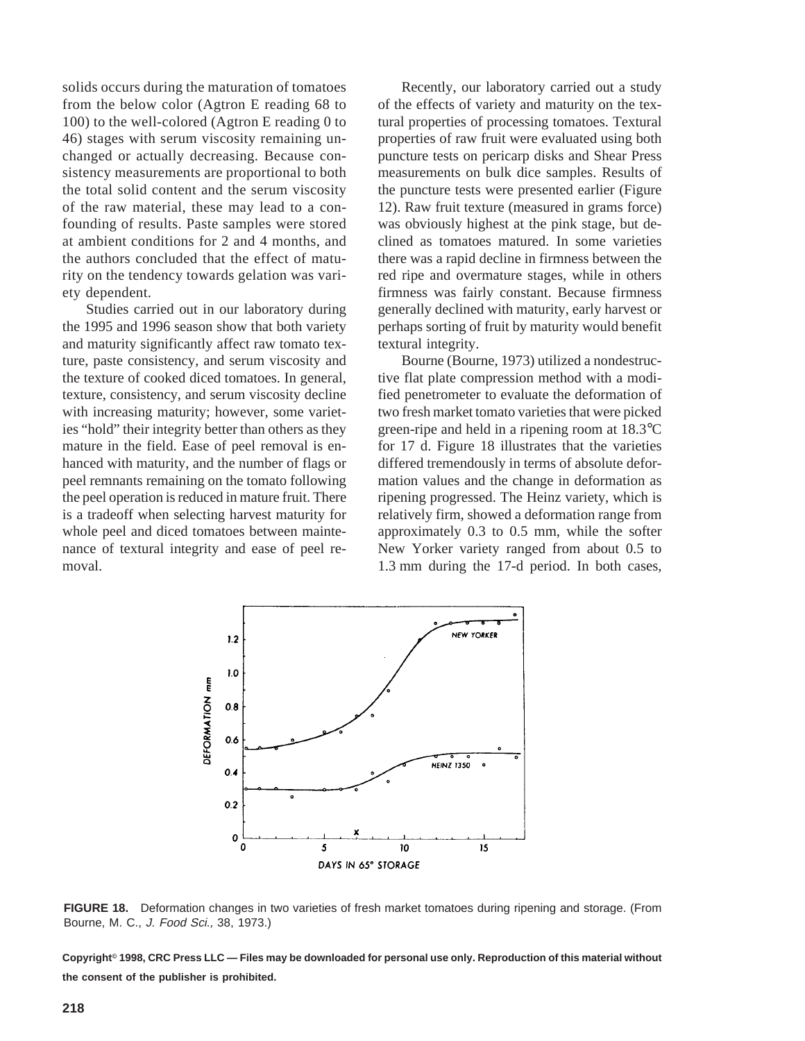solids occurs during the maturation of tomatoes from the below color (Agtron E reading 68 to 100) to the well-colored (Agtron E reading 0 to 46) stages with serum viscosity remaining unchanged or actually decreasing. Because consistency measurements are proportional to both the total solid content and the serum viscosity of the raw material, these may lead to a confounding of results. Paste samples were stored at ambient conditions for 2 and 4 months, and the authors concluded that the effect of maturity on the tendency towards gelation was variety dependent.

Studies carried out in our laboratory during the 1995 and 1996 season show that both variety and maturity significantly affect raw tomato texture, paste consistency, and serum viscosity and the texture of cooked diced tomatoes. In general, texture, consistency, and serum viscosity decline with increasing maturity; however, some varieties "hold" their integrity better than others as they mature in the field. Ease of peel removal is enhanced with maturity, and the number of flags or peel remnants remaining on the tomato following the peel operation is reduced in mature fruit. There is a tradeoff when selecting harvest maturity for whole peel and diced tomatoes between maintenance of textural integrity and ease of peel removal.

Recently, our laboratory carried out a study of the effects of variety and maturity on the textural properties of processing tomatoes. Textural properties of raw fruit were evaluated using both puncture tests on pericarp disks and Shear Press measurements on bulk dice samples. Results of the puncture tests were presented earlier (Figure 12). Raw fruit texture (measured in grams force) was obviously highest at the pink stage, but declined as tomatoes matured. In some varieties there was a rapid decline in firmness between the red ripe and overmature stages, while in others firmness was fairly constant. Because firmness generally declined with maturity, early harvest or perhaps sorting of fruit by maturity would benefit textural integrity.

Bourne (Bourne, 1973) utilized a nondestructive flat plate compression method with a modified penetrometer to evaluate the deformation of two fresh market tomato varieties that were picked green-ripe and held in a ripening room at 18.3°C for 17 d. Figure 18 illustrates that the varieties differed tremendously in terms of absolute deformation values and the change in deformation as ripening progressed. The Heinz variety, which is relatively firm, showed a deformation range from approximately 0.3 to 0.5 mm, while the softer New Yorker variety ranged from about 0.5 to 1.3 mm during the 17-d period. In both cases,



**FIGURE 18.** Deformation changes in two varieties of fresh market tomatoes during ripening and storage. (From Bourne, M. C., J. Food Sci., 38, 1973.)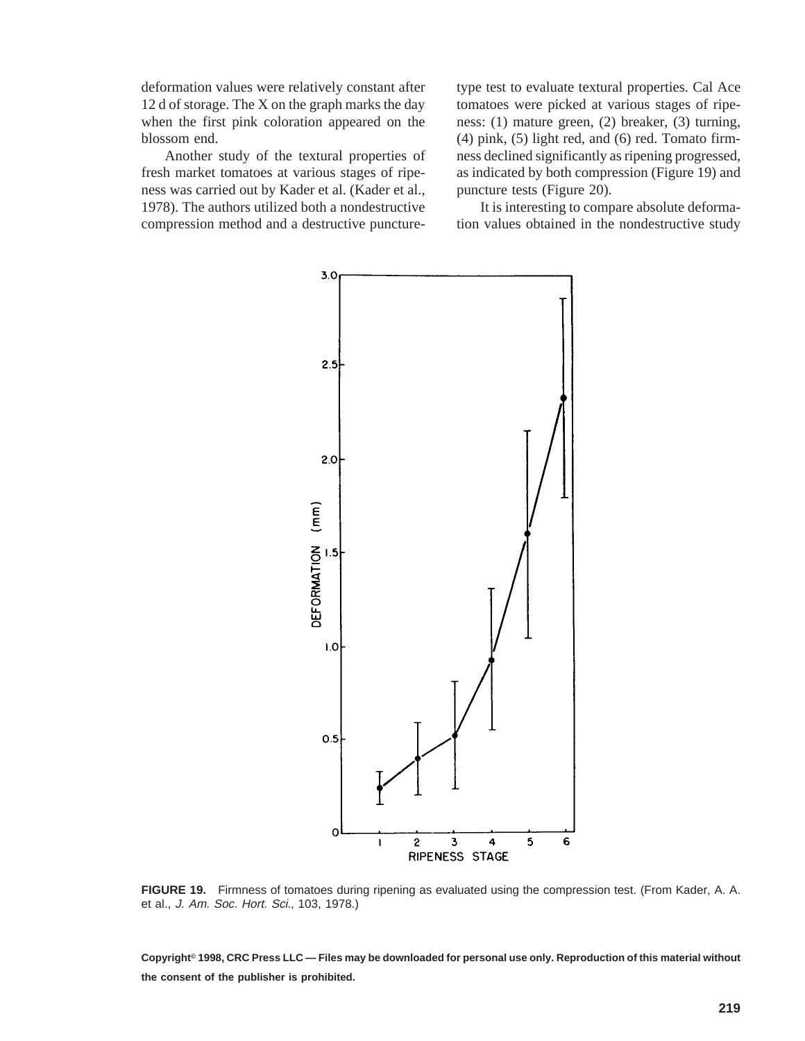deformation values were relatively constant after 12 d of storage. The X on the graph marks the day when the first pink coloration appeared on the blossom end.

Another study of the textural properties of fresh market tomatoes at various stages of ripeness was carried out by Kader et al. (Kader et al., 1978). The authors utilized both a nondestructive compression method and a destructive puncturetype test to evaluate textural properties. Cal Ace tomatoes were picked at various stages of ripeness: (1) mature green, (2) breaker, (3) turning, (4) pink, (5) light red, and (6) red. Tomato firmness declined significantly as ripening progressed, as indicated by both compression (Figure 19) and puncture tests (Figure 20).

It is interesting to compare absolute deformation values obtained in the nondestructive study



**FIGURE 19.** Firmness of tomatoes during ripening as evaluated using the compression test. (From Kader, A. A. et al., J. Am. Soc. Hort. Sci., 103, 1978.)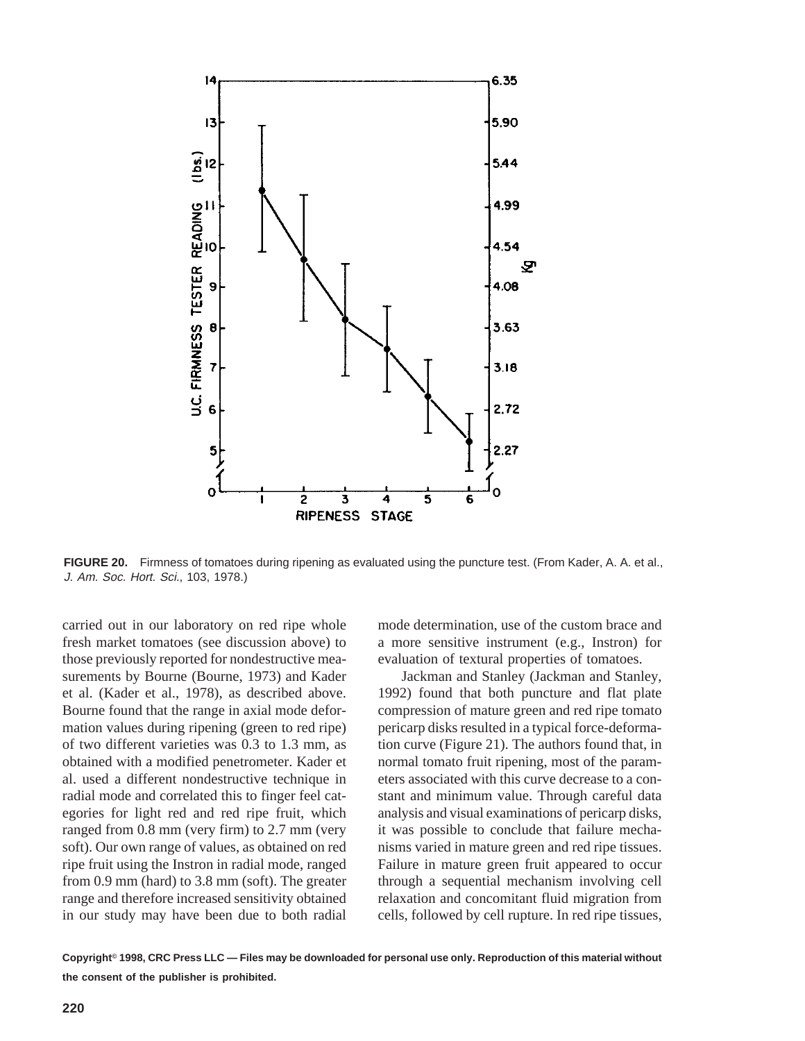

**FIGURE 20.** Firmness of tomatoes during ripening as evaluated using the puncture test. (From Kader, A. A. et al., J. Am. Soc. Hort. Sci., 103, 1978.)

carried out in our laboratory on red ripe whole fresh market tomatoes (see discussion above) to those previously reported for nondestructive measurements by Bourne (Bourne, 1973) and Kader et al. (Kader et al., 1978), as described above. Bourne found that the range in axial mode deformation values during ripening (green to red ripe) of two different varieties was 0.3 to 1.3 mm, as obtained with a modified penetrometer. Kader et al. used a different nondestructive technique in radial mode and correlated this to finger feel categories for light red and red ripe fruit, which ranged from 0.8 mm (very firm) to 2.7 mm (very soft). Our own range of values, as obtained on red ripe fruit using the Instron in radial mode, ranged from 0.9 mm (hard) to 3.8 mm (soft). The greater range and therefore increased sensitivity obtained in our study may have been due to both radial

mode determination, use of the custom brace and a more sensitive instrument (e.g., Instron) for evaluation of textural properties of tomatoes.

Jackman and Stanley (Jackman and Stanley, 1992) found that both puncture and flat plate compression of mature green and red ripe tomato pericarp disks resulted in a typical force-deformation curve (Figure 21). The authors found that, in normal tomato fruit ripening, most of the parameters associated with this curve decrease to a constant and minimum value. Through careful data analysis and visual examinations of pericarp disks, it was possible to conclude that failure mechanisms varied in mature green and red ripe tissues. Failure in mature green fruit appeared to occur through a sequential mechanism involving cell relaxation and concomitant fluid migration from cells, followed by cell rupture. In red ripe tissues,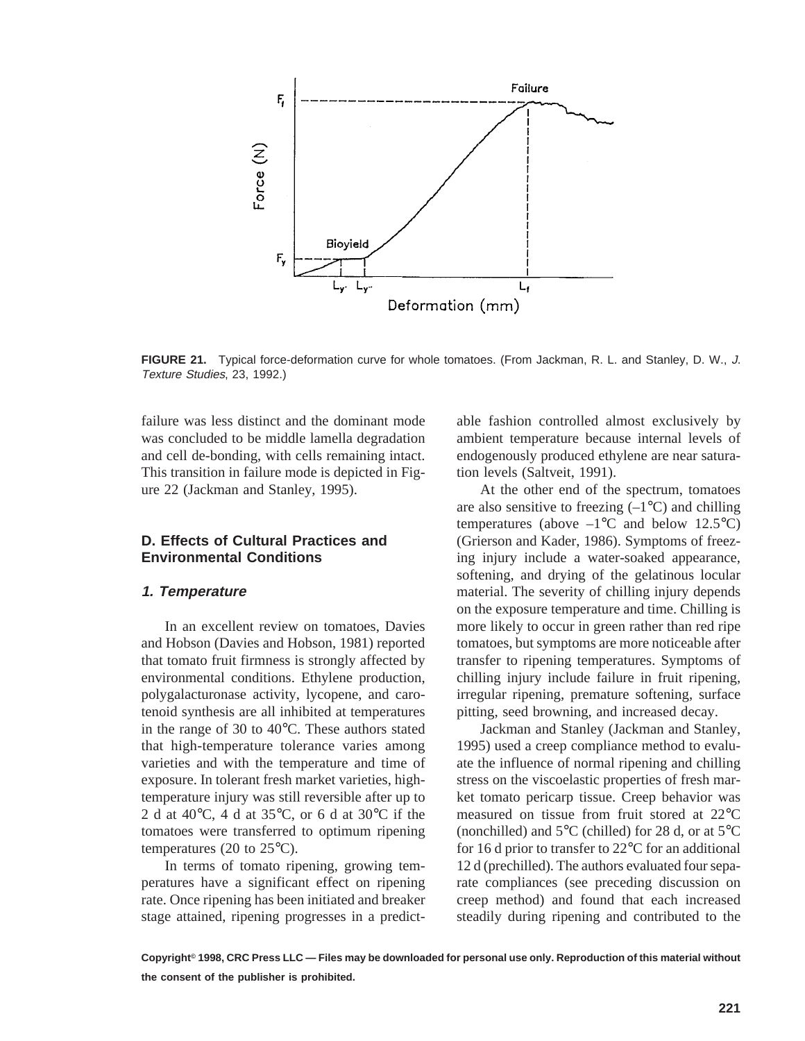

**FIGURE 21.** Typical force-deformation curve for whole tomatoes. (From Jackman, R. L. and Stanley, D. W., J. Texture Studies, 23, 1992.)

failure was less distinct and the dominant mode was concluded to be middle lamella degradation and cell de-bonding, with cells remaining intact. This transition in failure mode is depicted in Figure 22 (Jackman and Stanley, 1995).

### **D. Effects of Cultural Practices and Environmental Conditions**

#### **1. Temperature**

In an excellent review on tomatoes, Davies and Hobson (Davies and Hobson, 1981) reported that tomato fruit firmness is strongly affected by environmental conditions. Ethylene production, polygalacturonase activity, lycopene, and carotenoid synthesis are all inhibited at temperatures in the range of 30 to 40°C. These authors stated that high-temperature tolerance varies among varieties and with the temperature and time of exposure. In tolerant fresh market varieties, hightemperature injury was still reversible after up to 2 d at  $40^{\circ}$ C, 4 d at  $35^{\circ}$ C, or 6 d at  $30^{\circ}$ C if the tomatoes were transferred to optimum ripening temperatures (20 to 25°C).

In terms of tomato ripening, growing temperatures have a significant effect on ripening rate. Once ripening has been initiated and breaker stage attained, ripening progresses in a predictable fashion controlled almost exclusively by ambient temperature because internal levels of endogenously produced ethylene are near saturation levels (Saltveit, 1991).

At the other end of the spectrum, tomatoes are also sensitive to freezing  $(-1^{\circ}C)$  and chilling temperatures (above  $-1$ °C and below 12.5°C) (Grierson and Kader, 1986). Symptoms of freezing injury include a water-soaked appearance, softening, and drying of the gelatinous locular material. The severity of chilling injury depends on the exposure temperature and time. Chilling is more likely to occur in green rather than red ripe tomatoes, but symptoms are more noticeable after transfer to ripening temperatures. Symptoms of chilling injury include failure in fruit ripening, irregular ripening, premature softening, surface pitting, seed browning, and increased decay.

Jackman and Stanley (Jackman and Stanley, 1995) used a creep compliance method to evaluate the influence of normal ripening and chilling stress on the viscoelastic properties of fresh market tomato pericarp tissue. Creep behavior was measured on tissue from fruit stored at 22°C (nonchilled) and 5°C (chilled) for 28 d, or at 5°C for 16 d prior to transfer to 22°C for an additional 12 d (prechilled). The authors evaluated four separate compliances (see preceding discussion on creep method) and found that each increased steadily during ripening and contributed to the

**Copyright© 1998, CRC Press LLC — Files may be downloaded for personal use only. Reproduction of this material without the consent of the publisher is prohibited.**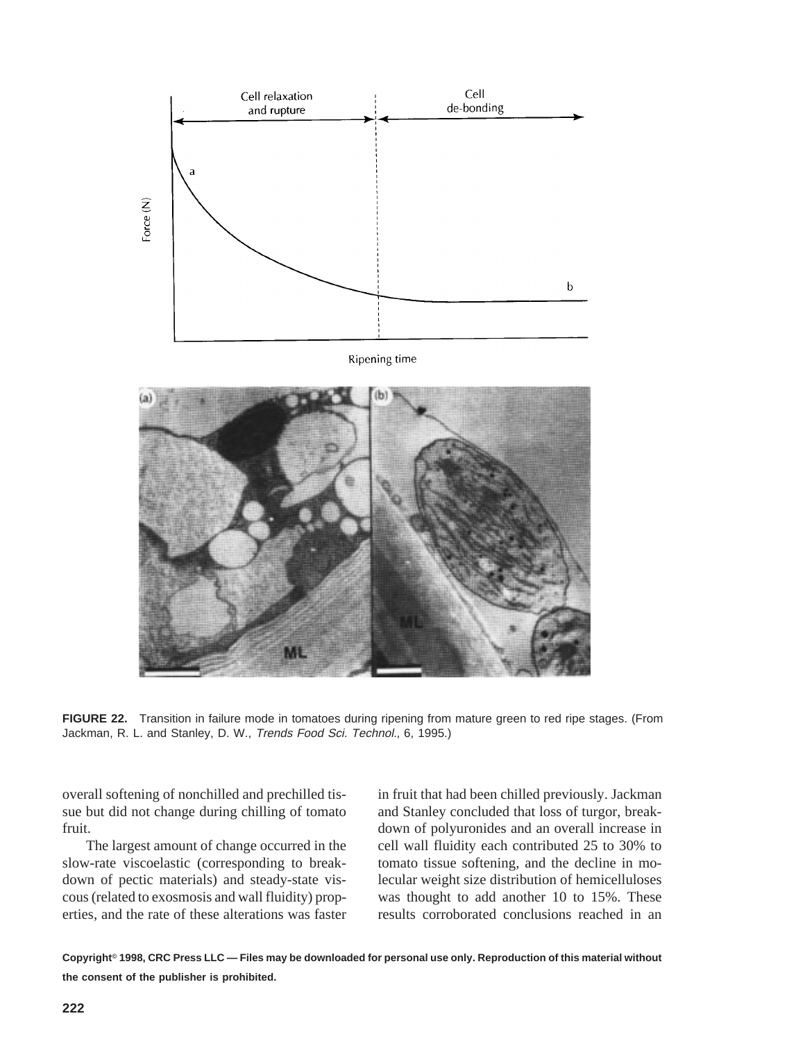

Ripening time



**FIGURE 22.** Transition in failure mode in tomatoes during ripening from mature green to red ripe stages. (From Jackman, R. L. and Stanley, D. W., Trends Food Sci. Technol., 6, 1995.)

overall softening of nonchilled and prechilled tissue but did not change during chilling of tomato fruit.

The largest amount of change occurred in the slow-rate viscoelastic (corresponding to breakdown of pectic materials) and steady-state viscous (related to exosmosis and wall fluidity) properties, and the rate of these alterations was faster in fruit that had been chilled previously. Jackman and Stanley concluded that loss of turgor, breakdown of polyuronides and an overall increase in cell wall fluidity each contributed 25 to 30% to tomato tissue softening, and the decline in molecular weight size distribution of hemicelluloses was thought to add another 10 to 15%. These results corroborated conclusions reached in an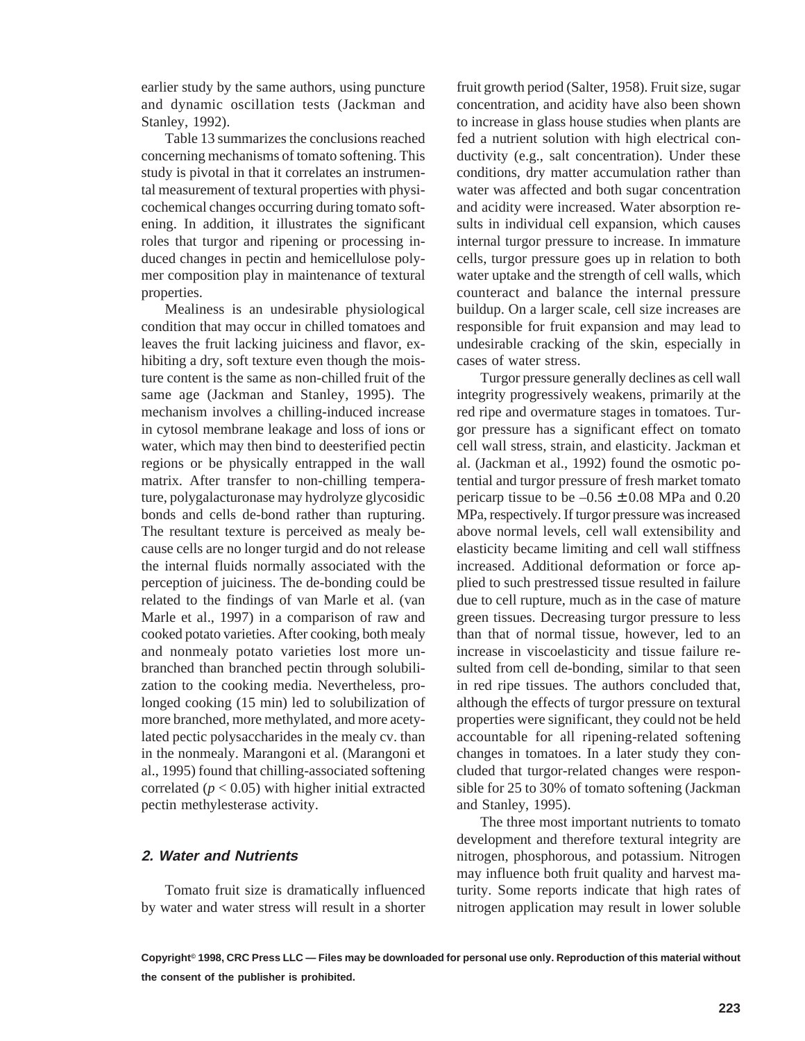earlier study by the same authors, using puncture and dynamic oscillation tests (Jackman and Stanley, 1992).

Table 13 summarizes the conclusions reached concerning mechanisms of tomato softening. This study is pivotal in that it correlates an instrumental measurement of textural properties with physicochemical changes occurring during tomato softening. In addition, it illustrates the significant roles that turgor and ripening or processing induced changes in pectin and hemicellulose polymer composition play in maintenance of textural properties.

Mealiness is an undesirable physiological condition that may occur in chilled tomatoes and leaves the fruit lacking juiciness and flavor, exhibiting a dry, soft texture even though the moisture content is the same as non-chilled fruit of the same age (Jackman and Stanley, 1995). The mechanism involves a chilling-induced increase in cytosol membrane leakage and loss of ions or water, which may then bind to deesterified pectin regions or be physically entrapped in the wall matrix. After transfer to non-chilling temperature, polygalacturonase may hydrolyze glycosidic bonds and cells de-bond rather than rupturing. The resultant texture is perceived as mealy because cells are no longer turgid and do not release the internal fluids normally associated with the perception of juiciness. The de-bonding could be related to the findings of van Marle et al. (van Marle et al., 1997) in a comparison of raw and cooked potato varieties. After cooking, both mealy and nonmealy potato varieties lost more unbranched than branched pectin through solubilization to the cooking media. Nevertheless, prolonged cooking (15 min) led to solubilization of more branched, more methylated, and more acetylated pectic polysaccharides in the mealy cv. than in the nonmealy. Marangoni et al. (Marangoni et al., 1995) found that chilling-associated softening correlated  $(p < 0.05)$  with higher initial extracted pectin methylesterase activity.

# **2. Water and Nutrients**

Tomato fruit size is dramatically influenced by water and water stress will result in a shorter fruit growth period (Salter, 1958). Fruit size, sugar concentration, and acidity have also been shown to increase in glass house studies when plants are fed a nutrient solution with high electrical conductivity (e.g., salt concentration). Under these conditions, dry matter accumulation rather than water was affected and both sugar concentration and acidity were increased. Water absorption results in individual cell expansion, which causes internal turgor pressure to increase. In immature cells, turgor pressure goes up in relation to both water uptake and the strength of cell walls, which counteract and balance the internal pressure buildup. On a larger scale, cell size increases are responsible for fruit expansion and may lead to undesirable cracking of the skin, especially in cases of water stress.

Turgor pressure generally declines as cell wall integrity progressively weakens, primarily at the red ripe and overmature stages in tomatoes. Turgor pressure has a significant effect on tomato cell wall stress, strain, and elasticity. Jackman et al. (Jackman et al., 1992) found the osmotic potential and turgor pressure of fresh market tomato pericarp tissue to be  $-0.56 \pm 0.08$  MPa and 0.20 MPa, respectively. If turgor pressure was increased above normal levels, cell wall extensibility and elasticity became limiting and cell wall stiffness increased. Additional deformation or force applied to such prestressed tissue resulted in failure due to cell rupture, much as in the case of mature green tissues. Decreasing turgor pressure to less than that of normal tissue, however, led to an increase in viscoelasticity and tissue failure resulted from cell de-bonding, similar to that seen in red ripe tissues. The authors concluded that, although the effects of turgor pressure on textural properties were significant, they could not be held accountable for all ripening-related softening changes in tomatoes. In a later study they concluded that turgor-related changes were responsible for 25 to 30% of tomato softening (Jackman and Stanley, 1995).

The three most important nutrients to tomato development and therefore textural integrity are nitrogen, phosphorous, and potassium. Nitrogen may influence both fruit quality and harvest maturity. Some reports indicate that high rates of nitrogen application may result in lower soluble

**Copyright© 1998, CRC Press LLC — Files may be downloaded for personal use only. Reproduction of this material without the consent of the publisher is prohibited.**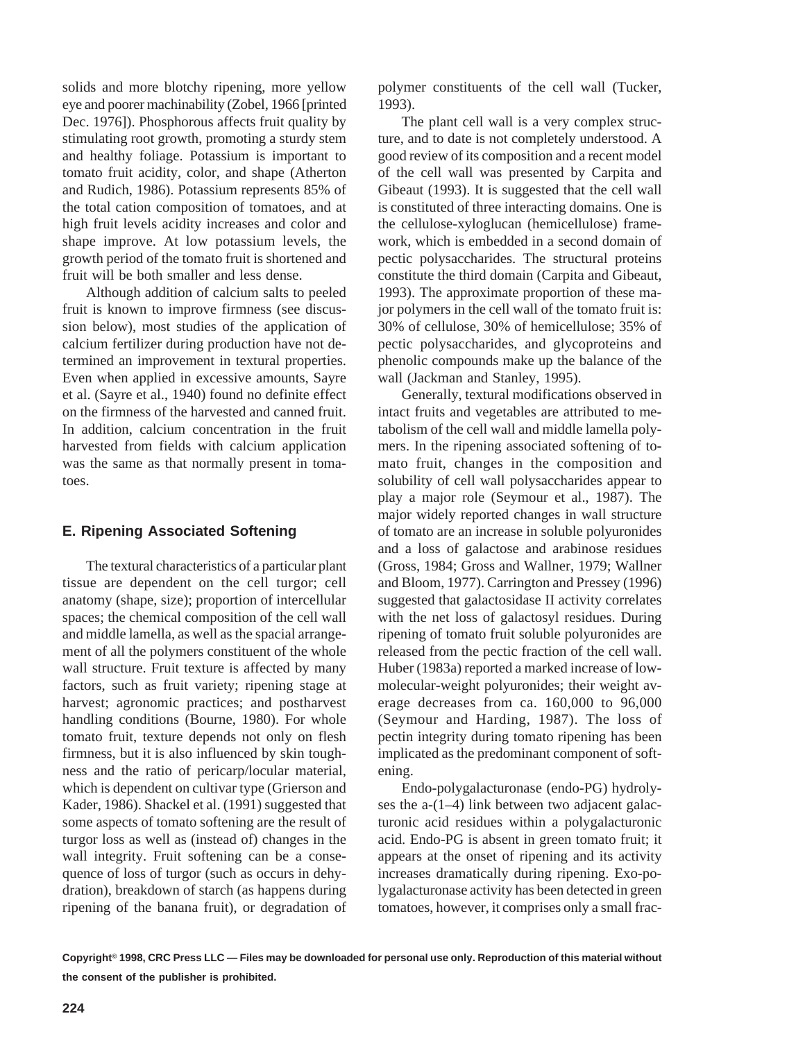solids and more blotchy ripening, more yellow eye and poorer machinability (Zobel, 1966 [printed Dec. 1976]). Phosphorous affects fruit quality by stimulating root growth, promoting a sturdy stem and healthy foliage. Potassium is important to tomato fruit acidity, color, and shape (Atherton and Rudich, 1986). Potassium represents 85% of the total cation composition of tomatoes, and at high fruit levels acidity increases and color and shape improve. At low potassium levels, the growth period of the tomato fruit is shortened and fruit will be both smaller and less dense.

Although addition of calcium salts to peeled fruit is known to improve firmness (see discussion below), most studies of the application of calcium fertilizer during production have not determined an improvement in textural properties. Even when applied in excessive amounts, Sayre et al. (Sayre et al., 1940) found no definite effect on the firmness of the harvested and canned fruit. In addition, calcium concentration in the fruit harvested from fields with calcium application was the same as that normally present in tomatoes.

#### **E. Ripening Associated Softening**

The textural characteristics of a particular plant tissue are dependent on the cell turgor; cell anatomy (shape, size); proportion of intercellular spaces; the chemical composition of the cell wall and middle lamella, as well as the spacial arrangement of all the polymers constituent of the whole wall structure. Fruit texture is affected by many factors, such as fruit variety; ripening stage at harvest; agronomic practices; and postharvest handling conditions (Bourne, 1980). For whole tomato fruit, texture depends not only on flesh firmness, but it is also influenced by skin toughness and the ratio of pericarp/locular material, which is dependent on cultivar type (Grierson and Kader, 1986). Shackel et al. (1991) suggested that some aspects of tomato softening are the result of turgor loss as well as (instead of) changes in the wall integrity. Fruit softening can be a consequence of loss of turgor (such as occurs in dehydration), breakdown of starch (as happens during ripening of the banana fruit), or degradation of polymer constituents of the cell wall (Tucker, 1993).

The plant cell wall is a very complex structure, and to date is not completely understood. A good review of its composition and a recent model of the cell wall was presented by Carpita and Gibeaut (1993). It is suggested that the cell wall is constituted of three interacting domains. One is the cellulose-xyloglucan (hemicellulose) framework, which is embedded in a second domain of pectic polysaccharides. The structural proteins constitute the third domain (Carpita and Gibeaut, 1993). The approximate proportion of these major polymers in the cell wall of the tomato fruit is: 30% of cellulose, 30% of hemicellulose; 35% of pectic polysaccharides, and glycoproteins and phenolic compounds make up the balance of the wall (Jackman and Stanley, 1995).

Generally, textural modifications observed in intact fruits and vegetables are attributed to metabolism of the cell wall and middle lamella polymers. In the ripening associated softening of tomato fruit, changes in the composition and solubility of cell wall polysaccharides appear to play a major role (Seymour et al., 1987). The major widely reported changes in wall structure of tomato are an increase in soluble polyuronides and a loss of galactose and arabinose residues (Gross, 1984; Gross and Wallner, 1979; Wallner and Bloom, 1977). Carrington and Pressey (1996) suggested that galactosidase II activity correlates with the net loss of galactosyl residues. During ripening of tomato fruit soluble polyuronides are released from the pectic fraction of the cell wall. Huber (1983a) reported a marked increase of lowmolecular-weight polyuronides; their weight average decreases from ca. 160,000 to 96,000 (Seymour and Harding, 1987). The loss of pectin integrity during tomato ripening has been implicated as the predominant component of softening.

Endo-polygalacturonase (endo-PG) hydrolyses the a-(1–4) link between two adjacent galacturonic acid residues within a polygalacturonic acid. Endo-PG is absent in green tomato fruit; it appears at the onset of ripening and its activity increases dramatically during ripening. Exo-polygalacturonase activity has been detected in green tomatoes, however, it comprises only a small frac-

**Copyright© 1998, CRC Press LLC — Files may be downloaded for personal use only. Reproduction of this material without the consent of the publisher is prohibited.**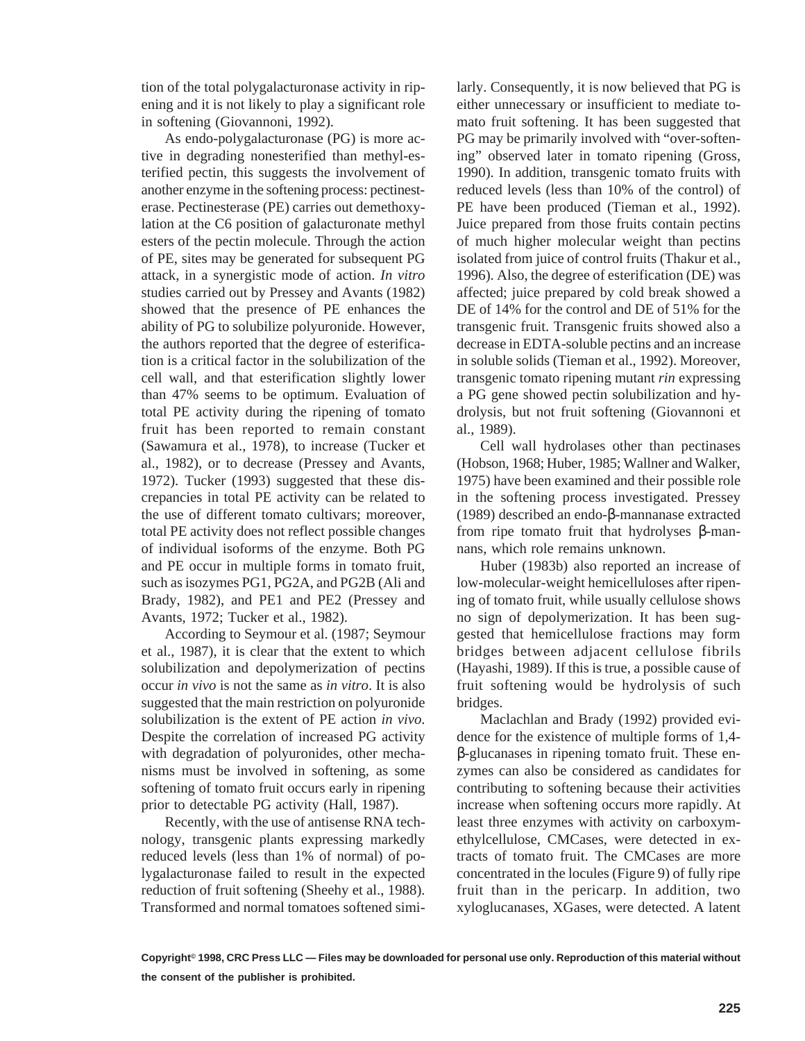tion of the total polygalacturonase activity in ripening and it is not likely to play a significant role in softening (Giovannoni, 1992).

As endo-polygalacturonase (PG) is more active in degrading nonesterified than methyl-esterified pectin, this suggests the involvement of another enzyme in the softening process: pectinesterase. Pectinesterase (PE) carries out demethoxylation at the C6 position of galacturonate methyl esters of the pectin molecule. Through the action of PE, sites may be generated for subsequent PG attack, in a synergistic mode of action. *In vitro* studies carried out by Pressey and Avants (1982) showed that the presence of PE enhances the ability of PG to solubilize polyuronide. However, the authors reported that the degree of esterification is a critical factor in the solubilization of the cell wall, and that esterification slightly lower than 47% seems to be optimum. Evaluation of total PE activity during the ripening of tomato fruit has been reported to remain constant (Sawamura et al., 1978), to increase (Tucker et al., 1982), or to decrease (Pressey and Avants, 1972). Tucker (1993) suggested that these discrepancies in total PE activity can be related to the use of different tomato cultivars; moreover, total PE activity does not reflect possible changes of individual isoforms of the enzyme. Both PG and PE occur in multiple forms in tomato fruit, such as isozymes PG1, PG2A, and PG2B (Ali and Brady, 1982), and PE1 and PE2 (Pressey and Avants, 1972; Tucker et al., 1982).

According to Seymour et al. (1987; Seymour et al., 1987), it is clear that the extent to which solubilization and depolymerization of pectins occur *in vivo* is not the same as *in vitro*. It is also suggested that the main restriction on polyuronide solubilization is the extent of PE action *in vivo*. Despite the correlation of increased PG activity with degradation of polyuronides, other mechanisms must be involved in softening, as some softening of tomato fruit occurs early in ripening prior to detectable PG activity (Hall, 1987).

Recently, with the use of antisense RNA technology, transgenic plants expressing markedly reduced levels (less than 1% of normal) of polygalacturonase failed to result in the expected reduction of fruit softening (Sheehy et al., 1988). Transformed and normal tomatoes softened similarly. Consequently, it is now believed that PG is either unnecessary or insufficient to mediate tomato fruit softening. It has been suggested that PG may be primarily involved with "over-softening" observed later in tomato ripening (Gross, 1990). In addition, transgenic tomato fruits with reduced levels (less than 10% of the control) of PE have been produced (Tieman et al., 1992). Juice prepared from those fruits contain pectins of much higher molecular weight than pectins isolated from juice of control fruits (Thakur et al., 1996). Also, the degree of esterification (DE) was affected; juice prepared by cold break showed a DE of 14% for the control and DE of 51% for the transgenic fruit. Transgenic fruits showed also a decrease in EDTA-soluble pectins and an increase in soluble solids (Tieman et al., 1992). Moreover, transgenic tomato ripening mutant *rin* expressing a PG gene showed pectin solubilization and hydrolysis, but not fruit softening (Giovannoni et al., 1989).

Cell wall hydrolases other than pectinases (Hobson, 1968; Huber, 1985; Wallner and Walker, 1975) have been examined and their possible role in the softening process investigated. Pressey (1989) described an endo-β-mannanase extracted from ripe tomato fruit that hydrolyses β-mannans, which role remains unknown.

Huber (1983b) also reported an increase of low-molecular-weight hemicelluloses after ripening of tomato fruit, while usually cellulose shows no sign of depolymerization. It has been suggested that hemicellulose fractions may form bridges between adjacent cellulose fibrils (Hayashi, 1989). If this is true, a possible cause of fruit softening would be hydrolysis of such bridges.

Maclachlan and Brady (1992) provided evidence for the existence of multiple forms of 1,4 β-glucanases in ripening tomato fruit. These enzymes can also be considered as candidates for contributing to softening because their activities increase when softening occurs more rapidly. At least three enzymes with activity on carboxymethylcellulose, CMCases, were detected in extracts of tomato fruit. The CMCases are more concentrated in the locules (Figure 9) of fully ripe fruit than in the pericarp. In addition, two xyloglucanases, XGases, were detected. A latent

**Copyright© 1998, CRC Press LLC — Files may be downloaded for personal use only. Reproduction of this material without the consent of the publisher is prohibited.**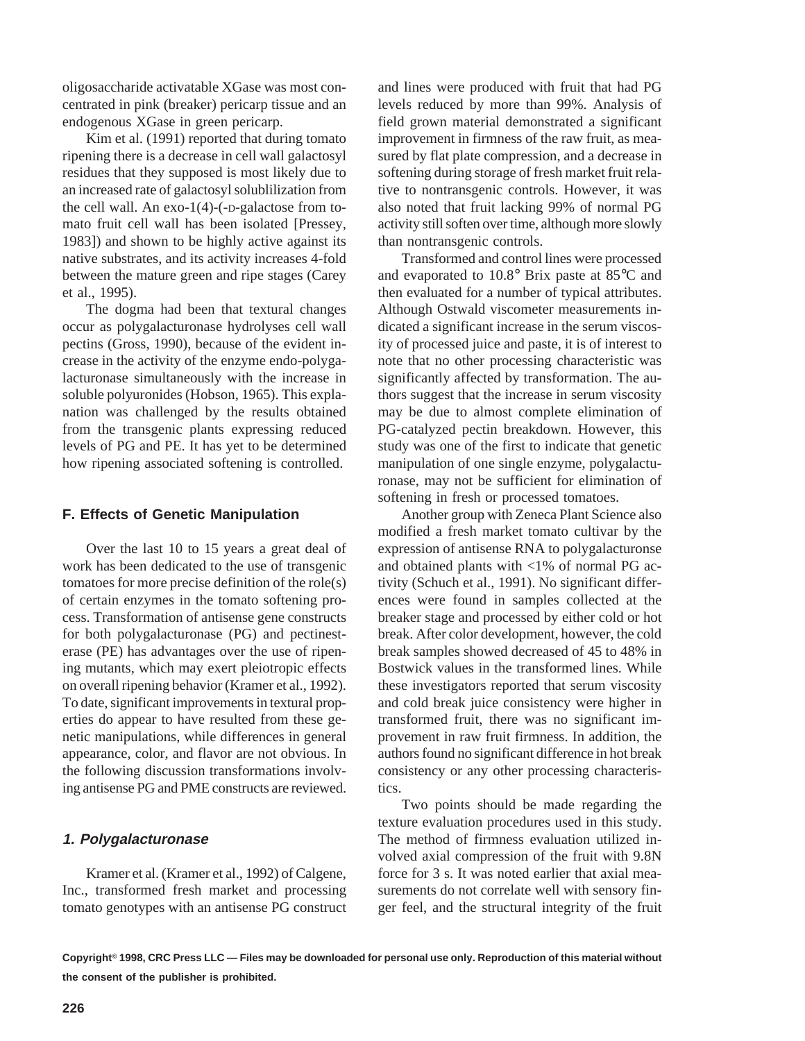oligosaccharide activatable XGase was most concentrated in pink (breaker) pericarp tissue and an endogenous XGase in green pericarp.

Kim et al. (1991) reported that during tomato ripening there is a decrease in cell wall galactosyl residues that they supposed is most likely due to an increased rate of galactosyl solublilization from the cell wall. An exo-1(4)-(-D-galactose from tomato fruit cell wall has been isolated [Pressey, 1983]) and shown to be highly active against its native substrates, and its activity increases 4-fold between the mature green and ripe stages (Carey et al., 1995).

The dogma had been that textural changes occur as polygalacturonase hydrolyses cell wall pectins (Gross, 1990), because of the evident increase in the activity of the enzyme endo-polygalacturonase simultaneously with the increase in soluble polyuronides (Hobson, 1965). This explanation was challenged by the results obtained from the transgenic plants expressing reduced levels of PG and PE. It has yet to be determined how ripening associated softening is controlled.

#### **F. Effects of Genetic Manipulation**

Over the last 10 to 15 years a great deal of work has been dedicated to the use of transgenic tomatoes for more precise definition of the role(s) of certain enzymes in the tomato softening process. Transformation of antisense gene constructs for both polygalacturonase (PG) and pectinesterase (PE) has advantages over the use of ripening mutants, which may exert pleiotropic effects on overall ripening behavior (Kramer et al., 1992). To date, significant improvements in textural properties do appear to have resulted from these genetic manipulations, while differences in general appearance, color, and flavor are not obvious. In the following discussion transformations involving antisense PG and PME constructs are reviewed.

### **1. Polygalacturonase**

Kramer et al. (Kramer et al., 1992) of Calgene, Inc., transformed fresh market and processing tomato genotypes with an antisense PG construct

and lines were produced with fruit that had PG levels reduced by more than 99%. Analysis of field grown material demonstrated a significant improvement in firmness of the raw fruit, as measured by flat plate compression, and a decrease in softening during storage of fresh market fruit relative to nontransgenic controls. However, it was also noted that fruit lacking 99% of normal PG activity still soften over time, although more slowly than nontransgenic controls.

Transformed and control lines were processed and evaporated to 10.8° Brix paste at 85°C and then evaluated for a number of typical attributes. Although Ostwald viscometer measurements indicated a significant increase in the serum viscosity of processed juice and paste, it is of interest to note that no other processing characteristic was significantly affected by transformation. The authors suggest that the increase in serum viscosity may be due to almost complete elimination of PG-catalyzed pectin breakdown. However, this study was one of the first to indicate that genetic manipulation of one single enzyme, polygalacturonase, may not be sufficient for elimination of softening in fresh or processed tomatoes.

Another group with Zeneca Plant Science also modified a fresh market tomato cultivar by the expression of antisense RNA to polygalacturonse and obtained plants with <1% of normal PG activity (Schuch et al., 1991). No significant differences were found in samples collected at the breaker stage and processed by either cold or hot break. After color development, however, the cold break samples showed decreased of 45 to 48% in Bostwick values in the transformed lines. While these investigators reported that serum viscosity and cold break juice consistency were higher in transformed fruit, there was no significant improvement in raw fruit firmness. In addition, the authors found no significant difference in hot break consistency or any other processing characteristics.

Two points should be made regarding the texture evaluation procedures used in this study. The method of firmness evaluation utilized involved axial compression of the fruit with 9.8N force for 3 s. It was noted earlier that axial measurements do not correlate well with sensory finger feel, and the structural integrity of the fruit

**Copyright© 1998, CRC Press LLC — Files may be downloaded for personal use only. Reproduction of this material without the consent of the publisher is prohibited.**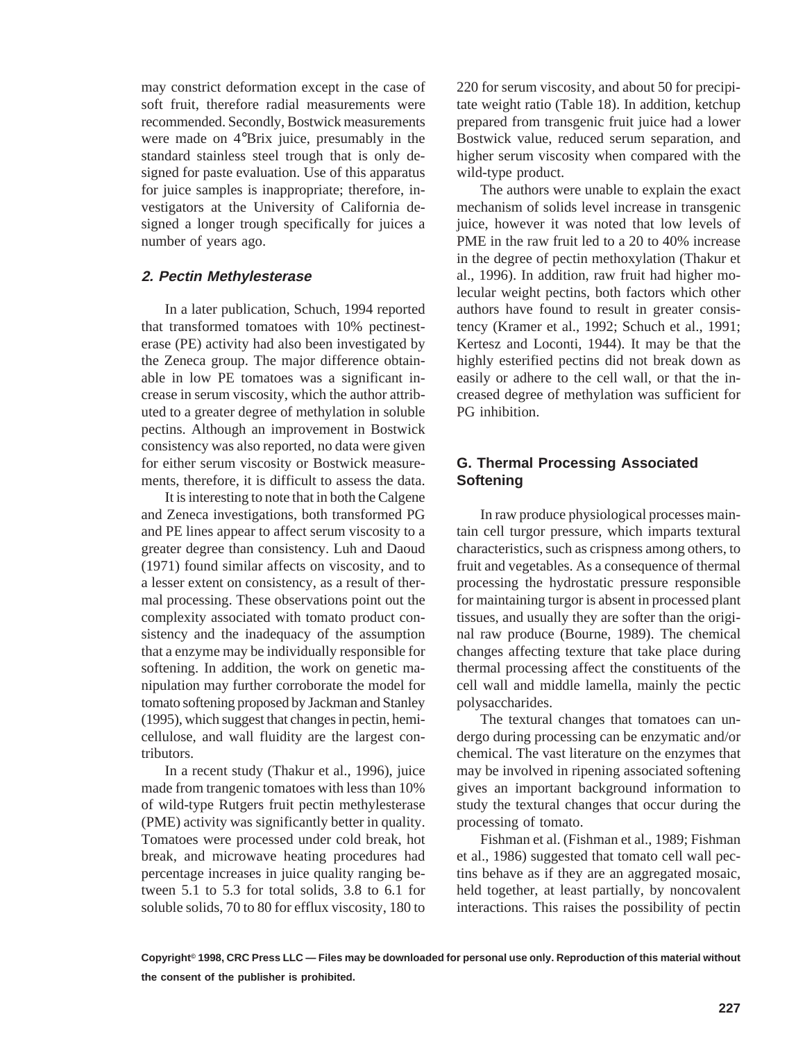may constrict deformation except in the case of soft fruit, therefore radial measurements were recommended. Secondly, Bostwick measurements were made on 4°Brix juice, presumably in the standard stainless steel trough that is only designed for paste evaluation. Use of this apparatus for juice samples is inappropriate; therefore, investigators at the University of California designed a longer trough specifically for juices a number of years ago.

## **2. Pectin Methylesterase**

In a later publication, Schuch, 1994 reported that transformed tomatoes with 10% pectinesterase (PE) activity had also been investigated by the Zeneca group. The major difference obtainable in low PE tomatoes was a significant increase in serum viscosity, which the author attributed to a greater degree of methylation in soluble pectins. Although an improvement in Bostwick consistency was also reported, no data were given for either serum viscosity or Bostwick measurements, therefore, it is difficult to assess the data.

It is interesting to note that in both the Calgene and Zeneca investigations, both transformed PG and PE lines appear to affect serum viscosity to a greater degree than consistency. Luh and Daoud (1971) found similar affects on viscosity, and to a lesser extent on consistency, as a result of thermal processing. These observations point out the complexity associated with tomato product consistency and the inadequacy of the assumption that a enzyme may be individually responsible for softening. In addition, the work on genetic manipulation may further corroborate the model for tomato softening proposed by Jackman and Stanley (1995), which suggest that changes in pectin, hemicellulose, and wall fluidity are the largest contributors.

In a recent study (Thakur et al., 1996), juice made from trangenic tomatoes with less than 10% of wild-type Rutgers fruit pectin methylesterase (PME) activity was significantly better in quality. Tomatoes were processed under cold break, hot break, and microwave heating procedures had percentage increases in juice quality ranging between 5.1 to 5.3 for total solids, 3.8 to 6.1 for soluble solids, 70 to 80 for efflux viscosity, 180 to 220 for serum viscosity, and about 50 for precipitate weight ratio (Table 18). In addition, ketchup prepared from transgenic fruit juice had a lower Bostwick value, reduced serum separation, and higher serum viscosity when compared with the wild-type product.

The authors were unable to explain the exact mechanism of solids level increase in transgenic juice, however it was noted that low levels of PME in the raw fruit led to a 20 to 40% increase in the degree of pectin methoxylation (Thakur et al., 1996). In addition, raw fruit had higher molecular weight pectins, both factors which other authors have found to result in greater consistency (Kramer et al., 1992; Schuch et al., 1991; Kertesz and Loconti, 1944). It may be that the highly esterified pectins did not break down as easily or adhere to the cell wall, or that the increased degree of methylation was sufficient for PG inhibition.

# **G. Thermal Processing Associated Softening**

In raw produce physiological processes maintain cell turgor pressure, which imparts textural characteristics, such as crispness among others, to fruit and vegetables. As a consequence of thermal processing the hydrostatic pressure responsible for maintaining turgor is absent in processed plant tissues, and usually they are softer than the original raw produce (Bourne, 1989). The chemical changes affecting texture that take place during thermal processing affect the constituents of the cell wall and middle lamella, mainly the pectic polysaccharides.

The textural changes that tomatoes can undergo during processing can be enzymatic and/or chemical. The vast literature on the enzymes that may be involved in ripening associated softening gives an important background information to study the textural changes that occur during the processing of tomato.

Fishman et al. (Fishman et al., 1989; Fishman et al., 1986) suggested that tomato cell wall pectins behave as if they are an aggregated mosaic, held together, at least partially, by noncovalent interactions. This raises the possibility of pectin

**Copyright© 1998, CRC Press LLC — Files may be downloaded for personal use only. Reproduction of this material without the consent of the publisher is prohibited.**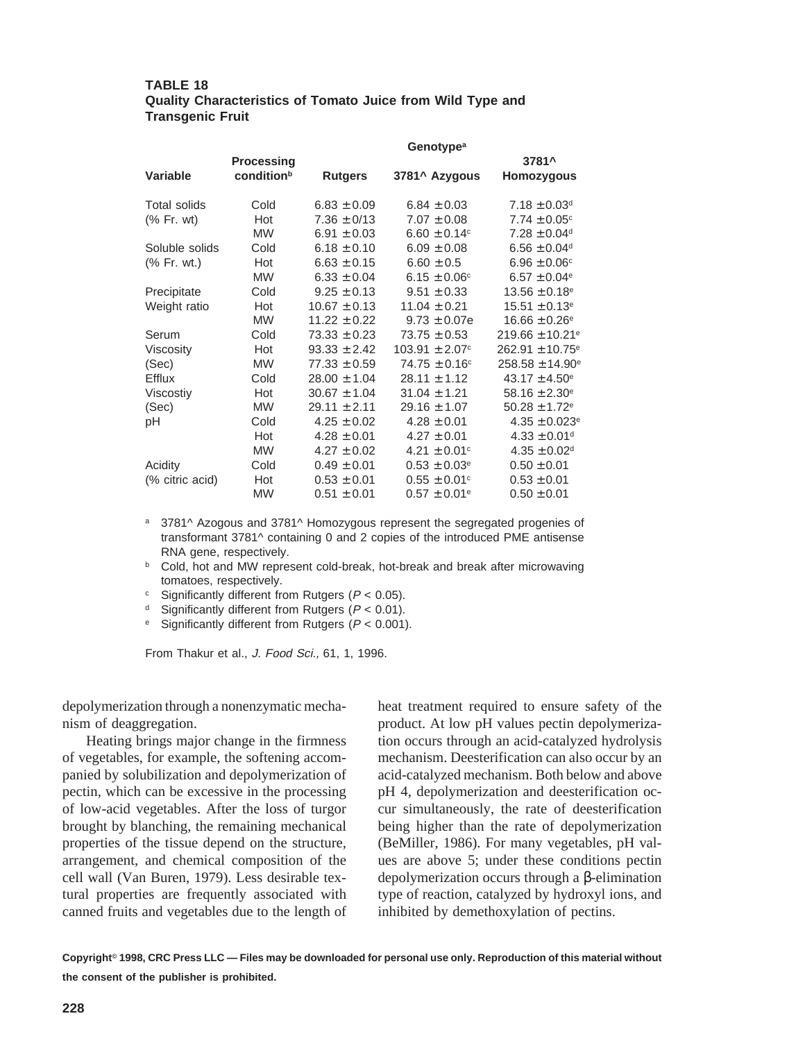### **TABLE 18 Quality Characteristics of Tomato Juice from Wild Type and Transgenic Fruit**

|                     |                   |                  | <b>Genotype<sup>a</sup></b>  |                                 |
|---------------------|-------------------|------------------|------------------------------|---------------------------------|
|                     | <b>Processing</b> |                  |                              | 3781^                           |
| <b>Variable</b>     | conditionb        | <b>Rutgers</b>   | 3781^ Azygous                | Homozygous                      |
| <b>Total solids</b> | Cold              | $6.83 \pm 0.09$  | $6.84 \pm 0.03$              | $7.18 \pm 0.03$ <sup>d</sup>    |
| $(%$ $(*)$ Fr. wt)  | Hot               | $7.36 \pm 0/13$  | $7.07 \pm 0.08$              | $7.74 \pm 0.05^{\circ}$         |
|                     | <b>MW</b>         | $6.91 \pm 0.03$  | $6.60 \pm 0.14$ c            | $7.28 \pm 0.04$ <sup>d</sup>    |
| Soluble solids      | Cold              | $6.18 \pm 0.10$  | $6.09 \pm 0.08$              | $6.56 \pm 0.04$ <sup>d</sup>    |
| (% Fr. wt.)         | Hot               | $6.63 \pm 0.15$  | $6.60 \pm 0.5$               | $6.96 \pm 0.06^{\circ}$         |
|                     | <b>MW</b>         | $6.33 \pm 0.04$  | $6.15 \pm 0.06^{\circ}$      | $6.57 \pm 0.04$ <sup>e</sup>    |
| Precipitate         | Cold              | $9.25 \pm 0.13$  | $9.51 \pm 0.33$              | $13.56 \pm 0.18$ <sup>e</sup>   |
| Weight ratio        | Hot               | $10.67 \pm 0.13$ | $11.04 \pm 0.21$             | $15.51 \pm 0.13$ <sup>e</sup>   |
|                     | <b>MW</b>         | $11.22 \pm 0.22$ | $9.73 \pm 0.07e$             | $16.66 \pm 0.26^{\circ}$        |
| Serum               | Cold              | $73.33 \pm 0.23$ | $73.75 \pm 0.53$             | $219.66 \pm 10.21$ <sup>e</sup> |
| Viscosity           | Hot               | $93.33 \pm 2.42$ | $103.91 \pm 2.07^c$          | $262.91 \pm 10.75$ <sup>e</sup> |
| (Sec)               | <b>MW</b>         | $77.33 \pm 0.59$ | $74.75 \pm 0.16^{\circ}$     | $258.58 \pm 14.90^{\circ}$      |
| Efflux              | Cold              | $28.00 \pm 1.04$ | $28.11 \pm 1.12$             | $43.17 \pm 4.50^{\circ}$        |
| Viscostiy           | Hot               | $30.67 \pm 1.04$ | $31.04 \pm 1.21$             | $58.16 \pm 2.30^{\circ}$        |
| (Sec)               | <b>MW</b>         | $29.11 \pm 2.11$ | $29.16 \pm 1.07$             | $50.28 \pm 1.72$ <sup>e</sup>   |
| рH                  | Cold              | $4.25 \pm 0.02$  | $4.28 \pm 0.01$              | $4.35 \pm 0.023$ <sup>e</sup>   |
|                     | Hot               | $4.28 \pm 0.01$  | $4.27 \pm 0.01$              | $4.33 \pm 0.01$ <sup>d</sup>    |
|                     | <b>MW</b>         | $4.27 \pm 0.02$  | $4.21 \pm 0.01$ °            | $4.35 \pm 0.02$ <sup>d</sup>    |
| Acidity             | Cold              | $0.49 \pm 0.01$  | $0.53 \pm 0.03^{\circ}$      | $0.50 \pm 0.01$                 |
| (% citric acid)     | Hot               | $0.53 \pm 0.01$  | $0.55 \pm 0.01$ °            | $0.53 \pm 0.01$                 |
|                     | <b>MW</b>         | $0.51 \pm 0.01$  | $0.57 \pm 0.01$ <sup>e</sup> | $0.50 \pm 0.01$                 |

<sup>a</sup> 3781<sup>^</sup> Azogous and 3781<sup>^</sup> Homozygous represent the segregated progenies of transformant 3781^ containing 0 and 2 copies of the introduced PME antisense RNA gene, respectively.

- **b** Cold, hot and MW represent cold-break, hot-break and break after microwaving tomatoes, respectively.
- <sup>c</sup> Significantly different from Rutgers ( $P < 0.05$ ).
- <sup>d</sup> Significantly different from Rutgers ( $P < 0.01$ ).
- $e$  Significantly different from Rutgers ( $P < 0.001$ ).

From Thakur et al., J. Food Sci., 61, 1, 1996.

depolymerization through a nonenzymatic mechanism of deaggregation.

Heating brings major change in the firmness of vegetables, for example, the softening accompanied by solubilization and depolymerization of pectin, which can be excessive in the processing of low-acid vegetables. After the loss of turgor brought by blanching, the remaining mechanical properties of the tissue depend on the structure, arrangement, and chemical composition of the cell wall (Van Buren, 1979). Less desirable textural properties are frequently associated with canned fruits and vegetables due to the length of heat treatment required to ensure safety of the product. At low pH values pectin depolymerization occurs through an acid-catalyzed hydrolysis mechanism. Deesterification can also occur by an acid-catalyzed mechanism. Both below and above pH 4, depolymerization and deesterification occur simultaneously, the rate of deesterification being higher than the rate of depolymerization (BeMiller, 1986). For many vegetables, pH values are above 5; under these conditions pectin depolymerization occurs through a β-elimination type of reaction, catalyzed by hydroxyl ions, and inhibited by demethoxylation of pectins.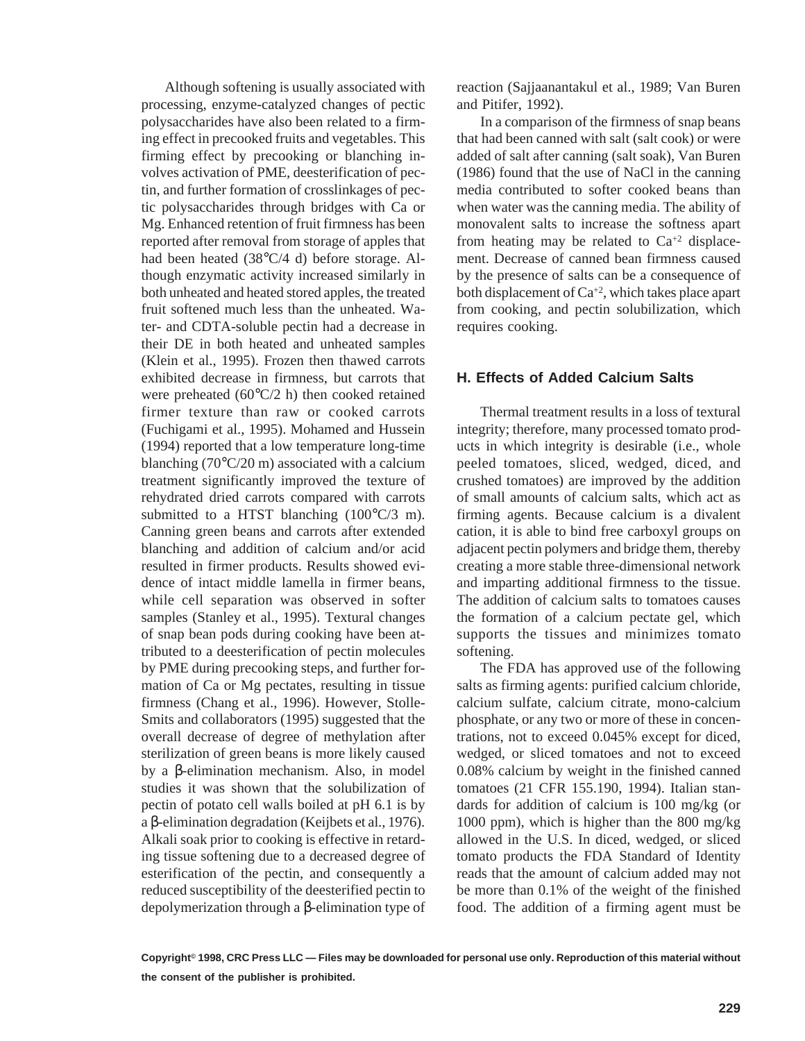Although softening is usually associated with processing, enzyme-catalyzed changes of pectic polysaccharides have also been related to a firming effect in precooked fruits and vegetables. This firming effect by precooking or blanching involves activation of PME, deesterification of pectin, and further formation of crosslinkages of pectic polysaccharides through bridges with Ca or Mg. Enhanced retention of fruit firmness has been reported after removal from storage of apples that had been heated (38°C/4 d) before storage. Although enzymatic activity increased similarly in both unheated and heated stored apples, the treated fruit softened much less than the unheated. Water- and CDTA-soluble pectin had a decrease in their DE in both heated and unheated samples (Klein et al., 1995). Frozen then thawed carrots exhibited decrease in firmness, but carrots that were preheated (60°C/2 h) then cooked retained firmer texture than raw or cooked carrots (Fuchigami et al., 1995). Mohamed and Hussein (1994) reported that a low temperature long-time blanching (70°C/20 m) associated with a calcium treatment significantly improved the texture of rehydrated dried carrots compared with carrots submitted to a HTST blanching  $(100^{\circ}C/3$  m). Canning green beans and carrots after extended blanching and addition of calcium and/or acid resulted in firmer products. Results showed evidence of intact middle lamella in firmer beans, while cell separation was observed in softer samples (Stanley et al., 1995). Textural changes of snap bean pods during cooking have been attributed to a deesterification of pectin molecules by PME during precooking steps, and further formation of Ca or Mg pectates, resulting in tissue firmness (Chang et al., 1996). However, Stolle-Smits and collaborators (1995) suggested that the overall decrease of degree of methylation after sterilization of green beans is more likely caused by a β-elimination mechanism. Also, in model studies it was shown that the solubilization of pectin of potato cell walls boiled at pH 6.1 is by a β-elimination degradation (Keijbets et al., 1976). Alkali soak prior to cooking is effective in retarding tissue softening due to a decreased degree of esterification of the pectin, and consequently a reduced susceptibility of the deesterified pectin to depolymerization through a β-elimination type of

reaction (Sajjaanantakul et al., 1989; Van Buren and Pitifer, 1992).

In a comparison of the firmness of snap beans that had been canned with salt (salt cook) or were added of salt after canning (salt soak), Van Buren (1986) found that the use of NaCl in the canning media contributed to softer cooked beans than when water was the canning media. The ability of monovalent salts to increase the softness apart from heating may be related to  $Ca^{+2}$  displacement. Decrease of canned bean firmness caused by the presence of salts can be a consequence of both displacement of  $Ca^{+2}$ , which takes place apart from cooking, and pectin solubilization, which requires cooking.

#### **H. Effects of Added Calcium Salts**

Thermal treatment results in a loss of textural integrity; therefore, many processed tomato products in which integrity is desirable (i.e., whole peeled tomatoes, sliced, wedged, diced, and crushed tomatoes) are improved by the addition of small amounts of calcium salts, which act as firming agents. Because calcium is a divalent cation, it is able to bind free carboxyl groups on adjacent pectin polymers and bridge them, thereby creating a more stable three-dimensional network and imparting additional firmness to the tissue. The addition of calcium salts to tomatoes causes the formation of a calcium pectate gel, which supports the tissues and minimizes tomato softening.

The FDA has approved use of the following salts as firming agents: purified calcium chloride, calcium sulfate, calcium citrate, mono-calcium phosphate, or any two or more of these in concentrations, not to exceed 0.045% except for diced, wedged, or sliced tomatoes and not to exceed 0.08% calcium by weight in the finished canned tomatoes (21 CFR 155.190, 1994). Italian standards for addition of calcium is 100 mg/kg (or 1000 ppm), which is higher than the 800 mg/kg allowed in the U.S. In diced, wedged, or sliced tomato products the FDA Standard of Identity reads that the amount of calcium added may not be more than 0.1% of the weight of the finished food. The addition of a firming agent must be

**Copyright© 1998, CRC Press LLC — Files may be downloaded for personal use only. Reproduction of this material without the consent of the publisher is prohibited.**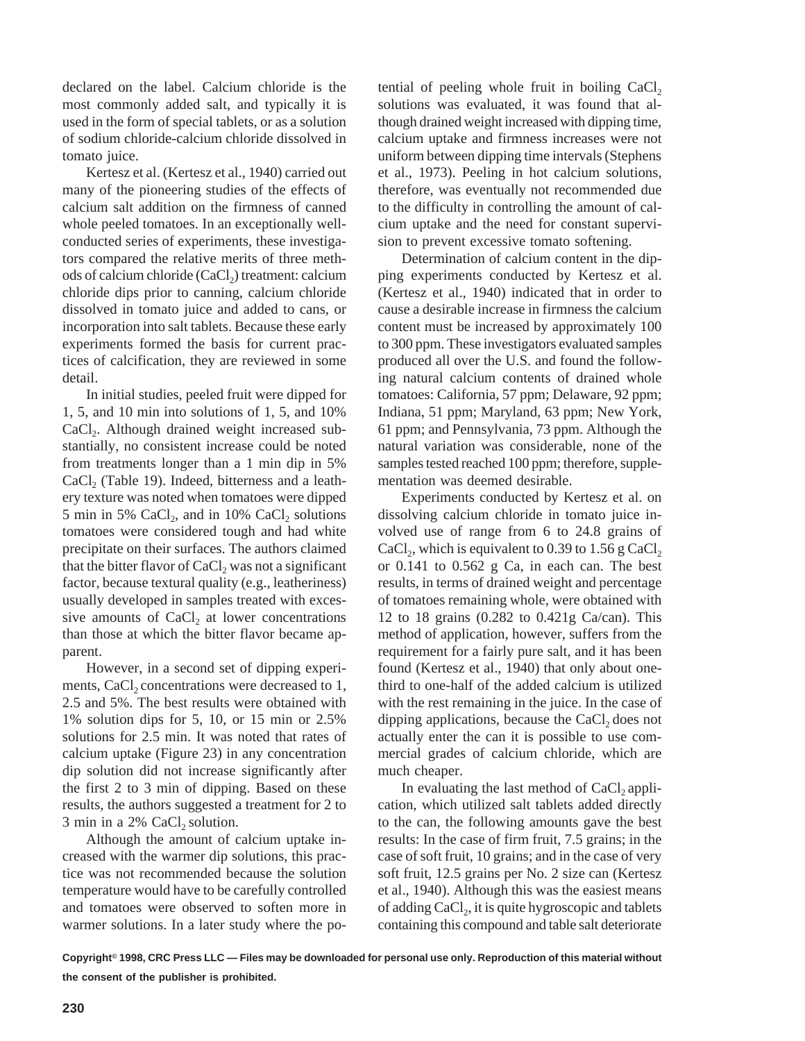declared on the label. Calcium chloride is the most commonly added salt, and typically it is used in the form of special tablets, or as a solution of sodium chloride-calcium chloride dissolved in tomato juice.

Kertesz et al. (Kertesz et al., 1940) carried out many of the pioneering studies of the effects of calcium salt addition on the firmness of canned whole peeled tomatoes. In an exceptionally wellconducted series of experiments, these investigators compared the relative merits of three methods of calcium chloride (CaCl<sub>2</sub>) treatment: calcium chloride dips prior to canning, calcium chloride dissolved in tomato juice and added to cans, or incorporation into salt tablets. Because these early experiments formed the basis for current practices of calcification, they are reviewed in some detail.

In initial studies, peeled fruit were dipped for 1, 5, and 10 min into solutions of 1, 5, and 10% CaCl<sub>2</sub>. Although drained weight increased substantially, no consistent increase could be noted from treatments longer than a 1 min dip in 5%  $CaCl<sub>2</sub>$  (Table 19). Indeed, bitterness and a leathery texture was noted when tomatoes were dipped 5 min in 5% CaCl<sub>2</sub>, and in 10% CaCl<sub>2</sub> solutions tomatoes were considered tough and had white precipitate on their surfaces. The authors claimed that the bitter flavor of  $CaCl<sub>2</sub>$  was not a significant factor, because textural quality (e.g., leatheriness) usually developed in samples treated with excessive amounts of  $CaCl<sub>2</sub>$  at lower concentrations than those at which the bitter flavor became apparent.

However, in a second set of dipping experiments, CaCl<sub>2</sub> concentrations were decreased to 1, 2.5 and 5%. The best results were obtained with 1% solution dips for 5, 10, or 15 min or 2.5% solutions for 2.5 min. It was noted that rates of calcium uptake (Figure 23) in any concentration dip solution did not increase significantly after the first 2 to 3 min of dipping. Based on these results, the authors suggested a treatment for 2 to 3 min in a  $2\%$  CaCl<sub>2</sub> solution.

Although the amount of calcium uptake increased with the warmer dip solutions, this practice was not recommended because the solution temperature would have to be carefully controlled and tomatoes were observed to soften more in warmer solutions. In a later study where the potential of peeling whole fruit in boiling  $CaCl<sub>2</sub>$ solutions was evaluated, it was found that although drained weight increased with dipping time, calcium uptake and firmness increases were not uniform between dipping time intervals (Stephens et al., 1973). Peeling in hot calcium solutions, therefore, was eventually not recommended due to the difficulty in controlling the amount of calcium uptake and the need for constant supervision to prevent excessive tomato softening.

Determination of calcium content in the dipping experiments conducted by Kertesz et al. (Kertesz et al., 1940) indicated that in order to cause a desirable increase in firmness the calcium content must be increased by approximately 100 to 300 ppm. These investigators evaluated samples produced all over the U.S. and found the following natural calcium contents of drained whole tomatoes: California, 57 ppm; Delaware, 92 ppm; Indiana, 51 ppm; Maryland, 63 ppm; New York, 61 ppm; and Pennsylvania, 73 ppm. Although the natural variation was considerable, none of the samples tested reached 100 ppm; therefore, supplementation was deemed desirable.

Experiments conducted by Kertesz et al. on dissolving calcium chloride in tomato juice involved use of range from 6 to 24.8 grains of CaCl<sub>2</sub>, which is equivalent to 0.39 to 1.56 g CaCl<sub>2</sub> or 0.141 to 0.562 g Ca, in each can. The best results, in terms of drained weight and percentage of tomatoes remaining whole, were obtained with 12 to 18 grains (0.282 to 0.421g Ca/can). This method of application, however, suffers from the requirement for a fairly pure salt, and it has been found (Kertesz et al., 1940) that only about onethird to one-half of the added calcium is utilized with the rest remaining in the juice. In the case of dipping applications, because the  $CaCl<sub>2</sub>$  does not actually enter the can it is possible to use commercial grades of calcium chloride, which are much cheaper.

In evaluating the last method of  $CaCl<sub>2</sub>$  application, which utilized salt tablets added directly to the can, the following amounts gave the best results: In the case of firm fruit, 7.5 grains; in the case of soft fruit, 10 grains; and in the case of very soft fruit, 12.5 grains per No. 2 size can (Kertesz et al., 1940). Although this was the easiest means of adding  $CaCl<sub>2</sub>$ , it is quite hygroscopic and tablets containing this compound and table salt deteriorate

**Copyright© 1998, CRC Press LLC — Files may be downloaded for personal use only. Reproduction of this material without the consent of the publisher is prohibited.**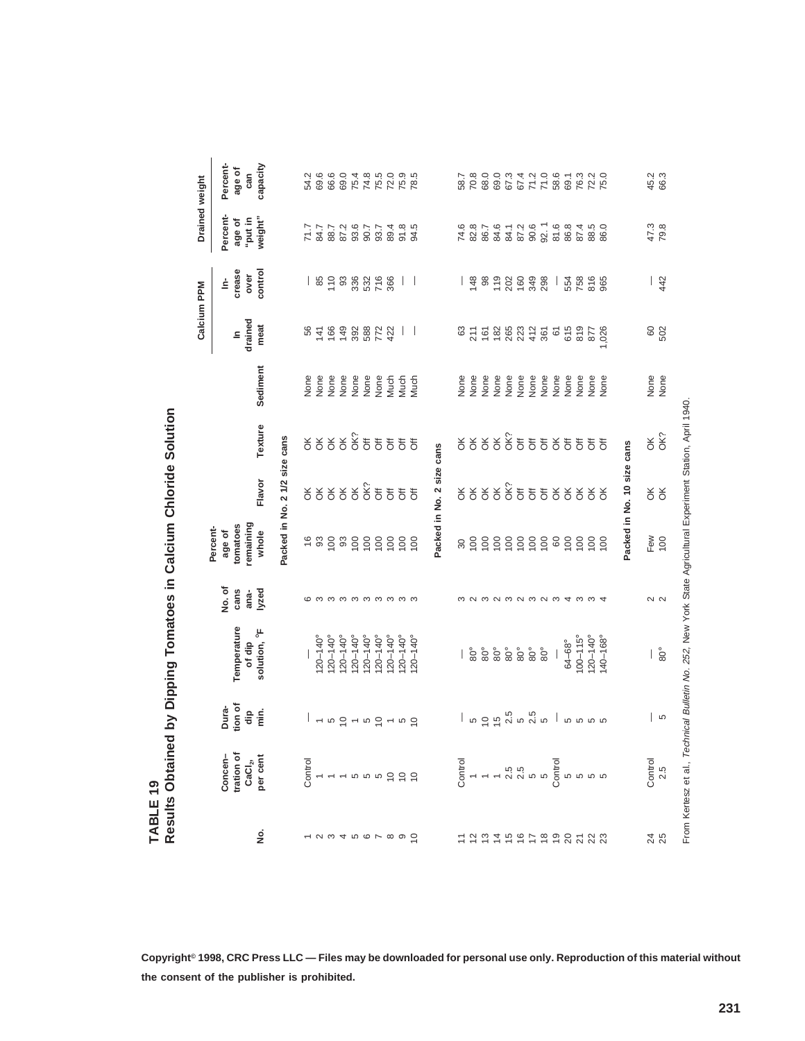|                                      |                                                          |                                |                                                                       |                                 |                                                      |                            |         |                      | Calcium PPM                    |                                | Drained weight                           |                                                               |
|--------------------------------------|----------------------------------------------------------|--------------------------------|-----------------------------------------------------------------------|---------------------------------|------------------------------------------------------|----------------------------|---------|----------------------|--------------------------------|--------------------------------|------------------------------------------|---------------------------------------------------------------|
| ş                                    | tration of<br>Concen-<br>CaCl <sub>2</sub> ,<br>per cent | Dura-<br>tion of<br>in.<br>dip | Temperature<br>solution, °F<br>of dip                                 | No. of<br>ana-<br>Iyzed<br>cans | remaining<br>tomatoes<br>Percent-<br>age of<br>whole | Flavor                     | Texture | Sediment             | drained<br>meat<br>$\tilde{=}$ | control<br>crease<br>over<br>흐 | Percent-<br>weight"<br>"put in<br>age of | capacity<br>Percent-<br>age of<br>can                         |
|                                      |                                                          |                                |                                                                       |                                 | Packed in No. 2 1/2 size cans                        |                            |         |                      |                                |                                |                                          |                                                               |
|                                      | Control                                                  |                                |                                                                       |                                 |                                                      |                            |         | None                 | 56                             |                                |                                          | 54.2                                                          |
| e u w 4 ro o 6 ro o 5                |                                                          | $= 9 - 9 - 9 - 9 - 1$          | $120 - 140^{\circ}$                                                   | commanda com                    | 8858555                                              | 8888885                    | 8888    | None                 | 141                            | 18288828                       | 71.7<br>84.7                             | 69.6                                                          |
|                                      |                                                          |                                | $120 - 140^{\circ}$                                                   |                                 |                                                      |                            |         |                      | 166                            |                                |                                          |                                                               |
|                                      |                                                          |                                | $120 - 140^{\circ}$                                                   |                                 |                                                      |                            |         | None<br>None<br>None | 149                            |                                | 88.7<br>87.2                             | 8 8 9 7 7 7 7 7 8<br>8 9 8 7 4 8 9 9 9 9<br>8 9 7 7 7 7 7 8 9 |
|                                      |                                                          |                                | $120 - 140^{\circ}$                                                   |                                 |                                                      |                            | OK?     |                      | 392                            |                                |                                          |                                                               |
|                                      |                                                          |                                | $120 - 140^{\circ}$                                                   |                                 |                                                      |                            |         |                      |                                |                                | 93.7<br>90.7<br>93.7                     |                                                               |
|                                      |                                                          |                                | $120 - 140^{\circ}$                                                   |                                 |                                                      |                            | ð 5     |                      |                                |                                |                                          |                                                               |
|                                      | 59999999                                                 |                                | $120 - 140^{\circ}$                                                   |                                 | $rac{100}{100}$                                      | ままま                        | 555     | None<br>Much<br>Much | 588<br>772<br>422              |                                | 89.4                                     |                                                               |
|                                      |                                                          |                                | $120 - 140^{\circ}$                                                   |                                 |                                                      |                            |         | Much<br>Much         |                                | L                              | 91.8<br>94.5                             |                                                               |
|                                      |                                                          |                                | $120 - 140^{\circ}$                                                   |                                 |                                                      |                            |         |                      |                                |                                |                                          |                                                               |
|                                      |                                                          |                                |                                                                       |                                 |                                                      | Packed in No. 2 size cans  |         |                      |                                |                                |                                          |                                                               |
|                                      | Control                                                  |                                |                                                                       |                                 |                                                      |                            |         |                      |                                |                                |                                          |                                                               |
| 12 2 2 3 2 3 2 3 2 3 4 5 6 7 8 7 8 7 |                                                          |                                | $\frac{8}{8}$ $\frac{8}{8}$ $\frac{8}{8}$ $\frac{8}{8}$ $\frac{8}{8}$ |                                 | 8 8 8 8 8 8 8 8 8 8                                  | 8888855                    | 888885  | None<br>None         | $rac{3}{210}$                  | 1885                           | 74.6<br>82.8<br>86.7                     | 58.7<br>70.8                                                  |
|                                      |                                                          |                                |                                                                       |                                 |                                                      |                            |         | None                 |                                |                                |                                          | 68.0                                                          |
|                                      |                                                          |                                |                                                                       |                                 |                                                      |                            |         | None                 |                                |                                | 84.6                                     |                                                               |
|                                      | ה<br>מה מים<br>Control                                   |                                |                                                                       |                                 |                                                      |                            |         | None                 | 182<br>263<br>412              |                                |                                          | 0.0110.061<br>0.0110.061<br>0.0110.09                         |
|                                      |                                                          |                                |                                                                       |                                 |                                                      |                            |         | None<br>None         |                                | 202                            | $47.96768$<br>$47.96768$<br>$47.96768$   |                                                               |
|                                      |                                                          |                                | $80^\circ$                                                            |                                 |                                                      |                            |         |                      |                                | 349<br>298                     |                                          |                                                               |
|                                      |                                                          |                                | $80^\circ$                                                            |                                 |                                                      | 555555                     | 555555  | None<br>None         | 361                            |                                |                                          |                                                               |
|                                      |                                                          | J.                             |                                                                       |                                 |                                                      |                            |         |                      | $\overline{6}$                 | J.                             |                                          |                                                               |
|                                      |                                                          |                                | 64-68°                                                                |                                 |                                                      |                            |         | None                 |                                |                                |                                          |                                                               |
|                                      |                                                          |                                | $100 - 115^\circ$                                                     |                                 |                                                      |                            |         | None                 |                                |                                |                                          |                                                               |
|                                      | ທ ທ ທ ທ                                                  | <b>5555</b>                    | $120 - 140^{\circ}$                                                   |                                 |                                                      |                            |         | None<br>None         | 929<br>248<br>958              | 554<br>788<br>805              | 87.4<br>88.0<br>86.0                     | 76.3<br>72.2<br>75.0                                          |
|                                      |                                                          |                                | $140 - 168$ °                                                         |                                 |                                                      |                            |         |                      |                                |                                |                                          |                                                               |
|                                      |                                                          |                                |                                                                       |                                 |                                                      | Packed in No. 10 size cans |         |                      |                                |                                |                                          |                                                               |
|                                      |                                                          |                                |                                                                       |                                 |                                                      |                            | ŏΚ      |                      |                                |                                |                                          |                                                               |
| 24<br>25                             | Control<br>2.5                                           | ს                              | $\rm 80^{\circ}$                                                      | $\sim$ $\sim$                   | Few<br>100                                           | 8 <sup>x</sup>             | OK?     | None<br>None         | 60<br>502                      | 442                            | 47.3<br>79.8                             | 45.2<br>66.3                                                  |

TABLE<sub>19</sub> **TABLE 19**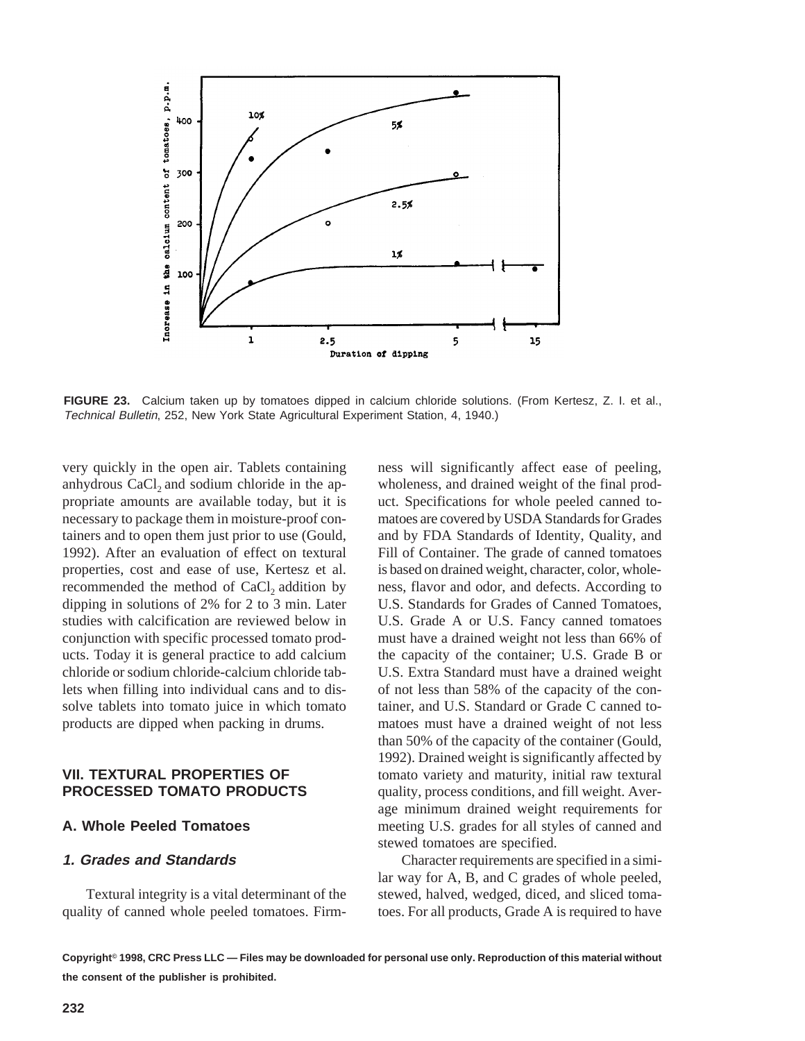

**FIGURE 23.** Calcium taken up by tomatoes dipped in calcium chloride solutions. (From Kertesz, Z. I. et al., Technical Bulletin, 252, New York State Agricultural Experiment Station, 4, 1940.)

very quickly in the open air. Tablets containing anhydrous  $CaCl<sub>2</sub>$  and sodium chloride in the appropriate amounts are available today, but it is necessary to package them in moisture-proof containers and to open them just prior to use (Gould, 1992). After an evaluation of effect on textural properties, cost and ease of use, Kertesz et al. recommended the method of CaCl<sub>2</sub> addition by dipping in solutions of 2% for 2 to 3 min. Later studies with calcification are reviewed below in conjunction with specific processed tomato products. Today it is general practice to add calcium chloride or sodium chloride-calcium chloride tablets when filling into individual cans and to dissolve tablets into tomato juice in which tomato products are dipped when packing in drums.

### **VII. TEXTURAL PROPERTIES OF PROCESSED TOMATO PRODUCTS**

## **A. Whole Peeled Tomatoes**

## **1. Grades and Standards**

Textural integrity is a vital determinant of the quality of canned whole peeled tomatoes. Firmness will significantly affect ease of peeling, wholeness, and drained weight of the final product. Specifications for whole peeled canned tomatoes are covered by USDA Standards for Grades and by FDA Standards of Identity, Quality, and Fill of Container. The grade of canned tomatoes is based on drained weight, character, color, wholeness, flavor and odor, and defects. According to U.S. Standards for Grades of Canned Tomatoes, U.S. Grade A or U.S. Fancy canned tomatoes must have a drained weight not less than 66% of the capacity of the container; U.S. Grade B or U.S. Extra Standard must have a drained weight of not less than 58% of the capacity of the container, and U.S. Standard or Grade C canned tomatoes must have a drained weight of not less than 50% of the capacity of the container (Gould, 1992). Drained weight is significantly affected by tomato variety and maturity, initial raw textural quality, process conditions, and fill weight. Average minimum drained weight requirements for meeting U.S. grades for all styles of canned and stewed tomatoes are specified.

Character requirements are specified in a similar way for A, B, and C grades of whole peeled, stewed, halved, wedged, diced, and sliced tomatoes. For all products, Grade A is required to have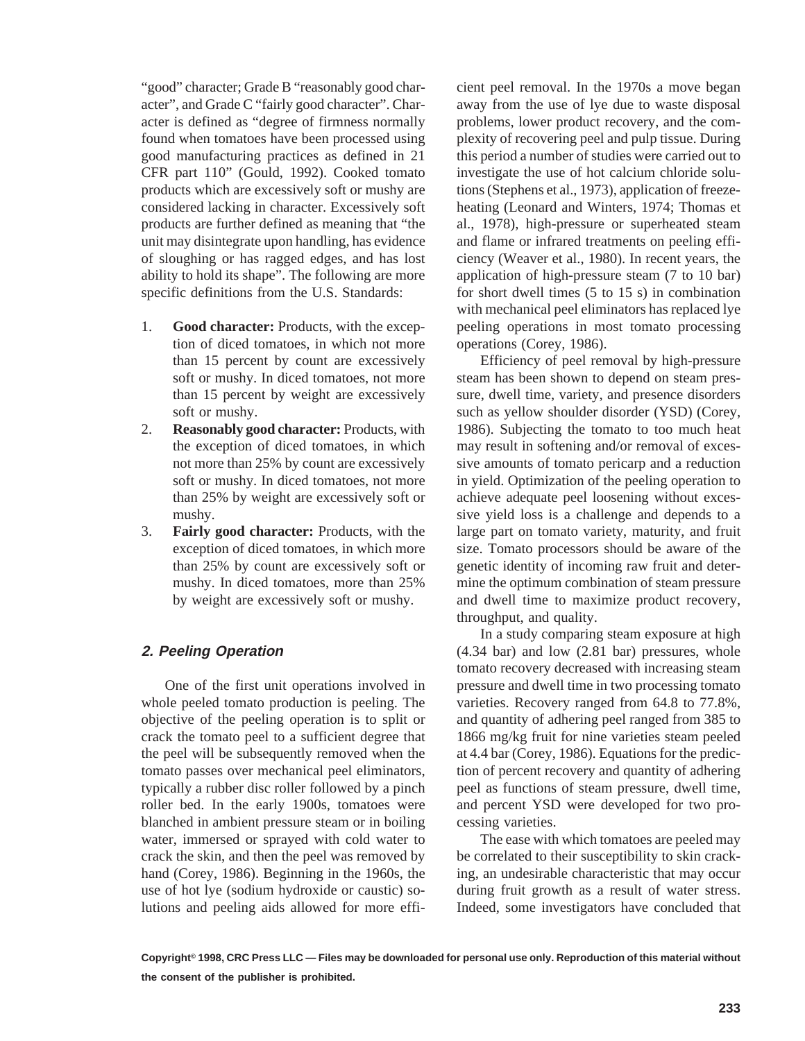"good" character; Grade B "reasonably good character", and Grade C "fairly good character". Character is defined as "degree of firmness normally found when tomatoes have been processed using good manufacturing practices as defined in 21 CFR part 110" (Gould, 1992). Cooked tomato products which are excessively soft or mushy are considered lacking in character. Excessively soft products are further defined as meaning that "the unit may disintegrate upon handling, has evidence of sloughing or has ragged edges, and has lost ability to hold its shape". The following are more specific definitions from the U.S. Standards:

- 1. **Good character:** Products, with the exception of diced tomatoes, in which not more than 15 percent by count are excessively soft or mushy. In diced tomatoes, not more than 15 percent by weight are excessively soft or mushy.
- 2. **Reasonably good character:** Products, with the exception of diced tomatoes, in which not more than 25% by count are excessively soft or mushy. In diced tomatoes, not more than 25% by weight are excessively soft or mushy.
- 3. **Fairly good character:** Products, with the exception of diced tomatoes, in which more than 25% by count are excessively soft or mushy. In diced tomatoes, more than 25% by weight are excessively soft or mushy.

## **2. Peeling Operation**

One of the first unit operations involved in whole peeled tomato production is peeling. The objective of the peeling operation is to split or crack the tomato peel to a sufficient degree that the peel will be subsequently removed when the tomato passes over mechanical peel eliminators, typically a rubber disc roller followed by a pinch roller bed. In the early 1900s, tomatoes were blanched in ambient pressure steam or in boiling water, immersed or sprayed with cold water to crack the skin, and then the peel was removed by hand (Corey, 1986). Beginning in the 1960s, the use of hot lye (sodium hydroxide or caustic) solutions and peeling aids allowed for more efficient peel removal. In the 1970s a move began away from the use of lye due to waste disposal problems, lower product recovery, and the complexity of recovering peel and pulp tissue. During this period a number of studies were carried out to investigate the use of hot calcium chloride solutions (Stephens et al., 1973), application of freezeheating (Leonard and Winters, 1974; Thomas et al., 1978), high-pressure or superheated steam and flame or infrared treatments on peeling efficiency (Weaver et al., 1980). In recent years, the application of high-pressure steam (7 to 10 bar) for short dwell times (5 to 15 s) in combination with mechanical peel eliminators has replaced lye peeling operations in most tomato processing operations (Corey, 1986).

Efficiency of peel removal by high-pressure steam has been shown to depend on steam pressure, dwell time, variety, and presence disorders such as yellow shoulder disorder (YSD) (Corey, 1986). Subjecting the tomato to too much heat may result in softening and/or removal of excessive amounts of tomato pericarp and a reduction in yield. Optimization of the peeling operation to achieve adequate peel loosening without excessive yield loss is a challenge and depends to a large part on tomato variety, maturity, and fruit size. Tomato processors should be aware of the genetic identity of incoming raw fruit and determine the optimum combination of steam pressure and dwell time to maximize product recovery, throughput, and quality.

In a study comparing steam exposure at high (4.34 bar) and low (2.81 bar) pressures, whole tomato recovery decreased with increasing steam pressure and dwell time in two processing tomato varieties. Recovery ranged from 64.8 to 77.8%, and quantity of adhering peel ranged from 385 to 1866 mg/kg fruit for nine varieties steam peeled at 4.4 bar (Corey, 1986). Equations for the prediction of percent recovery and quantity of adhering peel as functions of steam pressure, dwell time, and percent YSD were developed for two processing varieties.

The ease with which tomatoes are peeled may be correlated to their susceptibility to skin cracking, an undesirable characteristic that may occur during fruit growth as a result of water stress. Indeed, some investigators have concluded that

**Copyright© 1998, CRC Press LLC — Files may be downloaded for personal use only. Reproduction of this material without the consent of the publisher is prohibited.**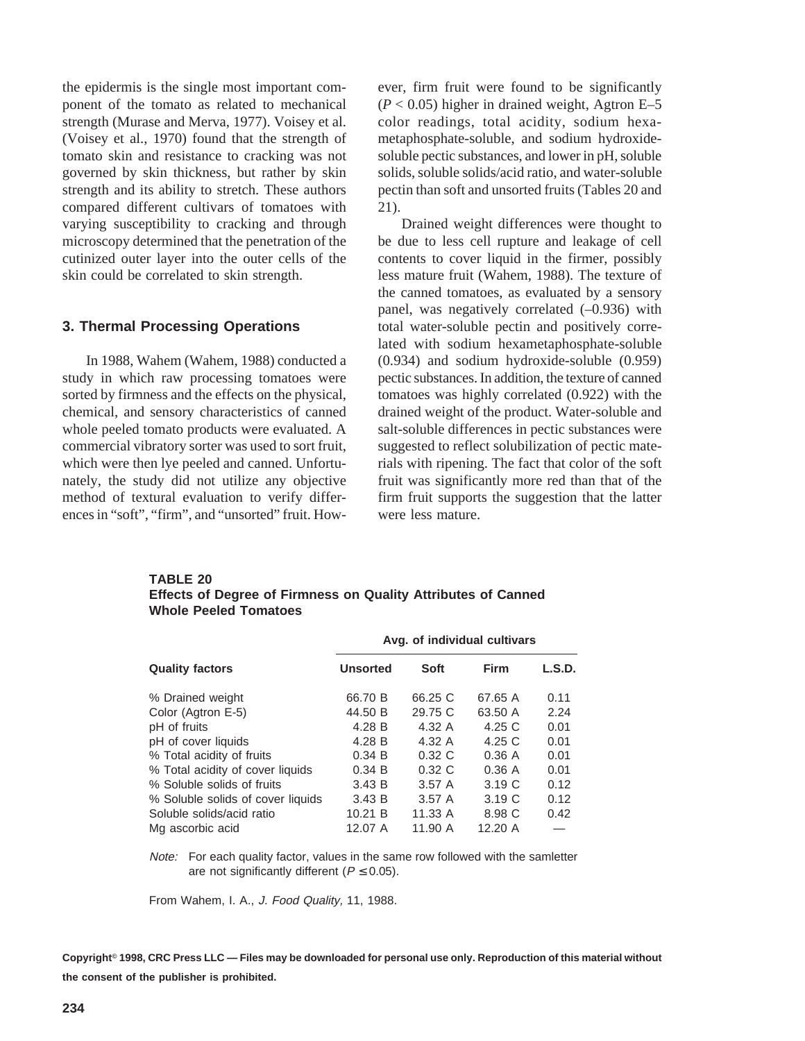the epidermis is the single most important component of the tomato as related to mechanical strength (Murase and Merva, 1977). Voisey et al. (Voisey et al., 1970) found that the strength of tomato skin and resistance to cracking was not governed by skin thickness, but rather by skin strength and its ability to stretch. These authors compared different cultivars of tomatoes with varying susceptibility to cracking and through microscopy determined that the penetration of the cutinized outer layer into the outer cells of the skin could be correlated to skin strength.

#### **3. Thermal Processing Operations**

In 1988, Wahem (Wahem, 1988) conducted a study in which raw processing tomatoes were sorted by firmness and the effects on the physical, chemical, and sensory characteristics of canned whole peeled tomato products were evaluated. A commercial vibratory sorter was used to sort fruit, which were then lye peeled and canned. Unfortunately, the study did not utilize any objective method of textural evaluation to verify differences in "soft", "firm", and "unsorted" fruit. However, firm fruit were found to be significantly  $(P < 0.05)$  higher in drained weight, Agtron E–5 color readings, total acidity, sodium hexametaphosphate-soluble, and sodium hydroxidesoluble pectic substances, and lower in pH, soluble solids, soluble solids/acid ratio, and water-soluble pectin than soft and unsorted fruits (Tables 20 and 21).

Drained weight differences were thought to be due to less cell rupture and leakage of cell contents to cover liquid in the firmer, possibly less mature fruit (Wahem, 1988). The texture of the canned tomatoes, as evaluated by a sensory panel, was negatively correlated (–0.936) with total water-soluble pectin and positively correlated with sodium hexametaphosphate-soluble (0.934) and sodium hydroxide-soluble (0.959) pectic substances. In addition, the texture of canned tomatoes was highly correlated (0.922) with the drained weight of the product. Water-soluble and salt-soluble differences in pectic substances were suggested to reflect solubilization of pectic materials with ripening. The fact that color of the soft fruit was significantly more red than that of the firm fruit supports the suggestion that the latter were less mature.

#### **TABLE 20 Effects of Degree of Firmness on Quality Attributes of Canned Whole Peeled Tomatoes**

|                                   |                 |             | Avg. of individual cultivars |        |
|-----------------------------------|-----------------|-------------|------------------------------|--------|
| <b>Quality factors</b>            | <b>Unsorted</b> | <b>Soft</b> | <b>Firm</b>                  | L.S.D. |
| % Drained weight                  | 66.70 B         | 66.25 C     | 67.65 A                      | 0.11   |
| Color (Agtron E-5)                | 44.50 B         | 29.75 C     | 63.50 A                      | 2.24   |
| pH of fruits                      | 4.28 B          | 4.32 A      | $4.25\text{ C}$              | 0.01   |
| pH of cover liquids               | 4.28 B          | 4.32 A      | 4.25 C                       | 0.01   |
| % Total acidity of fruits         | 0.34 B          | $0.32\ C$   | 0.36A                        | 0.01   |
| % Total acidity of cover liquids  | 0.34 B          | $0.32\ C$   | 0.36A                        | 0.01   |
| % Soluble solids of fruits        | 3.43 B          | 3.57A       | 3.19 C                       | 0.12   |
| % Soluble solids of cover liquids | 3.43 B          | 3.57A       | 3.19 C                       | 0.12   |
| Soluble solids/acid ratio         | 10.21 B         | 11.33 A     | 8.98 C                       | 0.42   |
| Mg ascorbic acid                  | 12.07 A         | 11.90 A     | 12.20A                       |        |

Note: For each quality factor, values in the same row followed with the samletter

are not significantly different ( $P \le 0.05$ ).

From Wahem, I. A., J. Food Quality, 11, 1988.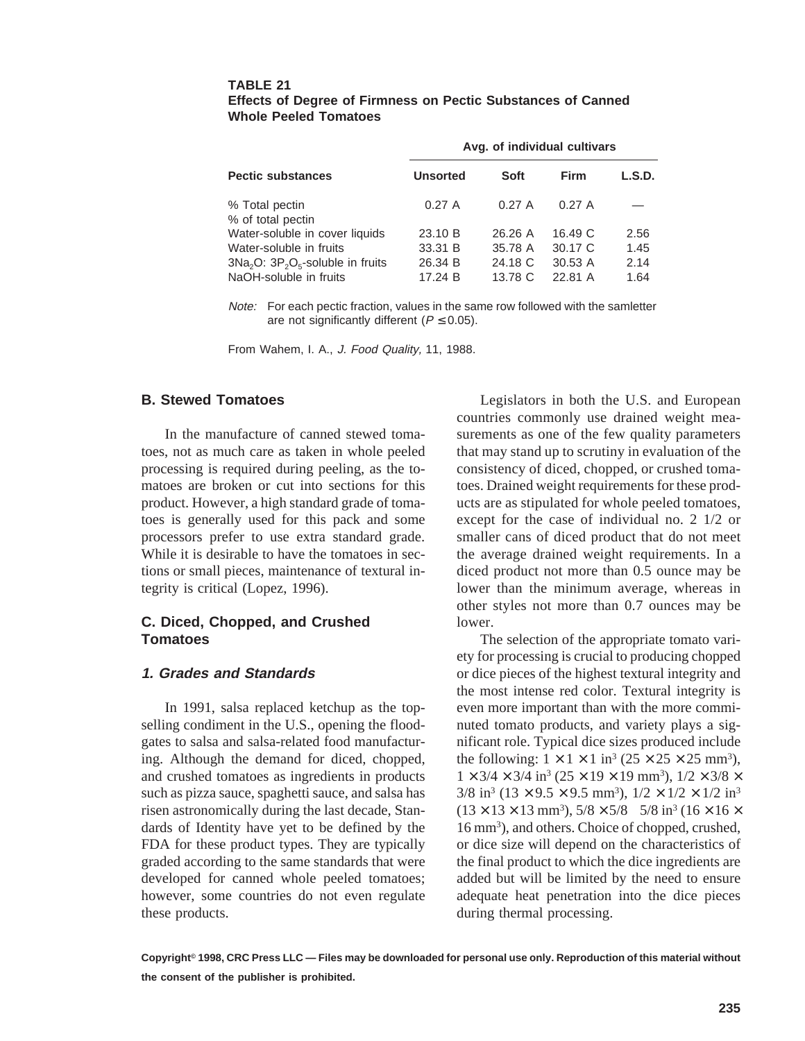#### **TABLE 21 Effects of Degree of Firmness on Pectic Substances of Canned Whole Peeled Tomatoes**

|                                      |                 | Avg. of individual cultivars |         |        |
|--------------------------------------|-----------------|------------------------------|---------|--------|
| <b>Pectic substances</b>             | <b>Unsorted</b> | Soft                         | Firm    | L.S.D. |
| % Total pectin                       | 0.27A           | 0.27A                        | 0.27A   |        |
| % of total pectin                    |                 |                              |         |        |
| Water-soluble in cover liquids       | 23.10 B         | 26.26 A                      | 16.49 C | 2.56   |
| Water-soluble in fruits              | 33.31 B         | 35.78 A                      | 30.17 C | 1.45   |
| $3Na2O$ : $3P2O5$ -soluble in fruits | 26.34 B         | 24.18 C                      | 30.53 A | 2.14   |
| NaOH-soluble in fruits               | 17.24 B         | 13.78 C                      | 22.81 A | 1.64   |

Note: For each pectic fraction, values in the same row followed with the samletter are not significantly different ( $P \le 0.05$ ).

From Wahem, I. A., J. Food Quality, 11, 1988.

### **B. Stewed Tomatoes**

In the manufacture of canned stewed tomatoes, not as much care as taken in whole peeled processing is required during peeling, as the tomatoes are broken or cut into sections for this product. However, a high standard grade of tomatoes is generally used for this pack and some processors prefer to use extra standard grade. While it is desirable to have the tomatoes in sections or small pieces, maintenance of textural integrity is critical (Lopez, 1996).

## **C. Diced, Chopped, and Crushed Tomatoes**

#### **1. Grades and Standards**

In 1991, salsa replaced ketchup as the topselling condiment in the U.S., opening the floodgates to salsa and salsa-related food manufacturing. Although the demand for diced, chopped, and crushed tomatoes as ingredients in products such as pizza sauce, spaghetti sauce, and salsa has risen astronomically during the last decade, Standards of Identity have yet to be defined by the FDA for these product types. They are typically graded according to the same standards that were developed for canned whole peeled tomatoes; however, some countries do not even regulate these products.

Legislators in both the U.S. and European countries commonly use drained weight measurements as one of the few quality parameters that may stand up to scrutiny in evaluation of the consistency of diced, chopped, or crushed tomatoes. Drained weight requirements for these products are as stipulated for whole peeled tomatoes, except for the case of individual no. 2 1/2 or smaller cans of diced product that do not meet the average drained weight requirements. In a diced product not more than 0.5 ounce may be lower than the minimum average, whereas in other styles not more than 0.7 ounces may be lower.

The selection of the appropriate tomato variety for processing is crucial to producing chopped or dice pieces of the highest textural integrity and the most intense red color. Textural integrity is even more important than with the more comminuted tomato products, and variety plays a significant role. Typical dice sizes produced include the following:  $1 \times 1 \times 1$  in<sup>3</sup> ( $25 \times 25 \times 25$  mm<sup>3</sup>),  $1 \times 3/4 \times 3/4$  in<sup>3</sup> (25 × 19 × 19 mm<sup>3</sup>),  $1/2 \times 3/8 \times$  $3/8$  in<sup>3</sup> (13 × 9.5 × 9.5 mm<sup>3</sup>),  $1/2 \times 1/2 \times 1/2$  in<sup>3</sup>  $(13 \times 13 \times 13 \text{ mm}^3)$ ,  $5/8 \times 5/8$   $5/8 \text{ in}^3$   $(16 \times 16 \times$ 16 mm3), and others. Choice of chopped, crushed, or dice size will depend on the characteristics of the final product to which the dice ingredients are added but will be limited by the need to ensure adequate heat penetration into the dice pieces during thermal processing.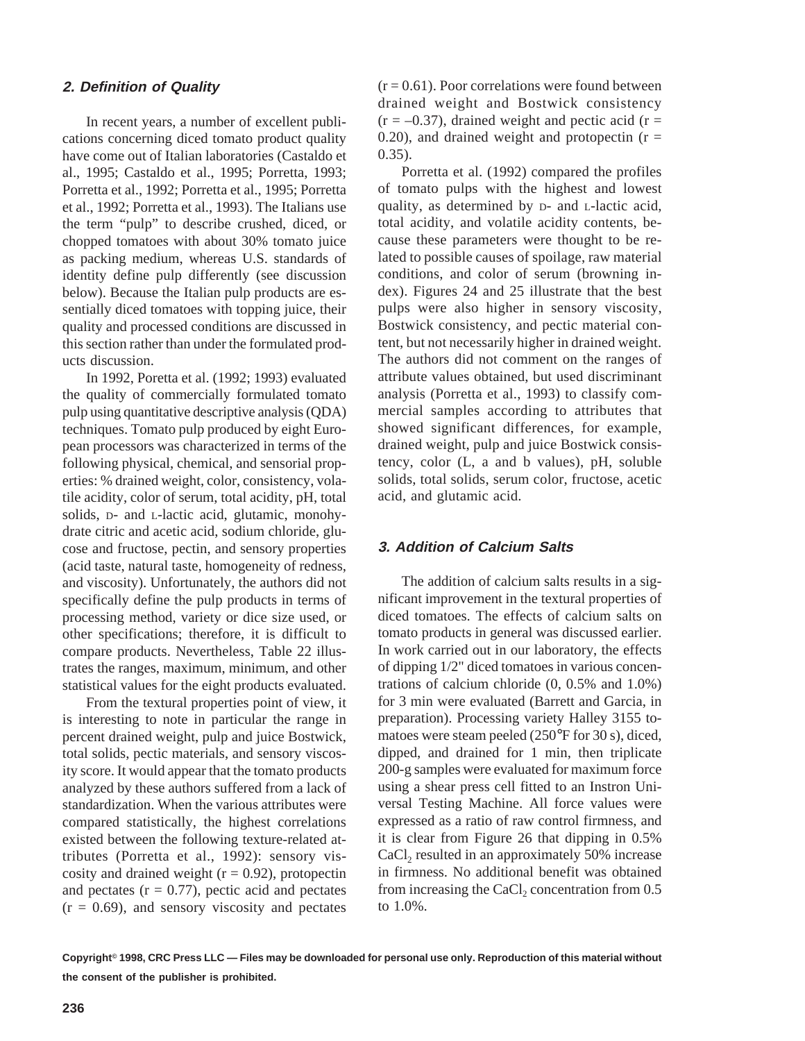## **2. Definition of Quality**

In recent years, a number of excellent publications concerning diced tomato product quality have come out of Italian laboratories (Castaldo et al., 1995; Castaldo et al., 1995; Porretta, 1993; Porretta et al., 1992; Porretta et al., 1995; Porretta et al., 1992; Porretta et al., 1993). The Italians use the term "pulp" to describe crushed, diced, or chopped tomatoes with about 30% tomato juice as packing medium, whereas U.S. standards of identity define pulp differently (see discussion below). Because the Italian pulp products are essentially diced tomatoes with topping juice, their quality and processed conditions are discussed in this section rather than under the formulated products discussion.

In 1992, Poretta et al. (1992; 1993) evaluated the quality of commercially formulated tomato pulp using quantitative descriptive analysis (QDA) techniques. Tomato pulp produced by eight European processors was characterized in terms of the following physical, chemical, and sensorial properties: % drained weight, color, consistency, volatile acidity, color of serum, total acidity, pH, total solids, D- and L-lactic acid, glutamic, monohydrate citric and acetic acid, sodium chloride, glucose and fructose, pectin, and sensory properties (acid taste, natural taste, homogeneity of redness, and viscosity). Unfortunately, the authors did not specifically define the pulp products in terms of processing method, variety or dice size used, or other specifications; therefore, it is difficult to compare products. Nevertheless, Table 22 illustrates the ranges, maximum, minimum, and other statistical values for the eight products evaluated.

From the textural properties point of view, it is interesting to note in particular the range in percent drained weight, pulp and juice Bostwick, total solids, pectic materials, and sensory viscosity score. It would appear that the tomato products analyzed by these authors suffered from a lack of standardization. When the various attributes were compared statistically, the highest correlations existed between the following texture-related attributes (Porretta et al., 1992): sensory viscosity and drained weight  $(r = 0.92)$ , protopectin and pectates  $(r = 0.77)$ , pectic acid and pectates  $(r = 0.69)$ , and sensory viscosity and pectates

 $(r = 0.61)$ . Poor correlations were found between drained weight and Bostwick consistency  $(r = -0.37)$ , drained weight and pectic acid  $(r =$ 0.20), and drained weight and protopectin  $(r =$ 0.35).

Porretta et al. (1992) compared the profiles of tomato pulps with the highest and lowest quality, as determined by D- and L-lactic acid, total acidity, and volatile acidity contents, because these parameters were thought to be related to possible causes of spoilage, raw material conditions, and color of serum (browning index). Figures 24 and 25 illustrate that the best pulps were also higher in sensory viscosity, Bostwick consistency, and pectic material content, but not necessarily higher in drained weight. The authors did not comment on the ranges of attribute values obtained, but used discriminant analysis (Porretta et al., 1993) to classify commercial samples according to attributes that showed significant differences, for example, drained weight, pulp and juice Bostwick consistency, color (L, a and b values), pH, soluble solids, total solids, serum color, fructose, acetic acid, and glutamic acid.

#### **3. Addition of Calcium Salts**

The addition of calcium salts results in a significant improvement in the textural properties of diced tomatoes. The effects of calcium salts on tomato products in general was discussed earlier. In work carried out in our laboratory, the effects of dipping 1/2" diced tomatoes in various concentrations of calcium chloride (0, 0.5% and 1.0%) for 3 min were evaluated (Barrett and Garcia, in preparation). Processing variety Halley 3155 tomatoes were steam peeled (250°F for 30 s), diced, dipped, and drained for 1 min, then triplicate 200-g samples were evaluated for maximum force using a shear press cell fitted to an Instron Universal Testing Machine. All force values were expressed as a ratio of raw control firmness, and it is clear from Figure 26 that dipping in 0.5% CaCl<sub>2</sub> resulted in an approximately 50% increase in firmness. No additional benefit was obtained from increasing the CaCl<sub>2</sub> concentration from  $0.5$ to 1.0%.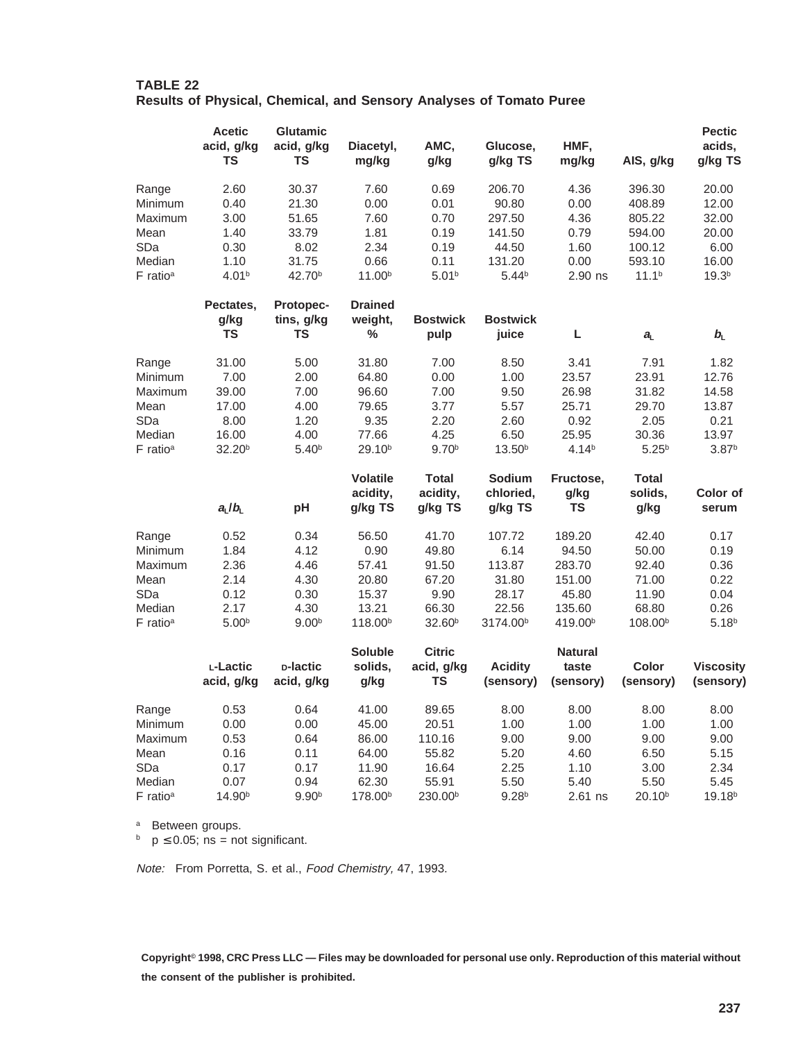### **TABLE 22 Results of Physical, Chemical, and Sensory Analyses of Tomato Puree**

|                        | <b>Acetic</b><br>acid, g/kg<br><b>TS</b> | Glutamic<br>acid, g/kg<br><b>TS</b> | Diacetyl,<br>mg/kg          | AMC,<br>g/kg             | Glucose,<br>g/kg TS  | HMF,<br>mg/kg       | AIS, g/kg               | <b>Pectic</b><br>acids,<br>g/kg TS |
|------------------------|------------------------------------------|-------------------------------------|-----------------------------|--------------------------|----------------------|---------------------|-------------------------|------------------------------------|
| Range                  | 2.60                                     | 30.37                               | 7.60                        | 0.69                     | 206.70               | 4.36                | 396.30                  | 20.00                              |
| Minimum                | 0.40                                     | 21.30                               | 0.00                        | 0.01                     | 90.80                | 0.00                | 408.89                  | 12.00                              |
| Maximum                | 3.00                                     | 51.65                               | 7.60                        | 0.70                     | 297.50               | 4.36                | 805.22                  | 32.00                              |
| Mean                   | 1.40                                     | 33.79                               | 1.81                        | 0.19                     | 141.50               | 0.79                | 594.00                  | 20.00                              |
| SDa                    | 0.30                                     | 8.02                                | 2.34                        | 0.19                     | 44.50                | 1.60                | 100.12                  | 6.00                               |
| Median                 | 1.10                                     | 31.75                               | 0.66                        | 0.11                     | 131.20               | 0.00                | 593.10                  | 16.00                              |
| F ratio <sup>a</sup>   | 4.01 <sup>b</sup>                        | 42.70 <sup>b</sup>                  | 11.00 <sup>b</sup>          | 5.01 <sup>b</sup>        | 5.44 <sup>b</sup>    | 2.90 ns             | 11.1 <sup>b</sup>       | 19.3 <sup>b</sup>                  |
|                        | Pectates,<br>g/kg                        | Protopec-<br>tins, g/kg             | <b>Drained</b><br>weight,   | <b>Bostwick</b>          | <b>Bostwick</b>      |                     |                         |                                    |
|                        | <b>TS</b>                                | <b>TS</b>                           | ℅                           | pulp                     | juice                | L                   | $a_{L}$                 | $b_{\rm L}$                        |
| Range                  | 31.00                                    | 5.00                                | 31.80                       | 7.00                     | 8.50                 | 3.41                | 7.91                    | 1.82                               |
| Minimum                | 7.00                                     | 2.00                                | 64.80                       | 0.00                     | 1.00                 | 23.57               | 23.91                   | 12.76                              |
| Maximum                | 39.00                                    | 7.00                                | 96.60                       | 7.00                     | 9.50                 | 26.98               | 31.82                   | 14.58                              |
| Mean                   | 17.00                                    | 4.00                                | 79.65                       | 3.77                     | 5.57                 | 25.71               | 29.70                   | 13.87                              |
| SDa                    | 8.00                                     | 1.20                                | 9.35                        | 2.20                     | 2.60                 | 0.92                | 2.05                    | 0.21                               |
| Median                 | 16.00                                    | 4.00                                | 77.66                       | 4.25                     | 6.50                 | 25.95               | 30.36                   | 13.97                              |
| F ratio <sup>a</sup>   | 32.20 <sup>b</sup>                       | 5.40 <sup>b</sup>                   | 29.10 <sup>b</sup>          | 9.70 <sup>b</sup>        | 13.50 <sup>b</sup>   | 4.14 <sup>b</sup>   | $5.25^{b}$              | 3.87 <sup>b</sup>                  |
|                        |                                          |                                     | <b>Volatile</b><br>acidity, | <b>Total</b><br>acidity, | Sodium<br>chloried,  | Fructose,<br>g/kg   | <b>Total</b><br>solids, | Color of                           |
|                        | $a_{L}/b_{L}$                            | рH                                  | g/kg TS                     | g/kg TS                  | g/kg TS              | ΤS                  | g/kg                    | serum                              |
| Range                  | 0.52                                     | 0.34                                | 56.50                       | 41.70                    | 107.72               | 189.20              | 42.40                   | 0.17                               |
| Minimum                | 1.84                                     | 4.12                                | 0.90                        | 49.80                    | 6.14                 | 94.50               | 50.00                   | 0.19                               |
| Maximum                | 2.36                                     | 4.46                                | 57.41                       | 91.50                    | 113.87               | 283.70              | 92.40                   | 0.36                               |
| Mean                   | 2.14                                     | 4.30                                | 20.80                       | 67.20                    | 31.80                | 151.00              | 71.00                   | 0.22                               |
| SDa                    | 0.12                                     | 0.30                                | 15.37                       | 9.90                     | 28.17                | 45.80               | 11.90                   | 0.04                               |
| Median                 | 2.17                                     | 4.30                                | 13.21                       | 66.30                    | 22.56                | 135.60              | 68.80                   | 0.26                               |
| $F$ ratio <sup>a</sup> | 5.00 <sup>b</sup>                        | 9.00 <sup>b</sup>                   | 118.00 <sup>b</sup>         | 32.60 <sup>b</sup>       | 3174.00 <sup>b</sup> | 419.00 <sup>b</sup> | 108.00 <sup>b</sup>     | 5.18 <sup>b</sup>                  |
|                        |                                          |                                     | <b>Soluble</b>              | <b>Citric</b>            |                      | <b>Natural</b>      |                         |                                    |
|                        | L-Lactic                                 | <b>p-lactic</b>                     | solids,                     | acid, g/kg               | <b>Acidity</b>       | taste               | Color                   | <b>Viscosity</b>                   |
|                        | acid, g/kg                               | acid, g/kg                          | g/kg                        | TS                       | (sensory)            | (sensory)           | (sensory)               | (sensory)                          |
| Range                  | 0.53                                     | 0.64                                | 41.00                       | 89.65                    | 8.00                 | 8.00                | 8.00                    | 8.00                               |
| Minimum                | 0.00                                     | 0.00                                | 45.00                       | 20.51                    | 1.00                 | 1.00                | 1.00                    | 1.00                               |
| Maximum                | 0.53                                     | 0.64                                | 86.00                       | 110.16                   | 9.00                 | 9.00                | 9.00                    | 9.00                               |
| Mean                   | 0.16                                     | 0.11                                | 64.00                       | 55.82                    | 5.20                 | 4.60                | 6.50                    | 5.15                               |
| SDa                    | 0.17                                     | 0.17                                | 11.90                       | 16.64                    | 2.25                 | 1.10                | 3.00                    | 2.34                               |
| Median                 | 0.07                                     | 0.94                                | 62.30                       | 55.91                    | 5.50                 | 5.40                | 5.50                    | 5.45                               |
| F ratio <sup>a</sup>   | 14.90 <sup>b</sup>                       | 9.90 <sup>b</sup>                   | 178.00 <sup>b</sup>         | 230.00 <sup>b</sup>      | 9.28 <sup>b</sup>    | $2.61$ ns           | 20.10 <sup>b</sup>      | 19.18 <sup>b</sup>                 |

a Between groups.

 $p \le 0.05$ ; ns = not significant.

Note: From Porretta, S. et al., Food Chemistry, 47, 1993.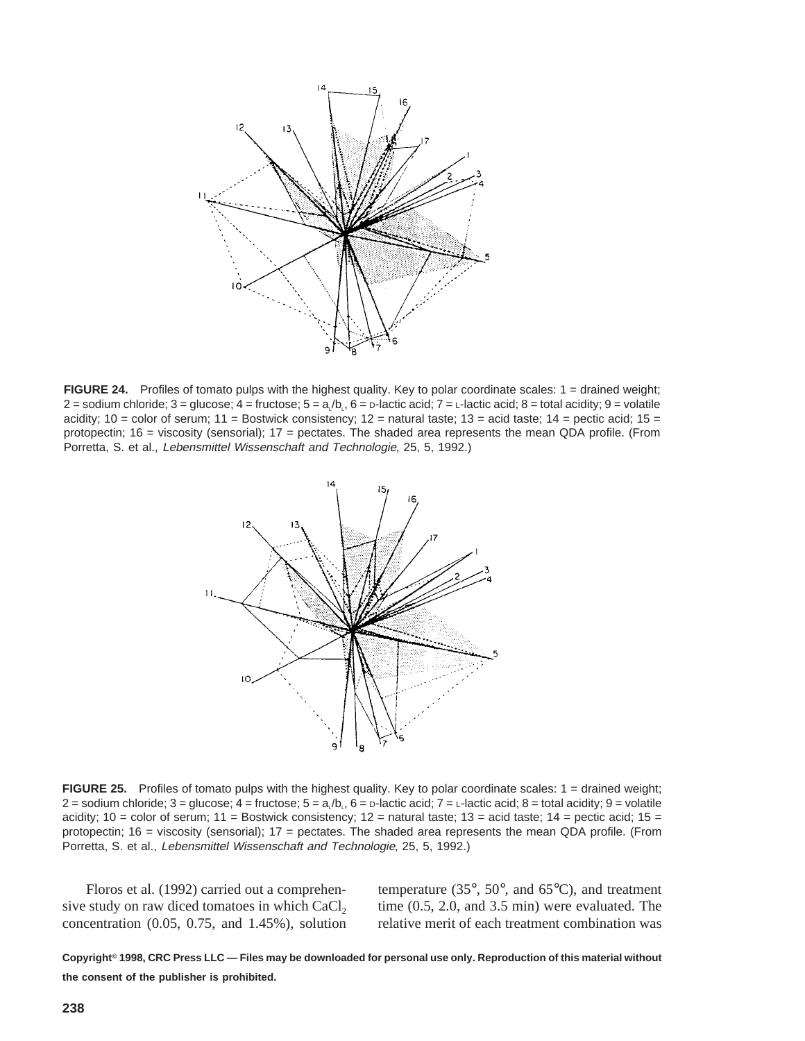

**FIGURE 24.** Profiles of tomato pulps with the highest quality. Key to polar coordinate scales: 1 = drained weight; 2 = sodium chloride; 3 = glucose; 4 = fructose;  $5 = a/b$ ,  $6 = b$ -lactic acid;  $7 = b$ -lactic acid; 8 = total acidity; 9 = volatile acidity;  $10 =$  color of serum;  $11 =$  Bostwick consistency;  $12 =$  natural taste;  $13 =$  acid taste;  $14 =$  pectic acid;  $15 =$ protopectin; 16 = viscosity (sensorial); 17 = pectates. The shaded area represents the mean QDA profile. (From Porretta, S. et al., Lebensmittel Wissenschaft and Technologie, 25, 5, 1992.)



**FIGURE 25.** Profiles of tomato pulps with the highest quality. Key to polar coordinate scales: 1 = drained weight; 2 = sodium chloride; 3 = glucose; 4 = fructose;  $5 = a/b<sub>1</sub>$ , 6 =  $b$ -lactic acid;  $7 = c$ -lactic acid; 8 = total acidity; 9 = volatile acidity; 10 = color of serum; 11 = Bostwick consistency; 12 = natural taste; 13 = acid taste; 14 = pectic acid; 15 = protopectin; 16 = viscosity (sensorial); 17 = pectates. The shaded area represents the mean QDA profile. (From Porretta, S. et al., Lebensmittel Wissenschaft and Technologie, 25, 5, 1992.)

Floros et al. (1992) carried out a comprehensive study on raw diced tomatoes in which CaCl<sub>2</sub> concentration (0.05, 0.75, and 1.45%), solution temperature (35°, 50°, and 65°C), and treatment time (0.5, 2.0, and 3.5 min) were evaluated. The relative merit of each treatment combination was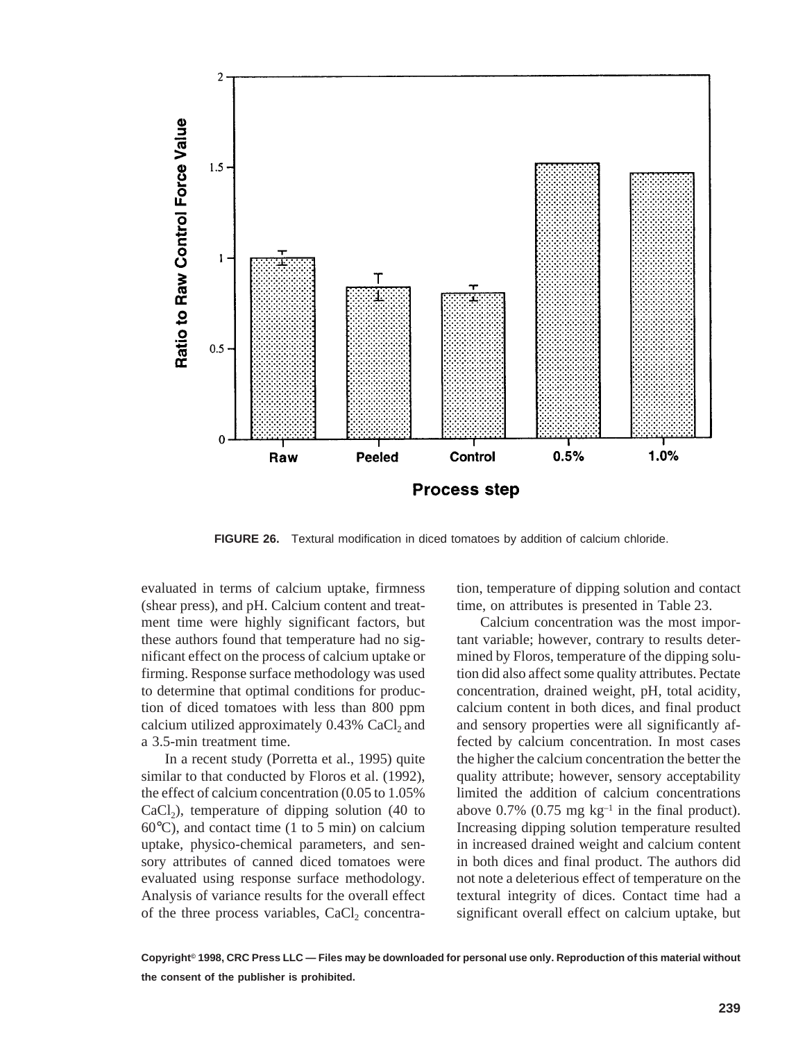

**FIGURE 26.** Textural modification in diced tomatoes by addition of calcium chloride.

evaluated in terms of calcium uptake, firmness (shear press), and pH. Calcium content and treatment time were highly significant factors, but these authors found that temperature had no significant effect on the process of calcium uptake or firming. Response surface methodology was used to determine that optimal conditions for production of diced tomatoes with less than 800 ppm calcium utilized approximately  $0.43\%$  CaCl<sub>2</sub> and a 3.5-min treatment time.

In a recent study (Porretta et al., 1995) quite similar to that conducted by Floros et al. (1992), the effect of calcium concentration (0.05 to 1.05%  $CaCl<sub>2</sub>$ ), temperature of dipping solution (40 to  $60^{\circ}$ C), and contact time (1 to 5 min) on calcium uptake, physico-chemical parameters, and sensory attributes of canned diced tomatoes were evaluated using response surface methodology. Analysis of variance results for the overall effect of the three process variables,  $CaCl<sub>2</sub>$  concentration, temperature of dipping solution and contact time, on attributes is presented in Table 23.

Calcium concentration was the most important variable; however, contrary to results determined by Floros, temperature of the dipping solution did also affect some quality attributes. Pectate concentration, drained weight, pH, total acidity, calcium content in both dices, and final product and sensory properties were all significantly affected by calcium concentration. In most cases the higher the calcium concentration the better the quality attribute; however, sensory acceptability limited the addition of calcium concentrations above  $0.7\%$   $(0.75 \text{ mg kg}^{-1} \text{ in the final product}).$ Increasing dipping solution temperature resulted in increased drained weight and calcium content in both dices and final product. The authors did not note a deleterious effect of temperature on the textural integrity of dices. Contact time had a significant overall effect on calcium uptake, but

**Copyright© 1998, CRC Press LLC — Files may be downloaded for personal use only. Reproduction of this material without the consent of the publisher is prohibited.**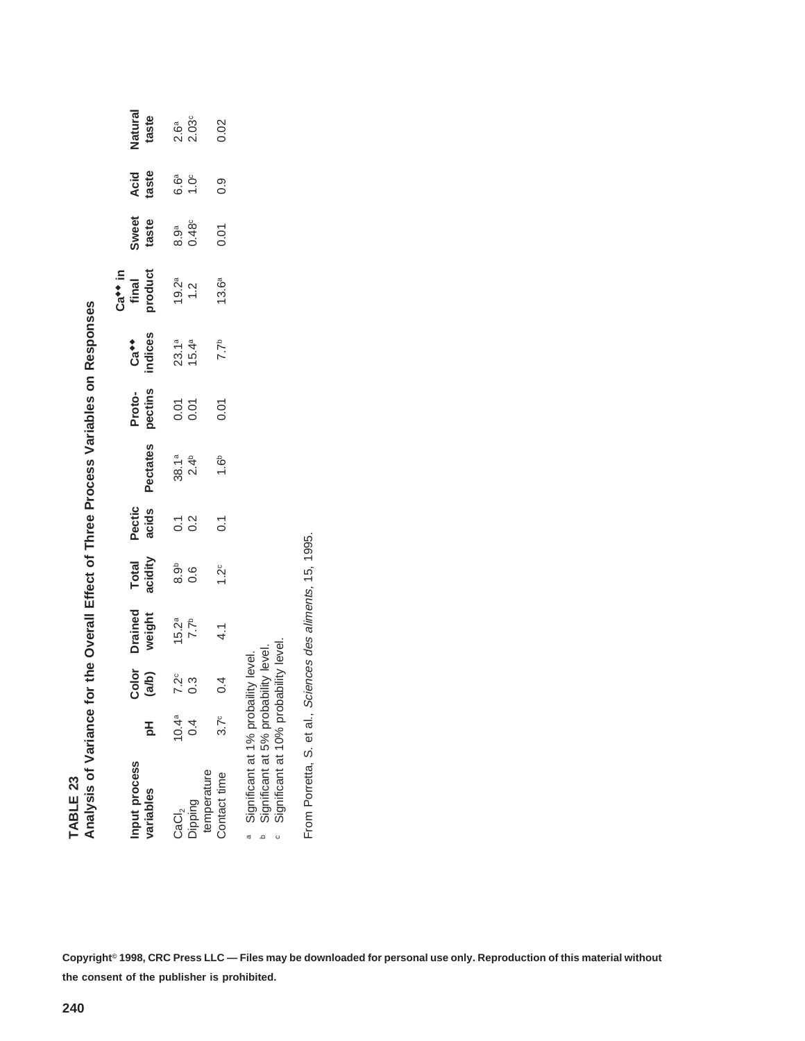TABLE 23<br>Analysis of Variance for the Overall Effect of Three Process Variables on Responses **Analysis of Variance for the Overall Effect of Three Process Variables on Responses**

| nput process<br><b>rariables</b>                                                                                     | 玉                      | <b>Color</b><br>(a/b)<br>ក្នុំ នី ។<br>ក្នុង ក្នុង | <b>Drained<br/>Weight<br/>15.2ª</b><br>15.7 <sup>p</sup><br>4.1 | Total<br>acidity<br>ಕಾಲ್ಪಂ<br>೧.೦೮<br>1.2೮ | Pectic<br>acids<br>0.1<br>0.1 |                                                                  | Proto-<br>pectins<br>0.01<br>0.01 | Ca <sup>++</sup><br>ndices<br>23.1 <sup>a</sup><br>15.4 <sup>a</sup> | $Ca**$ in<br>final<br>final<br>final<br>final<br>final<br>final<br>final<br>final<br>final<br>final<br>final<br>final<br>final<br>final<br>final<br>final<br>final<br>final<br>final<br>final<br>final<br>final<br>final<br>final<br>final<br>final<br>final<br>final<br>final<br>final<br>final<br>final<br>final<br>final<br>final<br>fi | Sweet<br>taste<br>$\frac{8}{3}$<br>$\frac{3}{3}$<br>$\frac{3}{3}$<br>$\frac{3}{3}$<br>$\frac{3}{3}$<br>$\frac{3}{3}$<br>$\frac{3}{3}$<br>$\frac{3}{3}$ | <b>Natural</b><br>taste<br>2. ೧೨<br>2. ೧೨ |
|----------------------------------------------------------------------------------------------------------------------|------------------------|----------------------------------------------------|-----------------------------------------------------------------|--------------------------------------------|-------------------------------|------------------------------------------------------------------|-----------------------------------|----------------------------------------------------------------------|--------------------------------------------------------------------------------------------------------------------------------------------------------------------------------------------------------------------------------------------------------------------------------------------------------------------------------------------|--------------------------------------------------------------------------------------------------------------------------------------------------------|-------------------------------------------|
|                                                                                                                      |                        |                                                    |                                                                 |                                            |                               |                                                                  |                                   |                                                                      |                                                                                                                                                                                                                                                                                                                                            |                                                                                                                                                        |                                           |
| UaCl <sub>2</sub><br>Dipping<br>temperature                                                                          | $\frac{4}{9}$ d<br>0.4 |                                                    |                                                                 |                                            |                               |                                                                  |                                   |                                                                      |                                                                                                                                                                                                                                                                                                                                            |                                                                                                                                                        |                                           |
| Contact time                                                                                                         | $3.7^\circ$            |                                                    |                                                                 |                                            |                               | <b>Pectates</b><br>38.1ª<br>2.4 <sup>b</sup><br>1.6 <sup>b</sup> |                                   |                                                                      |                                                                                                                                                                                                                                                                                                                                            |                                                                                                                                                        |                                           |
|                                                                                                                      |                        |                                                    |                                                                 |                                            |                               |                                                                  |                                   |                                                                      |                                                                                                                                                                                                                                                                                                                                            |                                                                                                                                                        |                                           |
| Significant at 1% probaility level.<br>Significant at 5% probability level.<br>Significant at 10% probability level. |                        |                                                    |                                                                 |                                            |                               |                                                                  |                                   |                                                                      |                                                                                                                                                                                                                                                                                                                                            |                                                                                                                                                        |                                           |

From Porretta, S. et al., Sciences des aliments, 15, 1995. From Porretta, S. et al., Sciences des aliments, 15, 1995.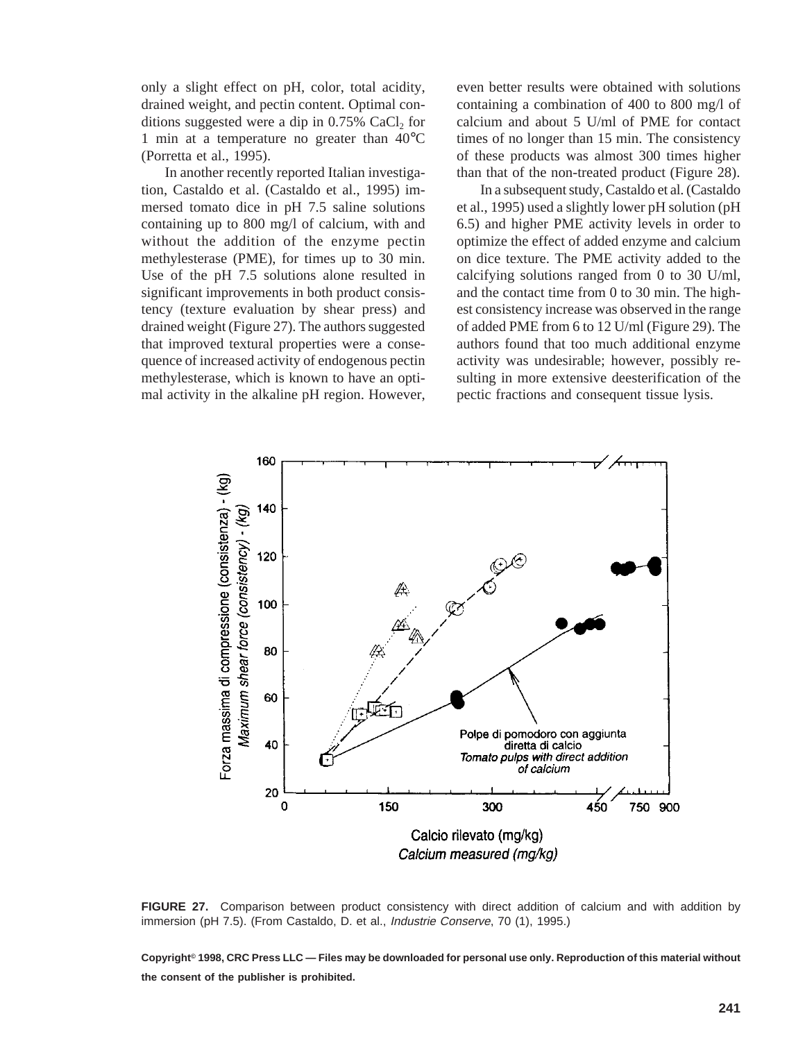only a slight effect on pH, color, total acidity, drained weight, and pectin content. Optimal conditions suggested were a dip in  $0.75\%$  CaCl<sub>2</sub> for 1 min at a temperature no greater than 40°C (Porretta et al., 1995).

In another recently reported Italian investigation, Castaldo et al. (Castaldo et al., 1995) immersed tomato dice in pH 7.5 saline solutions containing up to 800 mg/l of calcium, with and without the addition of the enzyme pectin methylesterase (PME), for times up to 30 min. Use of the pH 7.5 solutions alone resulted in significant improvements in both product consistency (texture evaluation by shear press) and drained weight (Figure 27). The authors suggested that improved textural properties were a consequence of increased activity of endogenous pectin methylesterase, which is known to have an optimal activity in the alkaline pH region. However,

even better results were obtained with solutions containing a combination of 400 to 800 mg/l of calcium and about 5 U/ml of PME for contact times of no longer than 15 min. The consistency of these products was almost 300 times higher than that of the non-treated product (Figure 28).

In a subsequent study, Castaldo et al. (Castaldo et al., 1995) used a slightly lower pH solution (pH 6.5) and higher PME activity levels in order to optimize the effect of added enzyme and calcium on dice texture. The PME activity added to the calcifying solutions ranged from 0 to 30 U/ml, and the contact time from 0 to 30 min. The highest consistency increase was observed in the range of added PME from 6 to 12 U/ml (Figure 29). The authors found that too much additional enzyme activity was undesirable; however, possibly resulting in more extensive deesterification of the pectic fractions and consequent tissue lysis.



**FIGURE 27.** Comparison between product consistency with direct addition of calcium and with addition by immersion (pH 7.5). (From Castaldo, D. et al., *Industrie Conserve*, 70 (1), 1995.)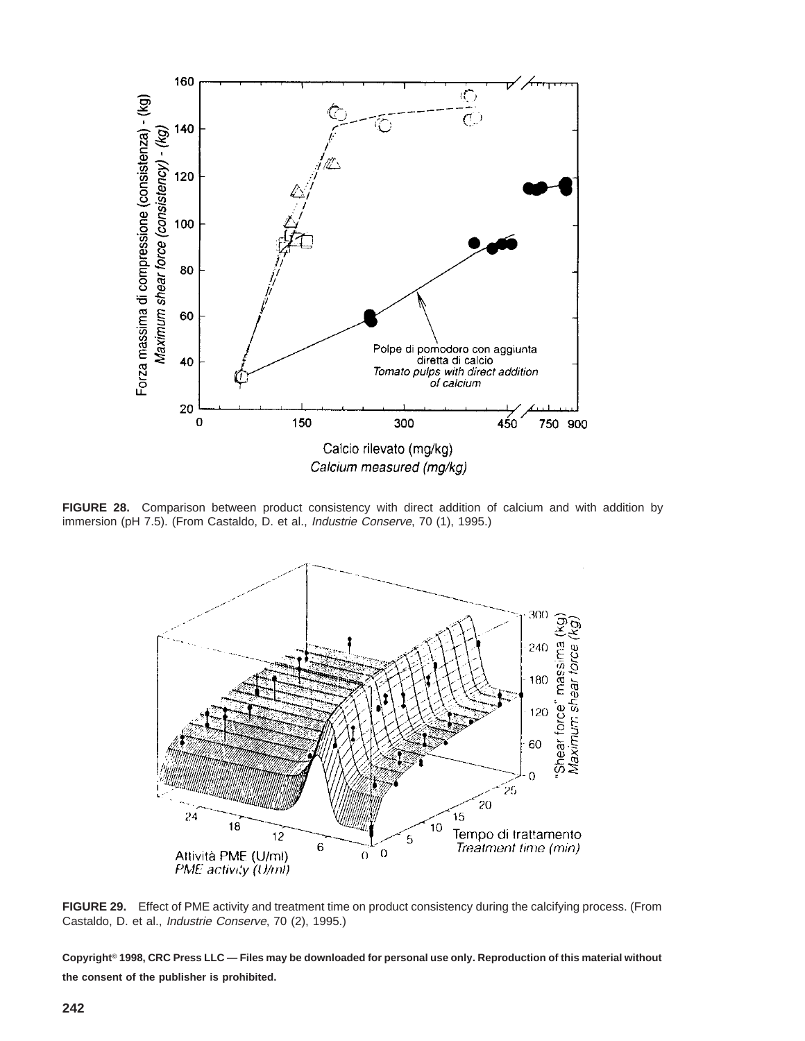

**FIGURE 28.** Comparison between product consistency with direct addition of calcium and with addition by immersion (pH 7.5). (From Castaldo, D. et al., Industrie Conserve, 70 (1), 1995.)



**FIGURE 29.** Effect of PME activity and treatment time on product consistency during the calcifying process. (From Castaldo, D. et al., Industrie Conserve, 70 (2), 1995.)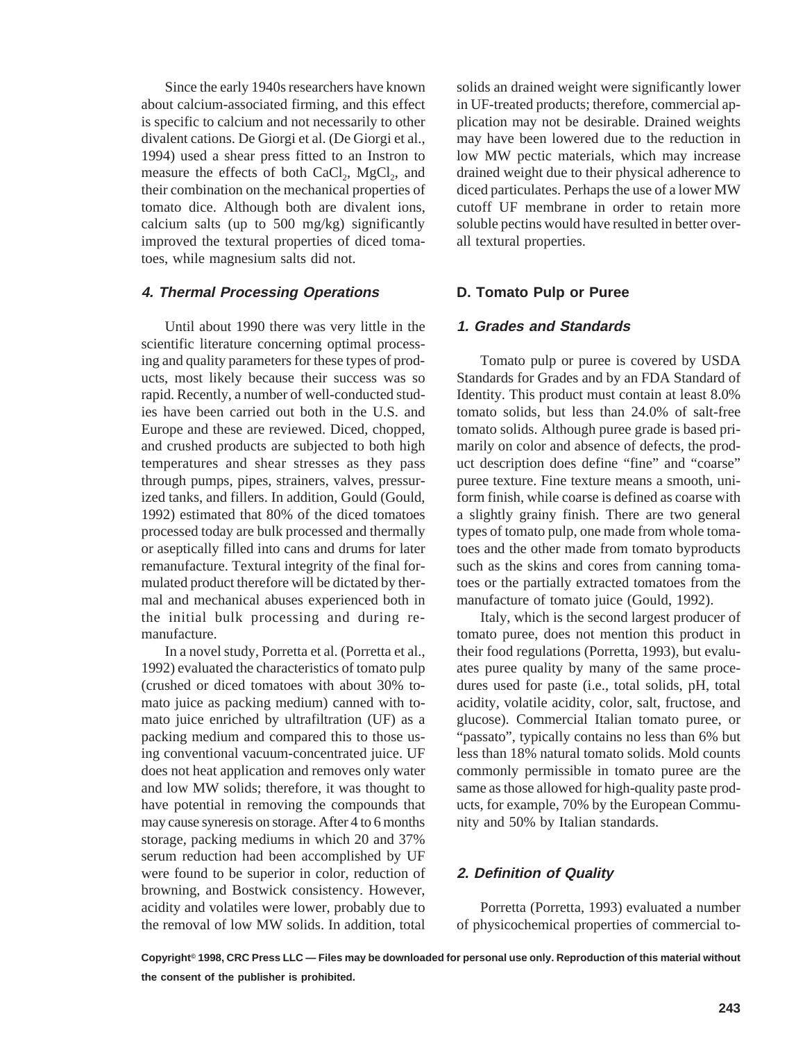Since the early 1940s researchers have known about calcium-associated firming, and this effect is specific to calcium and not necessarily to other divalent cations. De Giorgi et al. (De Giorgi et al., 1994) used a shear press fitted to an Instron to measure the effects of both  $CaCl<sub>2</sub>$ ,  $MgCl<sub>2</sub>$ , and their combination on the mechanical properties of tomato dice. Although both are divalent ions, calcium salts (up to 500 mg/kg) significantly improved the textural properties of diced tomatoes, while magnesium salts did not.

#### **4. Thermal Processing Operations**

Until about 1990 there was very little in the scientific literature concerning optimal processing and quality parameters for these types of products, most likely because their success was so rapid. Recently, a number of well-conducted studies have been carried out both in the U.S. and Europe and these are reviewed. Diced, chopped, and crushed products are subjected to both high temperatures and shear stresses as they pass through pumps, pipes, strainers, valves, pressurized tanks, and fillers. In addition, Gould (Gould, 1992) estimated that 80% of the diced tomatoes processed today are bulk processed and thermally or aseptically filled into cans and drums for later remanufacture. Textural integrity of the final formulated product therefore will be dictated by thermal and mechanical abuses experienced both in the initial bulk processing and during remanufacture.

In a novel study, Porretta et al. (Porretta et al., 1992) evaluated the characteristics of tomato pulp (crushed or diced tomatoes with about 30% tomato juice as packing medium) canned with tomato juice enriched by ultrafiltration (UF) as a packing medium and compared this to those using conventional vacuum-concentrated juice. UF does not heat application and removes only water and low MW solids; therefore, it was thought to have potential in removing the compounds that may cause syneresis on storage. After 4 to 6 months storage, packing mediums in which 20 and 37% serum reduction had been accomplished by UF were found to be superior in color, reduction of browning, and Bostwick consistency. However, acidity and volatiles were lower, probably due to the removal of low MW solids. In addition, total solids an drained weight were significantly lower in UF-treated products; therefore, commercial application may not be desirable. Drained weights may have been lowered due to the reduction in low MW pectic materials, which may increase drained weight due to their physical adherence to diced particulates. Perhaps the use of a lower MW cutoff UF membrane in order to retain more soluble pectins would have resulted in better overall textural properties.

#### **D. Tomato Pulp or Puree**

### **1. Grades and Standards**

Tomato pulp or puree is covered by USDA Standards for Grades and by an FDA Standard of Identity. This product must contain at least 8.0% tomato solids, but less than 24.0% of salt-free tomato solids. Although puree grade is based primarily on color and absence of defects, the product description does define "fine" and "coarse" puree texture. Fine texture means a smooth, uniform finish, while coarse is defined as coarse with a slightly grainy finish. There are two general types of tomato pulp, one made from whole tomatoes and the other made from tomato byproducts such as the skins and cores from canning tomatoes or the partially extracted tomatoes from the manufacture of tomato juice (Gould, 1992).

Italy, which is the second largest producer of tomato puree, does not mention this product in their food regulations (Porretta, 1993), but evaluates puree quality by many of the same procedures used for paste (i.e., total solids, pH, total acidity, volatile acidity, color, salt, fructose, and glucose). Commercial Italian tomato puree, or "passato", typically contains no less than 6% but less than 18% natural tomato solids. Mold counts commonly permissible in tomato puree are the same as those allowed for high-quality paste products, for example, 70% by the European Community and 50% by Italian standards.

#### **2. Definition of Quality**

Porretta (Porretta, 1993) evaluated a number of physicochemical properties of commercial to-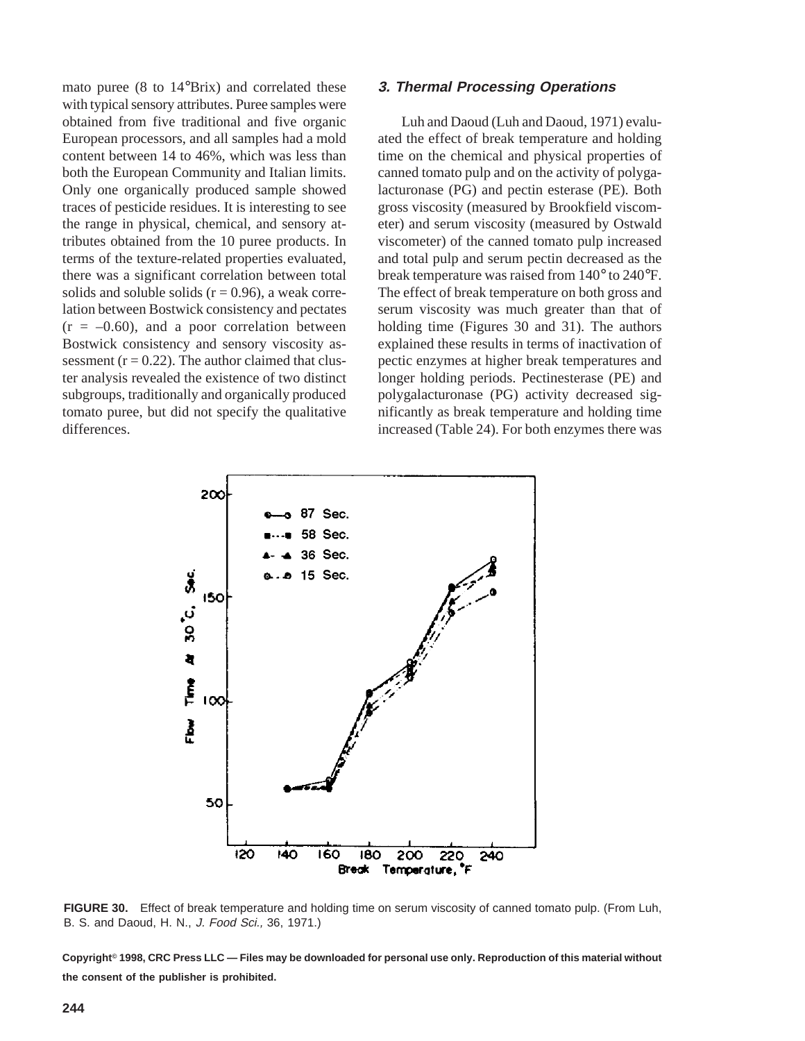mato puree (8 to 14°Brix) and correlated these with typical sensory attributes. Puree samples were obtained from five traditional and five organic European processors, and all samples had a mold content between 14 to 46%, which was less than both the European Community and Italian limits. Only one organically produced sample showed traces of pesticide residues. It is interesting to see the range in physical, chemical, and sensory attributes obtained from the 10 puree products. In terms of the texture-related properties evaluated, there was a significant correlation between total solids and soluble solids  $(r = 0.96)$ , a weak correlation between Bostwick consistency and pectates  $(r = -0.60)$ , and a poor correlation between Bostwick consistency and sensory viscosity assessment ( $r = 0.22$ ). The author claimed that cluster analysis revealed the existence of two distinct subgroups, traditionally and organically produced tomato puree, but did not specify the qualitative differences.

#### **3. Thermal Processing Operations**

Luh and Daoud (Luh and Daoud, 1971) evaluated the effect of break temperature and holding time on the chemical and physical properties of canned tomato pulp and on the activity of polygalacturonase (PG) and pectin esterase (PE). Both gross viscosity (measured by Brookfield viscometer) and serum viscosity (measured by Ostwald viscometer) of the canned tomato pulp increased and total pulp and serum pectin decreased as the break temperature was raised from 140° to 240°F. The effect of break temperature on both gross and serum viscosity was much greater than that of holding time (Figures 30 and 31). The authors explained these results in terms of inactivation of pectic enzymes at higher break temperatures and longer holding periods. Pectinesterase (PE) and polygalacturonase (PG) activity decreased significantly as break temperature and holding time increased (Table 24). For both enzymes there was



**FIGURE 30.** Effect of break temperature and holding time on serum viscosity of canned tomato pulp. (From Luh, B. S. and Daoud, H. N., J. Food Sci., 36, 1971.)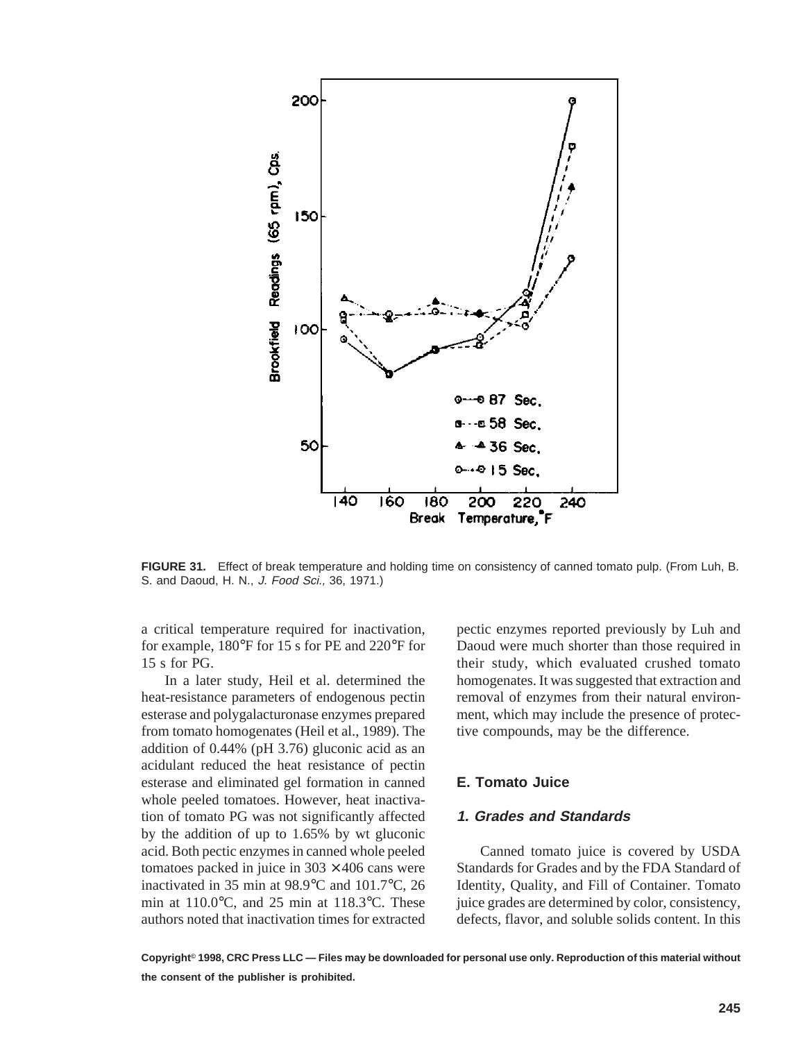

**FIGURE 31.** Effect of break temperature and holding time on consistency of canned tomato pulp. (From Luh, B. S. and Daoud, H. N., J. Food Sci., 36, 1971.)

a critical temperature required for inactivation, for example, 180°F for 15 s for PE and 220°F for 15 s for PG.

In a later study, Heil et al. determined the heat-resistance parameters of endogenous pectin esterase and polygalacturonase enzymes prepared from tomato homogenates (Heil et al., 1989). The addition of 0.44% (pH 3.76) gluconic acid as an acidulant reduced the heat resistance of pectin esterase and eliminated gel formation in canned whole peeled tomatoes. However, heat inactivation of tomato PG was not significantly affected by the addition of up to 1.65% by wt gluconic acid. Both pectic enzymes in canned whole peeled tomatoes packed in juice in  $303 \times 406$  cans were inactivated in 35 min at 98.9°C and 101.7°C, 26 min at 110.0°C, and 25 min at 118.3°C. These authors noted that inactivation times for extracted pectic enzymes reported previously by Luh and Daoud were much shorter than those required in their study, which evaluated crushed tomato homogenates. It was suggested that extraction and removal of enzymes from their natural environment, which may include the presence of protective compounds, may be the difference.

# **E. Tomato Juice**

### **1. Grades and Standards**

Canned tomato juice is covered by USDA Standards for Grades and by the FDA Standard of Identity, Quality, and Fill of Container. Tomato juice grades are determined by color, consistency, defects, flavor, and soluble solids content. In this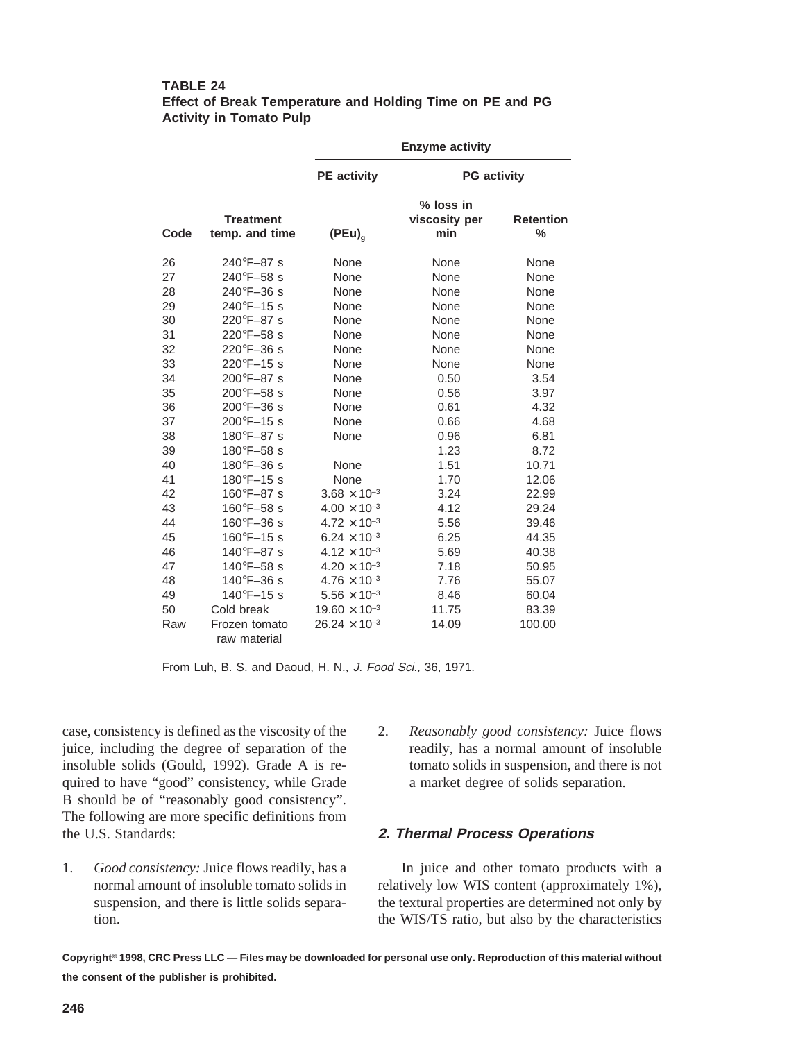# **TABLE 24 Effect of Break Temperature and Holding Time on PE and PG Activity in Tomato Pulp**

|      |                                    |                        | <b>Enzyme activity</b>            |                                   |
|------|------------------------------------|------------------------|-----------------------------------|-----------------------------------|
|      |                                    | <b>PE</b> activity     | <b>PG</b> activity                |                                   |
| Code | <b>Treatment</b><br>temp. and time | $(PEu)_{q}$            | % loss in<br>viscosity per<br>min | <b>Retention</b><br>$\frac{0}{0}$ |
| 26   | 240°F-87 s                         | None                   | None                              | None                              |
| 27   | 240°F-58 s                         | None                   | None                              | None                              |
| 28   | $240^{\circ}F - 36s$               | None                   | None                              | None                              |
| 29   | $240^{\circ}$ F-15 s               | None                   | None                              | None                              |
| 30   | 220°F-87 s                         | None                   | None                              | None                              |
| 31   | $220^{\circ}$ F-58 s               | None                   | None                              | None                              |
| 32   | $220^{\circ}F - 36s$               | None                   | None                              | None                              |
| 33   | 220°F-15 s                         | None                   | None                              | None                              |
| 34   | 200°F-87 s                         | None                   | 0.50                              | 3.54                              |
| 35   | $200^{\circ}$ F-58 s               | None                   | 0.56                              | 3.97                              |
| 36   | $200^{\circ}$ F-36 s               | None                   | 0.61                              | 4.32                              |
| 37   | 200°F-15 s                         | None                   | 0.66                              | 4.68                              |
| 38   | 180°F-87 s                         | None                   | 0.96                              | 6.81                              |
| 39   | $180^{\circ}$ F-58 s               |                        | 1.23                              | 8.72                              |
| 40   | $180^{\circ}F - 36s$               | None                   | 1.51                              | 10.71                             |
| 41   | $180^{\circ}$ F-15 s               | None                   | 1.70                              | 12.06                             |
| 42   | $160^{\circ}F - 87$ s              | $3.68 \times 10^{-3}$  | 3.24                              | 22.99                             |
| 43   | $160^{\circ}F - 58$ s              | $4.00 \times 10^{-3}$  | 4.12                              | 29.24                             |
| 44   | 160°F-36 s                         | $4.72 \times 10^{-3}$  | 5.56                              | 39.46                             |
| 45   | 160°F-15 s                         | $6.24 \times 10^{-3}$  | 6.25                              | 44.35                             |
| 46   | 140°F-87 s                         | $4.12 \times 10^{-3}$  | 5.69                              | 40.38                             |
| 47   | $140^{\circ}F - 58$ s              | $4.20 \times 10^{-3}$  | 7.18                              | 50.95                             |
| 48   | $140^{\circ}F - 36s$               | $4.76 \times 10^{-3}$  | 7.76                              | 55.07                             |
| 49   | $140^{\circ}$ F-15 s               | $5.56 \times 10^{-3}$  | 8.46                              | 60.04                             |
| 50   | Cold break                         | $19.60 \times 10^{-3}$ | 11.75                             | 83.39                             |
| Raw  | Frozen tomato<br>raw material      | $26.24 \times 10^{-3}$ | 14.09                             | 100.00                            |

From Luh, B. S. and Daoud, H. N., J. Food Sci., 36, 1971.

case, consistency is defined as the viscosity of the juice, including the degree of separation of the insoluble solids (Gould, 1992). Grade A is required to have "good" consistency, while Grade B should be of "reasonably good consistency". The following are more specific definitions from the U.S. Standards:

- 1. *Good consistency:* Juice flows readily, has a normal amount of insoluble tomato solids in suspension, and there is little solids separation.
- 2. *Reasonably good consistency:* Juice flows readily, has a normal amount of insoluble tomato solids in suspension, and there is not a market degree of solids separation.

# **2. Thermal Process Operations**

In juice and other tomato products with a relatively low WIS content (approximately 1%), the textural properties are determined not only by the WIS/TS ratio, but also by the characteristics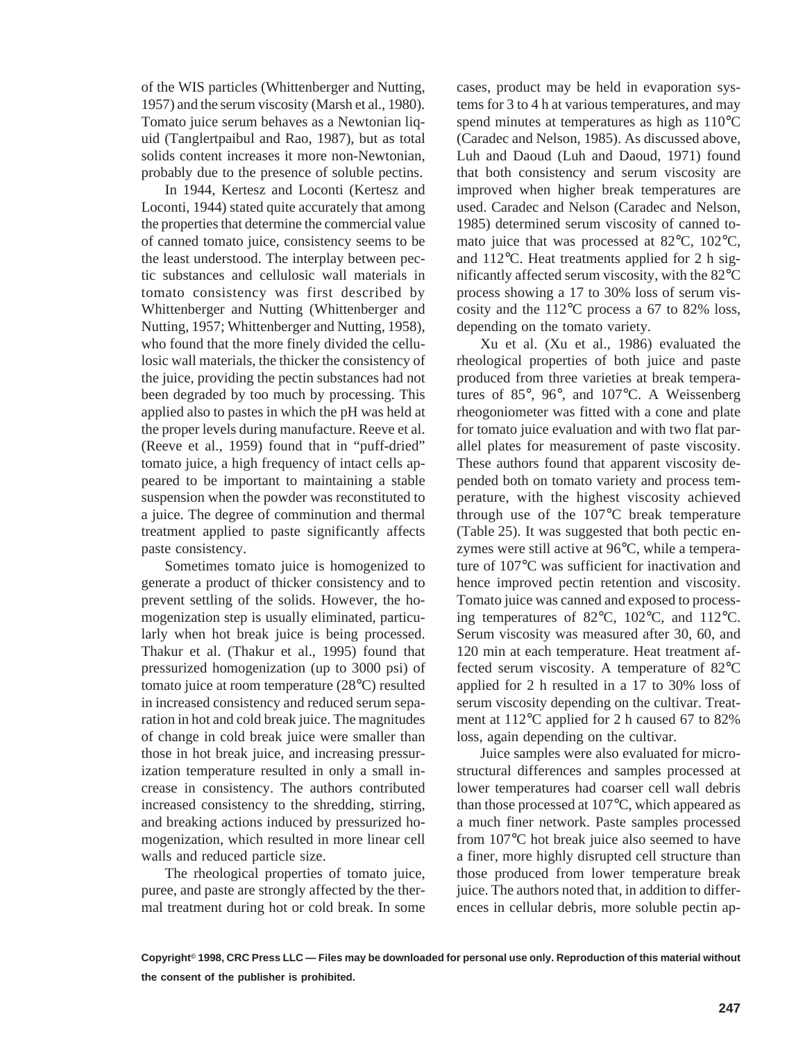of the WIS particles (Whittenberger and Nutting, 1957) and the serum viscosity (Marsh et al., 1980). Tomato juice serum behaves as a Newtonian liquid (Tanglertpaibul and Rao, 1987), but as total solids content increases it more non-Newtonian, probably due to the presence of soluble pectins.

In 1944, Kertesz and Loconti (Kertesz and Loconti, 1944) stated quite accurately that among the properties that determine the commercial value of canned tomato juice, consistency seems to be the least understood. The interplay between pectic substances and cellulosic wall materials in tomato consistency was first described by Whittenberger and Nutting (Whittenberger and Nutting, 1957; Whittenberger and Nutting, 1958), who found that the more finely divided the cellulosic wall materials, the thicker the consistency of the juice, providing the pectin substances had not been degraded by too much by processing. This applied also to pastes in which the pH was held at the proper levels during manufacture. Reeve et al. (Reeve et al., 1959) found that in "puff-dried" tomato juice, a high frequency of intact cells appeared to be important to maintaining a stable suspension when the powder was reconstituted to a juice. The degree of comminution and thermal treatment applied to paste significantly affects paste consistency.

Sometimes tomato juice is homogenized to generate a product of thicker consistency and to prevent settling of the solids. However, the homogenization step is usually eliminated, particularly when hot break juice is being processed. Thakur et al. (Thakur et al., 1995) found that pressurized homogenization (up to 3000 psi) of tomato juice at room temperature (28°C) resulted in increased consistency and reduced serum separation in hot and cold break juice. The magnitudes of change in cold break juice were smaller than those in hot break juice, and increasing pressurization temperature resulted in only a small increase in consistency. The authors contributed increased consistency to the shredding, stirring, and breaking actions induced by pressurized homogenization, which resulted in more linear cell walls and reduced particle size.

The rheological properties of tomato juice, puree, and paste are strongly affected by the thermal treatment during hot or cold break. In some cases, product may be held in evaporation systems for 3 to 4 h at various temperatures, and may spend minutes at temperatures as high as 110°C (Caradec and Nelson, 1985). As discussed above, Luh and Daoud (Luh and Daoud, 1971) found that both consistency and serum viscosity are improved when higher break temperatures are used. Caradec and Nelson (Caradec and Nelson, 1985) determined serum viscosity of canned tomato juice that was processed at 82°C, 102°C, and 112°C. Heat treatments applied for 2 h significantly affected serum viscosity, with the 82°C process showing a 17 to 30% loss of serum viscosity and the 112°C process a 67 to 82% loss, depending on the tomato variety.

Xu et al. (Xu et al., 1986) evaluated the rheological properties of both juice and paste produced from three varieties at break temperatures of 85°, 96°, and 107°C. A Weissenberg rheogoniometer was fitted with a cone and plate for tomato juice evaluation and with two flat parallel plates for measurement of paste viscosity. These authors found that apparent viscosity depended both on tomato variety and process temperature, with the highest viscosity achieved through use of the 107°C break temperature (Table 25). It was suggested that both pectic enzymes were still active at 96°C, while a temperature of 107°C was sufficient for inactivation and hence improved pectin retention and viscosity. Tomato juice was canned and exposed to processing temperatures of 82°C, 102°C, and 112°C. Serum viscosity was measured after 30, 60, and 120 min at each temperature. Heat treatment affected serum viscosity. A temperature of 82°C applied for 2 h resulted in a 17 to 30% loss of serum viscosity depending on the cultivar. Treatment at 112°C applied for 2 h caused 67 to 82% loss, again depending on the cultivar.

Juice samples were also evaluated for microstructural differences and samples processed at lower temperatures had coarser cell wall debris than those processed at 107°C, which appeared as a much finer network. Paste samples processed from 107°C hot break juice also seemed to have a finer, more highly disrupted cell structure than those produced from lower temperature break juice. The authors noted that, in addition to differences in cellular debris, more soluble pectin ap-

**Copyright© 1998, CRC Press LLC — Files may be downloaded for personal use only. Reproduction of this material without the consent of the publisher is prohibited.**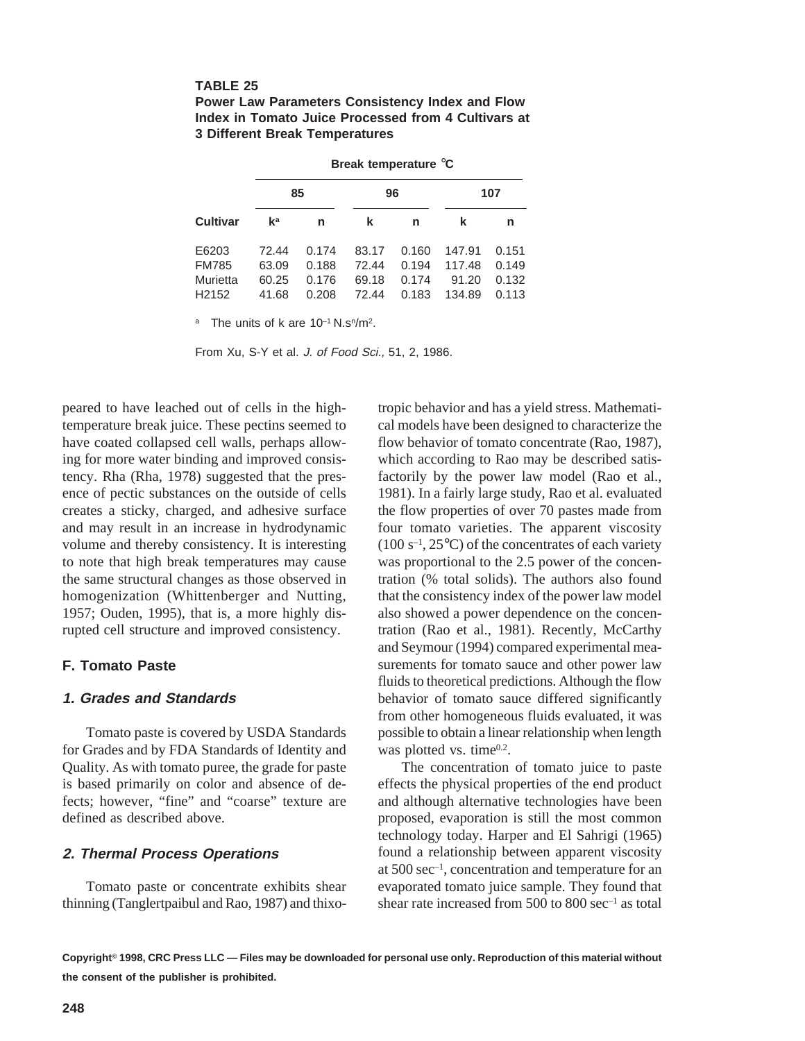### **TABLE 25**

**Power Law Parameters Consistency Index and Flow Index in Tomato Juice Processed from 4 Cultivars at 3 Different Break Temperatures**

|          |                           |       | Break temperature °C |       |        |       |
|----------|---------------------------|-------|----------------------|-------|--------|-------|
|          |                           | 85    | 96                   |       |        | 107   |
| Cultivar | $\mathbf{k}^{\mathrm{a}}$ | n     | k                    | n     | k      | n     |
| E6203    | 72.44                     | 0.174 | 83.17                | 0.160 | 147.91 | 0.151 |
| FM785    | 63.09                     | 0.188 | 72.44                | 0.194 | 117.48 | 0.149 |
| Murietta | 60.25                     | 0.176 | 69.18                | 0.174 | 91.20  | 0.132 |
| H2152    | 41.68                     | 0.208 | 72.44                | 0.183 | 134.89 | 0.113 |

<sup>a</sup> The units of k are  $10^{-1}$  N.s<sup>n</sup>/m<sup>2</sup>.

From Xu, S-Y et al. J. of Food Sci., 51, 2, 1986.

peared to have leached out of cells in the hightemperature break juice. These pectins seemed to have coated collapsed cell walls, perhaps allowing for more water binding and improved consistency. Rha (Rha, 1978) suggested that the presence of pectic substances on the outside of cells creates a sticky, charged, and adhesive surface and may result in an increase in hydrodynamic volume and thereby consistency. It is interesting to note that high break temperatures may cause the same structural changes as those observed in homogenization (Whittenberger and Nutting, 1957; Ouden, 1995), that is, a more highly disrupted cell structure and improved consistency.

# **F. Tomato Paste**

### **1. Grades and Standards**

Tomato paste is covered by USDA Standards for Grades and by FDA Standards of Identity and Quality. As with tomato puree, the grade for paste is based primarily on color and absence of defects; however, "fine" and "coarse" texture are defined as described above.

### **2. Thermal Process Operations**

Tomato paste or concentrate exhibits shear thinning (Tanglertpaibul and Rao, 1987) and thixotropic behavior and has a yield stress. Mathematical models have been designed to characterize the flow behavior of tomato concentrate (Rao, 1987), which according to Rao may be described satisfactorily by the power law model (Rao et al., 1981). In a fairly large study, Rao et al. evaluated the flow properties of over 70 pastes made from four tomato varieties. The apparent viscosity  $(100 \text{ s}^{-1}, 25^{\circ} \text{C})$  of the concentrates of each variety was proportional to the 2.5 power of the concentration (% total solids). The authors also found that the consistency index of the power law model also showed a power dependence on the concentration (Rao et al., 1981). Recently, McCarthy and Seymour (1994) compared experimental measurements for tomato sauce and other power law fluids to theoretical predictions. Although the flow behavior of tomato sauce differed significantly from other homogeneous fluids evaluated, it was possible to obtain a linear relationship when length was plotted vs.  $time<sup>0.2</sup>$ .

The concentration of tomato juice to paste effects the physical properties of the end product and although alternative technologies have been proposed, evaporation is still the most common technology today. Harper and El Sahrigi (1965) found a relationship between apparent viscosity at 500 sec–1, concentration and temperature for an evaporated tomato juice sample. They found that shear rate increased from  $500$  to  $800$  sec<sup>-1</sup> as total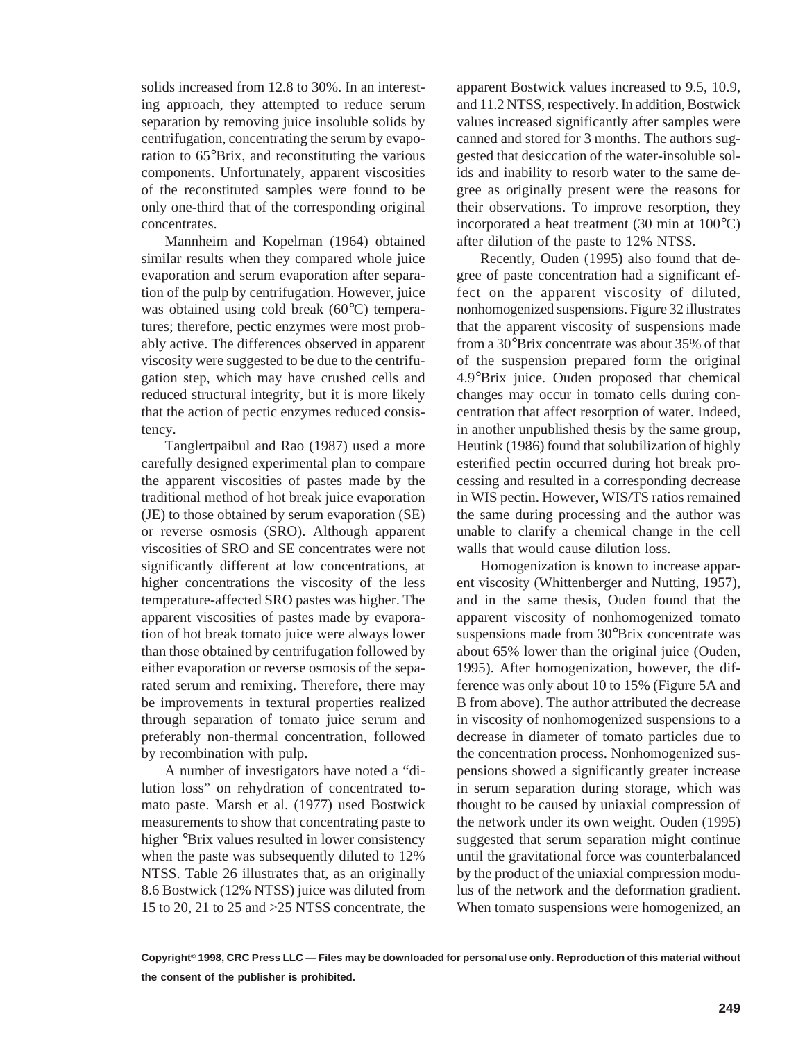solids increased from 12.8 to 30%. In an interesting approach, they attempted to reduce serum separation by removing juice insoluble solids by centrifugation, concentrating the serum by evaporation to 65°Brix, and reconstituting the various components. Unfortunately, apparent viscosities of the reconstituted samples were found to be only one-third that of the corresponding original concentrates.

Mannheim and Kopelman (1964) obtained similar results when they compared whole juice evaporation and serum evaporation after separation of the pulp by centrifugation. However, juice was obtained using cold break (60°C) temperatures; therefore, pectic enzymes were most probably active. The differences observed in apparent viscosity were suggested to be due to the centrifugation step, which may have crushed cells and reduced structural integrity, but it is more likely that the action of pectic enzymes reduced consistency.

Tanglertpaibul and Rao (1987) used a more carefully designed experimental plan to compare the apparent viscosities of pastes made by the traditional method of hot break juice evaporation (JE) to those obtained by serum evaporation (SE) or reverse osmosis (SRO). Although apparent viscosities of SRO and SE concentrates were not significantly different at low concentrations, at higher concentrations the viscosity of the less temperature-affected SRO pastes was higher. The apparent viscosities of pastes made by evaporation of hot break tomato juice were always lower than those obtained by centrifugation followed by either evaporation or reverse osmosis of the separated serum and remixing. Therefore, there may be improvements in textural properties realized through separation of tomato juice serum and preferably non-thermal concentration, followed by recombination with pulp.

A number of investigators have noted a "dilution loss" on rehydration of concentrated tomato paste. Marsh et al. (1977) used Bostwick measurements to show that concentrating paste to higher °Brix values resulted in lower consistency when the paste was subsequently diluted to 12% NTSS. Table 26 illustrates that, as an originally 8.6 Bostwick (12% NTSS) juice was diluted from 15 to 20, 21 to 25 and >25 NTSS concentrate, the apparent Bostwick values increased to 9.5, 10.9, and 11.2 NTSS, respectively. In addition, Bostwick values increased significantly after samples were canned and stored for 3 months. The authors suggested that desiccation of the water-insoluble solids and inability to resorb water to the same degree as originally present were the reasons for their observations. To improve resorption, they incorporated a heat treatment (30 min at 100°C) after dilution of the paste to 12% NTSS.

Recently, Ouden (1995) also found that degree of paste concentration had a significant effect on the apparent viscosity of diluted, nonhomogenized suspensions. Figure 32 illustrates that the apparent viscosity of suspensions made from a 30°Brix concentrate was about 35% of that of the suspension prepared form the original 4.9°Brix juice. Ouden proposed that chemical changes may occur in tomato cells during concentration that affect resorption of water. Indeed, in another unpublished thesis by the same group, Heutink (1986) found that solubilization of highly esterified pectin occurred during hot break processing and resulted in a corresponding decrease in WIS pectin. However, WIS/TS ratios remained the same during processing and the author was unable to clarify a chemical change in the cell walls that would cause dilution loss.

Homogenization is known to increase apparent viscosity (Whittenberger and Nutting, 1957), and in the same thesis, Ouden found that the apparent viscosity of nonhomogenized tomato suspensions made from 30°Brix concentrate was about 65% lower than the original juice (Ouden, 1995). After homogenization, however, the difference was only about 10 to 15% (Figure 5A and B from above). The author attributed the decrease in viscosity of nonhomogenized suspensions to a decrease in diameter of tomato particles due to the concentration process. Nonhomogenized suspensions showed a significantly greater increase in serum separation during storage, which was thought to be caused by uniaxial compression of the network under its own weight. Ouden (1995) suggested that serum separation might continue until the gravitational force was counterbalanced by the product of the uniaxial compression modulus of the network and the deformation gradient. When tomato suspensions were homogenized, an

**Copyright© 1998, CRC Press LLC — Files may be downloaded for personal use only. Reproduction of this material without the consent of the publisher is prohibited.**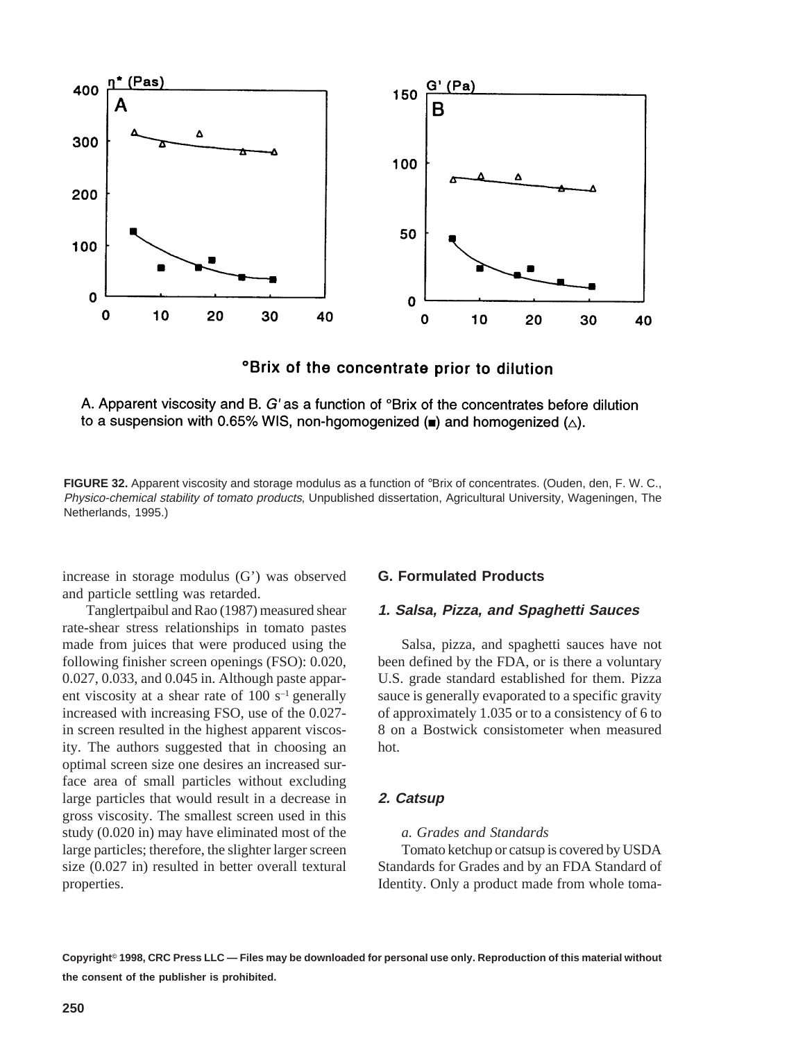

**Parix of the concentrate prior to dilution** 

A. Apparent viscosity and B. G' as a function of °Brix of the concentrates before dilution to a suspension with 0.65% WIS, non-hgomogenized ( $\blacksquare$ ) and homogenized ( $\triangle$ ).

**FIGURE 32.** Apparent viscosity and storage modulus as a function of °Brix of concentrates. (Ouden, den, F. W. C., Physico-chemical stability of tomato products, Unpublished dissertation, Agricultural University, Wageningen, The Netherlands, 1995.)

increase in storage modulus (G') was observed and particle settling was retarded.

Tanglertpaibul and Rao (1987) measured shear rate-shear stress relationships in tomato pastes made from juices that were produced using the following finisher screen openings (FSO): 0.020, 0.027, 0.033, and 0.045 in. Although paste apparent viscosity at a shear rate of  $100 \text{ s}^{-1}$  generally increased with increasing FSO, use of the 0.027 in screen resulted in the highest apparent viscosity. The authors suggested that in choosing an optimal screen size one desires an increased surface area of small particles without excluding large particles that would result in a decrease in gross viscosity. The smallest screen used in this study (0.020 in) may have eliminated most of the large particles; therefore, the slighter larger screen size (0.027 in) resulted in better overall textural properties.

#### **G. Formulated Products**

### **1. Salsa, Pizza, and Spaghetti Sauces**

Salsa, pizza, and spaghetti sauces have not been defined by the FDA, or is there a voluntary U.S. grade standard established for them. Pizza sauce is generally evaporated to a specific gravity of approximately 1.035 or to a consistency of 6 to 8 on a Bostwick consistometer when measured hot.

### **2. Catsup**

#### *a. Grades and Standards*

Tomato ketchup or catsup is covered by USDA Standards for Grades and by an FDA Standard of Identity. Only a product made from whole toma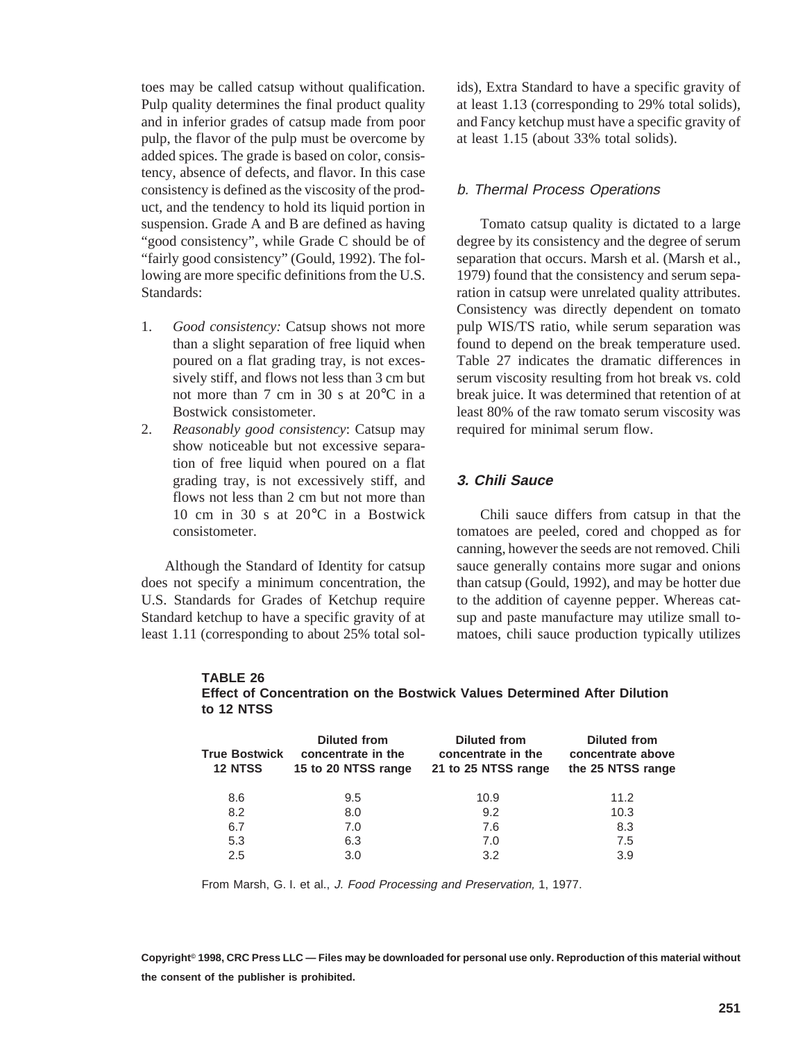toes may be called catsup without qualification. Pulp quality determines the final product quality and in inferior grades of catsup made from poor pulp, the flavor of the pulp must be overcome by added spices. The grade is based on color, consistency, absence of defects, and flavor. In this case consistency is defined as the viscosity of the product, and the tendency to hold its liquid portion in suspension. Grade A and B are defined as having "good consistency", while Grade C should be of "fairly good consistency" (Gould, 1992). The following are more specific definitions from the U.S. Standards:

- 1. *Good consistency:* Catsup shows not more than a slight separation of free liquid when poured on a flat grading tray, is not excessively stiff, and flows not less than 3 cm but not more than 7 cm in 30 s at 20°C in a Bostwick consistometer.
- 2. *Reasonably good consistency*: Catsup may show noticeable but not excessive separation of free liquid when poured on a flat grading tray, is not excessively stiff, and flows not less than 2 cm but not more than 10 cm in 30 s at 20°C in a Bostwick consistometer.

Although the Standard of Identity for catsup does not specify a minimum concentration, the U.S. Standards for Grades of Ketchup require Standard ketchup to have a specific gravity of at least 1.11 (corresponding to about 25% total solids), Extra Standard to have a specific gravity of at least 1.13 (corresponding to 29% total solids), and Fancy ketchup must have a specific gravity of at least 1.15 (about 33% total solids).

# b. Thermal Process Operations

Tomato catsup quality is dictated to a large degree by its consistency and the degree of serum separation that occurs. Marsh et al. (Marsh et al., 1979) found that the consistency and serum separation in catsup were unrelated quality attributes. Consistency was directly dependent on tomato pulp WIS/TS ratio, while serum separation was found to depend on the break temperature used. Table 27 indicates the dramatic differences in serum viscosity resulting from hot break vs. cold break juice. It was determined that retention of at least 80% of the raw tomato serum viscosity was required for minimal serum flow.

# **3. Chili Sauce**

Chili sauce differs from catsup in that the tomatoes are peeled, cored and chopped as for canning, however the seeds are not removed. Chili sauce generally contains more sugar and onions than catsup (Gould, 1992), and may be hotter due to the addition of cayenne pepper. Whereas catsup and paste manufacture may utilize small tomatoes, chili sauce production typically utilizes

| <b>True Bostwick</b><br><b>12 NTSS</b> | <b>Diluted from</b><br>concentrate in the<br>15 to 20 NTSS range | <b>Diluted from</b><br>concentrate in the<br>21 to 25 NTSS range | <b>Diluted from</b><br>concentrate above<br>the 25 NTSS range |
|----------------------------------------|------------------------------------------------------------------|------------------------------------------------------------------|---------------------------------------------------------------|
| 8.6                                    | 9.5                                                              | 10.9                                                             | 11.2                                                          |
| 8.2                                    | 8.0                                                              | 9.2                                                              | 10.3                                                          |
| 6.7                                    | 7.0                                                              | 7.6                                                              | 8.3                                                           |
| 5.3                                    | 6.3                                                              | 7.0                                                              | 7.5                                                           |
| 2.5                                    | 3.0                                                              | 3.2                                                              | 3.9                                                           |

**TABLE 26 Effect of Concentration on the Bostwick Values Determined After Dilution to 12 NTSS**

From Marsh, G. I. et al., J. Food Processing and Preservation, 1, 1977.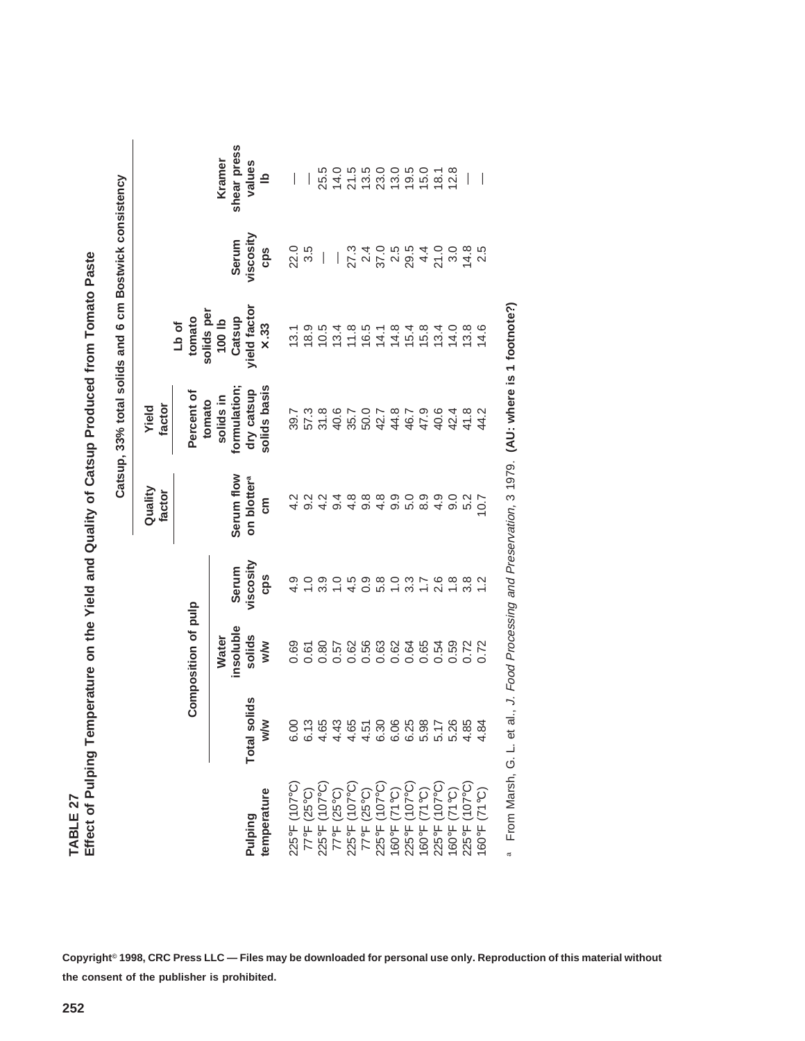|         | <b>A from Tomato Date</b>             |
|---------|---------------------------------------|
|         |                                       |
|         |                                       |
|         | <b>Af Catelin Draw</b><br>insian<br>S |
|         |                                       |
|         | <b>NIRDISH DIR DIDIT DIN T</b>        |
|         |                                       |
|         |                                       |
|         |                                       |
|         |                                       |
|         |                                       |
|         | j                                     |
|         | j                                     |
|         |                                       |
| ARIE 77 |                                       |
|         |                                       |

|                                                                                                                                                               |                                                                                                     |                     |                    | Quality<br>factor                                                  | <b>Yield</b><br>factor                                                                                                                                                                                                                                |                                                                                                                                                                                                                                |                    |  |
|---------------------------------------------------------------------------------------------------------------------------------------------------------------|-----------------------------------------------------------------------------------------------------|---------------------|--------------------|--------------------------------------------------------------------|-------------------------------------------------------------------------------------------------------------------------------------------------------------------------------------------------------------------------------------------------------|--------------------------------------------------------------------------------------------------------------------------------------------------------------------------------------------------------------------------------|--------------------|--|
|                                                                                                                                                               |                                                                                                     | Composition of pulp |                    |                                                                    |                                                                                                                                                                                                                                                       | So the contract the conditions of the condition of the condition of the condition of the condition of the condition of the condition of the condition of the condition of the condition of the condition of the condition of t |                    |  |
|                                                                                                                                                               |                                                                                                     |                     |                    |                                                                    | Percent of<br>tomation;<br>solids in<br>formulation;<br>formulation;<br>and the solid pass<br>of the solid pass of the solid pass<br>of the solid pass of the solid pass of the solid pass<br>solids by the solid pass of the solid pass of the solid |                                                                                                                                                                                                                                |                    |  |
| <b>Buidin<sub>c</sub></b>                                                                                                                                     | solids<br><b>Total</b>                                                                              |                     | Serum<br>viscosity | Serum flow<br>on blotter <sup>a</sup><br>cm                        |                                                                                                                                                                                                                                                       |                                                                                                                                                                                                                                | Serum<br>riscosity |  |
| emperature                                                                                                                                                    | $\sum_{k=1}^{N}$                                                                                    |                     |                    |                                                                    |                                                                                                                                                                                                                                                       |                                                                                                                                                                                                                                | cps                |  |
|                                                                                                                                                               |                                                                                                     |                     |                    | d o 4 o 4 o 4 o 6 o 6 o 6 d 6<br>G 6 0 4 0 4 0 6 0 6 0 6 0 6 6 6 7 |                                                                                                                                                                                                                                                       |                                                                                                                                                                                                                                |                    |  |
|                                                                                                                                                               |                                                                                                     |                     |                    |                                                                    |                                                                                                                                                                                                                                                       |                                                                                                                                                                                                                                |                    |  |
|                                                                                                                                                               |                                                                                                     |                     |                    |                                                                    |                                                                                                                                                                                                                                                       |                                                                                                                                                                                                                                |                    |  |
|                                                                                                                                                               |                                                                                                     |                     |                    |                                                                    |                                                                                                                                                                                                                                                       |                                                                                                                                                                                                                                |                    |  |
|                                                                                                                                                               |                                                                                                     |                     |                    |                                                                    |                                                                                                                                                                                                                                                       |                                                                                                                                                                                                                                |                    |  |
|                                                                                                                                                               |                                                                                                     |                     |                    |                                                                    |                                                                                                                                                                                                                                                       |                                                                                                                                                                                                                                |                    |  |
|                                                                                                                                                               |                                                                                                     |                     |                    |                                                                    |                                                                                                                                                                                                                                                       |                                                                                                                                                                                                                                |                    |  |
|                                                                                                                                                               | c c 4 4 4 4 6 6 6 7 6 7 7 8 7 8 7<br>0 5 7 6 7 6 7 9 8 7 9 7 7 8 9 7<br>0 7 9 7 9 7 9 7 9 7 9 7 9 7 |                     |                    |                                                                    |                                                                                                                                                                                                                                                       |                                                                                                                                                                                                                                |                    |  |
|                                                                                                                                                               |                                                                                                     |                     |                    |                                                                    |                                                                                                                                                                                                                                                       |                                                                                                                                                                                                                                |                    |  |
|                                                                                                                                                               |                                                                                                     |                     |                    |                                                                    |                                                                                                                                                                                                                                                       |                                                                                                                                                                                                                                |                    |  |
|                                                                                                                                                               |                                                                                                     |                     |                    |                                                                    |                                                                                                                                                                                                                                                       |                                                                                                                                                                                                                                |                    |  |
|                                                                                                                                                               |                                                                                                     |                     |                    |                                                                    |                                                                                                                                                                                                                                                       |                                                                                                                                                                                                                                |                    |  |
|                                                                                                                                                               |                                                                                                     |                     |                    |                                                                    |                                                                                                                                                                                                                                                       |                                                                                                                                                                                                                                |                    |  |
| 225°F (107°C)<br>77°F (25°C)<br>77°F (25°C)<br>77°F (25°C)<br>77°F (25°C)<br>725°F (107°C)<br>725°F (107°C)<br>160°F (71°C)<br>160°F (107°C)<br>725°F (107°C) |                                                                                                     |                     |                    |                                                                    |                                                                                                                                                                                                                                                       |                                                                                                                                                                                                                                |                    |  |
|                                                                                                                                                               |                                                                                                     |                     |                    |                                                                    |                                                                                                                                                                                                                                                       |                                                                                                                                                                                                                                |                    |  |

Catsup, 33% total solids and 6 cm Bostwick consistency **Catsup, 33% total solids and 6 cm Bostwick consistency**

**Copyright© 1998, CRC Press LLC — Files may be downloaded for personal use only. Reproduction of this material without the consent of the publisher is prohibited. 252TABLE 27**

a

From Marsh, G. L. et al., J. Food Processing and Preservation, 3 1979. **(AU: where is 1 footnote?)**

From Marsh, G. L. et al., J. Food Processing and Preservation, 3 1979. (AU: where is 1 footnote?)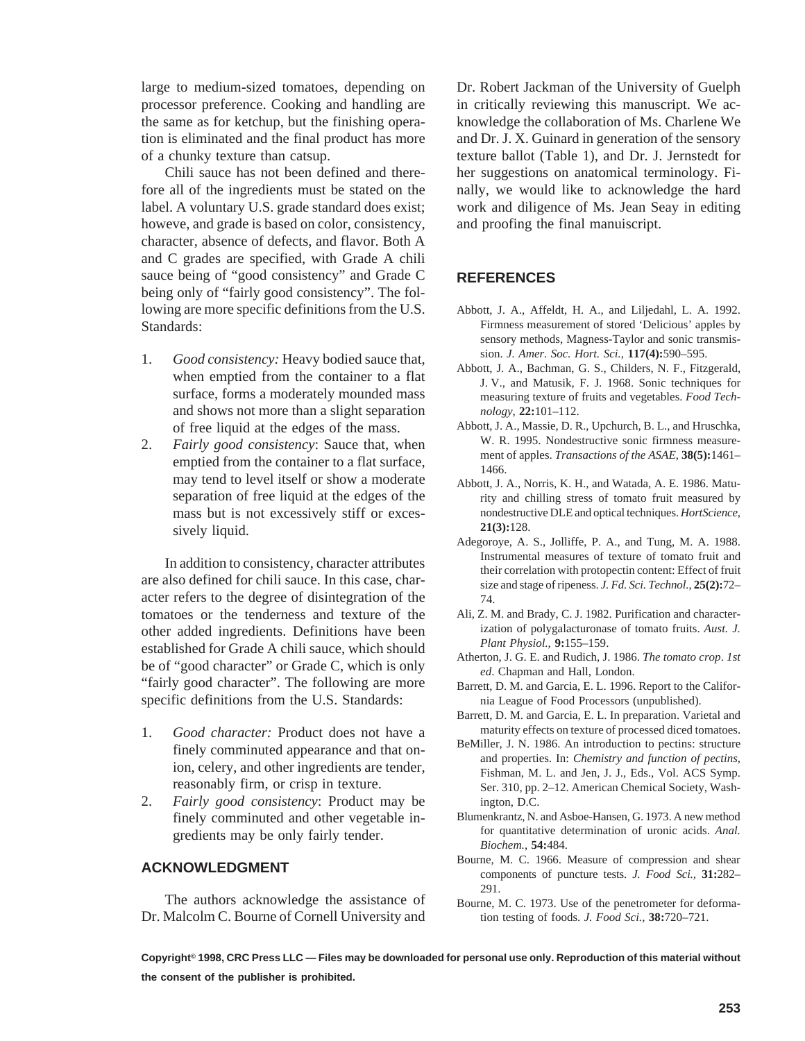large to medium-sized tomatoes, depending on processor preference. Cooking and handling are the same as for ketchup, but the finishing operation is eliminated and the final product has more of a chunky texture than catsup.

Chili sauce has not been defined and therefore all of the ingredients must be stated on the label. A voluntary U.S. grade standard does exist; howeve, and grade is based on color, consistency, character, absence of defects, and flavor. Both A and C grades are specified, with Grade A chili sauce being of "good consistency" and Grade C being only of "fairly good consistency". The following are more specific definitions from the U.S. Standards:

- 1. *Good consistency:* Heavy bodied sauce that, when emptied from the container to a flat surface, forms a moderately mounded mass and shows not more than a slight separation of free liquid at the edges of the mass.
- 2. *Fairly good consistency*: Sauce that, when emptied from the container to a flat surface, may tend to level itself or show a moderate separation of free liquid at the edges of the mass but is not excessively stiff or excessively liquid.

In addition to consistency, character attributes are also defined for chili sauce. In this case, character refers to the degree of disintegration of the tomatoes or the tenderness and texture of the other added ingredients. Definitions have been established for Grade A chili sauce, which should be of "good character" or Grade C, which is only "fairly good character". The following are more specific definitions from the U.S. Standards:

- 1. *Good character:* Product does not have a finely comminuted appearance and that onion, celery, and other ingredients are tender, reasonably firm, or crisp in texture.
- 2. *Fairly good consistency*: Product may be finely comminuted and other vegetable ingredients may be only fairly tender.

# **ACKNOWLEDGMENT**

The authors acknowledge the assistance of Dr. Malcolm C. Bourne of Cornell University and Dr. Robert Jackman of the University of Guelph in critically reviewing this manuscript. We acknowledge the collaboration of Ms. Charlene We and Dr. J. X. Guinard in generation of the sensory texture ballot (Table 1), and Dr. J. Jernstedt for her suggestions on anatomical terminology. Finally, we would like to acknowledge the hard work and diligence of Ms. Jean Seay in editing and proofing the final manuiscript.

### **REFERENCES**

- Abbott, J. A., Affeldt, H. A., and Liljedahl, L. A. 1992. Firmness measurement of stored 'Delicious' apples by sensory methods, Magness-Taylor and sonic transmission. *J. Amer. Soc. Hort. Sci.*, **117(4):**590–595.
- Abbott, J. A., Bachman, G. S., Childers, N. F., Fitzgerald, J. V., and Matusik, F. J. 1968. Sonic techniques for measuring texture of fruits and vegetables. *Food Technology*, **22:**101–112.
- Abbott, J. A., Massie, D. R., Upchurch, B. L., and Hruschka, W. R. 1995. Nondestructive sonic firmness measurement of apples. *Transactions of the ASAE*, **38(5):**1461– 1466.
- Abbott, J. A., Norris, K. H., and Watada, A. E. 1986. Maturity and chilling stress of tomato fruit measured by nondestructive DLE and optical techniques. *HortScience*, **21(3):**128.
- Adegoroye, A. S., Jolliffe, P. A., and Tung, M. A. 1988. Instrumental measures of texture of tomato fruit and their correlation with protopectin content: Effect of fruit size and stage of ripeness. *J. Fd. Sci. Technol.*, **25(2):**72– 74.
- Ali, Z. M. and Brady, C. J. 1982. Purification and characterization of polygalacturonase of tomato fruits. *Aust. J. Plant Physiol.*, **9:**155–159.
- Atherton, J. G. E. and Rudich, J. 1986. *The tomato crop*. *1st ed*. Chapman and Hall, London.
- Barrett, D. M. and Garcia, E. L. 1996. Report to the California League of Food Processors (unpublished).
- Barrett, D. M. and Garcia, E. L. In preparation. Varietal and maturity effects on texture of processed diced tomatoes.
- BeMiller, J. N. 1986. An introduction to pectins: structure and properties. In: *Chemistry and function of pectins*, Fishman, M. L. and Jen, J. J., Eds., Vol. ACS Symp. Ser. 310, pp. 2–12. American Chemical Society, Washington, D.C.
- Blumenkrantz, N. and Asboe-Hansen, G. 1973. A new method for quantitative determination of uronic acids. *Anal. Biochem.*, **54:**484.
- Bourne, M. C. 1966. Measure of compression and shear components of puncture tests. *J. Food Sci.,* **31:**282– 291.
- Bourne, M. C. 1973. Use of the penetrometer for deformation testing of foods. *J. Food Sci.,* **38:**720–721.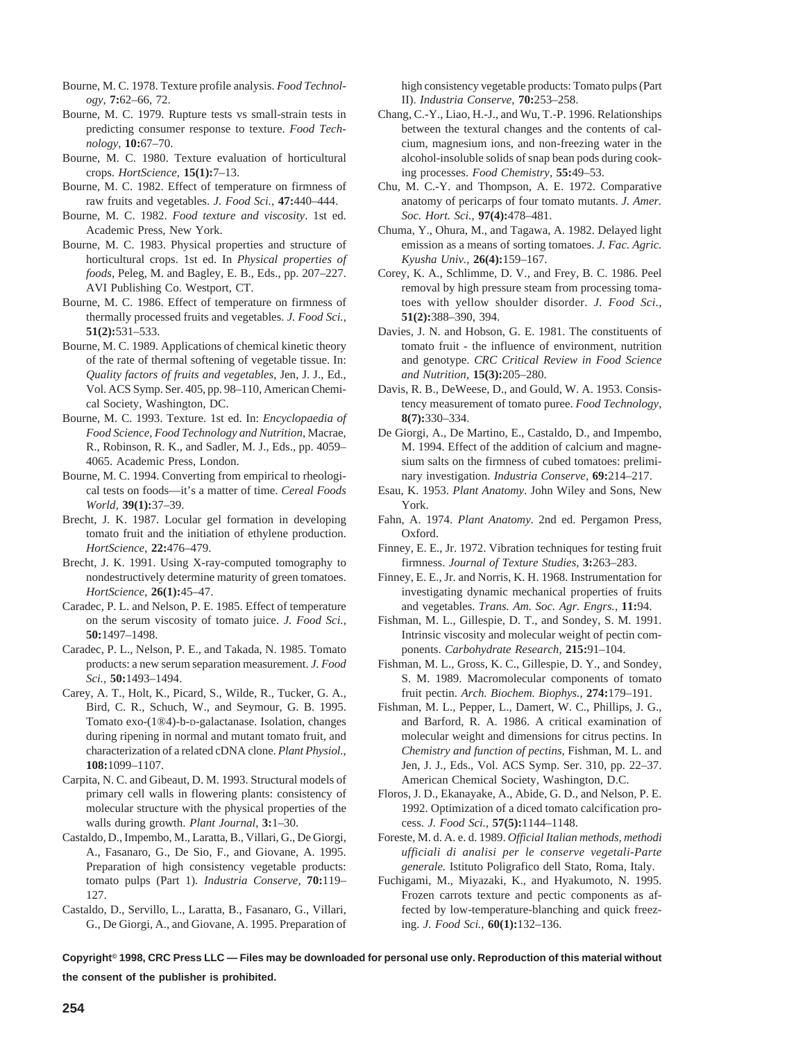Bourne, M. C. 1978. Texture profile analysis. *Food Technology*, **7:**62–66, 72.

- Bourne, M. C. 1979. Rupture tests vs small-strain tests in predicting consumer response to texture. *Food Technology*, **10:**67–70.
- Bourne, M. C. 1980. Texture evaluation of horticultural crops. *HortScience*, **15(1):**7–13.
- Bourne, M. C. 1982. Effect of temperature on firmness of raw fruits and vegetables. *J. Food Sci.,* **47:**440–444.
- Bourne, M. C. 1982. *Food texture and viscosity*. 1st ed. Academic Press, New York.
- Bourne, M. C. 1983. Physical properties and structure of horticultural crops. 1st ed. In *Physical properties of foods*, Peleg, M. and Bagley, E. B., Eds., pp. 207–227. AVI Publishing Co. Westport, CT.
- Bourne, M. C. 1986. Effect of temperature on firmness of thermally processed fruits and vegetables. *J. Food Sci.,* **51(2):**531–533.
- Bourne, M. C. 1989. Applications of chemical kinetic theory of the rate of thermal softening of vegetable tissue. In: *Quality factors of fruits and vegetables*, Jen, J. J., Ed., Vol. ACS Symp. Ser. 405, pp. 98–110, American Chemical Society, Washington, DC.
- Bourne, M. C. 1993. Texture. 1st ed. In: *Encyclopaedia of Food Science, Food Technology and Nutrition*, Macrae, R., Robinson, R. K., and Sadler, M. J., Eds., pp. 4059– 4065. Academic Press, London.
- Bourne, M. C. 1994. Converting from empirical to rheological tests on foods—it's a matter of time. *Cereal Foods World*, **39(1):**37–39.
- Brecht, J. K. 1987. Locular gel formation in developing tomato fruit and the initiation of ethylene production. *HortScience*, **22:**476–479.
- Brecht, J. K. 1991. Using X-ray-computed tomography to nondestructively determine maturity of green tomatoes. *HortScience*, **26(1):**45–47.
- Caradec, P. L. and Nelson, P. E. 1985. Effect of temperature on the serum viscosity of tomato juice. *J. Food Sci.,* **50:**1497–1498.
- Caradec, P. L., Nelson, P. E., and Takada, N. 1985. Tomato products: a new serum separation measurement. *J. Food Sci.,* **50:**1493–1494.
- Carey, A. T., Holt, K., Picard, S., Wilde, R., Tucker, G. A., Bird, C. R., Schuch, W., and Seymour, G. B. 1995. Tomato exo-(1®4)-b-D-galactanase. Isolation, changes during ripening in normal and mutant tomato fruit, and characterization of a related cDNA clone. *Plant Physiol.*, **108:**1099–1107.
- Carpita, N. C. and Gibeaut, D. M. 1993. Structural models of primary cell walls in flowering plants: consistency of molecular structure with the physical properties of the walls during growth. *Plant Journal*, **3:**1–30.
- Castaldo, D., Impembo, M., Laratta, B., Villari, G., De Giorgi, A., Fasanaro, G., De Sio, F., and Giovane, A. 1995. Preparation of high consistency vegetable products: tomato pulps (Part 1). *Industria Conserve*, **70:**119– 127.
- Castaldo, D., Servillo, L., Laratta, B., Fasanaro, G., Villari, G., De Giorgi, A., and Giovane, A. 1995. Preparation of

high consistency vegetable products: Tomato pulps (Part II). *Industria Conserve*, **70:**253–258.

- Chang, C.-Y., Liao, H.-J., and Wu, T.-P. 1996. Relationships between the textural changes and the contents of calcium, magnesium ions, and non-freezing water in the alcohol-insoluble solids of snap bean pods during cooking processes. *Food Chemistry*, **55:**49–53.
- Chu, M. C.-Y. and Thompson, A. E. 1972. Comparative anatomy of pericarps of four tomato mutants. *J. Amer. Soc. Hort. Sci.*, **97(4):**478–481.
- Chuma, Y., Ohura, M., and Tagawa, A. 1982. Delayed light emission as a means of sorting tomatoes. *J. Fac. Agric. Kyusha Univ.*, **26(4):**159–167.
- Corey, K. A., Schlimme, D. V., and Frey, B. C. 1986. Peel removal by high pressure steam from processing tomatoes with yellow shoulder disorder. *J. Food Sci.,* **51(2):**388–390, 394.
- Davies, J. N. and Hobson, G. E. 1981. The constituents of tomato fruit - the influence of environment, nutrition and genotype. *CRC Critical Review in Food Science and Nutrition*, **15(3):**205–280.
- Davis, R. B., DeWeese, D., and Gould, W. A. 1953. Consistency measurement of tomato puree. *Food Technology*, **8(7):**330–334.
- De Giorgi, A., De Martino, E., Castaldo, D., and Impembo, M. 1994. Effect of the addition of calcium and magnesium salts on the firmness of cubed tomatoes: preliminary investigation. *Industria Conserve*, **69:**214–217.
- Esau, K. 1953. *Plant Anatomy*. John Wiley and Sons, New York.
- Fahn, A. 1974. *Plant Anatomy*. 2nd ed. Pergamon Press, Oxford.
- Finney, E. E., Jr. 1972. Vibration techniques for testing fruit firmness. *Journal of Texture Studies*, **3:**263–283.
- Finney, E. E., Jr. and Norris, K. H. 1968. Instrumentation for investigating dynamic mechanical properties of fruits and vegetables. *Trans. Am. Soc. Agr. Engrs.*, **11:**94.
- Fishman, M. L., Gillespie, D. T., and Sondey, S. M. 1991. Intrinsic viscosity and molecular weight of pectin components. *Carbohydrate Research*, **215:**91–104.
- Fishman, M. L., Gross, K. C., Gillespie, D. Y., and Sondey, S. M. 1989. Macromolecular components of tomato fruit pectin. *Arch. Biochem. Biophys.*, **274:**179–191.
- Fishman, M. L., Pepper, L., Damert, W. C., Phillips, J. G., and Barford, R. A. 1986. A critical examination of molecular weight and dimensions for citrus pectins. In *Chemistry and function of pectins*, Fishman, M. L. and Jen, J. J., Eds., Vol. ACS Symp. Ser. 310, pp. 22–37. American Chemical Society, Washington, D.C.
- Floros, J. D., Ekanayake, A., Abide, G. D., and Nelson, P. E. 1992. Optimization of a diced tomato calcification process. *J. Food Sci.*, **57(5):**1144–1148.
- Foreste, M. d. A. e. d. 1989. *Official Italian methods, methodi ufficiali di analisi per le conserve vegetali-Parte generale.* Istituto Poligrafico dell Stato, Roma, Italy.
- Fuchigami, M., Miyazaki, K., and Hyakumoto, N. 1995. Frozen carrots texture and pectic components as affected by low-temperature-blanching and quick freezing. *J. Food Sci.*, **60(1):**132–136.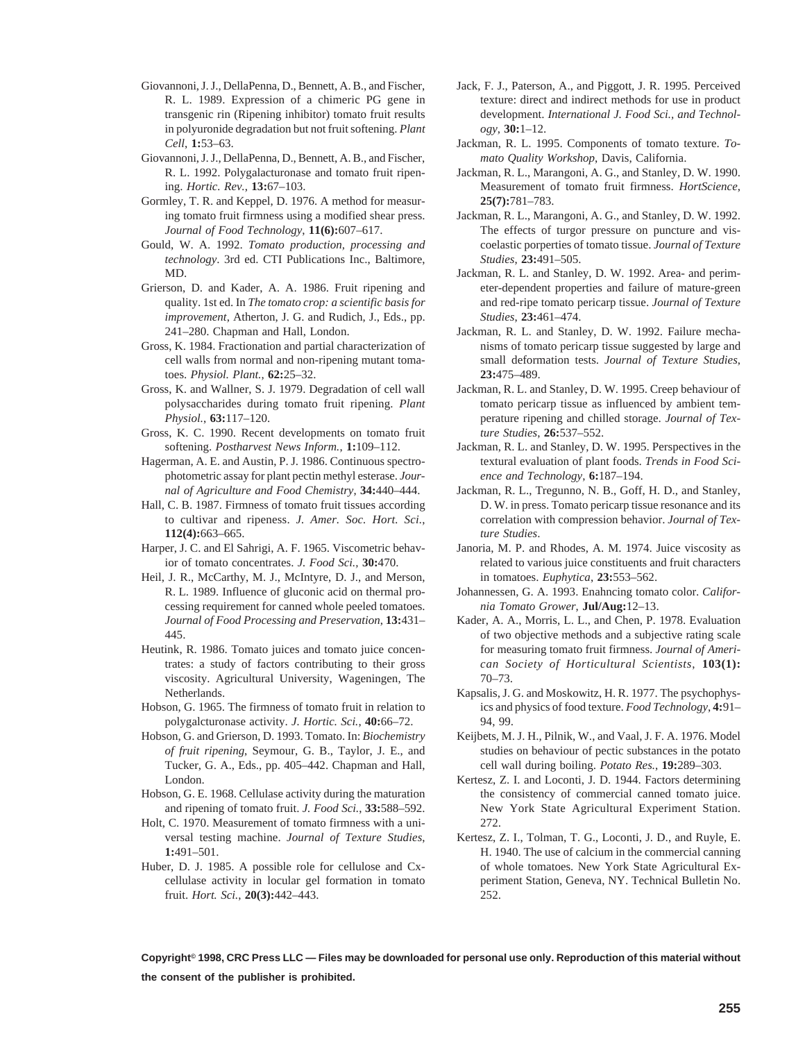- Giovannoni, J. J., DellaPenna, D., Bennett, A. B., and Fischer, R. L. 1989. Expression of a chimeric PG gene in transgenic rin (Ripening inhibitor) tomato fruit results in polyuronide degradation but not fruit softening. *Plant Cell*, **1:**53–63.
- Giovannoni, J. J., DellaPenna, D., Bennett, A. B., and Fischer, R. L. 1992. Polygalacturonase and tomato fruit ripening. *Hortic. Rev.*, **13:**67–103.
- Gormley, T. R. and Keppel, D. 1976. A method for measuring tomato fruit firmness using a modified shear press. *Journal of Food Technology*, **11(6):**607–617.
- Gould, W. A. 1992. *Tomato production, processing and technology*. 3rd ed. CTI Publications Inc., Baltimore, MD.
- Grierson, D. and Kader, A. A. 1986. Fruit ripening and quality. 1st ed. In *The tomato crop: a scientific basis for improvement*, Atherton, J. G. and Rudich, J., Eds., pp. 241–280. Chapman and Hall, London.
- Gross, K. 1984. Fractionation and partial characterization of cell walls from normal and non-ripening mutant tomatoes. *Physiol. Plant.*, **62:**25–32.
- Gross, K. and Wallner, S. J. 1979. Degradation of cell wall polysaccharides during tomato fruit ripening. *Plant Physiol.*, **63:**117–120.
- Gross, K. C. 1990. Recent developments on tomato fruit softening. *Postharvest News Inform.*, **1:**109–112.
- Hagerman, A. E. and Austin, P. J. 1986. Continuous spectrophotometric assay for plant pectin methyl esterase. *Journal of Agriculture and Food Chemistry*, **34:**440–444.
- Hall, C. B. 1987. Firmness of tomato fruit tissues according to cultivar and ripeness. *J. Amer. Soc. Hort. Sci.*, **112(4):**663–665.
- Harper, J. C. and El Sahrigi, A. F. 1965. Viscometric behavior of tomato concentrates. *J. Food Sci.,* **30:**470.
- Heil, J. R., McCarthy, M. J., McIntyre, D. J., and Merson, R. L. 1989. Influence of gluconic acid on thermal processing requirement for canned whole peeled tomatoes. *Journal of Food Processing and Preservation*, **13:**431– 445.
- Heutink, R. 1986. Tomato juices and tomato juice concentrates: a study of factors contributing to their gross viscosity. Agricultural University, Wageningen, The Netherlands.
- Hobson, G. 1965. The firmness of tomato fruit in relation to polygalcturonase activity. *J. Hortic. Sci.*, **40:**66–72.
- Hobson, G. and Grierson, D. 1993. Tomato. In: *Biochemistry of fruit ripening*, Seymour, G. B., Taylor, J. E., and Tucker, G. A., Eds., pp. 405–442. Chapman and Hall, London.
- Hobson, G. E. 1968. Cellulase activity during the maturation and ripening of tomato fruit. *J. Food Sci.*, **33:**588–592.
- Holt, C. 1970. Measurement of tomato firmness with a universal testing machine. *Journal of Texture Studies*, **1:**491–501.
- Huber, D. J. 1985. A possible role for cellulose and Cxcellulase activity in locular gel formation in tomato fruit. *Hort. Sci.*, **20(3):**442–443.
- Jack, F. J., Paterson, A., and Piggott, J. R. 1995. Perceived texture: direct and indirect methods for use in product development. *International J. Food Sci., and Technology*, **30:**1–12.
- Jackman, R. L. 1995. Components of tomato texture. *Tomato Quality Workshop*, Davis, California.
- Jackman, R. L., Marangoni, A. G., and Stanley, D. W. 1990. Measurement of tomato fruit firmness. *HortScience*, **25(7):**781–783.
- Jackman, R. L., Marangoni, A. G., and Stanley, D. W. 1992. The effects of turgor pressure on puncture and viscoelastic porperties of tomato tissue. *Journal of Texture Studies*, **23:**491–505.
- Jackman, R. L. and Stanley, D. W. 1992. Area- and perimeter-dependent properties and failure of mature-green and red-ripe tomato pericarp tissue. *Journal of Texture Studies*, **23:**461–474.
- Jackman, R. L. and Stanley, D. W. 1992. Failure mechanisms of tomato pericarp tissue suggested by large and small deformation tests. *Journal of Texture Studies*, **23:**475–489.
- Jackman, R. L. and Stanley, D. W. 1995. Creep behaviour of tomato pericarp tissue as influenced by ambient temperature ripening and chilled storage. *Journal of Texture Studies*, **26:**537–552.
- Jackman, R. L. and Stanley, D. W. 1995. Perspectives in the textural evaluation of plant foods. *Trends in Food Science and Technology*, **6:**187–194.
- Jackman, R. L., Tregunno, N. B., Goff, H. D., and Stanley, D. W. in press. Tomato pericarp tissue resonance and its correlation with compression behavior. *Journal of Texture Studies*.
- Janoria, M. P. and Rhodes, A. M. 1974. Juice viscosity as related to various juice constituents and fruit characters in tomatoes. *Euphytica*, **23:**553–562.
- Johannessen, G. A. 1993. Enahncing tomato color. *California Tomato Grower*, **Jul/Aug:**12–13.
- Kader, A. A., Morris, L. L., and Chen, P. 1978. Evaluation of two objective methods and a subjective rating scale for measuring tomato fruit firmness. *Journal of American Society of Horticultural Scientists*, **103(1):** 70–73.
- Kapsalis, J. G. and Moskowitz, H. R. 1977. The psychophysics and physics of food texture. *Food Technology*, **4:**91– 94, 99.
- Keijbets, M. J. H., Pilnik, W., and Vaal, J. F. A. 1976. Model studies on behaviour of pectic substances in the potato cell wall during boiling. *Potato Res.*, **19:**289–303.
- Kertesz, Z. I. and Loconti, J. D. 1944. Factors determining the consistency of commercial canned tomato juice. New York State Agricultural Experiment Station. 272.
- Kertesz, Z. I., Tolman, T. G., Loconti, J. D., and Ruyle, E. H. 1940. The use of calcium in the commercial canning of whole tomatoes. New York State Agricultural Experiment Station, Geneva, NY. Technical Bulletin No. 252.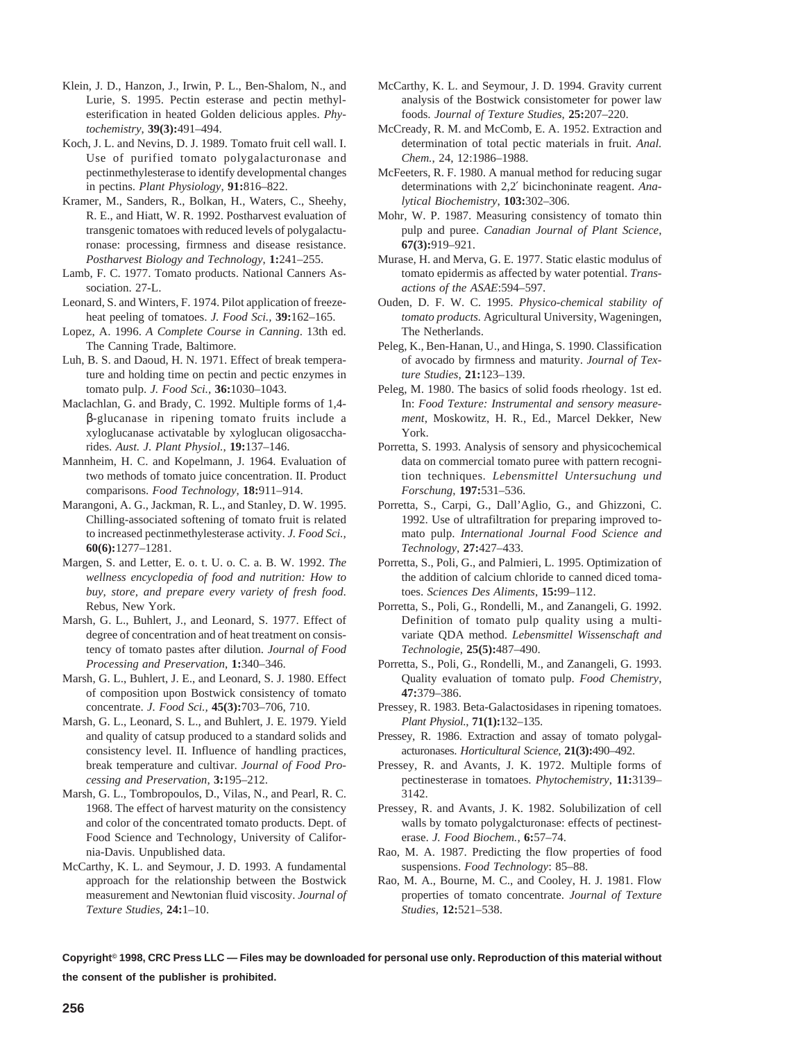- Klein, J. D., Hanzon, J., Irwin, P. L., Ben-Shalom, N., and Lurie, S. 1995. Pectin esterase and pectin methylesterification in heated Golden delicious apples. *Phytochemistry*, **39(3):**491–494.
- Koch, J. L. and Nevins, D. J. 1989. Tomato fruit cell wall. I. Use of purified tomato polygalacturonase and pectinmethylesterase to identify developmental changes in pectins. *Plant Physiology*, **91:**816–822.
- Kramer, M., Sanders, R., Bolkan, H., Waters, C., Sheehy, R. E., and Hiatt, W. R. 1992. Postharvest evaluation of transgenic tomatoes with reduced levels of polygalacturonase: processing, firmness and disease resistance. *Postharvest Biology and Technology*, **1:**241–255.
- Lamb, F. C. 1977. Tomato products. National Canners Association. 27-L.

Leonard, S. and Winters, F. 1974. Pilot application of freezeheat peeling of tomatoes. *J. Food Sci.,* **39:**162–165.

- Lopez, A. 1996. *A Complete Course in Canning*. 13th ed. The Canning Trade, Baltimore.
- Luh, B. S. and Daoud, H. N. 1971. Effect of break temperature and holding time on pectin and pectic enzymes in tomato pulp. *J. Food Sci.,* **36:**1030–1043.
- Maclachlan, G. and Brady, C. 1992. Multiple forms of 1,4 β-glucanase in ripening tomato fruits include a xyloglucanase activatable by xyloglucan oligosaccharides. *Aust. J. Plant Physiol.*, **19:**137–146.
- Mannheim, H. C. and Kopelmann, J. 1964. Evaluation of two methods of tomato juice concentration. II. Product comparisons. *Food Technology*, **18:**911–914.
- Marangoni, A. G., Jackman, R. L., and Stanley, D. W. 1995. Chilling-associated softening of tomato fruit is related to increased pectinmethylesterase activity. *J. Food Sci.,* **60(6):**1277–1281.
- Margen, S. and Letter, E. o. t. U. o. C. a. B. W. 1992. *The wellness encyclopedia of food and nutrition: How to buy, store, and prepare every variety of fresh food*. Rebus, New York.
- Marsh, G. L., Buhlert, J., and Leonard, S. 1977. Effect of degree of concentration and of heat treatment on consistency of tomato pastes after dilution. *Journal of Food Processing and Preservation*, **1:**340–346.
- Marsh, G. L., Buhlert, J. E., and Leonard, S. J. 1980. Effect of composition upon Bostwick consistency of tomato concentrate. *J. Food Sci.,* **45(3):**703–706, 710.
- Marsh, G. L., Leonard, S. L., and Buhlert, J. E. 1979. Yield and quality of catsup produced to a standard solids and consistency level. II. Influence of handling practices, break temperature and cultivar. *Journal of Food Processing and Preservation*, **3:**195–212.
- Marsh, G. L., Tombropoulos, D., Vilas, N., and Pearl, R. C. 1968. The effect of harvest maturity on the consistency and color of the concentrated tomato products. Dept. of Food Science and Technology, University of California-Davis. Unpublished data.
- McCarthy, K. L. and Seymour, J. D. 1993. A fundamental approach for the relationship between the Bostwick measurement and Newtonian fluid viscosity. *Journal of Texture Studies*, **24:**1–10.
- McCarthy, K. L. and Seymour, J. D. 1994. Gravity current analysis of the Bostwick consistometer for power law foods. *Journal of Texture Studies*, **25:**207–220.
- McCready, R. M. and McComb, E. A. 1952. Extraction and determination of total pectic materials in fruit. *Anal. Chem.*, 24, 12:1986–1988.
- McFeeters, R. F. 1980. A manual method for reducing sugar determinations with 2,2′ bicinchoninate reagent. *Analytical Biochemistry*, **103:**302–306.
- Mohr, W. P. 1987. Measuring consistency of tomato thin pulp and puree. *Canadian Journal of Plant Science*, **67(3):**919–921.
- Murase, H. and Merva, G. E. 1977. Static elastic modulus of tomato epidermis as affected by water potential. *Transactions of the ASAE*:594–597.
- Ouden, D. F. W. C. 1995. *Physico-chemical stability of tomato products.* Agricultural University, Wageningen, The Netherlands.
- Peleg, K., Ben-Hanan, U., and Hinga, S. 1990. Classification of avocado by firmness and maturity. *Journal of Texture Studies*, **21:**123–139.
- Peleg, M. 1980. The basics of solid foods rheology. 1st ed. In: *Food Texture: Instrumental and sensory measurement*, Moskowitz, H. R., Ed., Marcel Dekker, New York.
- Porretta, S. 1993. Analysis of sensory and physicochemical data on commercial tomato puree with pattern recognition techniques. *Lebensmittel Untersuchung und Forschung*, **197:**531–536.
- Porretta, S., Carpi, G., Dall'Aglio, G., and Ghizzoni, C. 1992. Use of ultrafiltration for preparing improved tomato pulp. *International Journal Food Science and Technology*, **27:**427–433.
- Porretta, S., Poli, G., and Palmieri, L. 1995. Optimization of the addition of calcium chloride to canned diced tomatoes. *Sciences Des Aliments*, **15:**99–112.
- Porretta, S., Poli, G., Rondelli, M., and Zanangeli, G. 1992. Definition of tomato pulp quality using a multivariate QDA method. *Lebensmittel Wissenschaft and Technologie*, **25(5):**487–490.
- Porretta, S., Poli, G., Rondelli, M., and Zanangeli, G. 1993. Quality evaluation of tomato pulp. *Food Chemistry*, **47:**379–386.
- Pressey, R. 1983. Beta-Galactosidases in ripening tomatoes. *Plant Physiol.*, **71(1):**132–135.
- Pressey, R. 1986. Extraction and assay of tomato polygalacturonases. *Horticultural Science*, **21(3):**490–492.
- Pressey, R. and Avants, J. K. 1972. Multiple forms of pectinesterase in tomatoes. *Phytochemistry*, **11:**3139– 3142.
- Pressey, R. and Avants, J. K. 1982. Solubilization of cell walls by tomato polygalcturonase: effects of pectinesterase. *J. Food Biochem.*, **6:**57–74.
- Rao, M. A. 1987. Predicting the flow properties of food suspensions. *Food Technology*: 85–88.
- Rao, M. A., Bourne, M. C., and Cooley, H. J. 1981. Flow properties of tomato concentrate. *Journal of Texture Studies*, **12:**521–538.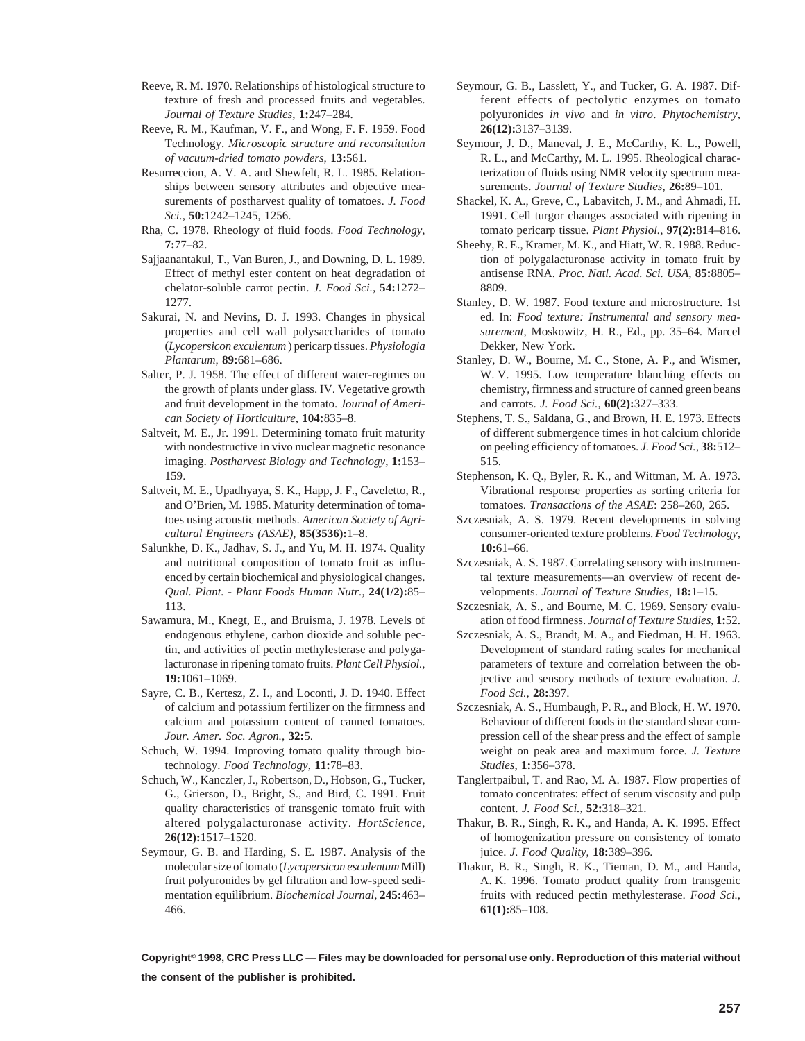- Reeve, R. M. 1970. Relationships of histological structure to texture of fresh and processed fruits and vegetables. *Journal of Texture Studies*, **1:**247–284.
- Reeve, R. M., Kaufman, V. F., and Wong, F. F. 1959. Food Technology. *Microscopic structure and reconstitution of vacuum-dried tomato powders*, **13:**561.
- Resurreccion, A. V. A. and Shewfelt, R. L. 1985. Relationships between sensory attributes and objective measurements of postharvest quality of tomatoes. *J. Food Sci.,* **50:**1242–1245, 1256.
- Rha, C. 1978. Rheology of fluid foods. *Food Technology*, **7:**77–82.
- Sajjaanantakul, T., Van Buren, J., and Downing, D. L. 1989. Effect of methyl ester content on heat degradation of chelator-soluble carrot pectin. *J. Food Sci.,* **54:**1272– 1277.
- Sakurai, N. and Nevins, D. J. 1993. Changes in physical properties and cell wall polysaccharides of tomato (*Lycopersicon exculentum* ) pericarp tissues. *Physiologia Plantarum*, **89:**681–686.
- Salter, P. J. 1958. The effect of different water-regimes on the growth of plants under glass. IV. Vegetative growth and fruit development in the tomato. *Journal of American Society of Horticulture*, **104:**835–8.
- Saltveit, M. E., Jr. 1991. Determining tomato fruit maturity with nondestructive in vivo nuclear magnetic resonance imaging. *Postharvest Biology and Technology*, **1:**153– 159.
- Saltveit, M. E., Upadhyaya, S. K., Happ, J. F., Caveletto, R., and O'Brien, M. 1985. Maturity determination of tomatoes using acoustic methods. *American Society of Agricultural Engineers (ASAE)*, **85(3536):**1–8.
- Salunkhe, D. K., Jadhav, S. J., and Yu, M. H. 1974. Quality and nutritional composition of tomato fruit as influenced by certain biochemical and physiological changes. *Qual. Plant. - Plant Foods Human Nutr.*, **24(1/2):**85– 113.
- Sawamura, M., Knegt, E., and Bruisma, J. 1978. Levels of endogenous ethylene, carbon dioxide and soluble pectin, and activities of pectin methylesterase and polygalacturonase in ripening tomato fruits. *Plant Cell Physiol.*, **19:**1061–1069.
- Sayre, C. B., Kertesz, Z. I., and Loconti, J. D. 1940. Effect of calcium and potassium fertilizer on the firmness and calcium and potassium content of canned tomatoes. *Jour. Amer. Soc. Agron.*, **32:**5.
- Schuch, W. 1994. Improving tomato quality through biotechnology. *Food Technology*, **11:**78–83.
- Schuch, W., Kanczler, J., Robertson, D., Hobson, G., Tucker, G., Grierson, D., Bright, S., and Bird, C. 1991. Fruit quality characteristics of transgenic tomato fruit with altered polygalacturonase activity. *HortScience*, **26(12):**1517–1520.
- Seymour, G. B. and Harding, S. E. 1987. Analysis of the molecular size of tomato (*Lycopersicon esculentum* Mill) fruit polyuronides by gel filtration and low-speed sedimentation equilibrium. *Biochemical Journal*, **245:**463– 466.
- Seymour, G. B., Lasslett, Y., and Tucker, G. A. 1987. Different effects of pectolytic enzymes on tomato polyuronides *in vivo* and *in vitro*. *Phytochemistry*, **26(12):**3137–3139.
- Seymour, J. D., Maneval, J. E., McCarthy, K. L., Powell, R. L., and McCarthy, M. L. 1995. Rheological characterization of fluids using NMR velocity spectrum measurements. *Journal of Texture Studies*, **26:**89–101.
- Shackel, K. A., Greve, C., Labavitch, J. M., and Ahmadi, H. 1991. Cell turgor changes associated with ripening in tomato pericarp tissue. *Plant Physiol.*, **97(2):**814–816.
- Sheehy, R. E., Kramer, M. K., and Hiatt, W. R. 1988. Reduction of polygalacturonase activity in tomato fruit by antisense RNA. *Proc. Natl. Acad. Sci. USA*, **85:**8805– 8809.
- Stanley, D. W. 1987. Food texture and microstructure. 1st ed. In: *Food texture: Instrumental and sensory measurement*, Moskowitz, H. R., Ed., pp. 35–64. Marcel Dekker, New York.
- Stanley, D. W., Bourne, M. C., Stone, A. P., and Wismer, W. V. 1995. Low temperature blanching effects on chemistry, firmness and structure of canned green beans and carrots. *J. Food Sci.*, **60(2):**327–333.
- Stephens, T. S., Saldana, G., and Brown, H. E. 1973. Effects of different submergence times in hot calcium chloride on peeling efficiency of tomatoes. *J. Food Sci.,* **38:**512– 515.
- Stephenson, K. Q., Byler, R. K., and Wittman, M. A. 1973. Vibrational response properties as sorting criteria for tomatoes. *Transactions of the ASAE*: 258–260, 265.
- Szczesniak, A. S. 1979. Recent developments in solving consumer-oriented texture problems. *Food Technology*, **10:**61–66.
- Szczesniak, A. S. 1987. Correlating sensory with instrumental texture measurements—an overview of recent developments. *Journal of Texture Studies*, **18:**1–15.
- Szczesniak, A. S., and Bourne, M. C. 1969. Sensory evaluation of food firmness. *Journal of Texture Studies*, **1:**52.
- Szczesniak, A. S., Brandt, M. A., and Fiedman, H. H. 1963. Development of standard rating scales for mechanical parameters of texture and correlation between the objective and sensory methods of texture evaluation. *J. Food Sci.,* **28:**397.
- Szczesniak, A. S., Humbaugh, P. R., and Block, H. W. 1970. Behaviour of different foods in the standard shear compression cell of the shear press and the effect of sample weight on peak area and maximum force. *J. Texture Studies*, **1:**356–378.
- Tanglertpaibul, T. and Rao, M. A. 1987. Flow properties of tomato concentrates: effect of serum viscosity and pulp content. *J. Food Sci.,* **52:**318–321.
- Thakur, B. R., Singh, R. K., and Handa, A. K. 1995. Effect of homogenization pressure on consistency of tomato juice. *J. Food Quality*, **18:**389–396.
- Thakur, B. R., Singh, R. K., Tieman, D. M., and Handa, A. K. 1996. Tomato product quality from transgenic fruits with reduced pectin methylesterase. *Food Sci.*, **61(1):**85–108.